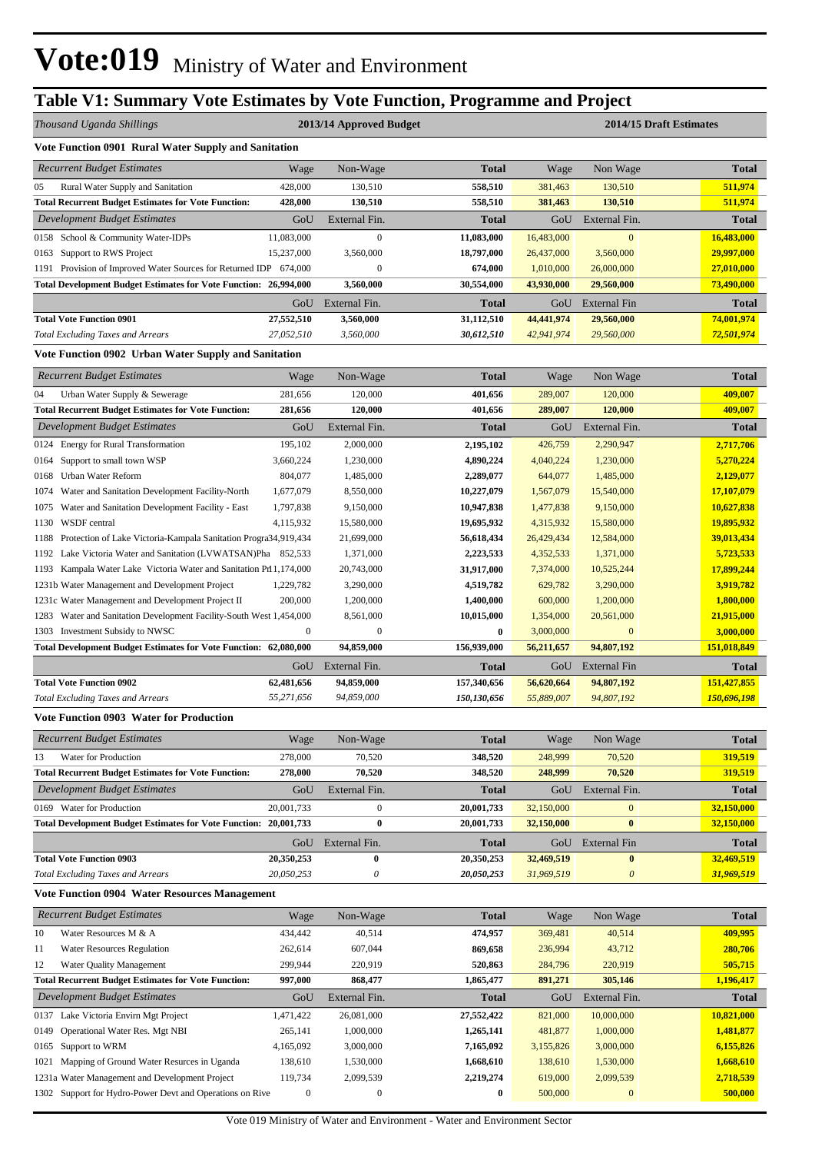## **Table V1: Summary Vote Estimates by Vote Function, Programme and Project**

| Thousand Uganda Shillings                                                                                                                   |                    | 2013/14 Approved Budget |                         |                         |                         | 2014/15 Draft Estimates |
|---------------------------------------------------------------------------------------------------------------------------------------------|--------------------|-------------------------|-------------------------|-------------------------|-------------------------|-------------------------|
| Vote Function 0901 Rural Water Supply and Sanitation                                                                                        |                    |                         |                         |                         |                         |                         |
| <b>Recurrent Budget Estimates</b>                                                                                                           | Wage               | Non-Wage                | Total                   | Wage                    | Non Wage                | <b>Total</b>            |
| Rural Water Supply and Sanitation<br>05                                                                                                     | 428,000            | 130,510                 | 558,510                 | 381,463                 | 130,510                 | 511,974                 |
| <b>Total Recurrent Budget Estimates for Vote Function:</b>                                                                                  | 428,000            | 130,510                 | 558,510                 | 381,463                 | 130,510                 | 511,974                 |
| Development Budget Estimates                                                                                                                | GoU                | External Fin.           | Total                   | GoU                     | External Fin.           | <b>Total</b>            |
| 0158 School & Community Water-IDPs                                                                                                          | 11,083,000         | $\mathbf{0}$            | 11,083,000              | 16,483,000              | $\mathbf{0}$            | 16,483,000              |
| 0163 Support to RWS Project                                                                                                                 | 15,237,000         | 3,560,000               | 18,797,000              | 26,437,000              | 3,560,000               | 29,997,000              |
| 1191 Provision of Improved Water Sources for Returned IDP 674,000                                                                           |                    | $\boldsymbol{0}$        | 674,000                 | 1,010,000               | 26,000,000              | 27,010,000              |
| Total Development Budget Estimates for Vote Function: 26,994,000                                                                            |                    | 3,560,000               | 30,554,000              | 43,930,000              | 29,560,000              | 73,490,000              |
|                                                                                                                                             | GoU                | External Fin.           | Total                   | GoU                     | <b>External Fin</b>     | <b>Total</b>            |
| <b>Total Vote Function 0901</b>                                                                                                             | 27,552,510         | 3,560,000               | 31,112,510              | 44,441,974              | 29,560,000              | 74,001,974              |
| <b>Total Excluding Taxes and Arrears</b>                                                                                                    | 27,052,510         | 3,560,000               | 30,612,510              | 42,941,974              | 29,560,000              | 72,501,974              |
| Vote Function 0902 Urban Water Supply and Sanitation                                                                                        |                    |                         |                         |                         |                         |                         |
| <b>Recurrent Budget Estimates</b>                                                                                                           | Wage               | Non-Wage                | <b>Total</b>            | Wage                    | Non Wage                | <b>Total</b>            |
| 04<br>Urban Water Supply & Sewerage                                                                                                         | 281,656            | 120,000                 | 401,656                 | 289,007                 | 120,000                 | 409,007                 |
| <b>Total Recurrent Budget Estimates for Vote Function:</b>                                                                                  | 281,656            | 120,000                 | 401,656                 | 289,007                 | 120,000                 | 409,007                 |
| Development Budget Estimates                                                                                                                | GoU                | External Fin.           | Total                   | GoU                     | External Fin.           | <b>Total</b>            |
| 0124 Energy for Rural Transformation                                                                                                        | 195,102            | 2,000,000               | 2,195,102               | 426,759                 | 2,290,947               | 2,717,706               |
| 0164 Support to small town WSP                                                                                                              | 3,660,224          | 1,230,000               | 4,890,224               | 4,040,224               | 1,230,000               | 5,270,224               |
| 0168 Urban Water Reform                                                                                                                     | 804,077            | 1,485,000               | 2,289,077               | 644,077                 | 1,485,000               | 2,129,077               |
| Water and Sanitation Development Facility-North<br>1074                                                                                     | 1,677,079          | 8,550,000               | 10,227,079              | 1,567,079               | 15,540,000              | 17,107,079              |
| Water and Sanitation Development Facility - East<br>1075                                                                                    | 1,797,838          | 9,150,000               | 10,947,838              | 1,477,838               | 9,150,000               | 10,627,838              |
| WSDF central<br>1130                                                                                                                        | 4,115,932          | 15,580,000              | 19,695,932              | 4,315,932               | 15,580,000              | 19,895,932              |
| Protection of Lake Victoria-Kampala Sanitation Progra34,919,434<br>1188<br>Lake Victoria Water and Sanitation (LVWATSAN)Pha 852,533<br>1192 |                    | 21,699,000<br>1,371,000 | 56,618,434<br>2,223,533 | 26,429,434<br>4,352,533 | 12,584,000<br>1,371,000 | 39,013,434<br>5,723,533 |
| 1193 Kampala Water Lake Victoria Water and Sanitation Prl 1, 174,000                                                                        |                    | 20,743,000              | 31,917,000              | 7,374,000               | 10,525,244              | 17,899,244              |
| 1231b Water Management and Development Project                                                                                              | 1,229,782          | 3,290,000               | 4,519,782               | 629,782                 | 3,290,000               | 3,919,782               |
| 1231c Water Management and Development Project II                                                                                           | 200,000            | 1,200,000               | 1,400,000               | 600,000                 | 1,200,000               | 1,800,000               |
| 1283 Water and Sanitation Development Facility-South West 1,454,000                                                                         |                    | 8,561,000               | 10,015,000              | 1,354,000               | 20,561,000              | 21,915,000              |
| 1303 Investment Subsidy to NWSC                                                                                                             | $\boldsymbol{0}$   | $\boldsymbol{0}$        | $\bf{0}$                | 3,000,000               | $\bf{0}$                | 3,000,000               |
| Total Development Budget Estimates for Vote Function: 62,080,000                                                                            |                    | 94,859,000              | 156,939,000             | 56,211,657              | 94,807,192              | 151,018,849             |
|                                                                                                                                             | GoU                | External Fin.           | Total                   | GoU                     | External Fin            | <b>Total</b>            |
| <b>Total Vote Function 0902</b>                                                                                                             | 62,481,656         | 94,859,000              | 157,340,656             | 56,620,664              | 94,807,192              | 151,427,855             |
| <b>Total Excluding Taxes and Arrears</b>                                                                                                    | 55,271,656         | 94,859,000              | 150,130,656             | 55,889,007              | 94,807,192              | 150,696,198             |
| <b>Vote Function 0903 Water for Production</b>                                                                                              |                    |                         |                         |                         |                         |                         |
| Recurrent Budget Estimates                                                                                                                  | Wage               | Non-Wage                | <b>Total</b>            | Wage                    | Non Wage                | Total                   |
| Water for Production<br>13                                                                                                                  | 278,000            | 70,520                  | 348,520                 | 248,999                 | 70,520                  | 319,519                 |
| <b>Total Recurrent Budget Estimates for Vote Function:</b>                                                                                  | 278,000            | 70,520                  | 348,520                 | 248,999                 | 70,520                  | 319,519                 |
| Development Budget Estimates                                                                                                                | GoU                | External Fin.           | <b>Total</b>            | $_{\rm GoU}$            | External Fin.           | <b>Total</b>            |
| 0169 Water for Production                                                                                                                   | 20,001,733         | $\boldsymbol{0}$        | 20,001,733              | 32,150,000              | $\mathbf{0}$            | 32,150,000              |
| <b>Total Development Budget Estimates for Vote Function: 20,001,733</b>                                                                     |                    | $\bf{0}$                | 20,001,733              | 32,150,000              | $\bf{0}$                | 32,150,000              |
|                                                                                                                                             | GoU                | External Fin.           | Total                   | GoU                     | <b>External Fin</b>     | <b>Total</b>            |
| <b>Total Vote Function 0903</b>                                                                                                             | 20,350,253         | $\bf{0}$                | 20,350,253              | 32,469,519              | $\bf{0}$                | 32,469,519              |
| <b>Total Excluding Taxes and Arrears</b>                                                                                                    | 20,050,253         | 0                       | 20,050,253              | 31,969,519              | $\theta$                | 31,969,519              |
| <b>Vote Function 0904 Water Resources Management</b>                                                                                        |                    |                         |                         |                         |                         |                         |
| <b>Recurrent Budget Estimates</b>                                                                                                           | Wage               | Non-Wage                | <b>Total</b>            | Wage                    | Non Wage                | <b>Total</b>            |
| Water Resources M & A<br>10                                                                                                                 | 434,442            | 40,514                  | 474,957                 | 369,481                 | 40,514                  | 409,995                 |
| 11<br>Water Resources Regulation                                                                                                            | 262,614            | 607,044                 | 869,658                 | 236,994                 | 43,712                  | 280,706                 |
| 12<br>Water Quality Management                                                                                                              | 299,944            | 220,919                 | 520,863                 | 284,796                 | 220,919                 | 505,715                 |
| <b>Total Recurrent Budget Estimates for Vote Function:</b>                                                                                  | 997,000            | 868,477                 | 1,865,477               | 891,271                 | 305,146                 | 1,196,417               |
| Development Budget Estimates                                                                                                                | GoU                | External Fin.           | <b>Total</b>            | GoU                     | External Fin.           | <b>Total</b>            |
| Lake Victoria Envirn Mgt Project<br>0137                                                                                                    | 1,471,422          | 26,081,000              | 27,552,422              | 821,000                 | 10,000,000              | 10,821,000              |
| Operational Water Res. Mgt NBI<br>0149                                                                                                      | 265,141            | 1,000,000               | 1,265,141               | 481,877                 | 1,000,000               | 1,481,877               |
| Support to WRM<br>0165                                                                                                                      | 4,165,092          | 3,000,000               | 7,165,092               | 3,155,826               | 3,000,000               | 6,155,826               |
| Mapping of Ground Water Resurces in Uganda<br>1021<br>1231a Water Management and Development Project                                        | 138,610<br>119,734 | 1,530,000<br>2,099,539  | 1,668,610<br>2,219,274  | 138,610<br>619,000      | 1,530,000<br>2,099,539  | 1,668,610<br>2,718,539  |
| 1302 Support for Hydro-Power Devt and Operations on Rive                                                                                    | $\boldsymbol{0}$   | $\boldsymbol{0}$        | $\boldsymbol{0}$        | 500,000                 | $\bf{0}$                | 500,000                 |
|                                                                                                                                             |                    |                         |                         |                         |                         |                         |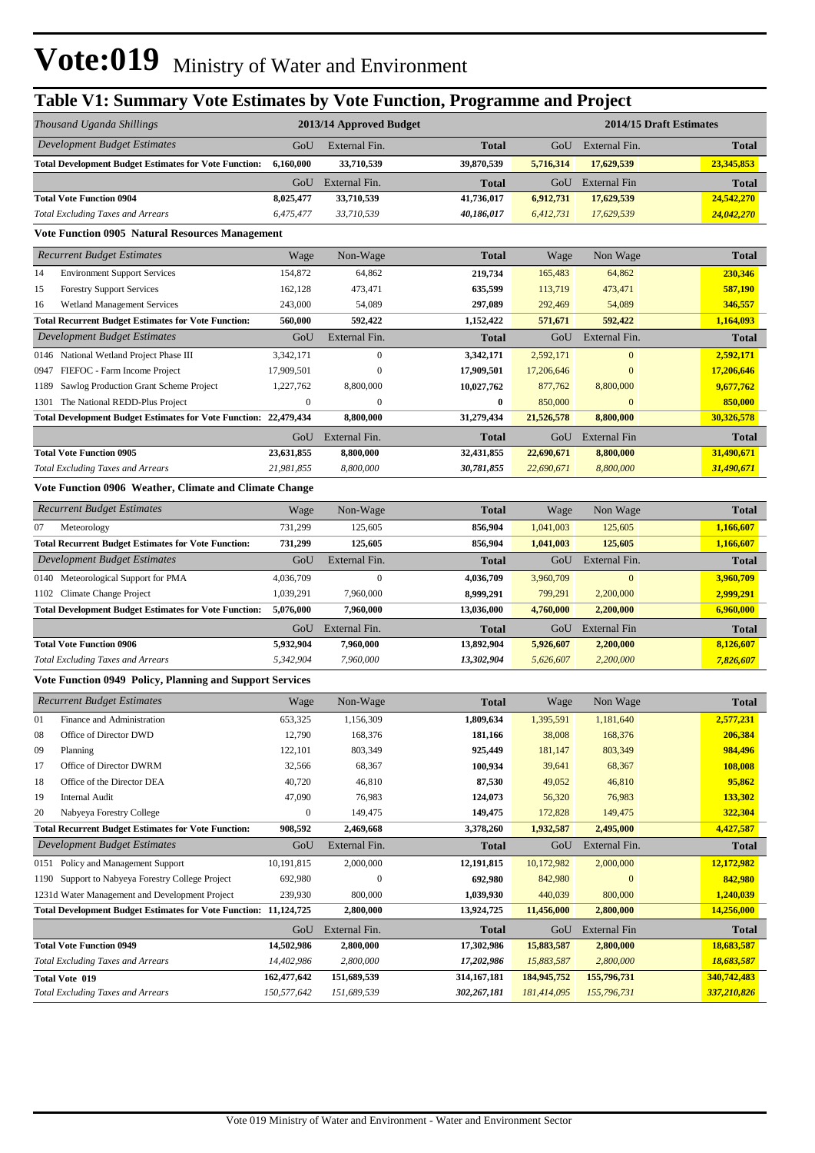# **Table V1: Summary Vote Estimates by Vote Function, Programme and Project**

|      | Thousand Uganda Shillings                                               |                  | 2013/14 Approved Budget |              |             |                     | 2014/15 Draft Estimates |
|------|-------------------------------------------------------------------------|------------------|-------------------------|--------------|-------------|---------------------|-------------------------|
|      | Development Budget Estimates                                            | GoU              | External Fin.           | <b>Total</b> | GoU         | External Fin.       | <b>Total</b>            |
|      | <b>Total Development Budget Estimates for Vote Function:</b>            | 6,160,000        | 33,710,539              | 39,870,539   | 5,716,314   | 17,629,539          | 23,345,853              |
|      |                                                                         | GoU              | External Fin.           | <b>Total</b> | GoU         | External Fin        | <b>Total</b>            |
|      | <b>Total Vote Function 0904</b>                                         | 8,025,477        | 33,710,539              | 41,736,017   | 6,912,731   | 17,629,539          | 24,542,270              |
|      | <b>Total Excluding Taxes and Arrears</b>                                | 6,475,477        | 33,710,539              | 40,186,017   | 6,412,731   | 17,629,539          | 24,042,270              |
|      | <b>Vote Function 0905 Natural Resources Management</b>                  |                  |                         |              |             |                     |                         |
|      | <b>Recurrent Budget Estimates</b>                                       | Wage             | Non-Wage                | <b>Total</b> | Wage        | Non Wage            | <b>Total</b>            |
| 14   | <b>Environment Support Services</b>                                     | 154,872          | 64,862                  | 219,734      | 165,483     | 64,862              | 230,346                 |
| 15   | <b>Forestry Support Services</b>                                        | 162,128          | 473,471                 | 635,599      | 113,719     | 473,471             | 587,190                 |
| 16   | Wetland Management Services                                             | 243,000          | 54,089                  | 297,089      | 292,469     | 54,089              | 346,557                 |
|      | <b>Total Recurrent Budget Estimates for Vote Function:</b>              | 560,000          | 592,422                 | 1,152,422    | 571,671     | 592,422             | 1,164,093               |
|      | Development Budget Estimates                                            | GoU              | External Fin.           | <b>Total</b> | GoU         | External Fin.       | <b>Total</b>            |
|      | 0146 National Wetland Project Phase III                                 | 3,342,171        | $\boldsymbol{0}$        | 3,342,171    | 2,592,171   | $\mathbf{0}$        | 2,592,171               |
| 0947 | FIEFOC - Farm Income Project                                            | 17,909,501       | $\boldsymbol{0}$        | 17,909,501   | 17,206,646  | $\mathbf{0}$        | 17,206,646              |
| 1189 | Sawlog Production Grant Scheme Project                                  | 1,227,762        | 8,800,000               | 10,027,762   | 877,762     | 8,800,000           | 9,677,762               |
| 1301 | The National REDD-Plus Project                                          | $\boldsymbol{0}$ | $\boldsymbol{0}$        | $\bf{0}$     | 850,000     | $\mathbf{0}$        | 850,000                 |
|      | Total Development Budget Estimates for Vote Function: 22,479,434        |                  | 8,800,000               | 31,279,434   | 21,526,578  | 8,800,000           | 30,326,578              |
|      |                                                                         | GoU              | External Fin.           | <b>Total</b> | GoU         | External Fin        | <b>Total</b>            |
|      | <b>Total Vote Function 0905</b>                                         | 23,631,855       | 8,800,000               | 32,431,855   | 22,690,671  | 8,800,000           | 31,490,671              |
|      | <b>Total Excluding Taxes and Arrears</b>                                | 21,981,855       | 8,800,000               | 30,781,855   | 22,690,671  | 8,800,000           | 31,490,671              |
|      | Vote Function 0906 Weather, Climate and Climate Change                  |                  |                         |              |             |                     |                         |
|      | <b>Recurrent Budget Estimates</b>                                       | Wage             | Non-Wage                | <b>Total</b> | Wage        | Non Wage            | <b>Total</b>            |
| 07   | Meteorology                                                             | 731,299          | 125,605                 | 856,904      | 1,041,003   | 125,605             | 1,166,607               |
|      | <b>Total Recurrent Budget Estimates for Vote Function:</b>              | 731,299          | 125,605                 | 856,904      | 1,041,003   | 125,605             | 1,166,607               |
|      | Development Budget Estimates                                            | GoU              | External Fin.           | <b>Total</b> | GoU         | External Fin.       | <b>Total</b>            |
| 0140 | Meteorological Support for PMA                                          | 4,036,709        | $\boldsymbol{0}$        | 4,036,709    | 3,960,709   | $\mathbf{0}$        | 3,960,709               |
|      | 1102 Climate Change Project                                             | 1,039,291        | 7,960,000               | 8,999,291    | 799,291     | 2,200,000           | 2,999,291               |
|      | <b>Total Development Budget Estimates for Vote Function:</b>            | 5,076,000        | 7,960,000               | 13,036,000   | 4,760,000   | 2,200,000           | 6,960,000               |
|      |                                                                         | GoU              | External Fin.           | <b>Total</b> | GoU         | External Fin        | Total                   |
|      | <b>Total Vote Function 0906</b>                                         | 5,932,904        | 7,960,000               | 13,892,904   | 5,926,607   | 2,200,000           | 8,126,607               |
|      | <b>Total Excluding Taxes and Arrears</b>                                | 5,342,904        | 7,960,000               | 13,302,904   | 5,626,607   | 2,200,000           | 7,826,607               |
|      | Vote Function 0949 Policy, Planning and Support Services                |                  |                         |              |             |                     |                         |
|      | <b>Recurrent Budget Estimates</b>                                       | Wage             | Non-Wage                | <b>Total</b> | Wage        | Non Wage            | <b>Total</b>            |
| 01   | Finance and Administration                                              | 653,325          | 1,156,309               | 1,809,634    | 1,395,591   | 1,181,640           | 2,577,231               |
| 08   | Office of Director DWD                                                  | 12,790           | 168,376                 | 181,166      | 38,008      | 168,376             | 206,384                 |
| 09   | Planning                                                                | 122,101          | 803,349                 | 925,449      | 181,147     | 803,349             | 984,496                 |
| 17   | Office of Director DWRM                                                 | 32,566           | 68,367                  | 100,934      | 39,641      | 68,367              | 108,008                 |
| 18   | Office of the Director DEA                                              | 40,720           | 46,810                  | 87,530       | 49,052      | 46,810              | 95,862                  |
| 19   | <b>Internal Audit</b>                                                   | 47,090           | 76,983                  | 124,073      | 56,320      | 76,983              | 133,302                 |
| 20   | Nabyeya Forestry College                                                | $\boldsymbol{0}$ | 149,475                 | 149,475      | 172,828     | 149,475             | 322,304                 |
|      | <b>Total Recurrent Budget Estimates for Vote Function:</b>              | 908,592          | 2,469,668               | 3,378,260    | 1,932,587   | 2,495,000           | 4,427,587               |
|      | Development Budget Estimates                                            | GoU              | External Fin.           | <b>Total</b> | GoU         | External Fin.       | <b>Total</b>            |
| 0151 | Policy and Management Support                                           | 10,191,815       | 2,000,000               | 12,191,815   | 10,172,982  | 2,000,000           | 12,172,982              |
| 1190 | Support to Nabyeya Forestry College Project                             | 692,980          | $\boldsymbol{0}$        | 692,980      | 842,980     | $\mathbf{0}$        | 842,980                 |
|      | 1231d Water Management and Development Project                          | 239,930          | 800,000                 | 1,039,930    | 440,039     | 800,000             | 1,240,039               |
|      | <b>Total Development Budget Estimates for Vote Function: 11,124,725</b> |                  | 2,800,000               | 13,924,725   | 11,456,000  | 2,800,000           | 14,256,000              |
|      |                                                                         | GoU              | External Fin.           | <b>Total</b> | GoU         | <b>External Fin</b> | <b>Total</b>            |
|      | <b>Total Vote Function 0949</b>                                         | 14,502,986       | 2,800,000               | 17,302,986   | 15,883,587  | 2,800,000           | 18,683,587              |
|      | <b>Total Excluding Taxes and Arrears</b>                                | 14,402,986       | 2,800,000               | 17,202,986   | 15,883,587  | 2,800,000           | 18,683,587              |
|      | <b>Total Vote 019</b>                                                   | 162,477,642      | 151,689,539             | 314,167,181  | 184,945,752 | 155,796,731         | 340,742,483             |
|      | <b>Total Excluding Taxes and Arrears</b>                                | 150,577,642      | 151,689,539             | 302,267,181  | 181,414,095 | 155,796,731         | 337,210,826             |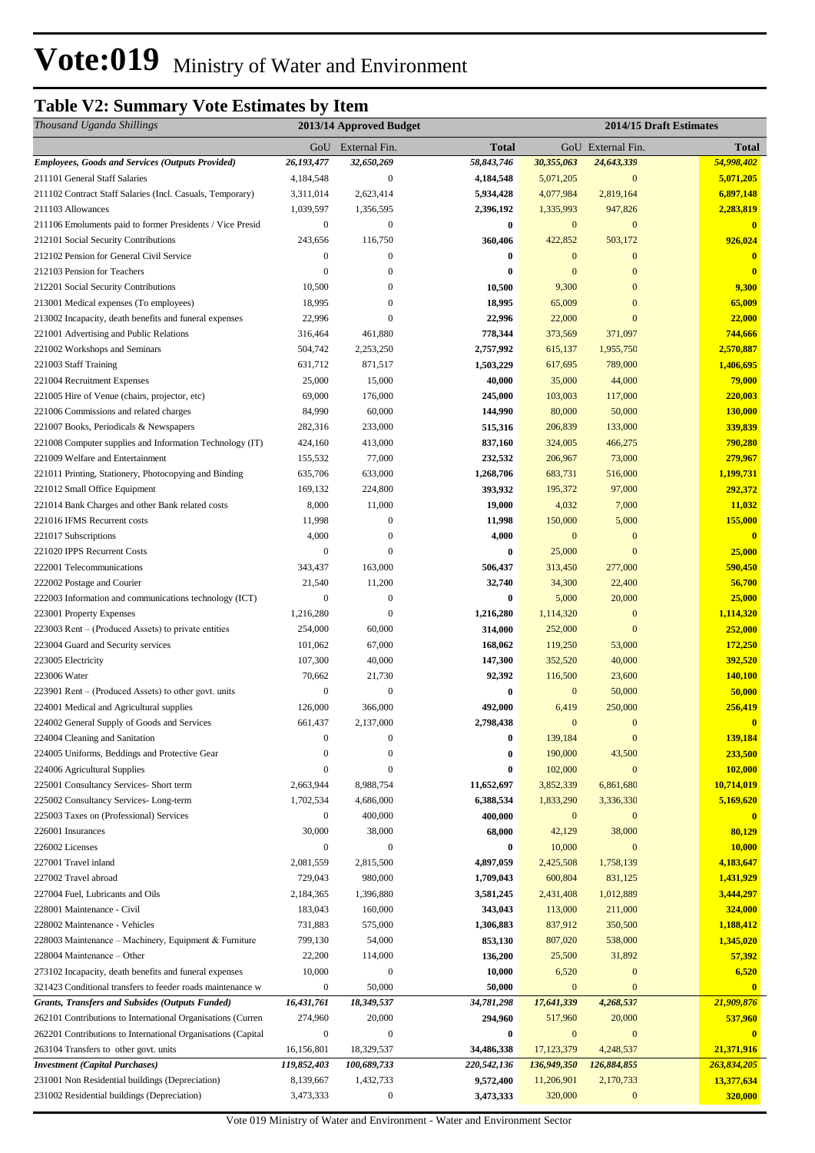# **Table V2: Summary Vote Estimates by Item**

| Thousand Uganda Shillings                                                            |                  | 2013/14 Approved Budget |                   | 2014/15 Draft Estimates |                            |                         |
|--------------------------------------------------------------------------------------|------------------|-------------------------|-------------------|-------------------------|----------------------------|-------------------------|
|                                                                                      |                  | GoU External Fin.       | <b>Total</b>      |                         | GoU External Fin.          | Total                   |
| <b>Employees, Goods and Services (Outputs Provided)</b>                              | 26,193,477       | 32,650,269              | 58,843,746        | 30,355,063              | 24,643,339                 | 54,998,402              |
| 211101 General Staff Salaries                                                        | 4,184,548        | $\mathbf{0}$            | 4,184,548         | 5,071,205               | $\mathbf{0}$               | 5,071,205               |
| 211102 Contract Staff Salaries (Incl. Casuals, Temporary)                            | 3,311,014        | 2,623,414               | 5,934,428         | 4,077,984               | 2,819,164                  | 6,897,148               |
| 211103 Allowances                                                                    | 1,039,597        | 1,356,595               | 2,396,192         | 1,335,993               | 947,826                    | 2,283,819               |
| 211106 Emoluments paid to former Presidents / Vice Presid                            | $\boldsymbol{0}$ | $\mathbf{0}$            | $\bf{0}$          | $\mathbf{0}$            | $\mathbf{0}$               | $\overline{\mathbf{0}}$ |
| 212101 Social Security Contributions                                                 | 243,656          | 116,750                 | 360,406           | 422,852                 | 503,172                    | 926,024                 |
| 212102 Pension for General Civil Service                                             | 0                | $\mathbf{0}$            | $\bf{0}$          | $\mathbf{0}$            | $\mathbf{0}$               | $\bf{0}$                |
| 212103 Pension for Teachers                                                          | $\overline{0}$   | $\mathbf{0}$            | $\bf{0}$          | $\mathbf{0}$            | $\mathbf{0}$               | $\overline{\mathbf{0}}$ |
| 212201 Social Security Contributions                                                 | 10,500           | $\mathbf{0}$            | 10,500            | 9,300                   | $\mathbf{0}$               | 9,300                   |
| 213001 Medical expenses (To employees)                                               | 18,995           | $\mathbf{0}$            | 18,995            | 65,009                  | $\mathbf{0}$               | 65,009                  |
| 213002 Incapacity, death benefits and funeral expenses                               | 22,996           | $\overline{0}$          | 22,996            | 22,000                  | $\overline{0}$             | 22,000                  |
| 221001 Advertising and Public Relations                                              | 316,464          | 461,880                 | 778,344           | 373,569                 | 371,097                    | 744,666                 |
| 221002 Workshops and Seminars                                                        | 504,742          | 2,253,250               | 2,757,992         | 615,137                 | 1,955,750                  | 2,570,887               |
| 221003 Staff Training                                                                | 631,712          | 871,517                 | 1,503,229         | 617,695                 | 789,000                    | 1,406,695               |
| 221004 Recruitment Expenses                                                          | 25,000           | 15,000                  | 40,000            | 35,000                  | 44,000                     | 79,000                  |
| 221005 Hire of Venue (chairs, projector, etc)                                        | 69,000           | 176,000                 | 245,000           | 103,003                 | 117,000                    | 220,003                 |
| 221006 Commissions and related charges                                               | 84,990           | 60,000                  | 144,990           | 80,000                  | 50,000                     | 130,000                 |
| 221007 Books, Periodicals & Newspapers                                               | 282,316          | 233,000                 | 515,316           | 206,839                 | 133,000                    | 339,839                 |
| 221008 Computer supplies and Information Technology (IT)                             | 424,160          | 413,000                 | 837,160           | 324,005                 | 466,275                    | 790,280                 |
| 221009 Welfare and Entertainment                                                     | 155,532          | 77,000                  | 232,532           | 206,967                 | 73,000                     | 279,967                 |
| 221011 Printing, Stationery, Photocopying and Binding                                | 635,706          | 633,000                 | 1,268,706         | 683,731                 | 516,000                    | 1,199,731               |
| 221012 Small Office Equipment                                                        | 169,132          | 224,800                 | 393,932           | 195,372                 | 97,000                     | 292,372                 |
| 221014 Bank Charges and other Bank related costs<br>221016 IFMS Recurrent costs      | 8,000<br>11,998  | 11,000<br>$\mathbf{0}$  | 19,000<br>11,998  | 4,032<br>150,000        | 7,000<br>5,000             | 11,032<br>155,000       |
| 221017 Subscriptions                                                                 | 4,000            | $\boldsymbol{0}$        | 4,000             | $\mathbf{0}$            | $\mathbf{0}$               | $\overline{0}$          |
| 221020 IPPS Recurrent Costs                                                          | $\boldsymbol{0}$ | $\mathbf{0}$            | $\bf{0}$          | 25,000                  | $\mathbf{0}$               | 25,000                  |
| 222001 Telecommunications                                                            | 343,437          | 163,000                 | 506,437           | 313,450                 | 277,000                    | 590,450                 |
| 222002 Postage and Courier                                                           | 21,540           | 11,200                  | 32,740            | 34,300                  | 22,400                     | 56,700                  |
| 222003 Information and communications technology (ICT)                               | $\boldsymbol{0}$ | $\mathbf{0}$            | $\bf{0}$          | 5,000                   | 20,000                     | 25,000                  |
| 223001 Property Expenses                                                             | 1,216,280        | $\mathbf{0}$            | 1,216,280         | 1,114,320               | $\mathbf{0}$               | 1,114,320               |
| 223003 Rent - (Produced Assets) to private entities                                  | 254,000          | 60,000                  | 314,000           | 252,000                 | $\mathbf{0}$               | 252,000                 |
| 223004 Guard and Security services                                                   | 101,062          | 67,000                  | 168,062           | 119,250                 | 53,000                     | 172,250                 |
| 223005 Electricity                                                                   | 107,300          | 40,000                  | 147,300           | 352,520                 | 40,000                     | 392,520                 |
| 223006 Water                                                                         | 70,662           | 21,730                  | 92,392            | 116,500                 | 23,600                     | 140,100                 |
| 223901 Rent – (Produced Assets) to other govt. units                                 | 0                | $\mathbf{0}$            | 0                 | $\boldsymbol{0}$        | 50,000                     | 50,000                  |
| 224001 Medical and Agricultural supplies                                             | 126,000          | 366,000                 | 492,000           | 6,419                   | 250,000                    | 256,419                 |
| 224002 General Supply of Goods and Services                                          | 661,437          | 2,137,000               | 2,798,438         | $\mathbf{0}$            | $\mathbf{0}$               | $\bf{0}$                |
| 224004 Cleaning and Sanitation                                                       | 0                | $\mathbf{0}$            | $\bf{0}$          | 139,184                 | $\boldsymbol{0}$           | 139,184                 |
| 224005 Uniforms, Beddings and Protective Gear                                        | $\boldsymbol{0}$ | $\mathbf{0}$            | $\bf{0}$          | 190,000                 | 43,500                     | 233,500                 |
| 224006 Agricultural Supplies                                                         | $\boldsymbol{0}$ | $\mathbf{0}$            | $\bf{0}$          | 102,000                 | $\mathbf{0}$               | 102,000                 |
| 225001 Consultancy Services- Short term                                              | 2,663,944        | 8,988,754               | 11,652,697        | 3,852,339               | 6,861,680                  | 10,714,019              |
| 225002 Consultancy Services-Long-term                                                | 1,702,534        | 4,686,000               | 6,388,534         | 1,833,290               | 3,336,330                  | 5,169,620               |
| 225003 Taxes on (Professional) Services                                              | 0                | 400,000                 | 400,000           | $\mathbf{0}$            | $\mathbf{0}$               | $\bf{0}$                |
| 226001 Insurances                                                                    | 30,000           | 38,000                  | 68,000            | 42,129                  | 38,000                     | 80,129                  |
| 226002 Licenses                                                                      | 0                | $\mathbf{0}$            | 0                 | 10,000                  | $\mathbf{0}$               | 10,000                  |
| 227001 Travel inland                                                                 | 2,081,559        | 2,815,500               | 4,897,059         | 2,425,508               | 1,758,139                  | 4,183,647               |
| 227002 Travel abroad                                                                 | 729,043          | 980,000                 | 1,709,043         | 600,804                 | 831,125                    | 1,431,929               |
| 227004 Fuel, Lubricants and Oils                                                     | 2,184,365        | 1,396,880               | 3,581,245         | 2,431,408               | 1,012,889                  | 3,444,297               |
| 228001 Maintenance - Civil                                                           | 183,043          | 160,000                 | 343,043           | 113,000                 | 211,000                    | 324,000                 |
| 228002 Maintenance - Vehicles                                                        | 731,883          | 575,000                 | 1,306,883         | 837,912                 | 350,500                    | 1,188,412               |
| 228003 Maintenance – Machinery, Equipment & Furniture                                | 799,130          | 54,000                  | 853,130           | 807,020                 | 538,000                    | 1,345,020               |
| 228004 Maintenance – Other<br>273102 Incapacity, death benefits and funeral expenses | 22,200<br>10,000 | 114,000<br>$\mathbf{0}$ | 136,200<br>10,000 | 25,500<br>6,520         | 31,892<br>$\boldsymbol{0}$ | 57,392<br>6,520         |
| 321423 Conditional transfers to feeder roads maintenance w                           | 0                | 50,000                  | 50,000            | $\mathbf{0}$            | $\mathbf{0}$               | $\mathbf{0}$            |
| Grants, Transfers and Subsides (Outputs Funded)                                      | 16,431,761       | 18,349,537              | 34,781,298        | 17,641,339              | 4,268,537                  | 21,909,876              |
| 262101 Contributions to International Organisations (Curren                          | 274,960          | 20,000                  | 294,960           | 517,960                 | 20,000                     | 537,960                 |
| 262201 Contributions to International Organisations (Capital                         | $\boldsymbol{0}$ | $\mathbf{0}$            | $\bf{0}$          | $\mathbf{0}$            | $\mathbf{0}$               |                         |
| 263104 Transfers to other govt. units                                                | 16,156,801       | 18,329,537              | 34,486,338        | 17, 123, 379            | 4,248,537                  | 21,371,916              |
| <b>Investment</b> (Capital Purchases)                                                | 119,852,403      | 100,689,733             | 220,542,136       | 136,949,350             | 126,884,855                | 263,834,205             |
| 231001 Non Residential buildings (Depreciation)                                      | 8,139,667        | 1,432,733               | 9,572,400         | 11,206,901              | 2,170,733                  | 13,377,634              |
| 231002 Residential buildings (Depreciation)                                          | 3,473,333        | $\boldsymbol{0}$        | 3,473,333         | 320,000                 | $\bf{0}$                   | 320,000                 |
|                                                                                      |                  |                         |                   |                         |                            |                         |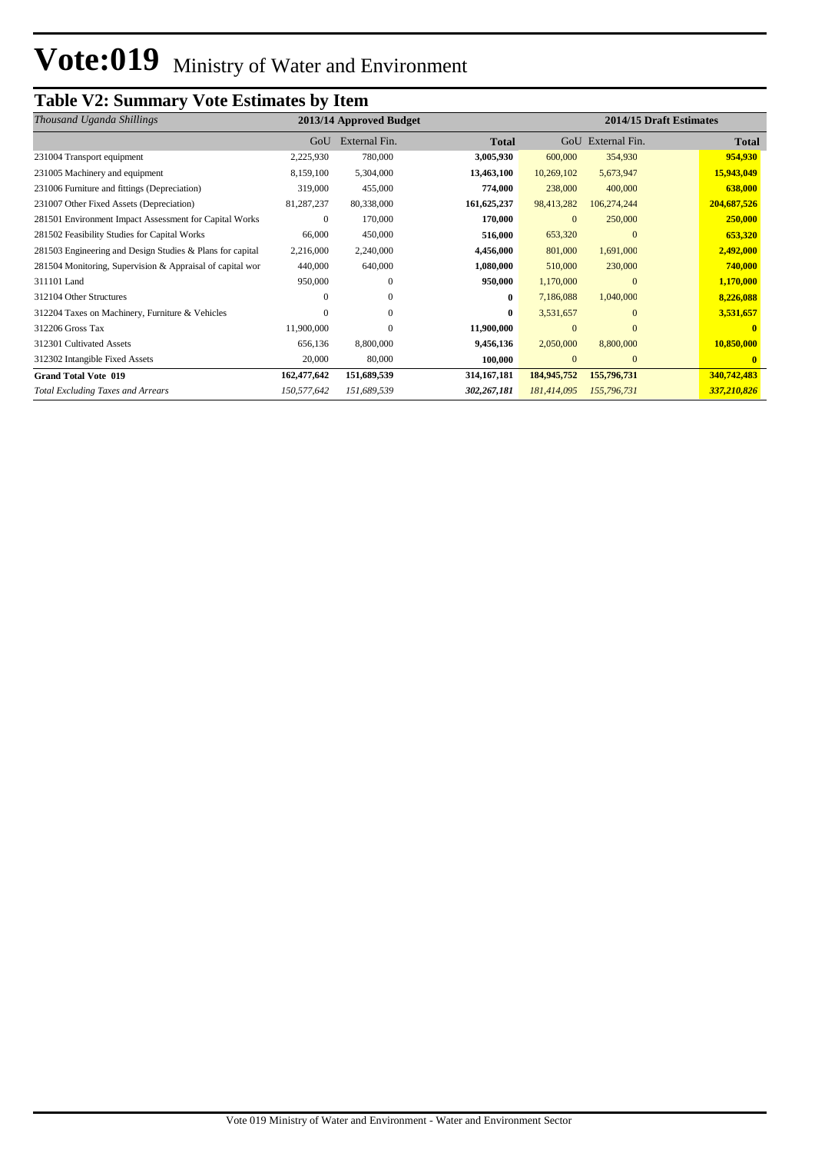# **Table V2: Summary Vote Estimates by Item**

| Thousand Uganda Shillings                                 |             | 2013/14 Approved Budget |               |              |               | 2014/15 Draft Estimates |              |
|-----------------------------------------------------------|-------------|-------------------------|---------------|--------------|---------------|-------------------------|--------------|
|                                                           | GoU         | External Fin.           | <b>Total</b>  | GoU          | External Fin. |                         | <b>Total</b> |
| 231004 Transport equipment                                | 2,225,930   | 780,000                 | 3,005,930     | 600,000      | 354,930       |                         | 954,930      |
| 231005 Machinery and equipment                            | 8,159,100   | 5,304,000               | 13,463,100    | 10,269,102   | 5,673,947     |                         | 15,943,049   |
| 231006 Furniture and fittings (Depreciation)              | 319,000     | 455,000                 | 774,000       | 238,000      | 400,000       |                         | 638,000      |
| 231007 Other Fixed Assets (Depreciation)                  | 81,287,237  | 80,338,000              | 161, 625, 237 | 98,413,282   | 106,274,244   |                         | 204,687,526  |
| 281501 Environment Impact Assessment for Capital Works    | $\Omega$    | 170,000                 | 170,000       | $\mathbf{0}$ | 250,000       |                         | 250,000      |
| 281502 Feasibility Studies for Capital Works              | 66,000      | 450,000                 | 516,000       | 653,320      | $\Omega$      |                         | 653,320      |
| 281503 Engineering and Design Studies & Plans for capital | 2,216,000   | 2,240,000               | 4,456,000     | 801,000      | 1,691,000     |                         | 2,492,000    |
| 281504 Monitoring, Supervision & Appraisal of capital wor | 440,000     | 640,000                 | 1,080,000     | 510,000      | 230,000       |                         | 740,000      |
| 311101 Land                                               | 950,000     | $\Omega$                | 950,000       | 1,170,000    | $\Omega$      |                         | 1,170,000    |
| 312104 Other Structures                                   | 0           | $\Omega$                | $\mathbf{0}$  | 7,186,088    | 1,040,000     |                         | 8,226,088    |
| 312204 Taxes on Machinery, Furniture & Vehicles           | 0           | $\Omega$                | $\mathbf{0}$  | 3,531,657    | $\Omega$      |                         | 3,531,657    |
| 312206 Gross Tax                                          | 11,900,000  | $\Omega$                | 11,900,000    | $\mathbf{0}$ | $\Omega$      |                         |              |
| 312301 Cultivated Assets                                  | 656,136     | 8,800,000               | 9,456,136     | 2,050,000    | 8,800,000     |                         | 10,850,000   |
| 312302 Intangible Fixed Assets                            | 20,000      | 80,000                  | 100,000       | $\mathbf{0}$ | $\mathbf{0}$  |                         | $\mathbf{0}$ |
| <b>Grand Total Vote 019</b>                               | 162,477,642 | 151,689,539             | 314, 167, 181 | 184,945,752  | 155,796,731   |                         | 340,742,483  |
| <b>Total Excluding Taxes and Arrears</b>                  | 150,577,642 | 151,689,539             | 302,267,181   | 181,414,095  | 155,796,731   |                         | 337,210,826  |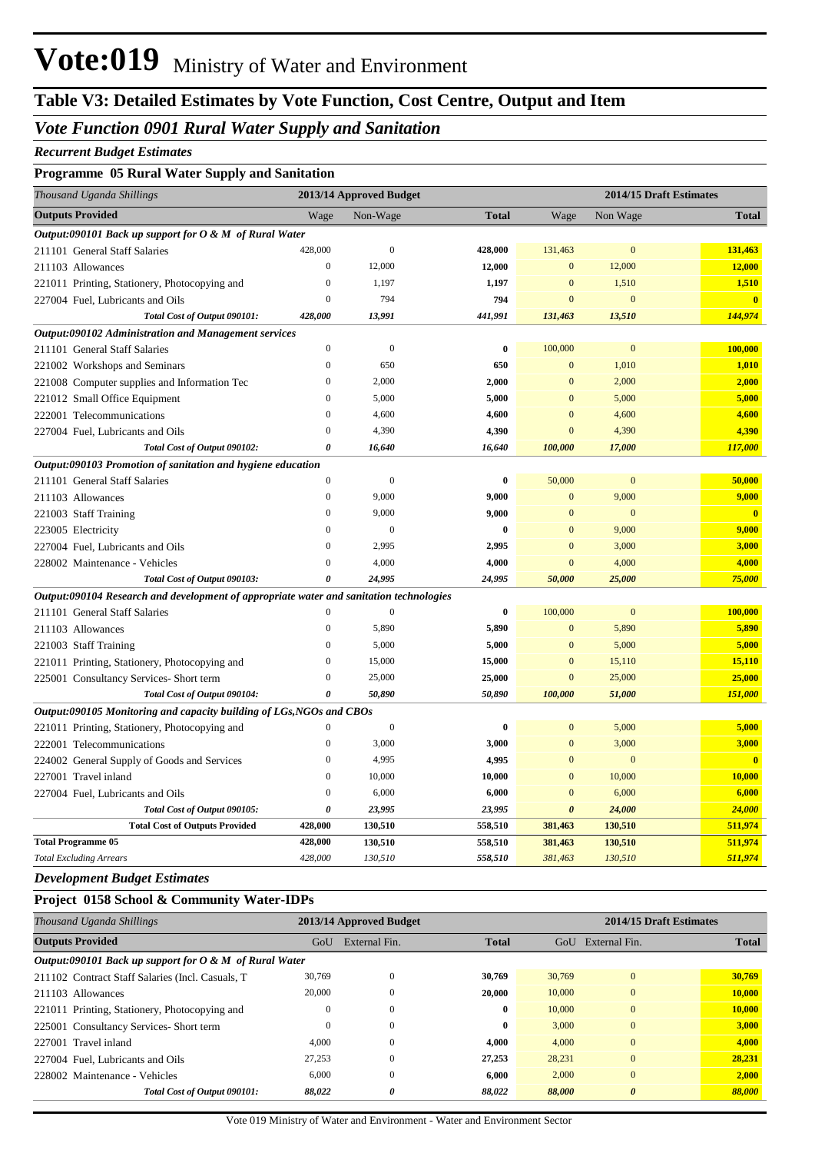## *Vote Function 0901 Rural Water Supply and Sanitation*

### *Recurrent Budget Estimates*

### **Programme 05 Rural Water Supply and Sanitation**

| Thousand Uganda Shillings                                                               |                       | 2013/14 Approved Budget |              |                       | 2014/15 Draft Estimates |                         |
|-----------------------------------------------------------------------------------------|-----------------------|-------------------------|--------------|-----------------------|-------------------------|-------------------------|
| <b>Outputs Provided</b>                                                                 | Wage                  | Non-Wage                | <b>Total</b> | Wage                  | Non Wage                | <b>Total</b>            |
| Output:090101 Back up support for $O \& M$ of Rural Water                               |                       |                         |              |                       |                         |                         |
| 211101 General Staff Salaries                                                           | 428,000               | $\boldsymbol{0}$        | 428,000      | 131,463               | $\mathbf{0}$            | 131,463                 |
| 211103 Allowances                                                                       | $\boldsymbol{0}$      | 12,000                  | 12,000       | $\mathbf{0}$          | 12,000                  | 12,000                  |
| 221011 Printing, Stationery, Photocopying and                                           | $\boldsymbol{0}$      | 1,197                   | 1,197        | $\mathbf{0}$          | 1,510                   | 1,510                   |
| 227004 Fuel, Lubricants and Oils                                                        | $\boldsymbol{0}$      | 794                     | 794          | $\mathbf{0}$          | $\mathbf{0}$            | $\overline{0}$          |
| Total Cost of Output 090101:                                                            | 428,000               | 13,991                  | 441,991      | 131,463               | 13,510                  | 144,974                 |
| Output:090102 Administration and Management services                                    |                       |                         |              |                       |                         |                         |
| 211101 General Staff Salaries                                                           | $\boldsymbol{0}$      | $\boldsymbol{0}$        | $\bf{0}$     | 100,000               | $\boldsymbol{0}$        | 100,000                 |
| 221002 Workshops and Seminars                                                           | $\boldsymbol{0}$      | 650                     | 650          | $\mathbf{0}$          | 1,010                   | 1,010                   |
| 221008 Computer supplies and Information Tec                                            | $\mathbf{0}$          | 2,000                   | 2,000        | $\mathbf{0}$          | 2,000                   | 2,000                   |
| 221012 Small Office Equipment                                                           | $\boldsymbol{0}$      | 5,000                   | 5,000        | $\mathbf{0}$          | 5,000                   | 5,000                   |
| 222001 Telecommunications                                                               | $\mathbf{0}$          | 4,600                   | 4,600        | $\mathbf{0}$          | 4,600                   | 4,600                   |
| 227004 Fuel, Lubricants and Oils                                                        | $\overline{0}$        | 4,390                   | 4,390        | $\mathbf{0}$          | 4,390                   | 4,390                   |
| Total Cost of Output 090102:                                                            | $\boldsymbol{\theta}$ | 16,640                  | 16,640       | 100,000               | 17,000                  | 117,000                 |
| Output:090103 Promotion of sanitation and hygiene education                             |                       |                         |              |                       |                         |                         |
| 211101 General Staff Salaries                                                           | $\boldsymbol{0}$      | $\theta$                | $\bf{0}$     | 50,000                | $\mathbf{0}$            | 50,000                  |
| 211103 Allowances                                                                       | $\boldsymbol{0}$      | 9,000                   | 9,000        | $\boldsymbol{0}$      | 9,000                   | 9,000                   |
| 221003 Staff Training                                                                   | $\boldsymbol{0}$      | 9,000                   | 9,000        | $\mathbf{0}$          | $\mathbf{0}$            | $\overline{\mathbf{0}}$ |
| 223005 Electricity                                                                      | $\mathbf{0}$          | $\theta$                | $\bf{0}$     | $\mathbf{0}$          | 9,000                   | 9,000                   |
| 227004 Fuel, Lubricants and Oils                                                        | $\boldsymbol{0}$      | 2,995                   | 2,995        | $\mathbf{0}$          | 3,000                   | 3,000                   |
| 228002 Maintenance - Vehicles                                                           | $\overline{0}$        | 4,000                   | 4,000        | $\mathbf{0}$          | 4,000                   | 4,000                   |
| Total Cost of Output 090103:                                                            | 0                     | 24,995                  | 24,995       | 50,000                | 25,000                  | 75,000                  |
| Output:090104 Research and development of appropriate water and sanitation technologies |                       |                         |              |                       |                         |                         |
| 211101 General Staff Salaries                                                           | $\mathbf{0}$          | $\theta$                | $\bf{0}$     | 100,000               | $\mathbf{0}$            | 100,000                 |
| 211103 Allowances                                                                       | $\mathbf{0}$          | 5,890                   | 5,890        | $\boldsymbol{0}$      | 5,890                   | 5,890                   |
| 221003 Staff Training                                                                   | $\boldsymbol{0}$      | 5,000                   | 5,000        | $\mathbf{0}$          | 5,000                   | 5,000                   |
| 221011 Printing, Stationery, Photocopying and                                           | $\boldsymbol{0}$      | 15,000                  | 15,000       | $\mathbf{0}$          | 15,110                  | 15,110                  |
| 225001 Consultancy Services- Short term                                                 | $\mathbf{0}$          | 25,000                  | 25,000       | $\boldsymbol{0}$      | 25,000                  | 25,000                  |
| Total Cost of Output 090104:                                                            | 0                     | 50,890                  | 50,890       | 100,000               | 51,000                  | 151,000                 |
| Output:090105 Monitoring and capacity building of LGs, NGOs and CBOs                    |                       |                         |              |                       |                         |                         |
| 221011 Printing, Stationery, Photocopying and                                           | $\boldsymbol{0}$      | $\boldsymbol{0}$        | $\bf{0}$     | $\mathbf{0}$          | 5,000                   | 5,000                   |
| 222001 Telecommunications                                                               | $\mathbf{0}$          | 3,000                   | 3,000        | $\mathbf{0}$          | 3,000                   | 3,000                   |
| 224002 General Supply of Goods and Services                                             | $\mathbf{0}$          | 4,995                   | 4,995        | $\mathbf{0}$          | $\mathbf{0}$            | $\mathbf{0}$            |
| 227001 Travel inland                                                                    | $\boldsymbol{0}$      | 10,000                  | 10,000       | $\mathbf{0}$          | 10,000                  | 10,000                  |
| 227004 Fuel, Lubricants and Oils                                                        | $\boldsymbol{0}$      | 6,000                   | 6,000        | $\mathbf{0}$          | 6,000                   | 6,000                   |
| Total Cost of Output 090105:                                                            | 0                     | 23,995                  | 23,995       | $\boldsymbol{\theta}$ | 24,000                  | 24,000                  |
| <b>Total Cost of Outputs Provided</b>                                                   | 428,000               | 130,510                 | 558,510      | 381,463               | 130,510                 | 511,974                 |
| <b>Total Programme 05</b>                                                               | 428,000               | 130,510                 | 558,510      | 381,463               | 130,510                 | 511,974                 |
| <b>Total Excluding Arrears</b>                                                          | 428,000               | 130,510                 | 558,510      | 381,463               | 130,510                 | 511,974                 |

*Development Budget Estimates*

#### **Project 0158 School & Community Water-IDPs**

| Thousand Uganda Shillings                                 | 2014/15 Draft Estimates<br>2013/14 Approved Budget |               |              |        |                       |              |
|-----------------------------------------------------------|----------------------------------------------------|---------------|--------------|--------|-----------------------|--------------|
| <b>Outputs Provided</b>                                   | GoU                                                | External Fin. | <b>Total</b> | GoU    | External Fin.         | <b>Total</b> |
| Output:090101 Back up support for $O \& M$ of Rural Water |                                                    |               |              |        |                       |              |
| 211102 Contract Staff Salaries (Incl. Casuals, T.         | 30,769                                             | $\Omega$      | 30,769       | 30,769 | $\mathbf{0}$          | 30,769       |
| 211103 Allowances                                         | 20,000                                             | $\Omega$      | 20,000       | 10,000 | $\mathbf{0}$          | 10,000       |
| 221011 Printing, Stationery, Photocopying and             | $\mathbf{0}$                                       | $\mathbf{0}$  | $\bf{0}$     | 10,000 | $\mathbf{0}$          | 10,000       |
| 225001 Consultancy Services- Short term                   | $\mathbf{0}$                                       | $\mathbf{0}$  | $\bf{0}$     | 3,000  | $\mathbf{0}$          | 3,000        |
| 227001 Travel inland                                      | 4.000                                              | $\mathbf{0}$  | 4.000        | 4.000  | $\mathbf{0}$          | 4.000        |
| 227004 Fuel. Lubricants and Oils                          | 27,253                                             | $\mathbf{0}$  | 27,253       | 28,231 | $\mathbf{0}$          | 28,231       |
| 228002 Maintenance - Vehicles                             | 6.000                                              | $\mathbf{0}$  | 6.000        | 2.000  | $\mathbf{0}$          | 2,000        |
| Total Cost of Output 090101:                              | 88,022                                             | 0             | 88,022       | 88,000 | $\boldsymbol{\theta}$ | 88,000       |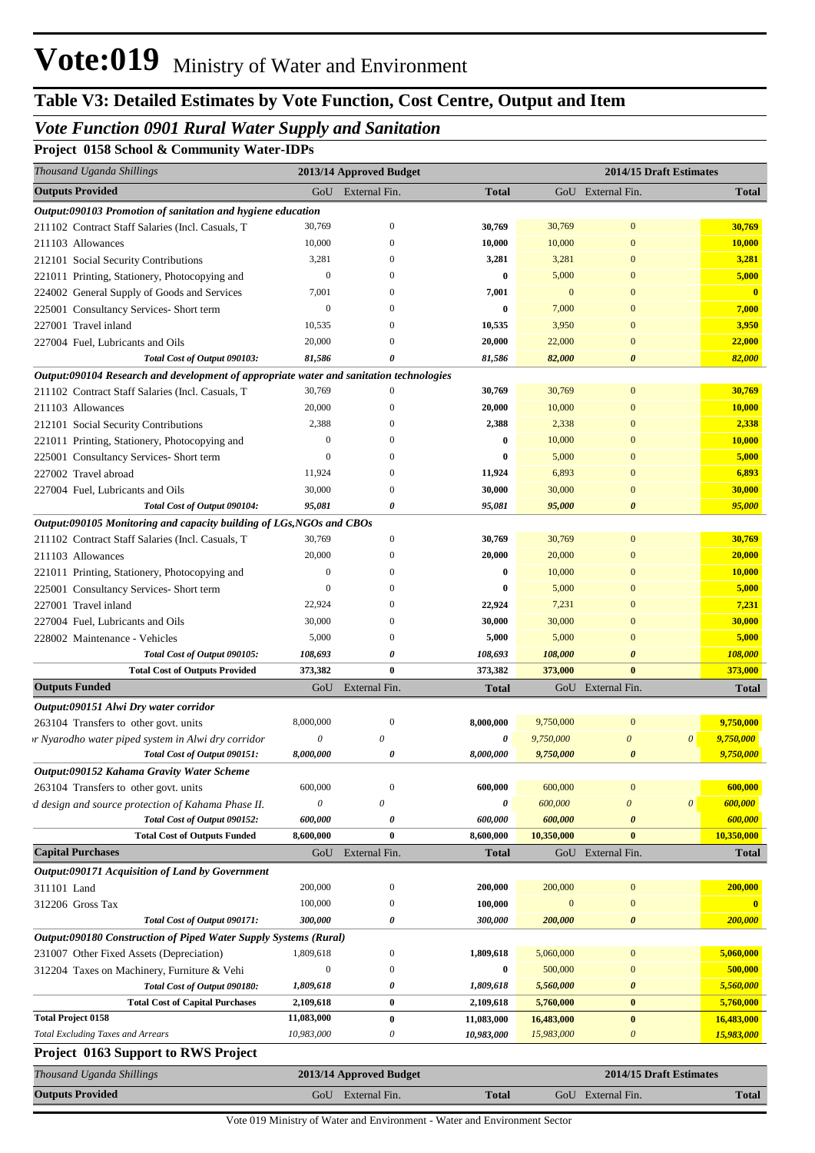# **Table V3: Detailed Estimates by Vote Function, Cost Centre, Output and Item**

## *Vote Function 0901 Rural Water Supply and Sanitation*

**Project 0158 School & Community Water-IDPs**

| Thousand Uganda Shillings                                                                                                                                                                                                   |                           | 2013/14 Approved Budget |                       |                  | 2014/15 Draft Estimates |                                    |                         |
|-----------------------------------------------------------------------------------------------------------------------------------------------------------------------------------------------------------------------------|---------------------------|-------------------------|-----------------------|------------------|-------------------------|------------------------------------|-------------------------|
| <b>Outputs Provided</b>                                                                                                                                                                                                     |                           | GoU External Fin.       | <b>Total</b>          |                  | GoU External Fin.       |                                    | <b>Total</b>            |
| Output:090103 Promotion of sanitation and hygiene education                                                                                                                                                                 |                           |                         |                       |                  |                         |                                    |                         |
| 211102 Contract Staff Salaries (Incl. Casuals, T                                                                                                                                                                            | 30,769                    | $\boldsymbol{0}$        | 30,769                | 30,769           | $\mathbf{0}$            |                                    | 30,769                  |
| 211103 Allowances                                                                                                                                                                                                           | 10,000                    | $\mathbf{0}$            | 10,000                | 10,000           | $\mathbf{0}$            |                                    | 10,000                  |
| 212101 Social Security Contributions                                                                                                                                                                                        | 3,281                     | $\mathbf{0}$            | 3,281                 | 3,281            | $\mathbf{0}$            |                                    | 3,281                   |
| 221011 Printing, Stationery, Photocopying and                                                                                                                                                                               | $\mathbf{0}$              | $\Omega$                | $\bf{0}$              | 5,000            | $\mathbf{0}$            |                                    | 5,000                   |
| 224002 General Supply of Goods and Services                                                                                                                                                                                 | 7,001                     | $\mathbf{0}$            | 7,001                 | $\boldsymbol{0}$ | $\Omega$                |                                    | $\overline{\mathbf{0}}$ |
| 225001 Consultancy Services- Short term                                                                                                                                                                                     | $\boldsymbol{0}$          | $\Omega$                | $\bf{0}$              | 7,000            | $\Omega$                |                                    | 7,000                   |
| 227001 Travel inland                                                                                                                                                                                                        | 10,535                    | $\Omega$                | 10,535                | 3,950            | $\Omega$                |                                    | 3,950                   |
| 227004 Fuel, Lubricants and Oils                                                                                                                                                                                            | 20,000                    | $\Omega$                | 20,000                | 22,000           | $\theta$                |                                    | 22,000                  |
| Total Cost of Output 090103:                                                                                                                                                                                                | 81,586                    | 0                       | 81,586                | 82,000           | 0                       |                                    | 82,000                  |
| Output:090104 Research and development of appropriate water and sanitation technologies                                                                                                                                     |                           |                         |                       |                  |                         |                                    |                         |
| 211102 Contract Staff Salaries (Incl. Casuals, T                                                                                                                                                                            | 30,769                    | $\mathbf{0}$            | 30,769                | 30,769           | $\mathbf{0}$            |                                    | 30,769                  |
| 211103 Allowances                                                                                                                                                                                                           | 20,000                    | $\mathbf{0}$            | 20,000                | 10,000           | $\theta$                |                                    | 10,000                  |
| 212101 Social Security Contributions                                                                                                                                                                                        | 2,388                     | $\mathbf{0}$            | 2,388                 | 2,338            | $\Omega$                |                                    | 2,338                   |
| 221011 Printing, Stationery, Photocopying and                                                                                                                                                                               | $\mathbf{0}$              | $\mathbf{0}$            | $\bf{0}$              | 10,000           | $\Omega$                |                                    | 10,000                  |
| 225001 Consultancy Services- Short term                                                                                                                                                                                     | $\mathbf{0}$              | $\mathbf{0}$            | $\mathbf 0$           | 5,000            | $\Omega$                |                                    | 5,000                   |
| 227002 Travel abroad                                                                                                                                                                                                        | 11,924                    | $\mathbf{0}$            | 11,924                | 6,893            | $\Omega$                |                                    | 6,893                   |
| 227004 Fuel, Lubricants and Oils                                                                                                                                                                                            | 30,000                    | $\mathbf{0}$            | 30,000                | 30,000           | $\theta$                |                                    | 30,000                  |
| Total Cost of Output 090104:                                                                                                                                                                                                | 95,081                    | 0                       | 95,081                | 95,000           | $\theta$                |                                    | 95,000                  |
| Output:090105 Monitoring and capacity building of LGs, NGOs and CBOs                                                                                                                                                        |                           |                         |                       |                  |                         |                                    |                         |
| 211102 Contract Staff Salaries (Incl. Casuals, T                                                                                                                                                                            | 30,769                    | $\mathbf{0}$            | 30,769                | 30,769           | $\mathbf{0}$            |                                    | 30,769                  |
| 211103 Allowances                                                                                                                                                                                                           | 20,000                    | $\mathbf{0}$            | 20,000                | 20,000           | $\theta$                |                                    | 20,000                  |
| 221011 Printing, Stationery, Photocopying and                                                                                                                                                                               | $\mathbf{0}$              | $\mathbf{0}$            | $\bf{0}$              | 10,000           | $\Omega$                |                                    | 10,000                  |
| 225001 Consultancy Services- Short term                                                                                                                                                                                     | $\overline{0}$            | $\mathbf{0}$            | $\mathbf{0}$          | 5,000            | $\Omega$                |                                    | 5,000                   |
| 227001 Travel inland                                                                                                                                                                                                        | 22,924                    | $\Omega$                | 22,924                | 7,231            | $\Omega$                |                                    | 7,231                   |
| 227004 Fuel, Lubricants and Oils                                                                                                                                                                                            | 30,000                    | $\mathbf{0}$            | 30,000                | 30,000           | $\theta$                |                                    | 30,000                  |
| 228002 Maintenance - Vehicles                                                                                                                                                                                               | 5,000                     | $\mathbf{0}$            | 5,000                 | 5,000            | $\Omega$                |                                    | 5,000                   |
| Total Cost of Output 090105:                                                                                                                                                                                                | 108,693                   | 0                       | 108,693               | 108,000          | $\theta$                |                                    | 108,000                 |
| <b>Total Cost of Outputs Provided</b>                                                                                                                                                                                       | 373,382                   | $\bf{0}$                | 373,382               | 373,000          | $\mathbf{0}$            |                                    | 373,000                 |
| <b>Outputs Funded</b>                                                                                                                                                                                                       |                           | GoU External Fin.       | <b>Total</b>          |                  | GoU External Fin.       |                                    | <b>Total</b>            |
| Output:090151 Alwi Dry water corridor                                                                                                                                                                                       |                           |                         |                       |                  |                         |                                    |                         |
| 263104 Transfers to other govt. units                                                                                                                                                                                       | 8,000,000                 | $\mathbf{0}$            | 8,000,000             | 9,750,000        | $\mathbf{0}$            | 9,750,000                          |                         |
| vr Nyarodho water piped system in Alwi dry corridor                                                                                                                                                                         | $\boldsymbol{\mathit{0}}$ | $\theta$                |                       |                  |                         |                                    |                         |
|                                                                                                                                                                                                                             |                           |                         | $\boldsymbol{\theta}$ | 9,750,000        | $\boldsymbol{\theta}$   | $\boldsymbol{\theta}$<br>9,750,000 |                         |
| Total Cost of Output 090151:                                                                                                                                                                                                | 8,000,000                 | 0                       | 8,000,000             | 9,750,000        | $\boldsymbol{\theta}$   | 9,750,000                          |                         |
|                                                                                                                                                                                                                             |                           |                         |                       |                  |                         |                                    |                         |
|                                                                                                                                                                                                                             | 600,000                   | $\mathbf{0}$            | 600,000               | 600,000          | $\mathbf{0}$            |                                    | 600,000                 |
|                                                                                                                                                                                                                             | $\theta$                  | $\theta$                | 0                     | 600,000          | $\overline{0}$          | 600,000<br>$\boldsymbol{\theta}$   |                         |
| Total Cost of Output 090152:                                                                                                                                                                                                | 600,000                   | 0                       | 600,000               | 600,000          | $\boldsymbol{\theta}$   |                                    | 600,000                 |
| Output:090152 Kahama Gravity Water Scheme<br>263104 Transfers to other govt. units<br>d design and source protection of Kahama Phase II.<br><b>Total Cost of Outputs Funded</b>                                             | 8,600,000                 | $\bf{0}$                | 8,600,000             | 10,350,000       | $\bf{0}$                | 10,350,000                         |                         |
| <b>Capital Purchases</b>                                                                                                                                                                                                    |                           | GoU External Fin.       | <b>Total</b>          |                  | GoU External Fin.       |                                    | <b>Total</b>            |
| Output:090171 Acquisition of Land by Government                                                                                                                                                                             |                           |                         |                       |                  |                         |                                    |                         |
|                                                                                                                                                                                                                             | 200,000                   | $\boldsymbol{0}$        | 200,000               | 200,000          | $\mathbf{0}$            |                                    | 200,000                 |
|                                                                                                                                                                                                                             | 100,000                   | $\boldsymbol{0}$        | 100,000               | $\mathbf{0}$     | $\mathbf{0}$            |                                    | $\mathbf{0}$            |
| Total Cost of Output 090171:                                                                                                                                                                                                | 300,000                   | 0                       | 300,000               | 200,000          | 0                       |                                    | 200,000                 |
|                                                                                                                                                                                                                             |                           |                         |                       |                  |                         |                                    |                         |
|                                                                                                                                                                                                                             | 1,809,618                 | $\boldsymbol{0}$        | 1,809,618             | 5,060,000        | $\mathbf{0}$            | 5,060,000                          |                         |
|                                                                                                                                                                                                                             | $\boldsymbol{0}$          | $\boldsymbol{0}$        | $\bf{0}$              | 500,000          | $\boldsymbol{0}$        |                                    | 500,000                 |
| Total Cost of Output 090180:                                                                                                                                                                                                | 1,809,618                 | 0                       | 1,809,618             | 5,560,000        | $\boldsymbol{\theta}$   | 5,560,000                          |                         |
| <b>Total Cost of Capital Purchases</b>                                                                                                                                                                                      | 2,109,618                 | $\bf{0}$                | 2,109,618             | 5,760,000        | $\bf{0}$                | 5,760,000                          |                         |
| 311101 Land<br>312206 Gross Tax<br>Output:090180 Construction of Piped Water Supply Systems (Rural)<br>231007 Other Fixed Assets (Depreciation)<br>312204 Taxes on Machinery, Furniture & Vehi<br><b>Total Project 0158</b> | 11,083,000                | $\bf{0}$                | 11,083,000            | 16,483,000       | $\bf{0}$                | 16,483,000                         |                         |
| <b>Total Excluding Taxes and Arrears</b>                                                                                                                                                                                    | 10,983,000                | 0                       | 10,983,000            | 15,983,000       | $\boldsymbol{\theta}$   | 15,983,000                         |                         |
| <b>Project 0163 Support to RWS Project</b>                                                                                                                                                                                  |                           |                         |                       |                  |                         |                                    |                         |
| Thousand Uganda Shillings                                                                                                                                                                                                   |                           | 2013/14 Approved Budget |                       |                  | 2014/15 Draft Estimates |                                    |                         |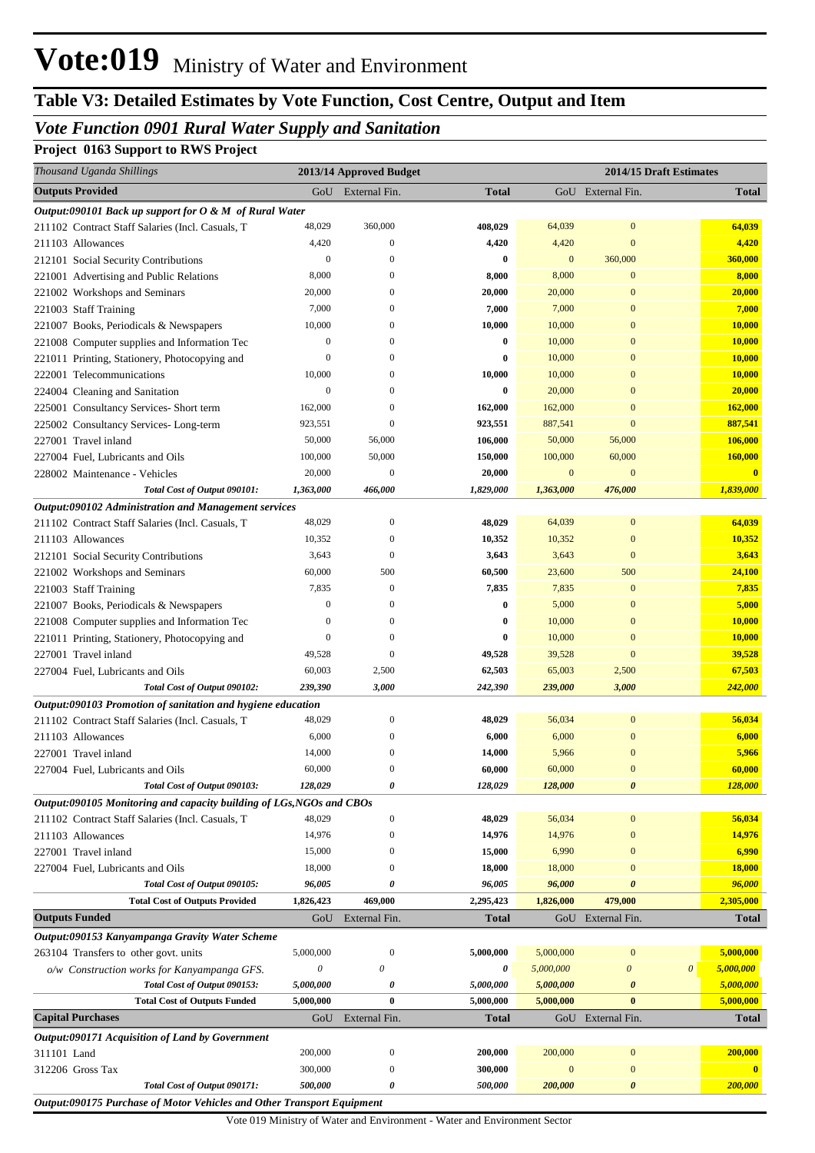# **Table V3: Detailed Estimates by Vote Function, Cost Centre, Output and Item**

## *Vote Function 0901 Rural Water Supply and Sanitation*

**Project 0163 Support to RWS Project**

| Thousand Uganda Shillings                                                                   |                  | 2013/14 Approved Budget          |              |              | 2014/15 Draft Estimates |                                    |
|---------------------------------------------------------------------------------------------|------------------|----------------------------------|--------------|--------------|-------------------------|------------------------------------|
| <b>Outputs Provided</b>                                                                     |                  | GoU External Fin.                | <b>Total</b> |              | GoU External Fin.       | <b>Total</b>                       |
| Output:090101 Back up support for $O \& M$ of Rural Water                                   |                  |                                  |              |              |                         |                                    |
| 211102 Contract Staff Salaries (Incl. Casuals, T                                            | 48,029           | 360,000                          | 408,029      | 64,039       | $\mathbf{0}$            | 64,039                             |
| 211103 Allowances                                                                           | 4,420            | $\mathbf{0}$                     | 4,420        | 4,420        | $\mathbf{0}$            | 4,420                              |
| 212101 Social Security Contributions                                                        | $\boldsymbol{0}$ | $\Omega$                         | 0            | $\mathbf{0}$ | 360,000                 | 360,000                            |
| 221001 Advertising and Public Relations                                                     | 8,000            | $\Omega$                         | 8,000        | 8,000        | $\mathbf{0}$            | 8,000                              |
| 221002 Workshops and Seminars                                                               | 20,000           | $\Omega$                         | 20,000       | 20,000       | $\mathbf{0}$            | 20,000                             |
| 221003 Staff Training                                                                       | 7,000            | $\Omega$                         | 7,000        | 7,000        | $\mathbf{0}$            | 7,000                              |
| 221007 Books, Periodicals & Newspapers                                                      | 10,000           | $\Omega$                         | 10,000       | 10,000       | $\mathbf{0}$            | 10,000                             |
| 221008 Computer supplies and Information Tec                                                | $\boldsymbol{0}$ | $\Omega$                         | $\bf{0}$     | 10,000       | $\mathbf{0}$            | 10,000                             |
| 221011 Printing, Stationery, Photocopying and                                               | $\mathbf{0}$     | $\Omega$                         | 0            | 10,000       | $\mathbf{0}$            | 10,000                             |
| 222001 Telecommunications                                                                   | 10,000           | $\Omega$                         | 10,000       | 10,000       | $\mathbf{0}$            | 10,000                             |
| 224004 Cleaning and Sanitation                                                              | $\mathbf{0}$     | $\Omega$                         | 0            | 20,000       | $\mathbf{0}$            | 20,000                             |
| 225001 Consultancy Services- Short term                                                     | 162,000          | $\boldsymbol{0}$                 | 162,000      | 162,000      | $\mathbf{0}$            | 162,000                            |
| 225002 Consultancy Services-Long-term                                                       | 923,551          | $\mathbf{0}$                     | 923,551      | 887,541      | $\mathbf{0}$            | 887,541                            |
| 227001 Travel inland                                                                        | 50,000           | 56,000                           | 106,000      | 50,000       | 56,000                  | 106,000                            |
| 227004 Fuel, Lubricants and Oils                                                            | 100,000          | 50,000                           | 150,000      | 100,000      | 60,000                  | 160,000                            |
| 228002 Maintenance - Vehicles                                                               | 20,000           | $\mathbf{0}$                     | 20,000       | $\mathbf{0}$ | $\mathbf{0}$            | $\bf{0}$                           |
| Total Cost of Output 090101:                                                                | 1,363,000        | 466,000                          | 1,829,000    | 1,363,000    | 476,000                 | 1,839,000                          |
| Output:090102 Administration and Management services                                        | 48,029           | $\mathbf{0}$                     | 48,029       |              | $\mathbf{0}$            | 64,039                             |
| 211102 Contract Staff Salaries (Incl. Casuals, T                                            |                  |                                  |              | 64,039       |                         |                                    |
| 211103 Allowances                                                                           | 10,352           | $\boldsymbol{0}$                 | 10,352       | 10,352       | $\mathbf{0}$            | 10,352                             |
| 212101 Social Security Contributions                                                        | 3,643            | $\boldsymbol{0}$                 | 3,643        | 3,643        | $\mathbf{0}$            | 3,643                              |
| 221002 Workshops and Seminars                                                               | 60,000           | 500                              | 60,500       | 23,600       | 500                     | 24,100                             |
| 221003 Staff Training                                                                       | 7,835            | $\boldsymbol{0}$<br>$\Omega$     | 7,835        | 7,835        | $\mathbf{0}$            | 7,835                              |
| 221007 Books, Periodicals & Newspapers                                                      | $\boldsymbol{0}$ | $\mathbf{0}$                     | $\bf{0}$     | 5,000        | $\mathbf{0}$            | 5,000                              |
| 221008 Computer supplies and Information Tec                                                | $\boldsymbol{0}$ |                                  | 0            | 10,000       | $\mathbf{0}$            | 10,000                             |
| 221011 Printing, Stationery, Photocopying and                                               | $\mathbf{0}$     | $\boldsymbol{0}$<br>$\mathbf{0}$ | 0            | 10,000       | $\mathbf{0}$            | 10,000                             |
| 227001 Travel inland                                                                        | 49,528           |                                  | 49,528       | 39,528       | $\mathbf{0}$            | 39,528                             |
| 227004 Fuel, Lubricants and Oils                                                            | 60,003           | 2,500                            | 62,503       | 65,003       | 2,500                   | 67,503                             |
| Total Cost of Output 090102:<br>Output:090103 Promotion of sanitation and hygiene education | 239,390          | 3,000                            | 242,390      | 239,000      | 3,000                   | 242,000                            |
| 211102 Contract Staff Salaries (Incl. Casuals, T                                            | 48,029           | $\boldsymbol{0}$                 | 48,029       | 56,034       | $\mathbf{0}$            | 56,034                             |
| 211103 Allowances                                                                           | 6,000            | 0                                | 6,000        | 6,000        | $\mathbf{0}$            | 6,000                              |
| 227001 Travel inland                                                                        | 14,000           | 0                                | 14,000       | 5,966        | $\mathbf{0}$            | 5,966                              |
|                                                                                             | 60,000           | $\Omega$                         | 60,000       | 60,000       | $\Omega$                | 60,000                             |
| 227004 Fuel, Lubricants and Oils<br>Total Cost of Output 090103:                            | 128,029          | 0                                | 128,029      | 128,000      | 0                       | 128,000                            |
| Output:090105 Monitoring and capacity building of LGs, NGOs and CBOs                        |                  |                                  |              |              |                         |                                    |
| 211102 Contract Staff Salaries (Incl. Casuals, T                                            | 48,029           | $\boldsymbol{0}$                 | 48,029       | 56,034       | $\mathbf{0}$            | 56,034                             |
| 211103 Allowances                                                                           | 14,976           | 0                                | 14,976       | 14,976       | $\mathbf{0}$            | 14,976                             |
| 227001 Travel inland                                                                        | 15,000           | 0                                | 15,000       | 6,990        | $\mathbf{0}$            | 6,990                              |
| 227004 Fuel, Lubricants and Oils                                                            | 18,000           | $\Omega$                         | 18,000       | 18,000       | $\mathbf{0}$            | <b>18,000</b>                      |
| Total Cost of Output 090105:                                                                | 96,005           | 0                                | 96,005       | 96,000       | $\boldsymbol{\theta}$   | 96,000                             |
| <b>Total Cost of Outputs Provided</b>                                                       | 1,826,423        | 469,000                          | 2,295,423    | 1,826,000    | 479,000                 | 2,305,000                          |
| <b>Outputs Funded</b>                                                                       | GoU              | External Fin.                    | <b>Total</b> |              | GoU External Fin.       | <b>Total</b>                       |
| Output:090153 Kanyampanga Gravity Water Scheme                                              |                  |                                  |              |              |                         |                                    |
| 263104 Transfers to other govt. units                                                       | 5,000,000        | $\boldsymbol{0}$                 | 5,000,000    | 5,000,000    | $\boldsymbol{0}$        | 5,000,000                          |
| o/w Construction works for Kanyampanga GFS.                                                 | $\mathcal O$     | 0                                | 0            | 5,000,000    | $\boldsymbol{\theta}$   | 5,000,000<br>$\boldsymbol{\theta}$ |
| Total Cost of Output 090153:                                                                | 5,000,000        | 0                                | 5,000,000    | 5,000,000    | $\boldsymbol{\theta}$   | 5,000,000                          |
| <b>Total Cost of Outputs Funded</b>                                                         | 5,000,000        | $\bf{0}$                         | 5,000,000    | 5,000,000    | $\bf{0}$                | 5,000,000                          |
| <b>Capital Purchases</b>                                                                    | GoU              | External Fin.                    | Total        |              | GoU External Fin.       | <b>Total</b>                       |
| Output:090171 Acquisition of Land by Government                                             |                  |                                  |              |              |                         |                                    |
| 311101 Land                                                                                 | 200,000          | $\boldsymbol{0}$                 | 200,000      | 200,000      | $\boldsymbol{0}$        | 200,000                            |
| 312206 Gross Tax                                                                            | 300,000          | 0                                | 300,000      | $\mathbf{0}$ | $\mathbf{0}$            | $\bf{0}$                           |
| Total Cost of Output 090171:                                                                | 500,000          | 0                                | 500,000      | 200,000      | 0                       | 200,000                            |
| <b>Output:090175 Purchase of Motor Vehicles and Other Transport Equipment</b>               |                  |                                  |              |              |                         |                                    |

Vote 019 Ministry of Water and Environment - Water and Environment Sector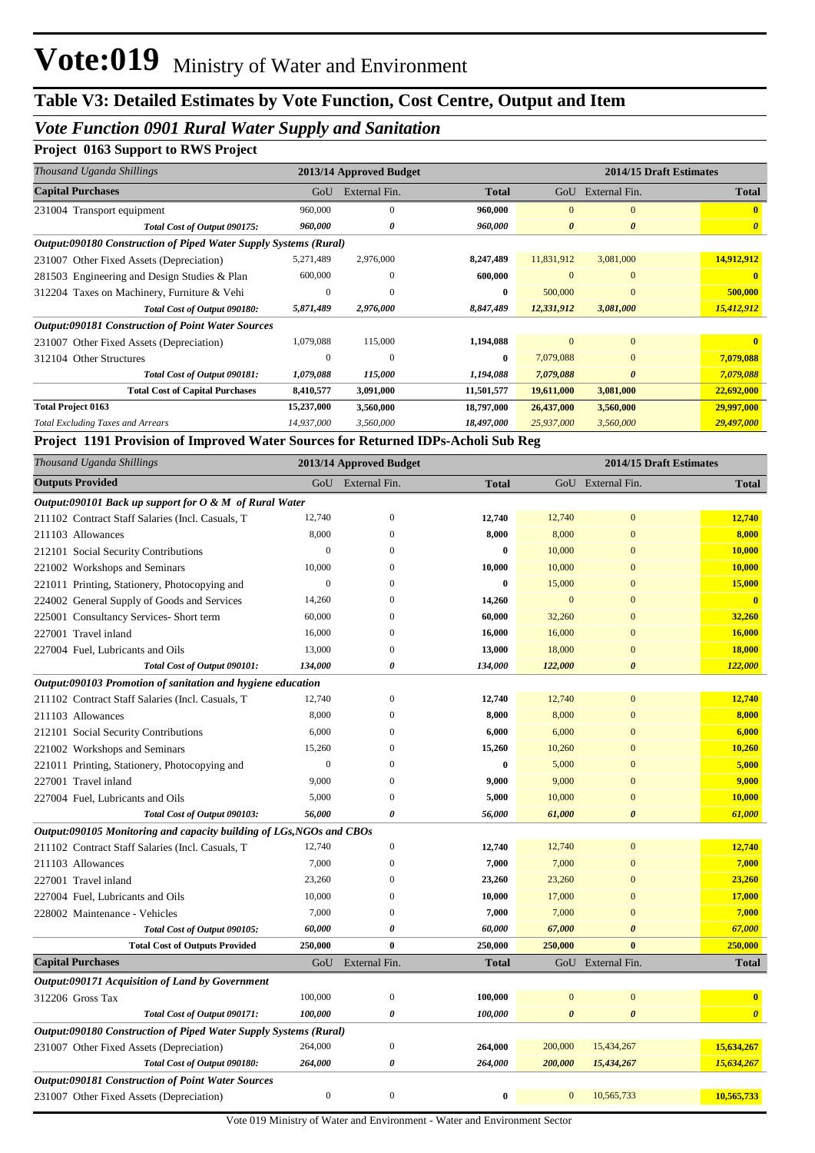## *Vote Function 0901 Rural Water Supply and Sanitation*

## **Project 0163 Support to RWS Project**

| Thousand Uganda Shillings                                        |              | 2013/14 Approved Budget |              | 2014/15 Draft Estimates |                       |                       |  |  |  |  |
|------------------------------------------------------------------|--------------|-------------------------|--------------|-------------------------|-----------------------|-----------------------|--|--|--|--|
| <b>Capital Purchases</b>                                         | GoU          | External Fin.           | <b>Total</b> | GoU                     | External Fin.         | <b>Total</b>          |  |  |  |  |
| 231004 Transport equipment                                       | 960,000      | $\mathbf{0}$            | 960,000      | $\Omega$                | $\Omega$              |                       |  |  |  |  |
| Total Cost of Output 090175:                                     | 960,000      | 0                       | 960,000      | $\boldsymbol{\theta}$   | $\theta$              | $\boldsymbol{\theta}$ |  |  |  |  |
| Output:090180 Construction of Piped Water Supply Systems (Rural) |              |                         |              |                         |                       |                       |  |  |  |  |
| 231007 Other Fixed Assets (Depreciation)                         | 5,271,489    | 2,976,000               | 8,247,489    | 11,831,912              | 3,081,000             | 14,912,912            |  |  |  |  |
| 281503 Engineering and Design Studies & Plan                     | 600,000      | $\Omega$                | 600,000      | $\Omega$                | $\mathbf{0}$          |                       |  |  |  |  |
| 312204 Taxes on Machinery, Furniture & Vehi                      | $\mathbf{0}$ | $\Omega$                | $\mathbf{0}$ | 500,000                 | $\Omega$              | 500,000               |  |  |  |  |
| Total Cost of Output 090180:                                     | 5,871,489    | 2,976,000               | 8,847,489    | 12,331,912              | 3,081,000             | 15,412,912            |  |  |  |  |
| <b>Output:090181 Construction of Point Water Sources</b>         |              |                         |              |                         |                       |                       |  |  |  |  |
| 231007 Other Fixed Assets (Depreciation)                         | 1,079,088    | 115,000                 | 1,194,088    | $\Omega$                | $\Omega$              |                       |  |  |  |  |
| 312104 Other Structures                                          | 0            | $\Omega$                | 0            | 7,079,088               | $\mathbf{0}$          | 7,079,088             |  |  |  |  |
| Total Cost of Output 090181:                                     | 1,079,088    | 115,000                 | 1,194,088    | 7,079,088               | $\boldsymbol{\theta}$ | 7,079,088             |  |  |  |  |
| <b>Total Cost of Capital Purchases</b>                           | 8,410,577    | 3,091,000               | 11,501,577   | 19,611,000              | 3,081,000             | 22,692,000            |  |  |  |  |
| <b>Total Project 0163</b>                                        | 15,237,000   | 3,560,000               | 18,797,000   | 26,437,000              | 3,560,000             | 29,997,000            |  |  |  |  |
| <b>Total Excluding Taxes and Arrears</b>                         | 14,937,000   | 3,560,000               | 18,497,000   | 25,937,000              | 3,560,000             | 29,497,000            |  |  |  |  |

#### **Project 1191 Provision of Improved Water Sources for Returned IDPs-Acholi Sub Reg**

| Thousand Uganda Shillings                                            |                  | 2013/14 Approved Budget |              | 2014/15 Draft Estimates |                       |                         |
|----------------------------------------------------------------------|------------------|-------------------------|--------------|-------------------------|-----------------------|-------------------------|
| <b>Outputs Provided</b>                                              |                  | GoU External Fin.       | <b>Total</b> |                         | GoU External Fin.     | <b>Total</b>            |
| Output:090101 Back up support for $O \& M$ of Rural Water            |                  |                         |              |                         |                       |                         |
| 211102 Contract Staff Salaries (Incl. Casuals, T                     | 12,740           | $\overline{0}$          | 12,740       | 12,740                  | $\mathbf{0}$          | 12,740                  |
| 211103 Allowances                                                    | 8,000            | $\overline{0}$          | 8,000        | 8,000                   | $\mathbf{0}$          | 8,000                   |
| 212101 Social Security Contributions                                 | $\mathbf{0}$     | $\Omega$                | $\bf{0}$     | 10,000                  | $\mathbf{0}$          | 10,000                  |
| 221002 Workshops and Seminars                                        | 10,000           | 0                       | 10,000       | 10,000                  | $\overline{0}$        | 10,000                  |
| 221011 Printing, Stationery, Photocopying and                        | $\boldsymbol{0}$ | $\Omega$                | $\bf{0}$     | 15,000                  | $\mathbf{0}$          | 15,000                  |
| 224002 General Supply of Goods and Services                          | 14,260           | $\Omega$                | 14,260       | $\mathbf{0}$            | $\mathbf{0}$          | $\overline{\mathbf{0}}$ |
| 225001 Consultancy Services- Short term                              | 60,000           | $\Omega$                | 60,000       | 32,260                  | $\mathbf{0}$          | 32,260                  |
| 227001 Travel inland                                                 | 16,000           | $\mathbf{0}$            | 16,000       | 16,000                  | $\overline{0}$        | 16,000                  |
| 227004 Fuel, Lubricants and Oils                                     | 13,000           | $\overline{0}$          | 13,000       | 18,000                  | $\overline{0}$        | 18,000                  |
| Total Cost of Output 090101:                                         | 134,000          | 0                       | 134,000      | 122,000                 | $\boldsymbol{\theta}$ | 122,000                 |
| Output:090103 Promotion of sanitation and hygiene education          |                  |                         |              |                         |                       |                         |
| 211102 Contract Staff Salaries (Incl. Casuals, T                     | 12,740           | $\mathbf{0}$            | 12,740       | 12,740                  | $\mathbf{0}$          | 12,740                  |
| 211103 Allowances                                                    | 8,000            | $\overline{0}$          | 8,000        | 8,000                   | $\mathbf{0}$          | 8,000                   |
| 212101 Social Security Contributions                                 | 6,000            | $\mathbf{0}$            | 6,000        | 6,000                   | $\mathbf{0}$          | 6,000                   |
| 221002 Workshops and Seminars                                        | 15,260           | 0                       | 15,260       | 10,260                  | $\mathbf{0}$          | 10,260                  |
| 221011 Printing, Stationery, Photocopying and                        | $\overline{0}$   | $\Omega$                | $\bf{0}$     | 5,000                   | $\overline{0}$        | 5,000                   |
| 227001 Travel inland                                                 | 9,000            | $\Omega$                | 9,000        | 9,000                   | $\overline{0}$        | 9,000                   |
| 227004 Fuel, Lubricants and Oils                                     | 5,000            | $\overline{0}$          | 5,000        | 10,000                  | $\mathbf{0}$          | 10,000                  |
| Total Cost of Output 090103:                                         | 56,000           | 0                       | 56,000       | 61,000                  | $\boldsymbol{\theta}$ | 61,000                  |
| Output:090105 Monitoring and capacity building of LGs, NGOs and CBOs |                  |                         |              |                         |                       |                         |
| 211102 Contract Staff Salaries (Incl. Casuals, T                     | 12,740           | $\mathbf{0}$            | 12,740       | 12,740                  | $\mathbf{0}$          | 12,740                  |
| 211103 Allowances                                                    | 7,000            | $\mathbf{0}$            | 7,000        | 7,000                   | $\mathbf{0}$          | 7,000                   |
| 227001 Travel inland                                                 | 23,260           | 0                       | 23,260       | 23,260                  | $\mathbf{0}$          | 23,260                  |
| 227004 Fuel, Lubricants and Oils                                     | 10,000           | 0                       | 10,000       | 17,000                  | $\mathbf{0}$          | 17,000                  |
| 228002 Maintenance - Vehicles                                        | 7,000            | $\Omega$                | 7,000        | 7,000                   | $\overline{0}$        | 7,000                   |
| Total Cost of Output 090105:                                         | 60,000           | 0                       | 60,000       | 67,000                  | $\boldsymbol{\theta}$ | 67,000                  |
| <b>Total Cost of Outputs Provided</b>                                | 250,000          | $\bf{0}$                | 250,000      | 250,000                 | $\mathbf{0}$          | 250,000                 |
| <b>Capital Purchases</b>                                             | GoU              | External Fin.           | <b>Total</b> |                         | GoU External Fin.     | <b>Total</b>            |
| Output:090171 Acquisition of Land by Government                      |                  |                         |              |                         |                       |                         |
| 312206 Gross Tax                                                     | 100,000          | $\boldsymbol{0}$        | 100,000      | $\overline{0}$          | $\overline{0}$        | $\overline{\mathbf{0}}$ |
| Total Cost of Output 090171:                                         | 100,000          | 0                       | 100,000      | $\boldsymbol{\theta}$   | $\boldsymbol{\theta}$ | $\boldsymbol{\theta}$   |
| Output:090180 Construction of Piped Water Supply Systems (Rural)     |                  |                         |              |                         |                       |                         |
| 231007 Other Fixed Assets (Depreciation)                             | 264,000          | $\boldsymbol{0}$        | 264,000      | 200,000                 | 15,434,267            | 15,634,267              |
| Total Cost of Output 090180:                                         | 264,000          | 0                       | 264,000      | 200,000                 | 15,434,267            | 15,634,267              |
| <b>Output:090181 Construction of Point Water Sources</b>             |                  |                         |              |                         |                       |                         |
| 231007 Other Fixed Assets (Depreciation)                             | $\boldsymbol{0}$ | $\boldsymbol{0}$        | $\bf{0}$     | $\mathbf{0}$            | 10,565,733            | 10,565,733              |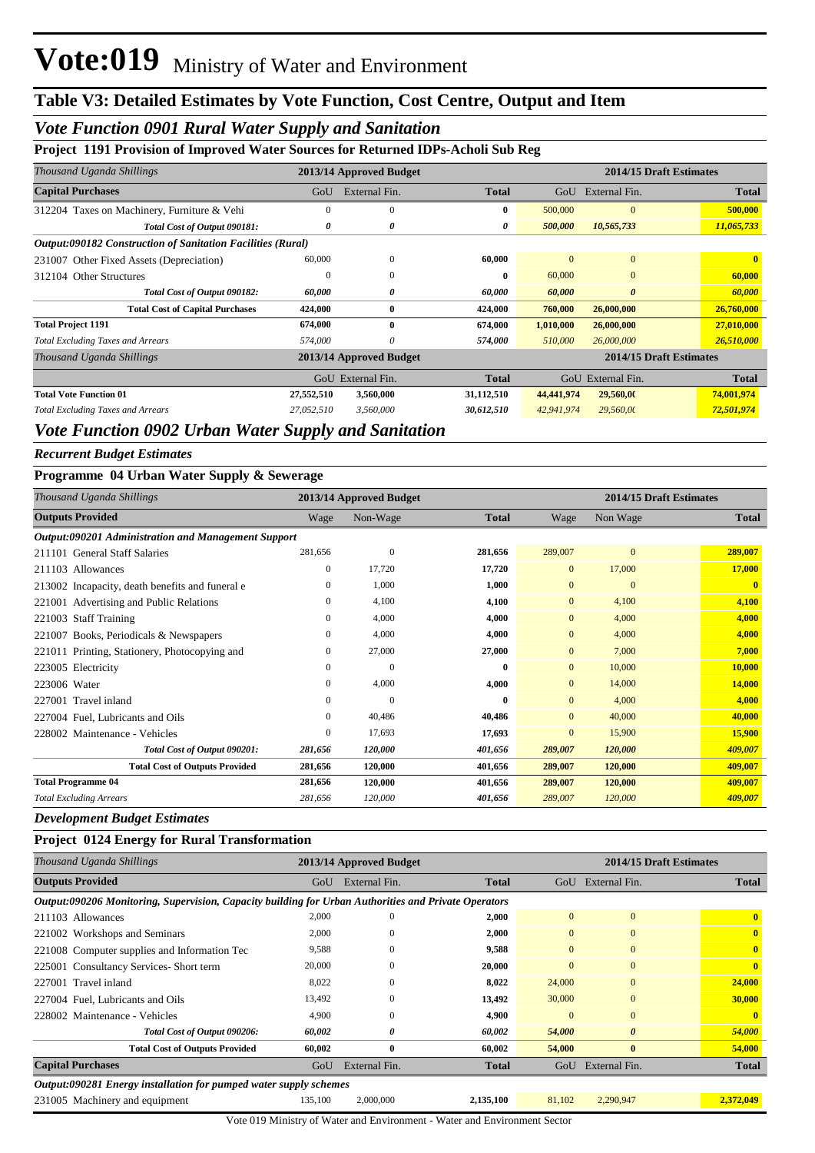## *Vote Function 0901 Rural Water Supply and Sanitation*

### **Project 1191 Provision of Improved Water Sources for Returned IDPs-Acholi Sub Reg**

| Thousand Uganda Shillings                                          |            | 2013/14 Approved Budget |              |            | 2014/15 Draft Estimates |              |  |  |  |
|--------------------------------------------------------------------|------------|-------------------------|--------------|------------|-------------------------|--------------|--|--|--|
| <b>Capital Purchases</b>                                           | GoU        | External Fin.           | <b>Total</b> | GoU        | External Fin.           | <b>Total</b> |  |  |  |
| 312204 Taxes on Machinery, Furniture & Vehi                        | $\Omega$   | $\Omega$                | 0            | 500,000    | $\Omega$                | 500,000      |  |  |  |
| Total Cost of Output 090181:                                       | 0          | 0                       | 0            | 500,000    | 10,565,733              | 11,065,733   |  |  |  |
| <b>Output:090182 Construction of Sanitation Facilities (Rural)</b> |            |                         |              |            |                         |              |  |  |  |
| 231007 Other Fixed Assets (Depreciation)                           | 60,000     | $\mathbf{0}$            | 60,000       | $\Omega$   | $\overline{0}$          | 0            |  |  |  |
| 312104 Other Structures                                            | $\bf{0}$   | $\mathbf{0}$            | 0            | 60,000     | $\overline{0}$          | 60,000       |  |  |  |
| Total Cost of Output 090182:                                       | 60,000     | 0                       | 60,000       | 60,000     | $\boldsymbol{\theta}$   | 60,000       |  |  |  |
| <b>Total Cost of Capital Purchases</b>                             | 424,000    | $\bf{0}$                | 424,000      | 760,000    | 26,000,000              | 26,760,000   |  |  |  |
| <b>Total Project 1191</b>                                          | 674,000    | $\mathbf{0}$            | 674,000      | 1,010,000  | 26,000,000              | 27,010,000   |  |  |  |
| <b>Total Excluding Taxes and Arrears</b>                           | 574,000    | 0                       | 574,000      | 510,000    | 26,000,000              | 26,510,000   |  |  |  |
| Thousand Uganda Shillings                                          |            | 2013/14 Approved Budget |              |            | 2014/15 Draft Estimates |              |  |  |  |
|                                                                    |            | GoU External Fin.       | Total        | GoU        | External Fin.           | <b>Total</b> |  |  |  |
| <b>Total Vote Function 01</b>                                      | 27,552,510 | 3,560,000               | 31,112,510   | 44,441,974 | 29,560,00               | 74,001,974   |  |  |  |
| <b>Total Excluding Taxes and Arrears</b>                           | 27,052,510 | 3,560,000               | 30,612,510   | 42,941,974 | 29,560,00               | 72,501,974   |  |  |  |
|                                                                    |            |                         |              |            |                         |              |  |  |  |

### *Vote Function 0902 Urban Water Supply and Sanitation*

*Recurrent Budget Estimates*

### **Programme 04 Urban Water Supply & Sewerage**

| Thousand Uganda Shillings                           |              | 2013/14 Approved Budget |              | 2014/15 Draft Estimates |                |                         |
|-----------------------------------------------------|--------------|-------------------------|--------------|-------------------------|----------------|-------------------------|
| <b>Outputs Provided</b>                             | Wage         | Non-Wage                | <b>Total</b> | Wage                    | Non Wage       | <b>Total</b>            |
| Output:090201 Administration and Management Support |              |                         |              |                         |                |                         |
| 211101 General Staff Salaries                       | 281,656      | $\overline{0}$          | 281,656      | 289,007                 | $\mathbf{0}$   | 289,007                 |
| 211103 Allowances                                   | $\mathbf{0}$ | 17,720                  | 17,720       | $\mathbf{0}$            | 17,000         | 17,000                  |
| 213002 Incapacity, death benefits and funeral e     | $\mathbf{0}$ | 1,000                   | 1,000        | $\mathbf{0}$            | $\overline{0}$ | $\overline{\mathbf{0}}$ |
| 221001 Advertising and Public Relations             | $\mathbf{0}$ | 4,100                   | 4,100        | $\mathbf{0}$            | 4,100          | 4,100                   |
| <b>Staff Training</b><br>221003                     | 0            | 4,000                   | 4.000        | $\mathbf{0}$            | 4,000          | 4,000                   |
| 221007 Books, Periodicals & Newspapers              | 0            | 4,000                   | 4,000        | $\mathbf{0}$            | 4,000          | 4,000                   |
| 221011 Printing, Stationery, Photocopying and       | $\mathbf{0}$ | 27,000                  | 27,000       | $\mathbf{0}$            | 7,000          | 7,000                   |
| 223005 Electricity                                  | $\mathbf{0}$ | $\mathbf{0}$            | 0            | $\overline{0}$          | 10,000         | 10,000                  |
| 223006 Water                                        | $\mathbf{0}$ | 4,000                   | 4,000        | $\mathbf{0}$            | 14,000         | 14,000                  |
| Travel inland<br>227001                             | $\mathbf{0}$ | $\mathbf{0}$            | 0            | $\mathbf{0}$            | 4,000          | 4,000                   |
| 227004 Fuel, Lubricants and Oils                    | $\mathbf{0}$ | 40,486                  | 40,486       | $\mathbf{0}$            | 40,000         | 40,000                  |
| 228002 Maintenance - Vehicles                       | $\mathbf{0}$ | 17,693                  | 17,693       | $\mathbf{0}$            | 15,900         | 15,900                  |
| Total Cost of Output 090201:                        | 281,656      | 120,000                 | 401,656      | 289,007                 | 120,000        | 409,007                 |
| <b>Total Cost of Outputs Provided</b>               | 281,656      | 120,000                 | 401,656      | 289,007                 | 120,000        | 409,007                 |
| <b>Total Programme 04</b>                           | 281,656      | 120,000                 | 401,656      | 289,007                 | 120,000        | 409,007                 |
| <b>Total Excluding Arrears</b>                      | 281,656      | 120,000                 | 401,656      | 289,007                 | 120,000        | 409,007                 |

#### *Development Budget Estimates*

#### **Project 0124 Energy for Rural Transformation**

| Thousand Uganda Shillings                                                                            | 2013/14 Approved Budget |               |              |                | 2014/15 Draft Estimates |              |  |
|------------------------------------------------------------------------------------------------------|-------------------------|---------------|--------------|----------------|-------------------------|--------------|--|
| <b>Outputs Provided</b>                                                                              | GoU                     | External Fin. | <b>Total</b> | GoU            | External Fin.           | <b>Total</b> |  |
| Output:090206 Monitoring, Supervision, Capacity building for Urban Authorities and Private Operators |                         |               |              |                |                         |              |  |
| 211103 Allowances                                                                                    | 2,000                   | $\Omega$      | 2,000        | $\overline{0}$ | $\mathbf{0}$            | $\bf{0}$     |  |
| 221002 Workshops and Seminars                                                                        | 2,000                   | $\theta$      | 2,000        | $\mathbf{0}$   | $\mathbf{0}$            | $\bf{0}$     |  |
| 221008 Computer supplies and Information Tec                                                         | 9,588                   | $\Omega$      | 9,588        | $\Omega$       | $\mathbf{0}$            | $\mathbf{0}$ |  |
| 225001 Consultancy Services-Short term                                                               | 20,000                  | $\theta$      | 20,000       | $\Omega$       | $\mathbf{0}$            | $\mathbf{0}$ |  |
| 227001 Travel inland                                                                                 | 8,022                   | $\Omega$      | 8,022        | 24,000         | $\mathbf{0}$            | 24,000       |  |
| 227004 Fuel, Lubricants and Oils                                                                     | 13,492                  | $\Omega$      | 13,492       | 30,000         | $\overline{0}$          | 30,000       |  |
| 228002 Maintenance - Vehicles                                                                        | 4,900                   | $\Omega$      | 4,900        | $\mathbf{0}$   | $\mathbf{0}$            | $\mathbf{0}$ |  |
| Total Cost of Output 090206:                                                                         | 60,002                  | 0             | 60,002       | 54,000         | $\boldsymbol{\theta}$   | 54,000       |  |
| <b>Total Cost of Outputs Provided</b>                                                                | 60,002                  | $\mathbf{0}$  | 60,002       | 54,000         | $\mathbf{0}$            | 54,000       |  |
| <b>Capital Purchases</b>                                                                             | GoU                     | External Fin. | <b>Total</b> | GoU            | External Fin.           | <b>Total</b> |  |
| <i>Output:090281 Energy installation for pumped water supply schemes</i>                             |                         |               |              |                |                         |              |  |
| 231005 Machinery and equipment                                                                       | 135,100                 | 2,000,000     | 2,135,100    | 81,102         | 2,290,947               | 2,372,049    |  |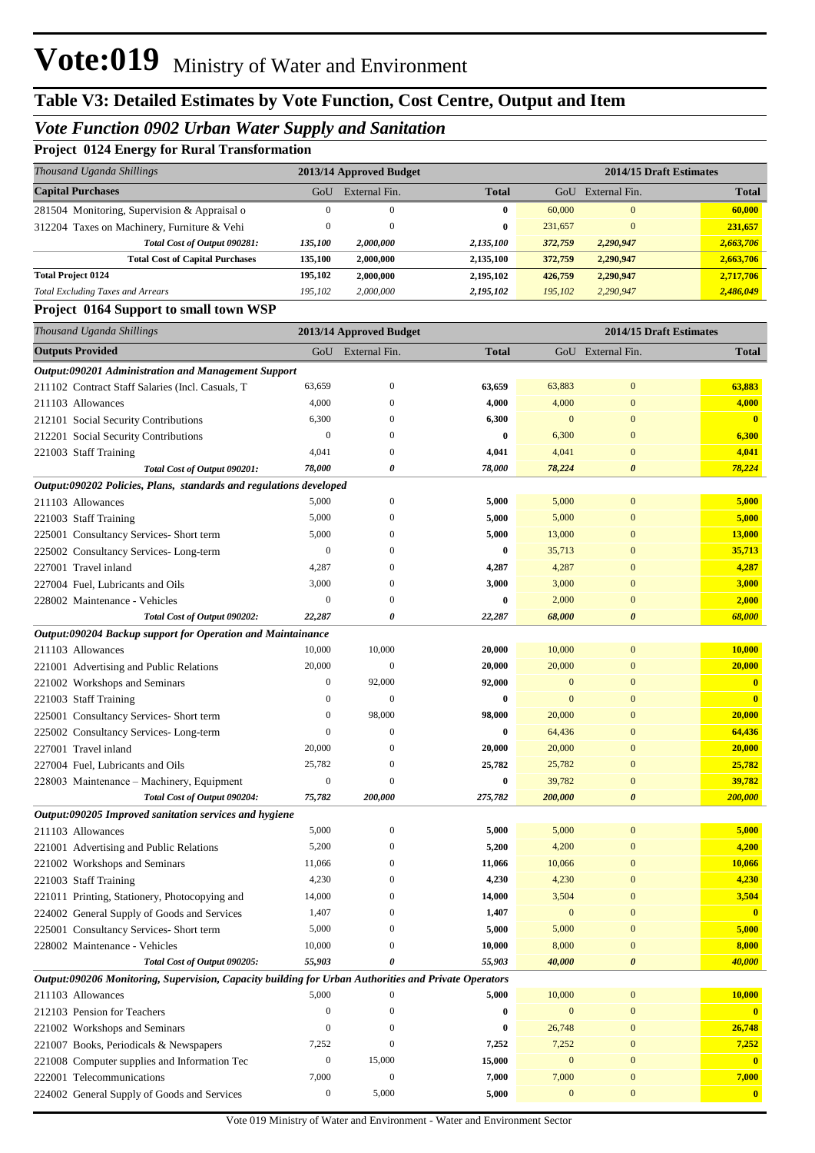## *Vote Function 0902 Urban Water Supply and Sanitation*

|  | <b>Project 0124 Energy for Rural Transformation</b> |  |
|--|-----------------------------------------------------|--|
|--|-----------------------------------------------------|--|

| Thousand Uganda Shillings                    |          | 2013/14 Approved Budget |              | 2014/15 Draft Estimates |               |              |  |
|----------------------------------------------|----------|-------------------------|--------------|-------------------------|---------------|--------------|--|
| <b>Capital Purchases</b>                     | GoU      | External Fin.           | <b>Total</b> | GoU                     | External Fin. | <b>Total</b> |  |
| 281504 Monitoring, Supervision & Appraisal o | $\Omega$ | 0                       | 0            | 60,000                  | $\Omega$      | 60,000       |  |
| 312204 Taxes on Machinery, Furniture & Vehi  | $\Omega$ | $\theta$                | $\mathbf{0}$ | 231,657                 | $\Omega$      | 231,657      |  |
| Total Cost of Output 090281:                 | 135,100  | 2,000,000               | 2,135,100    | 372,759                 | 2,290,947     | 2,663,706    |  |
| <b>Total Cost of Capital Purchases</b>       | 135.100  | 2,000,000               | 2,135,100    | 372,759                 | 2,290,947     | 2,663,706    |  |
| <b>Total Project 0124</b>                    | 195,102  | 2,000,000               | 2,195,102    | 426,759                 | 2,290,947     | 2,717,706    |  |
| <b>Total Excluding Taxes and Arrears</b>     | 195,102  | 2,000,000               | 2,195,102    | 195,102                 | 2,290,947     | 2,486,049    |  |

#### **Project 0164 Support to small town WSP**

| Thousand Uganda Shillings                                                                            |                  | 2013/14 Approved Budget |                  |                  | 2014/15 Draft Estimates |                         |
|------------------------------------------------------------------------------------------------------|------------------|-------------------------|------------------|------------------|-------------------------|-------------------------|
| <b>Outputs Provided</b>                                                                              |                  | GoU External Fin.       | <b>Total</b>     |                  | GoU External Fin.       | <b>Total</b>            |
| Output:090201 Administration and Management Support                                                  |                  |                         |                  |                  |                         |                         |
| 211102 Contract Staff Salaries (Incl. Casuals, T                                                     | 63,659           | $\boldsymbol{0}$        | 63,659           | 63,883           | $\mathbf{0}$            | 63,883                  |
| 211103 Allowances                                                                                    | 4,000            | $\mathbf{0}$            | 4,000            | 4,000            | $\mathbf{0}$            | 4,000                   |
| 212101 Social Security Contributions                                                                 | 6,300            | $\mathbf{0}$            | 6,300            | $\mathbf{0}$     | $\mathbf{0}$            | $\mathbf{0}$            |
| 212201 Social Security Contributions                                                                 | $\boldsymbol{0}$ | $\mathbf{0}$            | $\bf{0}$         | 6,300            | $\mathbf{0}$            | 6,300                   |
| 221003 Staff Training                                                                                | 4,041            | $\mathbf{0}$            | 4,041            | 4,041            | $\mathbf{0}$            | 4,041                   |
| Total Cost of Output 090201:                                                                         | 78,000           | 0                       | 78,000           | 78,224           | $\boldsymbol{\theta}$   | 78,224                  |
| Output:090202 Policies, Plans, standards and regulations developed                                   |                  |                         |                  |                  |                         |                         |
| 211103 Allowances                                                                                    | 5,000            | $\boldsymbol{0}$        | 5,000            | 5,000            | $\mathbf{0}$            | 5,000                   |
| 221003 Staff Training                                                                                | 5,000            | $\boldsymbol{0}$        | 5,000            | 5,000            | $\mathbf{0}$            | 5,000                   |
| 225001 Consultancy Services- Short term                                                              | 5,000            | $\mathbf{0}$            | 5,000            | 13,000           | $\mathbf{0}$            | <b>13,000</b>           |
| 225002 Consultancy Services-Long-term                                                                | $\boldsymbol{0}$ | $\mathbf{0}$            | $\bf{0}$         | 35,713           | $\mathbf{0}$            | 35,713                  |
| 227001 Travel inland                                                                                 | 4,287            | $\mathbf{0}$            | 4,287            | 4,287            | $\mathbf{0}$            | 4,287                   |
| 227004 Fuel, Lubricants and Oils                                                                     | 3,000            | $\mathbf{0}$            | 3,000            | 3,000            | $\mathbf{0}$            | 3,000                   |
| 228002 Maintenance - Vehicles                                                                        | $\boldsymbol{0}$ | $\mathbf{0}$            | $\bf{0}$         | 2,000            | $\mathbf{0}$            | 2,000                   |
| Total Cost of Output 090202:                                                                         | 22,287           | 0                       | 22,287           | 68,000           | $\boldsymbol{\theta}$   | 68,000                  |
| Output:090204 Backup support for Operation and Maintainance                                          |                  |                         |                  |                  |                         |                         |
| 211103 Allowances                                                                                    | 10,000           | 10,000                  | 20,000           | 10,000           | $\mathbf{0}$            | 10,000                  |
| 221001 Advertising and Public Relations                                                              | 20,000           | $\boldsymbol{0}$        | 20,000           | 20,000           | $\mathbf{0}$            | 20,000                  |
| 221002 Workshops and Seminars                                                                        | 0                | 92,000                  | 92,000           | $\mathbf{0}$     | $\mathbf{0}$            | $\mathbf{0}$            |
| 221003 Staff Training                                                                                | $\boldsymbol{0}$ | $\mathbf{0}$            | $\bf{0}$         | $\mathbf{0}$     | $\mathbf{0}$            | $\mathbf{0}$            |
| 225001 Consultancy Services- Short term                                                              | $\boldsymbol{0}$ | 98,000                  | 98,000           | 20,000           | $\mathbf{0}$            | 20,000                  |
| 225002 Consultancy Services-Long-term                                                                | 0                | $\mathbf{0}$            | $\bf{0}$         | 64,436           | $\mathbf{0}$            | 64,436                  |
| 227001 Travel inland                                                                                 | 20,000           | $\mathbf{0}$            | 20,000           | 20,000           | $\mathbf{0}$            | 20,000                  |
| 227004 Fuel, Lubricants and Oils                                                                     | 25,782           | $\mathbf{0}$            | 25,782           | 25,782           | $\mathbf{0}$            | 25,782                  |
| 228003 Maintenance - Machinery, Equipment                                                            | 0                | $\mathbf{0}$            | $\bf{0}$         | 39,782           | $\mathbf{0}$            | 39,782                  |
| Total Cost of Output 090204:                                                                         | 75,782           | 200,000                 | 275,782          | 200,000          | $\boldsymbol{\theta}$   | 200,000                 |
| Output:090205 Improved sanitation services and hygiene                                               |                  |                         |                  |                  |                         |                         |
| 211103 Allowances                                                                                    | 5,000            | $\boldsymbol{0}$        | 5,000            | 5,000            | $\mathbf{0}$            | 5,000                   |
| 221001 Advertising and Public Relations                                                              | 5,200            | $\mathbf{0}$            | 5,200            | 4,200            | $\mathbf{0}$            | 4,200                   |
| 221002 Workshops and Seminars                                                                        | 11,066           | $\mathbf{0}$            | 11,066           | 10,066           | $\mathbf{0}$            | 10,066                  |
| 221003 Staff Training                                                                                | 4,230            | $\mathbf{0}$            | 4,230            | 4,230            | $\mathbf{0}$            | 4,230                   |
| 221011 Printing, Stationery, Photocopying and                                                        | 14,000           | $\mathbf{0}$            | 14,000           | 3,504            | $\mathbf{0}$            | 3,504                   |
| 224002 General Supply of Goods and Services                                                          | 1,407            | $\boldsymbol{0}$        | 1,407            | $\mathbf{0}$     | $\mathbf{0}$            | $\mathbf{0}$            |
| 225001 Consultancy Services- Short term                                                              | 5,000            | $\boldsymbol{0}$        | 5,000            | 5,000            | $\mathbf{0}$            | 5,000                   |
| 228002 Maintenance - Vehicles                                                                        | 10,000           | $\boldsymbol{0}$        | 10,000           | 8,000            | $\boldsymbol{0}$        | 8,000                   |
| Total Cost of Output 090205:                                                                         | 55,903           | 0                       | 55,903           | 40,000           | $\boldsymbol{\theta}$   | 40,000                  |
| Output:090206 Monitoring, Supervision, Capacity building for Urban Authorities and Private Operators |                  |                         |                  |                  |                         |                         |
| 211103 Allowances                                                                                    | 5,000            | $\mathbf{0}$            | 5,000            | 10,000           | $\bf{0}$                | 10,000                  |
| 212103 Pension for Teachers                                                                          | $\boldsymbol{0}$ | $\mathbf{0}$            | $\boldsymbol{0}$ | $\boldsymbol{0}$ | $\boldsymbol{0}$        | $\overline{\mathbf{0}}$ |
| 221002 Workshops and Seminars                                                                        | $\boldsymbol{0}$ | $\boldsymbol{0}$        | $\bf{0}$         | 26,748           | $\boldsymbol{0}$        | 26,748                  |
| 221007 Books, Periodicals & Newspapers                                                               | 7,252            | $\mathbf{0}$            | 7,252            | 7,252            | $\mathbf{0}$            | 7,252                   |
| 221008 Computer supplies and Information Tec                                                         | $\boldsymbol{0}$ | 15,000                  | 15,000           | $\boldsymbol{0}$ | $\mathbf{0}$            | $\mathbf{0}$            |
| 222001 Telecommunications                                                                            | 7,000            | $\boldsymbol{0}$        | 7,000            | 7,000            | $\bf{0}$                | 7,000                   |
| 224002 General Supply of Goods and Services                                                          | $\boldsymbol{0}$ | 5,000                   | 5,000            | $\boldsymbol{0}$ | $\boldsymbol{0}$        | $\bullet$               |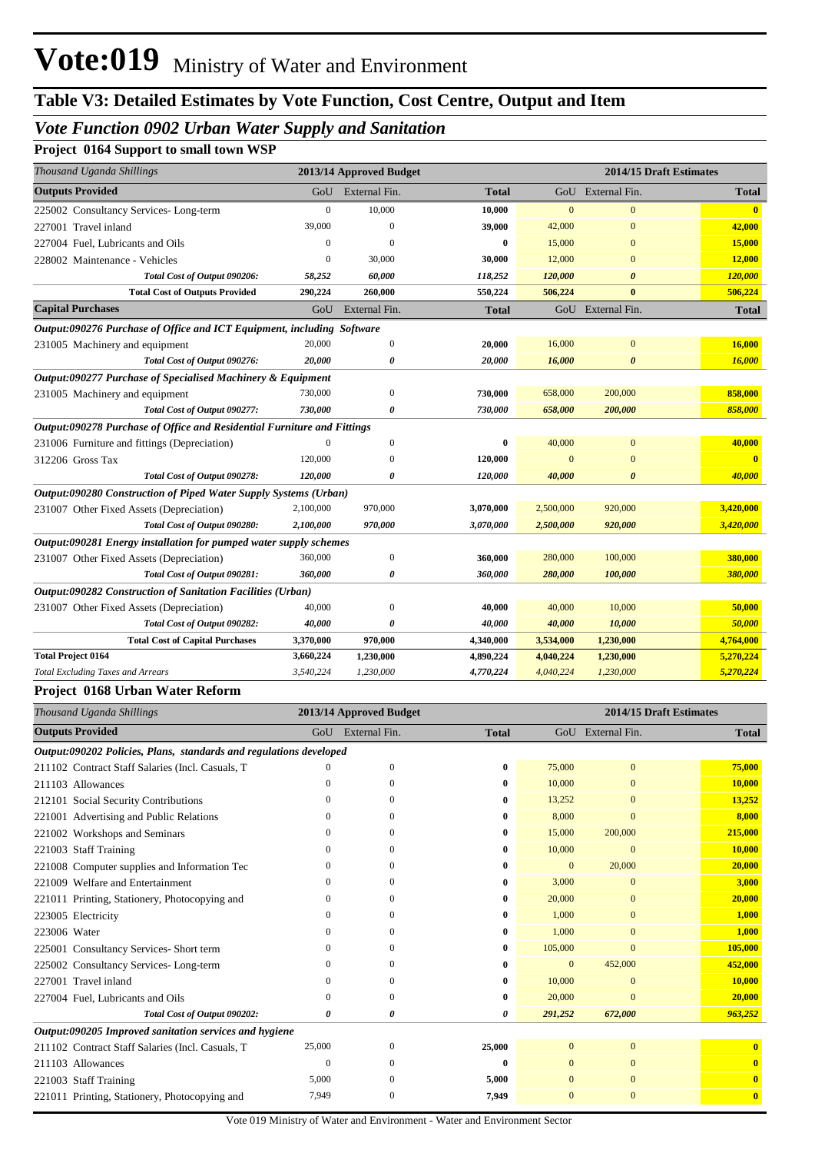# **Table V3: Detailed Estimates by Vote Function, Cost Centre, Output and Item**

## *Vote Function 0902 Urban Water Supply and Sanitation*

### **Project 0164 Support to small town WSP**

| Thousand Uganda Shillings                                               |              | 2013/14 Approved Budget |              | 2014/15 Draft Estimates |                       |              |
|-------------------------------------------------------------------------|--------------|-------------------------|--------------|-------------------------|-----------------------|--------------|
| <b>Outputs Provided</b>                                                 |              | GoU External Fin.       | <b>Total</b> |                         | GoU External Fin.     | <b>Total</b> |
| 225002 Consultancy Services-Long-term                                   | $\mathbf{0}$ | 10,000                  | 10,000       | $\Omega$                | $\Omega$              | $\mathbf{0}$ |
| 227001 Travel inland                                                    | 39,000       | $\Omega$                | 39,000       | 42,000                  | $\theta$              | 42,000       |
| 227004 Fuel, Lubricants and Oils                                        | $\mathbf{0}$ | 0                       | 0            | 15,000                  | $\mathbf{0}$          | 15,000       |
| 228002 Maintenance - Vehicles                                           | $\mathbf{0}$ | 30,000                  | 30,000       | 12,000                  | $\Omega$              | 12,000       |
| Total Cost of Output 090206:                                            | 58,252       | 60,000                  | 118,252      | 120,000                 | $\boldsymbol{\theta}$ | 120,000      |
| <b>Total Cost of Outputs Provided</b>                                   | 290,224      | 260,000                 | 550,224      | 506,224                 | $\bf{0}$              | 506,224      |
| <b>Capital Purchases</b>                                                | GoU          | External Fin.           | <b>Total</b> |                         | GoU External Fin.     | <b>Total</b> |
| Output:090276 Purchase of Office and ICT Equipment, including Software  |              |                         |              |                         |                       |              |
| 231005 Machinery and equipment                                          | 20,000       | $\theta$                | 20,000       | 16,000                  | $\mathbf{0}$          | 16,000       |
| Total Cost of Output 090276:                                            | 20,000       | 0                       | 20,000       | 16,000                  | $\boldsymbol{\theta}$ | 16,000       |
| Output:090277 Purchase of Specialised Machinery & Equipment             |              |                         |              |                         |                       |              |
| 231005 Machinery and equipment                                          | 730,000      | $\Omega$                | 730,000      | 658,000                 | 200,000               | 858,000      |
| Total Cost of Output 090277:                                            | 730,000      | 0                       | 730,000      | 658,000                 | 200,000               | 858,000      |
| Output:090278 Purchase of Office and Residential Furniture and Fittings |              |                         |              |                         |                       |              |
| 231006 Furniture and fittings (Depreciation)                            | $\Omega$     | $\mathbf{0}$            | $\bf{0}$     | 40,000                  | $\overline{0}$        | 40,000       |
| 312206 Gross Tax                                                        | 120,000      | $\Omega$                | 120,000      |                         | $\Omega$              |              |
| Total Cost of Output 090278:                                            | 120,000      | 0                       | 120,000      | 40,000                  | $\boldsymbol{\theta}$ | 40,000       |
| Output:090280 Construction of Piped Water Supply Systems (Urban)        |              |                         |              |                         |                       |              |
| 231007 Other Fixed Assets (Depreciation)                                | 2,100,000    | 970,000                 | 3,070,000    | 2,500,000               | 920,000               | 3,420,000    |
| Total Cost of Output 090280:                                            | 2,100,000    | 970,000                 | 3,070,000    | 2,500,000               | 920,000               | 3,420,000    |
| Output:090281 Energy installation for pumped water supply schemes       |              |                         |              |                         |                       |              |
| 231007 Other Fixed Assets (Depreciation)                                | 360,000      | $\Omega$                | 360,000      | 280,000                 | 100,000               | 380,000      |
| Total Cost of Output 090281:                                            | 360,000      | $\theta$                | 360,000      | 280,000                 | 100,000               | 380,000      |
| Output:090282 Construction of Sanitation Facilities (Urban)             |              |                         |              |                         |                       |              |
| 231007 Other Fixed Assets (Depreciation)                                | 40,000       | $\Omega$                | 40,000       | 40,000                  | 10,000                | 50,000       |
| Total Cost of Output 090282:                                            | 40,000       | 0                       | 40,000       | 40,000                  | 10,000                | 50,000       |
| <b>Total Cost of Capital Purchases</b>                                  | 3,370,000    | 970,000                 | 4,340,000    | 3,534,000               | 1,230,000             | 4,764,000    |
| <b>Total Project 0164</b>                                               | 3,660,224    | 1,230,000               | 4,890,224    | 4,040,224               | 1,230,000             | 5,270,224    |
| <b>Total Excluding Taxes and Arrears</b>                                | 3,540,224    | 1,230,000               | 4,770,224    | 4,040,224               | 1,230,000             | 5,270,224    |

#### **Project 0168 Urban Water Reform**

| Thousand Uganda Shillings                                          | 2013/14 Approved Budget<br>2014/15 Draft Estimates |               |              |                |                   |                         |
|--------------------------------------------------------------------|----------------------------------------------------|---------------|--------------|----------------|-------------------|-------------------------|
| <b>Outputs Provided</b>                                            | GoU                                                | External Fin. | <b>Total</b> |                | GoU External Fin. | <b>Total</b>            |
| Output:090202 Policies, Plans, standards and regulations developed |                                                    |               |              |                |                   |                         |
| 211102 Contract Staff Salaries (Incl. Casuals, T                   | 0                                                  | $\Omega$      | $\bf{0}$     | 75,000         | $\mathbf{0}$      | 75,000                  |
| 211103 Allowances                                                  | 0                                                  | 0             | $\bf{0}$     | 10,000         | $\Omega$          | 10,000                  |
| 212101 Social Security Contributions                               |                                                    | $\Omega$      | $\bf{0}$     | 13,252         | $\Omega$          | 13,252                  |
| 221001 Advertising and Public Relations                            |                                                    | 0             | $\bf{0}$     | 8,000          | $\Omega$          | 8,000                   |
| 221002 Workshops and Seminars                                      |                                                    | ∩             | $\bf{0}$     | 15,000         | 200,000           | 215,000                 |
| 221003 Staff Training                                              | $\Omega$                                           | 0             | 0            | 10,000         | $\mathbf{0}$      | 10,000                  |
| 221008 Computer supplies and Information Tec                       | $^{(1)}$                                           | 0             | 0            | $\Omega$       | 20,000            | 20,000                  |
| 221009 Welfare and Entertainment                                   | $\Omega$                                           | $\Omega$      | $\bf{0}$     | 3,000          | $\mathbf{0}$      | 3,000                   |
| 221011 Printing, Stationery, Photocopying and                      | 0                                                  | 0             | $\bf{0}$     | 20,000         | $\Omega$          | 20,000                  |
| 223005 Electricity                                                 | 0                                                  | 0             | $\bf{0}$     | 1,000          | $\Omega$          | 1,000                   |
| 223006 Water                                                       | $^{(1)}$                                           |               | 0            | 1,000          | $\Omega$          | 1,000                   |
| 225001 Consultancy Services- Short term                            | 0                                                  | 0             | $\bf{0}$     | 105,000        | $\Omega$          | 105,000                 |
| 225002 Consultancy Services-Long-term                              | 0                                                  | 0             | $\bf{0}$     | $\mathbf{0}$   | 452,000           | 452,000                 |
| 227001 Travel inland                                               | 0                                                  | 0             | $\bf{0}$     | 10,000         | $\mathbf{0}$      | 10,000                  |
| 227004 Fuel, Lubricants and Oils                                   | 0                                                  | 0             | $\bf{0}$     | 20,000         | $\Omega$          | 20,000                  |
| Total Cost of Output 090202:                                       | 0                                                  | 0             | 0            | 291,252        | 672,000           | 963,252                 |
| Output:090205 Improved sanitation services and hygiene             |                                                    |               |              |                |                   |                         |
| 211102 Contract Staff Salaries (Incl. Casuals, T                   | 25,000                                             | $\Omega$      | 25,000       | $\overline{0}$ | $\mathbf{0}$      | $\mathbf{0}$            |
| 211103 Allowances                                                  | $\Omega$                                           | 0             | $\bf{0}$     |                | $\mathbf{0}$      | $\mathbf{0}$            |
| 221003 Staff Training                                              | 5,000                                              | 0             | 5,000        | $\Omega$       | $\mathbf{0}$      | $\mathbf{0}$            |
| 221011 Printing, Stationery, Photocopying and                      | 7,949                                              | $\mathbf{0}$  | 7,949        |                | $\mathbf{0}$      | $\overline{\mathbf{0}}$ |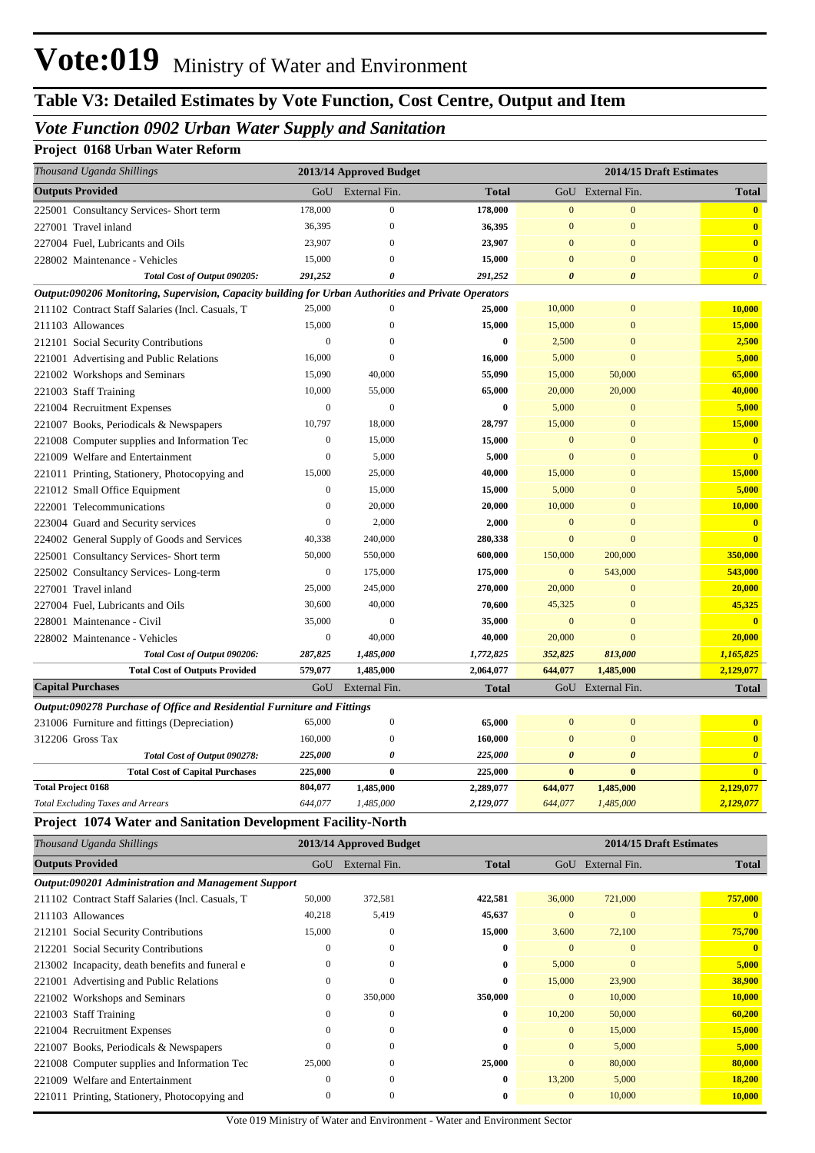# **Table V3: Detailed Estimates by Vote Function, Cost Centre, Output and Item**

### *Vote Function 0902 Urban Water Supply and Sanitation*

### **Project 0168 Urban Water Reform**

| Thousand Uganda Shillings                                                                            |                  | 2013/14 Approved Budget |                    |                        | 2014/15 Draft Estimates          |                         |
|------------------------------------------------------------------------------------------------------|------------------|-------------------------|--------------------|------------------------|----------------------------------|-------------------------|
| <b>Outputs Provided</b>                                                                              | GoU              | External Fin.           | <b>Total</b>       |                        | GoU External Fin.                | <b>Total</b>            |
| 225001 Consultancy Services- Short term                                                              | 178,000          | $\boldsymbol{0}$        | 178,000            | $\mathbf{0}$           | $\mathbf{0}$                     | $\mathbf{0}$            |
| 227001 Travel inland                                                                                 | 36,395           | $\mathbf{0}$            | 36,395             | $\mathbf{0}$           | $\mathbf{0}$                     | $\bf{0}$                |
| 227004 Fuel, Lubricants and Oils                                                                     | 23,907           | $\theta$                | 23,907             | $\mathbf{0}$           | $\mathbf{0}$                     | $\bullet$               |
|                                                                                                      | 15,000           | 0                       | 15,000             | $\overline{0}$         | $\mathbf{0}$                     | $\mathbf{0}$            |
| 228002 Maintenance - Vehicles<br>Total Cost of Output 090205:                                        | 291,252          | 0                       | 291,252            | $\boldsymbol{\theta}$  | $\boldsymbol{\theta}$            | $\boldsymbol{\theta}$   |
| Output:090206 Monitoring, Supervision, Capacity building for Urban Authorities and Private Operators |                  |                         |                    |                        |                                  |                         |
| 211102 Contract Staff Salaries (Incl. Casuals, T                                                     | 25,000           | $\boldsymbol{0}$        | 25,000             | 10,000                 | $\bf{0}$                         | 10,000                  |
| 211103 Allowances                                                                                    | 15,000           | $\mathbf{0}$            | 15,000             | 15,000                 | $\mathbf{0}$                     | 15,000                  |
| 212101 Social Security Contributions                                                                 | $\boldsymbol{0}$ | $\mathbf{0}$            | $\bf{0}$           | 2,500                  | $\mathbf{0}$                     | 2,500                   |
| 221001 Advertising and Public Relations                                                              | 16,000           | $\theta$                | 16,000             | 5,000                  | $\mathbf{0}$                     | 5,000                   |
| 221002 Workshops and Seminars                                                                        | 15,090           | 40,000                  | 55,090             | 15,000                 | 50,000                           | 65,000                  |
|                                                                                                      | 10,000           | 55,000                  |                    | 20,000                 | 20,000                           | 40,000                  |
| 221003 Staff Training                                                                                | $\boldsymbol{0}$ | $\mathbf{0}$            | 65,000<br>$\bf{0}$ | 5,000                  | $\boldsymbol{0}$                 | 5,000                   |
| 221004 Recruitment Expenses                                                                          | 10,797           | 18,000                  | 28,797             |                        |                                  | 15,000                  |
| 221007 Books, Periodicals & Newspapers                                                               |                  |                         |                    | 15,000<br>$\mathbf{0}$ | $\boldsymbol{0}$<br>$\mathbf{0}$ | $\bf{0}$                |
| 221008 Computer supplies and Information Tec                                                         | $\boldsymbol{0}$ | 15,000                  | 15,000             |                        |                                  |                         |
| 221009 Welfare and Entertainment                                                                     | $\boldsymbol{0}$ | 5,000                   | 5,000              | $\mathbf{0}$           | $\mathbf{0}$                     | $\bf{0}$                |
| 221011 Printing, Stationery, Photocopying and                                                        | 15,000           | 25,000                  | 40,000             | 15,000                 | $\mathbf{0}$                     | 15,000                  |
| 221012 Small Office Equipment                                                                        | $\boldsymbol{0}$ | 15,000                  | 15,000             | 5,000                  | $\mathbf{0}$                     | 5,000                   |
| 222001 Telecommunications                                                                            | $\boldsymbol{0}$ | 20,000                  | 20,000             | 10,000                 | $\mathbf{0}$                     | 10,000                  |
| 223004 Guard and Security services                                                                   | $\boldsymbol{0}$ | 2,000                   | 2,000              | $\mathbf{0}$           | $\mathbf{0}$                     | $\bf{0}$                |
| 224002 General Supply of Goods and Services                                                          | 40,338           | 240,000                 | 280,338            | $\mathbf{0}$           | $\mathbf{0}$                     | $\bf{0}$                |
| 225001 Consultancy Services- Short term                                                              | 50,000           | 550,000                 | 600,000            | 150,000                | 200,000                          | 350,000                 |
| 225002 Consultancy Services-Long-term                                                                | $\boldsymbol{0}$ | 175,000                 | 175,000            | $\mathbf{0}$           | 543,000                          | 543,000                 |
| 227001 Travel inland                                                                                 | 25,000           | 245,000                 | 270,000            | 20,000                 | $\mathbf{0}$                     | 20,000                  |
| 227004 Fuel, Lubricants and Oils                                                                     | 30,600           | 40,000                  | 70,600             | 45,325                 | $\mathbf{0}$                     | 45,325                  |
| 228001 Maintenance - Civil                                                                           | 35,000           | $\mathbf{0}$            | 35,000             | $\mathbf{0}$           | $\mathbf{0}$                     | $\overline{\mathbf{0}}$ |
| 228002 Maintenance - Vehicles                                                                        | $\boldsymbol{0}$ | 40,000                  | 40,000             | 20,000                 | $\mathbf{0}$                     | 20,000                  |
| Total Cost of Output 090206:                                                                         | 287,825          | 1,485,000               | 1,772,825          | 352,825                | 813,000                          | 1,165,825               |
| <b>Total Cost of Outputs Provided</b>                                                                | 579,077          | 1,485,000               | 2,064,077          | 644,077                | 1,485,000                        | 2,129,077               |
| <b>Capital Purchases</b>                                                                             | GoU              | External Fin.           | <b>Total</b>       |                        | GoU External Fin.                | <b>Total</b>            |
| Output:090278 Purchase of Office and Residential Furniture and Fittings                              |                  |                         |                    |                        |                                  |                         |
| 231006 Furniture and fittings (Depreciation)                                                         | 65,000           | $\boldsymbol{0}$        | 65,000             | $\mathbf{0}$           | $\mathbf{0}$                     | $\overline{\mathbf{0}}$ |
| 312206 Gross Tax                                                                                     | 160,000          | $\boldsymbol{0}$        | 160,000            | $\mathbf{0}$           | $\mathbf{0}$                     | $\mathbf{0}$            |
| Total Cost of Output 090278:                                                                         | 225,000          | 0                       | 225,000            | $\boldsymbol{\theta}$  | $\boldsymbol{\theta}$            | $\boldsymbol{\theta}$   |
| <b>Total Cost of Capital Purchases</b>                                                               | 225,000          | $\boldsymbol{0}$        | 225,000            | $\pmb{0}$              | $\boldsymbol{0}$                 | $\mathbf{0}$            |
| <b>Total Project 0168</b>                                                                            | 804,077          | 1,485,000               | 2,289,077          | 644,077                | 1,485,000                        | 2,129,077               |
| <b>Total Excluding Taxes and Arrears</b>                                                             | 644,077          | 1,485,000               | 2,129,077          | 644,077                | 1,485,000                        | 2,129,077               |
| <b>Project 1074 Water and Sanitation Development Facility-North</b>                                  |                  |                         |                    |                        |                                  |                         |
| Thousand Uganda Shillings                                                                            |                  | 2013/14 Approved Budget |                    |                        | 2014/15 Draft Estimates          |                         |
| <b>Outputs Provided</b>                                                                              | GoU              | External Fin.           | <b>Total</b>       |                        | GoU External Fin.                | <b>Total</b>            |
| Output:090201 Administration and Management Support                                                  |                  |                         |                    |                        |                                  |                         |
| 211102 Contract Staff Salaries (Incl. Casuals, T                                                     | 50,000           | 372,581                 | 422,581            | 36,000                 | 721,000                          | 757,000                 |
| 211103 Allowances                                                                                    | 40,218           | 5,419                   | 45,637             | $\boldsymbol{0}$       | $\bf{0}$                         | $\mathbf{0}$            |
| 212101 Social Security Contributions                                                                 | 15,000           | $\mathbf{0}$            | 15,000             | 3,600                  | 72,100                           | 75,700                  |
| 212201 Social Security Contributions                                                                 | $\boldsymbol{0}$ | $\mathbf{0}$            | $\bf{0}$           | $\boldsymbol{0}$       | $\boldsymbol{0}$                 | $\bf{0}$                |
| 213002 Incapacity, death benefits and funeral e                                                      | $\boldsymbol{0}$ | $\mathbf{0}$            | $\bf{0}$           | 5,000                  | $\mathbf{0}$                     | 5,000                   |
| 221001 Advertising and Public Relations                                                              | $\boldsymbol{0}$ | $\boldsymbol{0}$        | $\bf{0}$           | 15,000                 | 23,900                           | 38,900                  |
| 221002 Workshops and Seminars                                                                        | $\boldsymbol{0}$ | 350,000                 | 350,000            | $\mathbf{0}$           | 10,000                           | 10,000                  |

221003 Staff Training 0 0 **0** 10,200 50,000 **60,200** 221004 Recruitment Expenses 0 0 **0** 0 15,000 **15,000** 221007 Books, Periodicals & Newspapers 0 0 **0** 0 5,000 **5,000** 221008 Computer supplies and Information Tec 25,000 0 **25,000** 0 80,000 **80,000** 221009 Welfare and Entertainment 0 0 **0** 13,200 5,000 **18,200**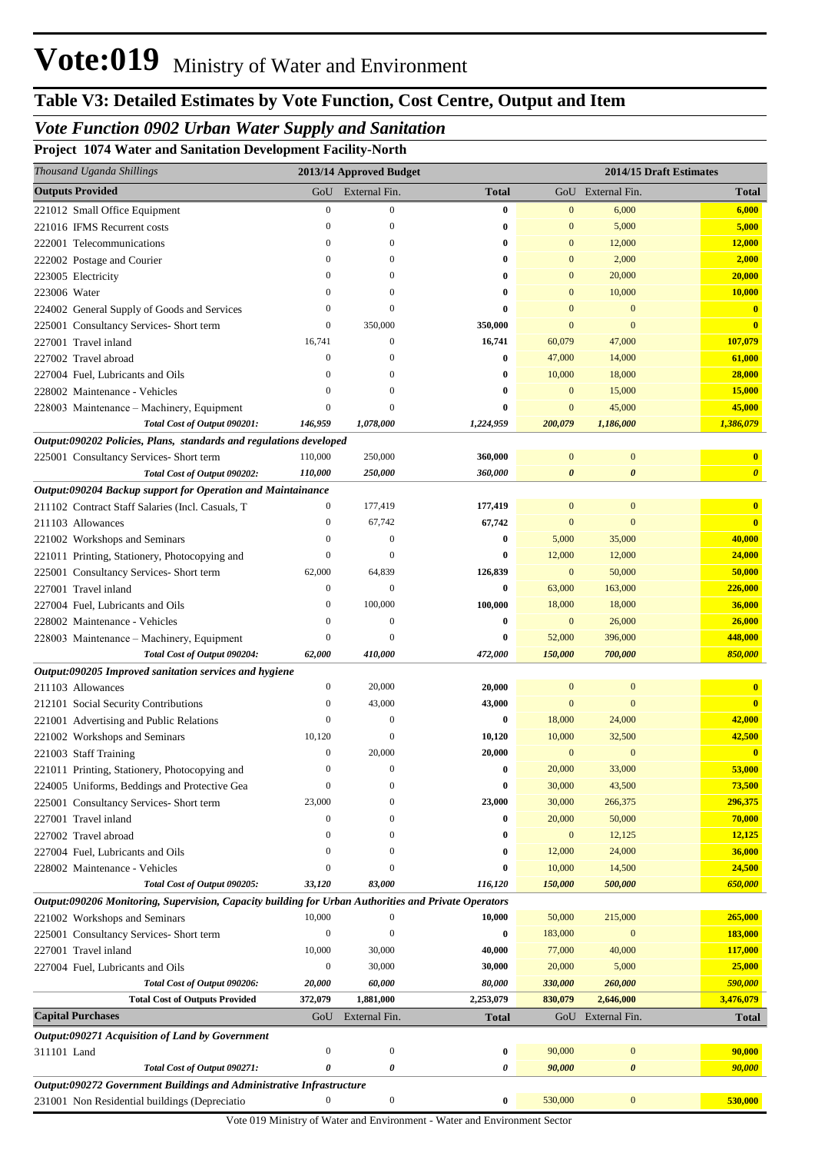# **Table V3: Detailed Estimates by Vote Function, Cost Centre, Output and Item**

## *Vote Function 0902 Urban Water Supply and Sanitation*

**Project 1074 Water and Sanitation Development Facility-North**

| <b>Outputs Provided</b><br>External Fin.<br>GoU External Fin.<br>GoU<br><b>Total</b><br><b>Total</b><br>$\boldsymbol{0}$<br>$\mathbf{0}$<br>$\boldsymbol{0}$<br>$\bf{0}$<br>6,000<br>6,000<br>221012 Small Office Equipment<br>5,000<br>$\Omega$<br>$\Omega$<br>$\mathbf{0}$<br>5,000<br>221016 IFMS Recurrent costs<br>0<br>12,000<br>$\mathbf{0}$<br>$\mathbf{0}$<br>12,000<br>222001 Telecommunications<br>$\Omega$<br>0<br>2,000<br>$\Omega$<br>$\mathbf{0}$<br>2,000<br>222002 Postage and Courier<br>$\Omega$<br>0<br>20,000<br>$\Omega$<br>$\mathbf{0}$<br>20,000<br>223005 Electricity<br>$\Omega$<br>0<br>10,000<br>10,000<br>223006 Water<br>$\mathbf{0}$<br>0<br>$\mathbf{0}$<br>$\Omega$<br>$\mathbf{0}$<br>$\mathbf{0}$<br>224002 General Supply of Goods and Services<br>$\mathbf{0}$<br>$\Omega$<br>0<br>$\Omega$<br>$\mathbf{0}$<br>$\boldsymbol{0}$<br>350,000<br>350,000<br>$\mathbf{0}$<br>225001 Consultancy Services- Short term<br>$\overline{0}$<br>227001 Travel inland<br>16,741<br>16,741<br>107,079<br>$\boldsymbol{0}$<br>60,079<br>47,000<br>$\mathbf{0}$<br>47,000<br>14,000<br>61,000<br>227002 Travel abroad<br>$\mathbf{0}$<br>0<br>10,000<br>18,000<br>28,000<br>227004 Fuel, Lubricants and Oils<br>$\Omega$<br>$\mathbf{0}$<br>0<br>$\mathbf{0}$<br>15,000<br>15,000<br>228002 Maintenance - Vehicles<br>$\mathbf{0}$<br>0<br>$\Omega$<br>$\boldsymbol{0}$<br>45,000<br>45,000<br>228003 Maintenance - Machinery, Equipment<br>$\Omega$<br>0<br>$\mathbf{0}$<br>1,386,079<br>Total Cost of Output 090201:<br>146,959<br>1,078,000<br>1,224,959<br>200,079<br>1,186,000<br>Output:090202 Policies, Plans, standards and regulations developed<br>110,000<br>250,000<br>$\mathbf{0}$<br>$\boldsymbol{0}$<br>225001 Consultancy Services- Short term<br>360,000<br>$\mathbf{0}$<br>Total Cost of Output 090202:<br>110,000<br>250,000<br>360,000<br>$\boldsymbol{\theta}$<br>$\boldsymbol{\theta}$<br>$\boldsymbol{\theta}$<br>Output:090204 Backup support for Operation and Maintainance<br>$\mathbf{0}$<br>$\mathbf{0}$<br>$\overline{\mathbf{0}}$<br>211102 Contract Staff Salaries (Incl. Casuals, T<br>0<br>177,419<br>177,419<br>211103 Allowances<br>67,742<br>67,742<br>$\mathbf{0}$<br>$\mathbf{0}$<br>$\overline{\mathbf{0}}$<br>$\mathbf{0}$<br>5,000<br>$\mathbf{0}$<br>$\mathbf{0}$<br>0<br>35,000<br>40,000<br>221002 Workshops and Seminars<br>$\boldsymbol{0}$<br>12,000<br>$\Omega$<br>12,000<br>24,000<br>221011 Printing, Stationery, Photocopying and<br>0<br>62,000<br>64,839<br>$\boldsymbol{0}$<br>50,000<br>126,839<br>50,000<br>225001 Consultancy Services- Short term<br>$\boldsymbol{0}$<br>$\mathbf{0}$<br>226,000<br>227001 Travel inland<br>$\bf{0}$<br>63,000<br>163,000<br>100,000<br>18,000<br>18,000<br>$\boldsymbol{0}$<br>36,000<br>227004 Fuel, Lubricants and Oils<br>100,000<br>$\boldsymbol{0}$<br>26,000<br>$\boldsymbol{0}$<br>$\boldsymbol{0}$<br>26,000<br>228002 Maintenance - Vehicles<br>0<br>$\mathbf{0}$<br>396,000<br>448,000<br>$\Omega$<br>52,000<br>0<br>228003 Maintenance – Machinery, Equipment<br>850,000<br>Total Cost of Output 090204:<br>62,000<br>410,000<br>472,000<br>150,000<br>700,000<br>Output:090205 Improved sanitation services and hygiene<br>$\boldsymbol{0}$<br>20,000<br>$\mathbf{0}$<br>$\mathbf{0}$<br>$\overline{\mathbf{0}}$<br>211103 Allowances<br>20,000<br>43,000<br>$\mathbf{0}$<br>$\boldsymbol{0}$<br>43,000<br>$\mathbf{0}$<br>$\overline{0}$<br>212101 Social Security Contributions<br>$\boldsymbol{0}$<br>$\boldsymbol{0}$<br>18,000<br>24,000<br>42,000<br>221001 Advertising and Public Relations<br>0<br>42,500<br>10,120<br>10,120<br>221002 Workshops and Seminars<br>$\Omega$<br>10,000<br>32,500<br>$\mathbf{0}$<br>$\boldsymbol{0}$<br>20,000<br>20,000<br>$\mathbf{0}$<br>$\mathbf{0}$<br>221003 Staff Training<br>53,000<br>20,000<br>33,000<br>221011 Printing, Stationery, Photocopying and<br>$\Omega$<br>$\Omega$<br>$\mathbf{0}$<br>73,500<br>$\mathbf{0}$<br>$\mathbf{0}$<br>$\bf{0}$<br>43,500<br>224005 Uniforms, Beddings and Protective Gea<br>30,000<br>296,375<br>23,000<br>23,000<br>30,000<br>266,375<br>225001 Consultancy Services- Short term<br>$\mathbf{0}$<br>70,000<br>20,000<br>50,000<br>227001 Travel inland<br>$\mathbf{0}$<br>$\mathbf{0}$<br>0<br>12,125<br>$\boldsymbol{0}$<br>12,125<br>227002 Travel abroad<br>$\mathbf{0}$<br>$\mathbf{0}$<br>0<br>36,000<br>12,000<br>24,000<br>227004 Fuel, Lubricants and Oils<br>$\mathbf{0}$<br>$\Omega$<br>0<br>24,500<br>10,000<br>14,500<br>228002 Maintenance - Vehicles<br>$\mathbf{0}$<br>$\mathbf{0}$<br>0<br>650,000<br>Total Cost of Output 090205:<br>83,000<br>150,000<br>500,000<br>33,120<br>116,120<br>Output:090206 Monitoring, Supervision, Capacity building for Urban Authorities and Private Operators<br>265,000<br>10,000<br>221002 Workshops and Seminars<br>$\Omega$<br>10,000<br>50,000<br>215,000<br>183,000<br>$\boldsymbol{0}$<br>$\overline{0}$<br>183,000<br>225001 Consultancy Services- Short term<br>0<br>$\mathbf{0}$<br>117,000<br>227001 Travel inland<br>10,000<br>30,000<br>40,000<br>77,000<br>40,000<br>25,000<br>30,000<br>30,000<br>20,000<br>5,000<br>227004 Fuel, Lubricants and Oils<br>0<br>590,000<br>20,000<br>60,000<br>80,000<br>330,000<br>260,000<br>Total Cost of Output 090206:<br><b>Total Cost of Outputs Provided</b><br>372,079<br>1,881,000<br>2,253,079<br>830,079<br>2,646,000<br>3,476,079<br><b>Capital Purchases</b><br>External Fin.<br>GoU<br><b>Total</b><br>GoU External Fin.<br><b>Total</b><br><b>Output:090271 Acquisition of Land by Government</b><br>90,000<br>$\boldsymbol{0}$<br>$\boldsymbol{0}$<br>0<br>90,000<br>$\boldsymbol{0}$<br>311101 Land<br>0<br>0<br>90,000<br>0<br>90,000<br>$\pmb{\theta}$<br>Total Cost of Output 090271:<br>Output:090272 Government Buildings and Administrative Infrastructure | Thousand Uganda Shillings | 2013/14 Approved Budget |  | 2014/15 Draft Estimates |
|--------------------------------------------------------------------------------------------------------------------------------------------------------------------------------------------------------------------------------------------------------------------------------------------------------------------------------------------------------------------------------------------------------------------------------------------------------------------------------------------------------------------------------------------------------------------------------------------------------------------------------------------------------------------------------------------------------------------------------------------------------------------------------------------------------------------------------------------------------------------------------------------------------------------------------------------------------------------------------------------------------------------------------------------------------------------------------------------------------------------------------------------------------------------------------------------------------------------------------------------------------------------------------------------------------------------------------------------------------------------------------------------------------------------------------------------------------------------------------------------------------------------------------------------------------------------------------------------------------------------------------------------------------------------------------------------------------------------------------------------------------------------------------------------------------------------------------------------------------------------------------------------------------------------------------------------------------------------------------------------------------------------------------------------------------------------------------------------------------------------------------------------------------------------------------------------------------------------------------------------------------------------------------------------------------------------------------------------------------------------------------------------------------------------------------------------------------------------------------------------------------------------------------------------------------------------------------------------------------------------------------------------------------------------------------------------------------------------------------------------------------------------------------------------------------------------------------------------------------------------------------------------------------------------------------------------------------------------------------------------------------------------------------------------------------------------------------------------------------------------------------------------------------------------------------------------------------------------------------------------------------------------------------------------------------------------------------------------------------------------------------------------------------------------------------------------------------------------------------------------------------------------------------------------------------------------------------------------------------------------------------------------------------------------------------------------------------------------------------------------------------------------------------------------------------------------------------------------------------------------------------------------------------------------------------------------------------------------------------------------------------------------------------------------------------------------------------------------------------------------------------------------------------------------------------------------------------------------------------------------------------------------------------------------------------------------------------------------------------------------------------------------------------------------------------------------------------------------------------------------------------------------------------------------------------------------------------------------------------------------------------------------------------------------------------------------------------------------------------------------------------------------------------------------------------------------------------------------------------------------------------------------------------------------------------------------------------------------------------------------------------------------------------------------------------------------------------------------------------------------------------------------------------------------------------------------------------------------------------------------------------------------------------------------------------------------------------------------------------------------------------------------------------------------------------------------------------------------------------------------------------------------------------------------------------------------------------------------------------------------------------------------------------------------------------------------------------------------------------------------------------------------------------------------------------------------------------------------------------------------------------------------------------|---------------------------|-------------------------|--|-------------------------|
|                                                                                                                                                                                                                                                                                                                                                                                                                                                                                                                                                                                                                                                                                                                                                                                                                                                                                                                                                                                                                                                                                                                                                                                                                                                                                                                                                                                                                                                                                                                                                                                                                                                                                                                                                                                                                                                                                                                                                                                                                                                                                                                                                                                                                                                                                                                                                                                                                                                                                                                                                                                                                                                                                                                                                                                                                                                                                                                                                                                                                                                                                                                                                                                                                                                                                                                                                                                                                                                                                                                                                                                                                                                                                                                                                                                                                                                                                                                                                                                                                                                                                                                                                                                                                                                                                                                                                                                                                                                                                                                                                                                                                                                                                                                                                                                                                                                                                                                                                                                                                                                                                                                                                                                                                                                                                                                                                                                                                                                                                                                                                                                                                                                                                                                                                                                                                                                                                                        |                           |                         |  |                         |
|                                                                                                                                                                                                                                                                                                                                                                                                                                                                                                                                                                                                                                                                                                                                                                                                                                                                                                                                                                                                                                                                                                                                                                                                                                                                                                                                                                                                                                                                                                                                                                                                                                                                                                                                                                                                                                                                                                                                                                                                                                                                                                                                                                                                                                                                                                                                                                                                                                                                                                                                                                                                                                                                                                                                                                                                                                                                                                                                                                                                                                                                                                                                                                                                                                                                                                                                                                                                                                                                                                                                                                                                                                                                                                                                                                                                                                                                                                                                                                                                                                                                                                                                                                                                                                                                                                                                                                                                                                                                                                                                                                                                                                                                                                                                                                                                                                                                                                                                                                                                                                                                                                                                                                                                                                                                                                                                                                                                                                                                                                                                                                                                                                                                                                                                                                                                                                                                                                        |                           |                         |  |                         |
|                                                                                                                                                                                                                                                                                                                                                                                                                                                                                                                                                                                                                                                                                                                                                                                                                                                                                                                                                                                                                                                                                                                                                                                                                                                                                                                                                                                                                                                                                                                                                                                                                                                                                                                                                                                                                                                                                                                                                                                                                                                                                                                                                                                                                                                                                                                                                                                                                                                                                                                                                                                                                                                                                                                                                                                                                                                                                                                                                                                                                                                                                                                                                                                                                                                                                                                                                                                                                                                                                                                                                                                                                                                                                                                                                                                                                                                                                                                                                                                                                                                                                                                                                                                                                                                                                                                                                                                                                                                                                                                                                                                                                                                                                                                                                                                                                                                                                                                                                                                                                                                                                                                                                                                                                                                                                                                                                                                                                                                                                                                                                                                                                                                                                                                                                                                                                                                                                                        |                           |                         |  |                         |
|                                                                                                                                                                                                                                                                                                                                                                                                                                                                                                                                                                                                                                                                                                                                                                                                                                                                                                                                                                                                                                                                                                                                                                                                                                                                                                                                                                                                                                                                                                                                                                                                                                                                                                                                                                                                                                                                                                                                                                                                                                                                                                                                                                                                                                                                                                                                                                                                                                                                                                                                                                                                                                                                                                                                                                                                                                                                                                                                                                                                                                                                                                                                                                                                                                                                                                                                                                                                                                                                                                                                                                                                                                                                                                                                                                                                                                                                                                                                                                                                                                                                                                                                                                                                                                                                                                                                                                                                                                                                                                                                                                                                                                                                                                                                                                                                                                                                                                                                                                                                                                                                                                                                                                                                                                                                                                                                                                                                                                                                                                                                                                                                                                                                                                                                                                                                                                                                                                        |                           |                         |  |                         |
|                                                                                                                                                                                                                                                                                                                                                                                                                                                                                                                                                                                                                                                                                                                                                                                                                                                                                                                                                                                                                                                                                                                                                                                                                                                                                                                                                                                                                                                                                                                                                                                                                                                                                                                                                                                                                                                                                                                                                                                                                                                                                                                                                                                                                                                                                                                                                                                                                                                                                                                                                                                                                                                                                                                                                                                                                                                                                                                                                                                                                                                                                                                                                                                                                                                                                                                                                                                                                                                                                                                                                                                                                                                                                                                                                                                                                                                                                                                                                                                                                                                                                                                                                                                                                                                                                                                                                                                                                                                                                                                                                                                                                                                                                                                                                                                                                                                                                                                                                                                                                                                                                                                                                                                                                                                                                                                                                                                                                                                                                                                                                                                                                                                                                                                                                                                                                                                                                                        |                           |                         |  |                         |
|                                                                                                                                                                                                                                                                                                                                                                                                                                                                                                                                                                                                                                                                                                                                                                                                                                                                                                                                                                                                                                                                                                                                                                                                                                                                                                                                                                                                                                                                                                                                                                                                                                                                                                                                                                                                                                                                                                                                                                                                                                                                                                                                                                                                                                                                                                                                                                                                                                                                                                                                                                                                                                                                                                                                                                                                                                                                                                                                                                                                                                                                                                                                                                                                                                                                                                                                                                                                                                                                                                                                                                                                                                                                                                                                                                                                                                                                                                                                                                                                                                                                                                                                                                                                                                                                                                                                                                                                                                                                                                                                                                                                                                                                                                                                                                                                                                                                                                                                                                                                                                                                                                                                                                                                                                                                                                                                                                                                                                                                                                                                                                                                                                                                                                                                                                                                                                                                                                        |                           |                         |  |                         |
|                                                                                                                                                                                                                                                                                                                                                                                                                                                                                                                                                                                                                                                                                                                                                                                                                                                                                                                                                                                                                                                                                                                                                                                                                                                                                                                                                                                                                                                                                                                                                                                                                                                                                                                                                                                                                                                                                                                                                                                                                                                                                                                                                                                                                                                                                                                                                                                                                                                                                                                                                                                                                                                                                                                                                                                                                                                                                                                                                                                                                                                                                                                                                                                                                                                                                                                                                                                                                                                                                                                                                                                                                                                                                                                                                                                                                                                                                                                                                                                                                                                                                                                                                                                                                                                                                                                                                                                                                                                                                                                                                                                                                                                                                                                                                                                                                                                                                                                                                                                                                                                                                                                                                                                                                                                                                                                                                                                                                                                                                                                                                                                                                                                                                                                                                                                                                                                                                                        |                           |                         |  |                         |
|                                                                                                                                                                                                                                                                                                                                                                                                                                                                                                                                                                                                                                                                                                                                                                                                                                                                                                                                                                                                                                                                                                                                                                                                                                                                                                                                                                                                                                                                                                                                                                                                                                                                                                                                                                                                                                                                                                                                                                                                                                                                                                                                                                                                                                                                                                                                                                                                                                                                                                                                                                                                                                                                                                                                                                                                                                                                                                                                                                                                                                                                                                                                                                                                                                                                                                                                                                                                                                                                                                                                                                                                                                                                                                                                                                                                                                                                                                                                                                                                                                                                                                                                                                                                                                                                                                                                                                                                                                                                                                                                                                                                                                                                                                                                                                                                                                                                                                                                                                                                                                                                                                                                                                                                                                                                                                                                                                                                                                                                                                                                                                                                                                                                                                                                                                                                                                                                                                        |                           |                         |  |                         |
|                                                                                                                                                                                                                                                                                                                                                                                                                                                                                                                                                                                                                                                                                                                                                                                                                                                                                                                                                                                                                                                                                                                                                                                                                                                                                                                                                                                                                                                                                                                                                                                                                                                                                                                                                                                                                                                                                                                                                                                                                                                                                                                                                                                                                                                                                                                                                                                                                                                                                                                                                                                                                                                                                                                                                                                                                                                                                                                                                                                                                                                                                                                                                                                                                                                                                                                                                                                                                                                                                                                                                                                                                                                                                                                                                                                                                                                                                                                                                                                                                                                                                                                                                                                                                                                                                                                                                                                                                                                                                                                                                                                                                                                                                                                                                                                                                                                                                                                                                                                                                                                                                                                                                                                                                                                                                                                                                                                                                                                                                                                                                                                                                                                                                                                                                                                                                                                                                                        |                           |                         |  |                         |
|                                                                                                                                                                                                                                                                                                                                                                                                                                                                                                                                                                                                                                                                                                                                                                                                                                                                                                                                                                                                                                                                                                                                                                                                                                                                                                                                                                                                                                                                                                                                                                                                                                                                                                                                                                                                                                                                                                                                                                                                                                                                                                                                                                                                                                                                                                                                                                                                                                                                                                                                                                                                                                                                                                                                                                                                                                                                                                                                                                                                                                                                                                                                                                                                                                                                                                                                                                                                                                                                                                                                                                                                                                                                                                                                                                                                                                                                                                                                                                                                                                                                                                                                                                                                                                                                                                                                                                                                                                                                                                                                                                                                                                                                                                                                                                                                                                                                                                                                                                                                                                                                                                                                                                                                                                                                                                                                                                                                                                                                                                                                                                                                                                                                                                                                                                                                                                                                                                        |                           |                         |  |                         |
|                                                                                                                                                                                                                                                                                                                                                                                                                                                                                                                                                                                                                                                                                                                                                                                                                                                                                                                                                                                                                                                                                                                                                                                                                                                                                                                                                                                                                                                                                                                                                                                                                                                                                                                                                                                                                                                                                                                                                                                                                                                                                                                                                                                                                                                                                                                                                                                                                                                                                                                                                                                                                                                                                                                                                                                                                                                                                                                                                                                                                                                                                                                                                                                                                                                                                                                                                                                                                                                                                                                                                                                                                                                                                                                                                                                                                                                                                                                                                                                                                                                                                                                                                                                                                                                                                                                                                                                                                                                                                                                                                                                                                                                                                                                                                                                                                                                                                                                                                                                                                                                                                                                                                                                                                                                                                                                                                                                                                                                                                                                                                                                                                                                                                                                                                                                                                                                                                                        |                           |                         |  |                         |
|                                                                                                                                                                                                                                                                                                                                                                                                                                                                                                                                                                                                                                                                                                                                                                                                                                                                                                                                                                                                                                                                                                                                                                                                                                                                                                                                                                                                                                                                                                                                                                                                                                                                                                                                                                                                                                                                                                                                                                                                                                                                                                                                                                                                                                                                                                                                                                                                                                                                                                                                                                                                                                                                                                                                                                                                                                                                                                                                                                                                                                                                                                                                                                                                                                                                                                                                                                                                                                                                                                                                                                                                                                                                                                                                                                                                                                                                                                                                                                                                                                                                                                                                                                                                                                                                                                                                                                                                                                                                                                                                                                                                                                                                                                                                                                                                                                                                                                                                                                                                                                                                                                                                                                                                                                                                                                                                                                                                                                                                                                                                                                                                                                                                                                                                                                                                                                                                                                        |                           |                         |  |                         |
|                                                                                                                                                                                                                                                                                                                                                                                                                                                                                                                                                                                                                                                                                                                                                                                                                                                                                                                                                                                                                                                                                                                                                                                                                                                                                                                                                                                                                                                                                                                                                                                                                                                                                                                                                                                                                                                                                                                                                                                                                                                                                                                                                                                                                                                                                                                                                                                                                                                                                                                                                                                                                                                                                                                                                                                                                                                                                                                                                                                                                                                                                                                                                                                                                                                                                                                                                                                                                                                                                                                                                                                                                                                                                                                                                                                                                                                                                                                                                                                                                                                                                                                                                                                                                                                                                                                                                                                                                                                                                                                                                                                                                                                                                                                                                                                                                                                                                                                                                                                                                                                                                                                                                                                                                                                                                                                                                                                                                                                                                                                                                                                                                                                                                                                                                                                                                                                                                                        |                           |                         |  |                         |
|                                                                                                                                                                                                                                                                                                                                                                                                                                                                                                                                                                                                                                                                                                                                                                                                                                                                                                                                                                                                                                                                                                                                                                                                                                                                                                                                                                                                                                                                                                                                                                                                                                                                                                                                                                                                                                                                                                                                                                                                                                                                                                                                                                                                                                                                                                                                                                                                                                                                                                                                                                                                                                                                                                                                                                                                                                                                                                                                                                                                                                                                                                                                                                                                                                                                                                                                                                                                                                                                                                                                                                                                                                                                                                                                                                                                                                                                                                                                                                                                                                                                                                                                                                                                                                                                                                                                                                                                                                                                                                                                                                                                                                                                                                                                                                                                                                                                                                                                                                                                                                                                                                                                                                                                                                                                                                                                                                                                                                                                                                                                                                                                                                                                                                                                                                                                                                                                                                        |                           |                         |  |                         |
|                                                                                                                                                                                                                                                                                                                                                                                                                                                                                                                                                                                                                                                                                                                                                                                                                                                                                                                                                                                                                                                                                                                                                                                                                                                                                                                                                                                                                                                                                                                                                                                                                                                                                                                                                                                                                                                                                                                                                                                                                                                                                                                                                                                                                                                                                                                                                                                                                                                                                                                                                                                                                                                                                                                                                                                                                                                                                                                                                                                                                                                                                                                                                                                                                                                                                                                                                                                                                                                                                                                                                                                                                                                                                                                                                                                                                                                                                                                                                                                                                                                                                                                                                                                                                                                                                                                                                                                                                                                                                                                                                                                                                                                                                                                                                                                                                                                                                                                                                                                                                                                                                                                                                                                                                                                                                                                                                                                                                                                                                                                                                                                                                                                                                                                                                                                                                                                                                                        |                           |                         |  |                         |
|                                                                                                                                                                                                                                                                                                                                                                                                                                                                                                                                                                                                                                                                                                                                                                                                                                                                                                                                                                                                                                                                                                                                                                                                                                                                                                                                                                                                                                                                                                                                                                                                                                                                                                                                                                                                                                                                                                                                                                                                                                                                                                                                                                                                                                                                                                                                                                                                                                                                                                                                                                                                                                                                                                                                                                                                                                                                                                                                                                                                                                                                                                                                                                                                                                                                                                                                                                                                                                                                                                                                                                                                                                                                                                                                                                                                                                                                                                                                                                                                                                                                                                                                                                                                                                                                                                                                                                                                                                                                                                                                                                                                                                                                                                                                                                                                                                                                                                                                                                                                                                                                                                                                                                                                                                                                                                                                                                                                                                                                                                                                                                                                                                                                                                                                                                                                                                                                                                        |                           |                         |  |                         |
|                                                                                                                                                                                                                                                                                                                                                                                                                                                                                                                                                                                                                                                                                                                                                                                                                                                                                                                                                                                                                                                                                                                                                                                                                                                                                                                                                                                                                                                                                                                                                                                                                                                                                                                                                                                                                                                                                                                                                                                                                                                                                                                                                                                                                                                                                                                                                                                                                                                                                                                                                                                                                                                                                                                                                                                                                                                                                                                                                                                                                                                                                                                                                                                                                                                                                                                                                                                                                                                                                                                                                                                                                                                                                                                                                                                                                                                                                                                                                                                                                                                                                                                                                                                                                                                                                                                                                                                                                                                                                                                                                                                                                                                                                                                                                                                                                                                                                                                                                                                                                                                                                                                                                                                                                                                                                                                                                                                                                                                                                                                                                                                                                                                                                                                                                                                                                                                                                                        |                           |                         |  |                         |
|                                                                                                                                                                                                                                                                                                                                                                                                                                                                                                                                                                                                                                                                                                                                                                                                                                                                                                                                                                                                                                                                                                                                                                                                                                                                                                                                                                                                                                                                                                                                                                                                                                                                                                                                                                                                                                                                                                                                                                                                                                                                                                                                                                                                                                                                                                                                                                                                                                                                                                                                                                                                                                                                                                                                                                                                                                                                                                                                                                                                                                                                                                                                                                                                                                                                                                                                                                                                                                                                                                                                                                                                                                                                                                                                                                                                                                                                                                                                                                                                                                                                                                                                                                                                                                                                                                                                                                                                                                                                                                                                                                                                                                                                                                                                                                                                                                                                                                                                                                                                                                                                                                                                                                                                                                                                                                                                                                                                                                                                                                                                                                                                                                                                                                                                                                                                                                                                                                        |                           |                         |  |                         |
|                                                                                                                                                                                                                                                                                                                                                                                                                                                                                                                                                                                                                                                                                                                                                                                                                                                                                                                                                                                                                                                                                                                                                                                                                                                                                                                                                                                                                                                                                                                                                                                                                                                                                                                                                                                                                                                                                                                                                                                                                                                                                                                                                                                                                                                                                                                                                                                                                                                                                                                                                                                                                                                                                                                                                                                                                                                                                                                                                                                                                                                                                                                                                                                                                                                                                                                                                                                                                                                                                                                                                                                                                                                                                                                                                                                                                                                                                                                                                                                                                                                                                                                                                                                                                                                                                                                                                                                                                                                                                                                                                                                                                                                                                                                                                                                                                                                                                                                                                                                                                                                                                                                                                                                                                                                                                                                                                                                                                                                                                                                                                                                                                                                                                                                                                                                                                                                                                                        |                           |                         |  |                         |
|                                                                                                                                                                                                                                                                                                                                                                                                                                                                                                                                                                                                                                                                                                                                                                                                                                                                                                                                                                                                                                                                                                                                                                                                                                                                                                                                                                                                                                                                                                                                                                                                                                                                                                                                                                                                                                                                                                                                                                                                                                                                                                                                                                                                                                                                                                                                                                                                                                                                                                                                                                                                                                                                                                                                                                                                                                                                                                                                                                                                                                                                                                                                                                                                                                                                                                                                                                                                                                                                                                                                                                                                                                                                                                                                                                                                                                                                                                                                                                                                                                                                                                                                                                                                                                                                                                                                                                                                                                                                                                                                                                                                                                                                                                                                                                                                                                                                                                                                                                                                                                                                                                                                                                                                                                                                                                                                                                                                                                                                                                                                                                                                                                                                                                                                                                                                                                                                                                        |                           |                         |  |                         |
|                                                                                                                                                                                                                                                                                                                                                                                                                                                                                                                                                                                                                                                                                                                                                                                                                                                                                                                                                                                                                                                                                                                                                                                                                                                                                                                                                                                                                                                                                                                                                                                                                                                                                                                                                                                                                                                                                                                                                                                                                                                                                                                                                                                                                                                                                                                                                                                                                                                                                                                                                                                                                                                                                                                                                                                                                                                                                                                                                                                                                                                                                                                                                                                                                                                                                                                                                                                                                                                                                                                                                                                                                                                                                                                                                                                                                                                                                                                                                                                                                                                                                                                                                                                                                                                                                                                                                                                                                                                                                                                                                                                                                                                                                                                                                                                                                                                                                                                                                                                                                                                                                                                                                                                                                                                                                                                                                                                                                                                                                                                                                                                                                                                                                                                                                                                                                                                                                                        |                           |                         |  |                         |
|                                                                                                                                                                                                                                                                                                                                                                                                                                                                                                                                                                                                                                                                                                                                                                                                                                                                                                                                                                                                                                                                                                                                                                                                                                                                                                                                                                                                                                                                                                                                                                                                                                                                                                                                                                                                                                                                                                                                                                                                                                                                                                                                                                                                                                                                                                                                                                                                                                                                                                                                                                                                                                                                                                                                                                                                                                                                                                                                                                                                                                                                                                                                                                                                                                                                                                                                                                                                                                                                                                                                                                                                                                                                                                                                                                                                                                                                                                                                                                                                                                                                                                                                                                                                                                                                                                                                                                                                                                                                                                                                                                                                                                                                                                                                                                                                                                                                                                                                                                                                                                                                                                                                                                                                                                                                                                                                                                                                                                                                                                                                                                                                                                                                                                                                                                                                                                                                                                        |                           |                         |  |                         |
|                                                                                                                                                                                                                                                                                                                                                                                                                                                                                                                                                                                                                                                                                                                                                                                                                                                                                                                                                                                                                                                                                                                                                                                                                                                                                                                                                                                                                                                                                                                                                                                                                                                                                                                                                                                                                                                                                                                                                                                                                                                                                                                                                                                                                                                                                                                                                                                                                                                                                                                                                                                                                                                                                                                                                                                                                                                                                                                                                                                                                                                                                                                                                                                                                                                                                                                                                                                                                                                                                                                                                                                                                                                                                                                                                                                                                                                                                                                                                                                                                                                                                                                                                                                                                                                                                                                                                                                                                                                                                                                                                                                                                                                                                                                                                                                                                                                                                                                                                                                                                                                                                                                                                                                                                                                                                                                                                                                                                                                                                                                                                                                                                                                                                                                                                                                                                                                                                                        |                           |                         |  |                         |
|                                                                                                                                                                                                                                                                                                                                                                                                                                                                                                                                                                                                                                                                                                                                                                                                                                                                                                                                                                                                                                                                                                                                                                                                                                                                                                                                                                                                                                                                                                                                                                                                                                                                                                                                                                                                                                                                                                                                                                                                                                                                                                                                                                                                                                                                                                                                                                                                                                                                                                                                                                                                                                                                                                                                                                                                                                                                                                                                                                                                                                                                                                                                                                                                                                                                                                                                                                                                                                                                                                                                                                                                                                                                                                                                                                                                                                                                                                                                                                                                                                                                                                                                                                                                                                                                                                                                                                                                                                                                                                                                                                                                                                                                                                                                                                                                                                                                                                                                                                                                                                                                                                                                                                                                                                                                                                                                                                                                                                                                                                                                                                                                                                                                                                                                                                                                                                                                                                        |                           |                         |  |                         |
|                                                                                                                                                                                                                                                                                                                                                                                                                                                                                                                                                                                                                                                                                                                                                                                                                                                                                                                                                                                                                                                                                                                                                                                                                                                                                                                                                                                                                                                                                                                                                                                                                                                                                                                                                                                                                                                                                                                                                                                                                                                                                                                                                                                                                                                                                                                                                                                                                                                                                                                                                                                                                                                                                                                                                                                                                                                                                                                                                                                                                                                                                                                                                                                                                                                                                                                                                                                                                                                                                                                                                                                                                                                                                                                                                                                                                                                                                                                                                                                                                                                                                                                                                                                                                                                                                                                                                                                                                                                                                                                                                                                                                                                                                                                                                                                                                                                                                                                                                                                                                                                                                                                                                                                                                                                                                                                                                                                                                                                                                                                                                                                                                                                                                                                                                                                                                                                                                                        |                           |                         |  |                         |
|                                                                                                                                                                                                                                                                                                                                                                                                                                                                                                                                                                                                                                                                                                                                                                                                                                                                                                                                                                                                                                                                                                                                                                                                                                                                                                                                                                                                                                                                                                                                                                                                                                                                                                                                                                                                                                                                                                                                                                                                                                                                                                                                                                                                                                                                                                                                                                                                                                                                                                                                                                                                                                                                                                                                                                                                                                                                                                                                                                                                                                                                                                                                                                                                                                                                                                                                                                                                                                                                                                                                                                                                                                                                                                                                                                                                                                                                                                                                                                                                                                                                                                                                                                                                                                                                                                                                                                                                                                                                                                                                                                                                                                                                                                                                                                                                                                                                                                                                                                                                                                                                                                                                                                                                                                                                                                                                                                                                                                                                                                                                                                                                                                                                                                                                                                                                                                                                                                        |                           |                         |  |                         |
|                                                                                                                                                                                                                                                                                                                                                                                                                                                                                                                                                                                                                                                                                                                                                                                                                                                                                                                                                                                                                                                                                                                                                                                                                                                                                                                                                                                                                                                                                                                                                                                                                                                                                                                                                                                                                                                                                                                                                                                                                                                                                                                                                                                                                                                                                                                                                                                                                                                                                                                                                                                                                                                                                                                                                                                                                                                                                                                                                                                                                                                                                                                                                                                                                                                                                                                                                                                                                                                                                                                                                                                                                                                                                                                                                                                                                                                                                                                                                                                                                                                                                                                                                                                                                                                                                                                                                                                                                                                                                                                                                                                                                                                                                                                                                                                                                                                                                                                                                                                                                                                                                                                                                                                                                                                                                                                                                                                                                                                                                                                                                                                                                                                                                                                                                                                                                                                                                                        |                           |                         |  |                         |
|                                                                                                                                                                                                                                                                                                                                                                                                                                                                                                                                                                                                                                                                                                                                                                                                                                                                                                                                                                                                                                                                                                                                                                                                                                                                                                                                                                                                                                                                                                                                                                                                                                                                                                                                                                                                                                                                                                                                                                                                                                                                                                                                                                                                                                                                                                                                                                                                                                                                                                                                                                                                                                                                                                                                                                                                                                                                                                                                                                                                                                                                                                                                                                                                                                                                                                                                                                                                                                                                                                                                                                                                                                                                                                                                                                                                                                                                                                                                                                                                                                                                                                                                                                                                                                                                                                                                                                                                                                                                                                                                                                                                                                                                                                                                                                                                                                                                                                                                                                                                                                                                                                                                                                                                                                                                                                                                                                                                                                                                                                                                                                                                                                                                                                                                                                                                                                                                                                        |                           |                         |  |                         |
|                                                                                                                                                                                                                                                                                                                                                                                                                                                                                                                                                                                                                                                                                                                                                                                                                                                                                                                                                                                                                                                                                                                                                                                                                                                                                                                                                                                                                                                                                                                                                                                                                                                                                                                                                                                                                                                                                                                                                                                                                                                                                                                                                                                                                                                                                                                                                                                                                                                                                                                                                                                                                                                                                                                                                                                                                                                                                                                                                                                                                                                                                                                                                                                                                                                                                                                                                                                                                                                                                                                                                                                                                                                                                                                                                                                                                                                                                                                                                                                                                                                                                                                                                                                                                                                                                                                                                                                                                                                                                                                                                                                                                                                                                                                                                                                                                                                                                                                                                                                                                                                                                                                                                                                                                                                                                                                                                                                                                                                                                                                                                                                                                                                                                                                                                                                                                                                                                                        |                           |                         |  |                         |
|                                                                                                                                                                                                                                                                                                                                                                                                                                                                                                                                                                                                                                                                                                                                                                                                                                                                                                                                                                                                                                                                                                                                                                                                                                                                                                                                                                                                                                                                                                                                                                                                                                                                                                                                                                                                                                                                                                                                                                                                                                                                                                                                                                                                                                                                                                                                                                                                                                                                                                                                                                                                                                                                                                                                                                                                                                                                                                                                                                                                                                                                                                                                                                                                                                                                                                                                                                                                                                                                                                                                                                                                                                                                                                                                                                                                                                                                                                                                                                                                                                                                                                                                                                                                                                                                                                                                                                                                                                                                                                                                                                                                                                                                                                                                                                                                                                                                                                                                                                                                                                                                                                                                                                                                                                                                                                                                                                                                                                                                                                                                                                                                                                                                                                                                                                                                                                                                                                        |                           |                         |  |                         |
|                                                                                                                                                                                                                                                                                                                                                                                                                                                                                                                                                                                                                                                                                                                                                                                                                                                                                                                                                                                                                                                                                                                                                                                                                                                                                                                                                                                                                                                                                                                                                                                                                                                                                                                                                                                                                                                                                                                                                                                                                                                                                                                                                                                                                                                                                                                                                                                                                                                                                                                                                                                                                                                                                                                                                                                                                                                                                                                                                                                                                                                                                                                                                                                                                                                                                                                                                                                                                                                                                                                                                                                                                                                                                                                                                                                                                                                                                                                                                                                                                                                                                                                                                                                                                                                                                                                                                                                                                                                                                                                                                                                                                                                                                                                                                                                                                                                                                                                                                                                                                                                                                                                                                                                                                                                                                                                                                                                                                                                                                                                                                                                                                                                                                                                                                                                                                                                                                                        |                           |                         |  |                         |
|                                                                                                                                                                                                                                                                                                                                                                                                                                                                                                                                                                                                                                                                                                                                                                                                                                                                                                                                                                                                                                                                                                                                                                                                                                                                                                                                                                                                                                                                                                                                                                                                                                                                                                                                                                                                                                                                                                                                                                                                                                                                                                                                                                                                                                                                                                                                                                                                                                                                                                                                                                                                                                                                                                                                                                                                                                                                                                                                                                                                                                                                                                                                                                                                                                                                                                                                                                                                                                                                                                                                                                                                                                                                                                                                                                                                                                                                                                                                                                                                                                                                                                                                                                                                                                                                                                                                                                                                                                                                                                                                                                                                                                                                                                                                                                                                                                                                                                                                                                                                                                                                                                                                                                                                                                                                                                                                                                                                                                                                                                                                                                                                                                                                                                                                                                                                                                                                                                        |                           |                         |  |                         |
|                                                                                                                                                                                                                                                                                                                                                                                                                                                                                                                                                                                                                                                                                                                                                                                                                                                                                                                                                                                                                                                                                                                                                                                                                                                                                                                                                                                                                                                                                                                                                                                                                                                                                                                                                                                                                                                                                                                                                                                                                                                                                                                                                                                                                                                                                                                                                                                                                                                                                                                                                                                                                                                                                                                                                                                                                                                                                                                                                                                                                                                                                                                                                                                                                                                                                                                                                                                                                                                                                                                                                                                                                                                                                                                                                                                                                                                                                                                                                                                                                                                                                                                                                                                                                                                                                                                                                                                                                                                                                                                                                                                                                                                                                                                                                                                                                                                                                                                                                                                                                                                                                                                                                                                                                                                                                                                                                                                                                                                                                                                                                                                                                                                                                                                                                                                                                                                                                                        |                           |                         |  |                         |
|                                                                                                                                                                                                                                                                                                                                                                                                                                                                                                                                                                                                                                                                                                                                                                                                                                                                                                                                                                                                                                                                                                                                                                                                                                                                                                                                                                                                                                                                                                                                                                                                                                                                                                                                                                                                                                                                                                                                                                                                                                                                                                                                                                                                                                                                                                                                                                                                                                                                                                                                                                                                                                                                                                                                                                                                                                                                                                                                                                                                                                                                                                                                                                                                                                                                                                                                                                                                                                                                                                                                                                                                                                                                                                                                                                                                                                                                                                                                                                                                                                                                                                                                                                                                                                                                                                                                                                                                                                                                                                                                                                                                                                                                                                                                                                                                                                                                                                                                                                                                                                                                                                                                                                                                                                                                                                                                                                                                                                                                                                                                                                                                                                                                                                                                                                                                                                                                                                        |                           |                         |  |                         |
|                                                                                                                                                                                                                                                                                                                                                                                                                                                                                                                                                                                                                                                                                                                                                                                                                                                                                                                                                                                                                                                                                                                                                                                                                                                                                                                                                                                                                                                                                                                                                                                                                                                                                                                                                                                                                                                                                                                                                                                                                                                                                                                                                                                                                                                                                                                                                                                                                                                                                                                                                                                                                                                                                                                                                                                                                                                                                                                                                                                                                                                                                                                                                                                                                                                                                                                                                                                                                                                                                                                                                                                                                                                                                                                                                                                                                                                                                                                                                                                                                                                                                                                                                                                                                                                                                                                                                                                                                                                                                                                                                                                                                                                                                                                                                                                                                                                                                                                                                                                                                                                                                                                                                                                                                                                                                                                                                                                                                                                                                                                                                                                                                                                                                                                                                                                                                                                                                                        |                           |                         |  |                         |
|                                                                                                                                                                                                                                                                                                                                                                                                                                                                                                                                                                                                                                                                                                                                                                                                                                                                                                                                                                                                                                                                                                                                                                                                                                                                                                                                                                                                                                                                                                                                                                                                                                                                                                                                                                                                                                                                                                                                                                                                                                                                                                                                                                                                                                                                                                                                                                                                                                                                                                                                                                                                                                                                                                                                                                                                                                                                                                                                                                                                                                                                                                                                                                                                                                                                                                                                                                                                                                                                                                                                                                                                                                                                                                                                                                                                                                                                                                                                                                                                                                                                                                                                                                                                                                                                                                                                                                                                                                                                                                                                                                                                                                                                                                                                                                                                                                                                                                                                                                                                                                                                                                                                                                                                                                                                                                                                                                                                                                                                                                                                                                                                                                                                                                                                                                                                                                                                                                        |                           |                         |  |                         |
|                                                                                                                                                                                                                                                                                                                                                                                                                                                                                                                                                                                                                                                                                                                                                                                                                                                                                                                                                                                                                                                                                                                                                                                                                                                                                                                                                                                                                                                                                                                                                                                                                                                                                                                                                                                                                                                                                                                                                                                                                                                                                                                                                                                                                                                                                                                                                                                                                                                                                                                                                                                                                                                                                                                                                                                                                                                                                                                                                                                                                                                                                                                                                                                                                                                                                                                                                                                                                                                                                                                                                                                                                                                                                                                                                                                                                                                                                                                                                                                                                                                                                                                                                                                                                                                                                                                                                                                                                                                                                                                                                                                                                                                                                                                                                                                                                                                                                                                                                                                                                                                                                                                                                                                                                                                                                                                                                                                                                                                                                                                                                                                                                                                                                                                                                                                                                                                                                                        |                           |                         |  |                         |
|                                                                                                                                                                                                                                                                                                                                                                                                                                                                                                                                                                                                                                                                                                                                                                                                                                                                                                                                                                                                                                                                                                                                                                                                                                                                                                                                                                                                                                                                                                                                                                                                                                                                                                                                                                                                                                                                                                                                                                                                                                                                                                                                                                                                                                                                                                                                                                                                                                                                                                                                                                                                                                                                                                                                                                                                                                                                                                                                                                                                                                                                                                                                                                                                                                                                                                                                                                                                                                                                                                                                                                                                                                                                                                                                                                                                                                                                                                                                                                                                                                                                                                                                                                                                                                                                                                                                                                                                                                                                                                                                                                                                                                                                                                                                                                                                                                                                                                                                                                                                                                                                                                                                                                                                                                                                                                                                                                                                                                                                                                                                                                                                                                                                                                                                                                                                                                                                                                        |                           |                         |  |                         |
|                                                                                                                                                                                                                                                                                                                                                                                                                                                                                                                                                                                                                                                                                                                                                                                                                                                                                                                                                                                                                                                                                                                                                                                                                                                                                                                                                                                                                                                                                                                                                                                                                                                                                                                                                                                                                                                                                                                                                                                                                                                                                                                                                                                                                                                                                                                                                                                                                                                                                                                                                                                                                                                                                                                                                                                                                                                                                                                                                                                                                                                                                                                                                                                                                                                                                                                                                                                                                                                                                                                                                                                                                                                                                                                                                                                                                                                                                                                                                                                                                                                                                                                                                                                                                                                                                                                                                                                                                                                                                                                                                                                                                                                                                                                                                                                                                                                                                                                                                                                                                                                                                                                                                                                                                                                                                                                                                                                                                                                                                                                                                                                                                                                                                                                                                                                                                                                                                                        |                           |                         |  |                         |
|                                                                                                                                                                                                                                                                                                                                                                                                                                                                                                                                                                                                                                                                                                                                                                                                                                                                                                                                                                                                                                                                                                                                                                                                                                                                                                                                                                                                                                                                                                                                                                                                                                                                                                                                                                                                                                                                                                                                                                                                                                                                                                                                                                                                                                                                                                                                                                                                                                                                                                                                                                                                                                                                                                                                                                                                                                                                                                                                                                                                                                                                                                                                                                                                                                                                                                                                                                                                                                                                                                                                                                                                                                                                                                                                                                                                                                                                                                                                                                                                                                                                                                                                                                                                                                                                                                                                                                                                                                                                                                                                                                                                                                                                                                                                                                                                                                                                                                                                                                                                                                                                                                                                                                                                                                                                                                                                                                                                                                                                                                                                                                                                                                                                                                                                                                                                                                                                                                        |                           |                         |  |                         |
|                                                                                                                                                                                                                                                                                                                                                                                                                                                                                                                                                                                                                                                                                                                                                                                                                                                                                                                                                                                                                                                                                                                                                                                                                                                                                                                                                                                                                                                                                                                                                                                                                                                                                                                                                                                                                                                                                                                                                                                                                                                                                                                                                                                                                                                                                                                                                                                                                                                                                                                                                                                                                                                                                                                                                                                                                                                                                                                                                                                                                                                                                                                                                                                                                                                                                                                                                                                                                                                                                                                                                                                                                                                                                                                                                                                                                                                                                                                                                                                                                                                                                                                                                                                                                                                                                                                                                                                                                                                                                                                                                                                                                                                                                                                                                                                                                                                                                                                                                                                                                                                                                                                                                                                                                                                                                                                                                                                                                                                                                                                                                                                                                                                                                                                                                                                                                                                                                                        |                           |                         |  |                         |
|                                                                                                                                                                                                                                                                                                                                                                                                                                                                                                                                                                                                                                                                                                                                                                                                                                                                                                                                                                                                                                                                                                                                                                                                                                                                                                                                                                                                                                                                                                                                                                                                                                                                                                                                                                                                                                                                                                                                                                                                                                                                                                                                                                                                                                                                                                                                                                                                                                                                                                                                                                                                                                                                                                                                                                                                                                                                                                                                                                                                                                                                                                                                                                                                                                                                                                                                                                                                                                                                                                                                                                                                                                                                                                                                                                                                                                                                                                                                                                                                                                                                                                                                                                                                                                                                                                                                                                                                                                                                                                                                                                                                                                                                                                                                                                                                                                                                                                                                                                                                                                                                                                                                                                                                                                                                                                                                                                                                                                                                                                                                                                                                                                                                                                                                                                                                                                                                                                        |                           |                         |  |                         |
|                                                                                                                                                                                                                                                                                                                                                                                                                                                                                                                                                                                                                                                                                                                                                                                                                                                                                                                                                                                                                                                                                                                                                                                                                                                                                                                                                                                                                                                                                                                                                                                                                                                                                                                                                                                                                                                                                                                                                                                                                                                                                                                                                                                                                                                                                                                                                                                                                                                                                                                                                                                                                                                                                                                                                                                                                                                                                                                                                                                                                                                                                                                                                                                                                                                                                                                                                                                                                                                                                                                                                                                                                                                                                                                                                                                                                                                                                                                                                                                                                                                                                                                                                                                                                                                                                                                                                                                                                                                                                                                                                                                                                                                                                                                                                                                                                                                                                                                                                                                                                                                                                                                                                                                                                                                                                                                                                                                                                                                                                                                                                                                                                                                                                                                                                                                                                                                                                                        |                           |                         |  |                         |
|                                                                                                                                                                                                                                                                                                                                                                                                                                                                                                                                                                                                                                                                                                                                                                                                                                                                                                                                                                                                                                                                                                                                                                                                                                                                                                                                                                                                                                                                                                                                                                                                                                                                                                                                                                                                                                                                                                                                                                                                                                                                                                                                                                                                                                                                                                                                                                                                                                                                                                                                                                                                                                                                                                                                                                                                                                                                                                                                                                                                                                                                                                                                                                                                                                                                                                                                                                                                                                                                                                                                                                                                                                                                                                                                                                                                                                                                                                                                                                                                                                                                                                                                                                                                                                                                                                                                                                                                                                                                                                                                                                                                                                                                                                                                                                                                                                                                                                                                                                                                                                                                                                                                                                                                                                                                                                                                                                                                                                                                                                                                                                                                                                                                                                                                                                                                                                                                                                        |                           |                         |  |                         |
|                                                                                                                                                                                                                                                                                                                                                                                                                                                                                                                                                                                                                                                                                                                                                                                                                                                                                                                                                                                                                                                                                                                                                                                                                                                                                                                                                                                                                                                                                                                                                                                                                                                                                                                                                                                                                                                                                                                                                                                                                                                                                                                                                                                                                                                                                                                                                                                                                                                                                                                                                                                                                                                                                                                                                                                                                                                                                                                                                                                                                                                                                                                                                                                                                                                                                                                                                                                                                                                                                                                                                                                                                                                                                                                                                                                                                                                                                                                                                                                                                                                                                                                                                                                                                                                                                                                                                                                                                                                                                                                                                                                                                                                                                                                                                                                                                                                                                                                                                                                                                                                                                                                                                                                                                                                                                                                                                                                                                                                                                                                                                                                                                                                                                                                                                                                                                                                                                                        |                           |                         |  |                         |
|                                                                                                                                                                                                                                                                                                                                                                                                                                                                                                                                                                                                                                                                                                                                                                                                                                                                                                                                                                                                                                                                                                                                                                                                                                                                                                                                                                                                                                                                                                                                                                                                                                                                                                                                                                                                                                                                                                                                                                                                                                                                                                                                                                                                                                                                                                                                                                                                                                                                                                                                                                                                                                                                                                                                                                                                                                                                                                                                                                                                                                                                                                                                                                                                                                                                                                                                                                                                                                                                                                                                                                                                                                                                                                                                                                                                                                                                                                                                                                                                                                                                                                                                                                                                                                                                                                                                                                                                                                                                                                                                                                                                                                                                                                                                                                                                                                                                                                                                                                                                                                                                                                                                                                                                                                                                                                                                                                                                                                                                                                                                                                                                                                                                                                                                                                                                                                                                                                        |                           |                         |  |                         |
|                                                                                                                                                                                                                                                                                                                                                                                                                                                                                                                                                                                                                                                                                                                                                                                                                                                                                                                                                                                                                                                                                                                                                                                                                                                                                                                                                                                                                                                                                                                                                                                                                                                                                                                                                                                                                                                                                                                                                                                                                                                                                                                                                                                                                                                                                                                                                                                                                                                                                                                                                                                                                                                                                                                                                                                                                                                                                                                                                                                                                                                                                                                                                                                                                                                                                                                                                                                                                                                                                                                                                                                                                                                                                                                                                                                                                                                                                                                                                                                                                                                                                                                                                                                                                                                                                                                                                                                                                                                                                                                                                                                                                                                                                                                                                                                                                                                                                                                                                                                                                                                                                                                                                                                                                                                                                                                                                                                                                                                                                                                                                                                                                                                                                                                                                                                                                                                                                                        |                           |                         |  |                         |
|                                                                                                                                                                                                                                                                                                                                                                                                                                                                                                                                                                                                                                                                                                                                                                                                                                                                                                                                                                                                                                                                                                                                                                                                                                                                                                                                                                                                                                                                                                                                                                                                                                                                                                                                                                                                                                                                                                                                                                                                                                                                                                                                                                                                                                                                                                                                                                                                                                                                                                                                                                                                                                                                                                                                                                                                                                                                                                                                                                                                                                                                                                                                                                                                                                                                                                                                                                                                                                                                                                                                                                                                                                                                                                                                                                                                                                                                                                                                                                                                                                                                                                                                                                                                                                                                                                                                                                                                                                                                                                                                                                                                                                                                                                                                                                                                                                                                                                                                                                                                                                                                                                                                                                                                                                                                                                                                                                                                                                                                                                                                                                                                                                                                                                                                                                                                                                                                                                        |                           |                         |  |                         |
|                                                                                                                                                                                                                                                                                                                                                                                                                                                                                                                                                                                                                                                                                                                                                                                                                                                                                                                                                                                                                                                                                                                                                                                                                                                                                                                                                                                                                                                                                                                                                                                                                                                                                                                                                                                                                                                                                                                                                                                                                                                                                                                                                                                                                                                                                                                                                                                                                                                                                                                                                                                                                                                                                                                                                                                                                                                                                                                                                                                                                                                                                                                                                                                                                                                                                                                                                                                                                                                                                                                                                                                                                                                                                                                                                                                                                                                                                                                                                                                                                                                                                                                                                                                                                                                                                                                                                                                                                                                                                                                                                                                                                                                                                                                                                                                                                                                                                                                                                                                                                                                                                                                                                                                                                                                                                                                                                                                                                                                                                                                                                                                                                                                                                                                                                                                                                                                                                                        |                           |                         |  |                         |
|                                                                                                                                                                                                                                                                                                                                                                                                                                                                                                                                                                                                                                                                                                                                                                                                                                                                                                                                                                                                                                                                                                                                                                                                                                                                                                                                                                                                                                                                                                                                                                                                                                                                                                                                                                                                                                                                                                                                                                                                                                                                                                                                                                                                                                                                                                                                                                                                                                                                                                                                                                                                                                                                                                                                                                                                                                                                                                                                                                                                                                                                                                                                                                                                                                                                                                                                                                                                                                                                                                                                                                                                                                                                                                                                                                                                                                                                                                                                                                                                                                                                                                                                                                                                                                                                                                                                                                                                                                                                                                                                                                                                                                                                                                                                                                                                                                                                                                                                                                                                                                                                                                                                                                                                                                                                                                                                                                                                                                                                                                                                                                                                                                                                                                                                                                                                                                                                                                        |                           |                         |  |                         |
|                                                                                                                                                                                                                                                                                                                                                                                                                                                                                                                                                                                                                                                                                                                                                                                                                                                                                                                                                                                                                                                                                                                                                                                                                                                                                                                                                                                                                                                                                                                                                                                                                                                                                                                                                                                                                                                                                                                                                                                                                                                                                                                                                                                                                                                                                                                                                                                                                                                                                                                                                                                                                                                                                                                                                                                                                                                                                                                                                                                                                                                                                                                                                                                                                                                                                                                                                                                                                                                                                                                                                                                                                                                                                                                                                                                                                                                                                                                                                                                                                                                                                                                                                                                                                                                                                                                                                                                                                                                                                                                                                                                                                                                                                                                                                                                                                                                                                                                                                                                                                                                                                                                                                                                                                                                                                                                                                                                                                                                                                                                                                                                                                                                                                                                                                                                                                                                                                                        |                           |                         |  |                         |
|                                                                                                                                                                                                                                                                                                                                                                                                                                                                                                                                                                                                                                                                                                                                                                                                                                                                                                                                                                                                                                                                                                                                                                                                                                                                                                                                                                                                                                                                                                                                                                                                                                                                                                                                                                                                                                                                                                                                                                                                                                                                                                                                                                                                                                                                                                                                                                                                                                                                                                                                                                                                                                                                                                                                                                                                                                                                                                                                                                                                                                                                                                                                                                                                                                                                                                                                                                                                                                                                                                                                                                                                                                                                                                                                                                                                                                                                                                                                                                                                                                                                                                                                                                                                                                                                                                                                                                                                                                                                                                                                                                                                                                                                                                                                                                                                                                                                                                                                                                                                                                                                                                                                                                                                                                                                                                                                                                                                                                                                                                                                                                                                                                                                                                                                                                                                                                                                                                        |                           |                         |  |                         |
|                                                                                                                                                                                                                                                                                                                                                                                                                                                                                                                                                                                                                                                                                                                                                                                                                                                                                                                                                                                                                                                                                                                                                                                                                                                                                                                                                                                                                                                                                                                                                                                                                                                                                                                                                                                                                                                                                                                                                                                                                                                                                                                                                                                                                                                                                                                                                                                                                                                                                                                                                                                                                                                                                                                                                                                                                                                                                                                                                                                                                                                                                                                                                                                                                                                                                                                                                                                                                                                                                                                                                                                                                                                                                                                                                                                                                                                                                                                                                                                                                                                                                                                                                                                                                                                                                                                                                                                                                                                                                                                                                                                                                                                                                                                                                                                                                                                                                                                                                                                                                                                                                                                                                                                                                                                                                                                                                                                                                                                                                                                                                                                                                                                                                                                                                                                                                                                                                                        |                           |                         |  |                         |
|                                                                                                                                                                                                                                                                                                                                                                                                                                                                                                                                                                                                                                                                                                                                                                                                                                                                                                                                                                                                                                                                                                                                                                                                                                                                                                                                                                                                                                                                                                                                                                                                                                                                                                                                                                                                                                                                                                                                                                                                                                                                                                                                                                                                                                                                                                                                                                                                                                                                                                                                                                                                                                                                                                                                                                                                                                                                                                                                                                                                                                                                                                                                                                                                                                                                                                                                                                                                                                                                                                                                                                                                                                                                                                                                                                                                                                                                                                                                                                                                                                                                                                                                                                                                                                                                                                                                                                                                                                                                                                                                                                                                                                                                                                                                                                                                                                                                                                                                                                                                                                                                                                                                                                                                                                                                                                                                                                                                                                                                                                                                                                                                                                                                                                                                                                                                                                                                                                        |                           |                         |  |                         |
| 231001 Non Residential buildings (Depreciatio<br>$\boldsymbol{0}$<br>530,000<br>$\bf{0}$<br>530,000<br>0<br>0                                                                                                                                                                                                                                                                                                                                                                                                                                                                                                                                                                                                                                                                                                                                                                                                                                                                                                                                                                                                                                                                                                                                                                                                                                                                                                                                                                                                                                                                                                                                                                                                                                                                                                                                                                                                                                                                                                                                                                                                                                                                                                                                                                                                                                                                                                                                                                                                                                                                                                                                                                                                                                                                                                                                                                                                                                                                                                                                                                                                                                                                                                                                                                                                                                                                                                                                                                                                                                                                                                                                                                                                                                                                                                                                                                                                                                                                                                                                                                                                                                                                                                                                                                                                                                                                                                                                                                                                                                                                                                                                                                                                                                                                                                                                                                                                                                                                                                                                                                                                                                                                                                                                                                                                                                                                                                                                                                                                                                                                                                                                                                                                                                                                                                                                                                                          |                           |                         |  |                         |

Vote 019 Ministry of Water and Environment - Water and Environment Sector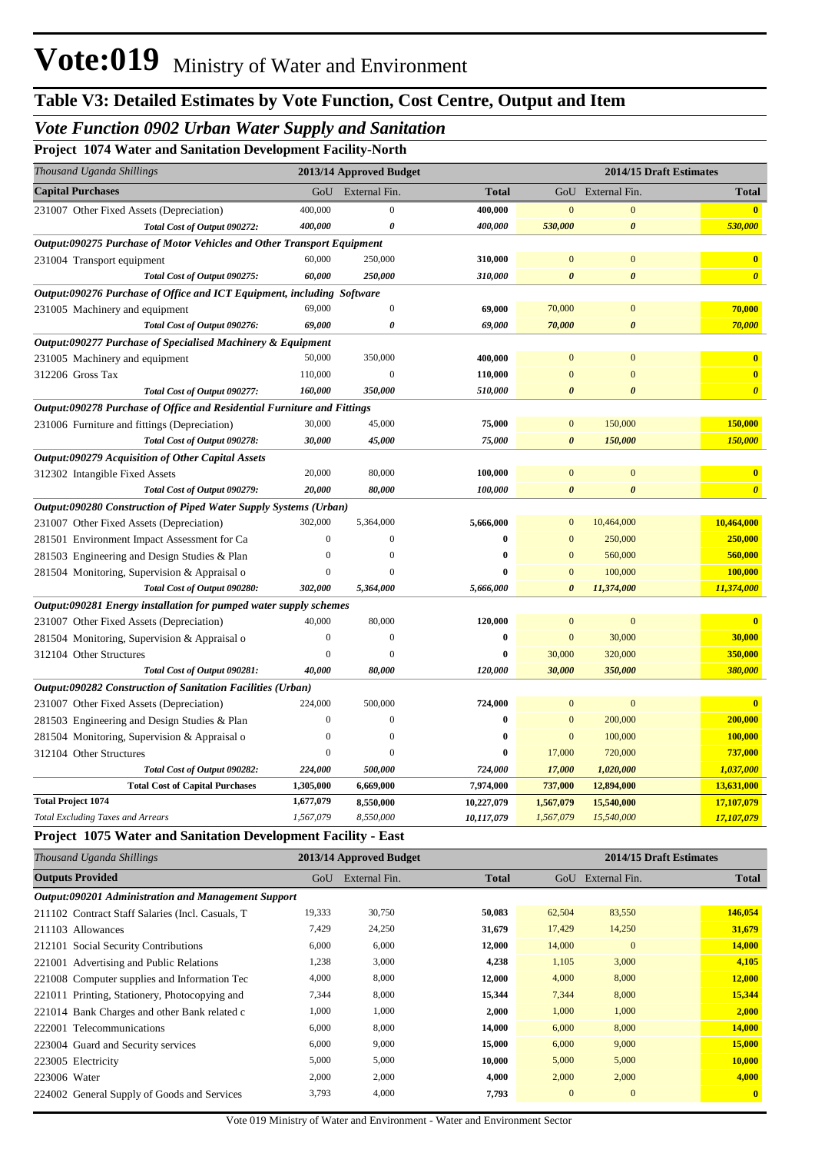## *Vote Function 0902 Urban Water Supply and Sanitation*

**Project 1074 Water and Sanitation Development Facility-North**

| Thousand Uganda Shillings                                                     |                  | 2013/14 Approved Budget | 2014/15 Draft Estimates |                       |                       |                         |
|-------------------------------------------------------------------------------|------------------|-------------------------|-------------------------|-----------------------|-----------------------|-------------------------|
| <b>Capital Purchases</b>                                                      | GoU              | External Fin.           | <b>Total</b>            |                       | GoU External Fin.     | <b>Total</b>            |
| 231007 Other Fixed Assets (Depreciation)                                      | 400,000          | $\mathbf{0}$            | 400,000                 | $\mathbf{0}$          | $\boldsymbol{0}$      | $\overline{\mathbf{0}}$ |
| Total Cost of Output 090272:                                                  | 400,000          | $\boldsymbol{\theta}$   | 400,000                 | 530,000               | $\boldsymbol{\theta}$ | 530,000                 |
| <b>Output:090275 Purchase of Motor Vehicles and Other Transport Equipment</b> |                  |                         |                         |                       |                       |                         |
| 231004 Transport equipment                                                    | 60,000           | 250,000                 | 310,000                 | $\mathbf{0}$          | $\mathbf{0}$          | $\bf{0}$                |
| Total Cost of Output 090275:                                                  | 60,000           | 250,000                 | 310,000                 | $\boldsymbol{\theta}$ | $\boldsymbol{\theta}$ | $\boldsymbol{\theta}$   |
| Output:090276 Purchase of Office and ICT Equipment, including Software        |                  |                         |                         |                       |                       |                         |
| 231005 Machinery and equipment                                                | 69,000           | $\mathbf{0}$            | 69,000                  | 70,000                | $\mathbf{0}$          | 70,000                  |
| Total Cost of Output 090276:                                                  | 69,000           | $\theta$                | 69,000                  | 70,000                | $\boldsymbol{\theta}$ | 70,000                  |
| Output:090277 Purchase of Specialised Machinery & Equipment                   |                  |                         |                         |                       |                       |                         |
| 231005 Machinery and equipment                                                | 50,000           | 350,000                 | 400,000                 | $\Omega$              | $\overline{0}$        | $\overline{\mathbf{0}}$ |
| 312206 Gross Tax                                                              | 110,000          | $\Omega$                | 110,000                 | $\overline{0}$        | $\mathbf{0}$          | $\mathbf{0}$            |
| Total Cost of Output 090277:                                                  | 160,000          | 350,000                 | 510,000                 | $\boldsymbol{\theta}$ | $\boldsymbol{\theta}$ | $\boldsymbol{\theta}$   |
| Output:090278 Purchase of Office and Residential Furniture and Fittings       |                  |                         |                         |                       |                       |                         |
| 231006 Furniture and fittings (Depreciation)                                  | 30,000           | 45,000                  | 75,000                  | $\overline{0}$        | 150,000               | 150,000                 |
| Total Cost of Output 090278:                                                  | 30,000           | 45,000                  | 75,000                  | $\boldsymbol{\theta}$ | 150,000               | 150,000                 |
| Output:090279 Acquisition of Other Capital Assets                             |                  |                         |                         |                       |                       |                         |
| 312302 Intangible Fixed Assets                                                | 20,000           | 80,000                  | 100,000                 | $\mathbf{0}$          | $\mathbf{0}$          | $\mathbf{0}$            |
| Total Cost of Output 090279:                                                  | 20,000           | 80,000                  | 100,000                 | $\boldsymbol{\theta}$ | $\boldsymbol{\theta}$ | $\boldsymbol{\theta}$   |
| Output:090280 Construction of Piped Water Supply Systems (Urban)              |                  |                         |                         |                       |                       |                         |
| 231007 Other Fixed Assets (Depreciation)                                      | 302,000          | 5,364,000               | 5,666,000               | $\mathbf{0}$          | 10,464,000            | 10,464,000              |
| 281501 Environment Impact Assessment for Ca                                   | $\boldsymbol{0}$ | $\overline{0}$          | $\bf{0}$                | $\mathbf{0}$          | 250,000               | 250,000                 |
| 281503 Engineering and Design Studies & Plan                                  | $\boldsymbol{0}$ | $\Omega$                | $\bf{0}$                | $\mathbf{0}$          | 560,000               | 560,000                 |
| 281504 Monitoring, Supervision & Appraisal o                                  | $\mathbf{0}$     | $\Omega$                | $\bf{0}$                | $\mathbf{0}$          | 100,000               | 100,000                 |
| Total Cost of Output 090280:                                                  | 302,000          | 5,364,000               | 5,666,000               | $\theta$              | 11,374,000            | 11,374,000              |
| Output:090281 Energy installation for pumped water supply schemes             |                  |                         |                         |                       |                       |                         |
| 231007 Other Fixed Assets (Depreciation)                                      | 40,000           | 80,000                  | 120,000                 | $\mathbf{0}$          | $\mathbf{0}$          | $\mathbf{0}$            |
| 281504 Monitoring, Supervision & Appraisal o                                  | $\boldsymbol{0}$ | $\overline{0}$          | $\bf{0}$                | $\mathbf{0}$          | 30,000                | 30,000                  |
| 312104 Other Structures                                                       | $\overline{0}$   | $\Omega$                | 0                       | 30,000                | 320,000               | 350,000                 |
| Total Cost of Output 090281:                                                  | 40,000           | 80,000                  | 120,000                 | 30,000                | 350,000               | 380,000                 |
| <b>Output:090282 Construction of Sanitation Facilities (Urban)</b>            |                  |                         |                         |                       |                       |                         |
| 231007 Other Fixed Assets (Depreciation)                                      | 224,000          | 500,000                 | 724,000                 | $\mathbf{0}$          | $\boldsymbol{0}$      | $\mathbf{0}$            |
| 281503 Engineering and Design Studies & Plan                                  | $\boldsymbol{0}$ | $\overline{0}$          | $\bf{0}$                | $\mathbf{0}$          | 200,000               | 200,000                 |
| 281504 Monitoring, Supervision & Appraisal o                                  | $\Omega$         | $\Omega$                | 0                       | $\mathbf{0}$          | 100,000               | 100,000                 |
| 312104 Other Structures                                                       | $\mathbf{0}$     | $\Omega$                | 0                       | 17,000                | 720,000               | 737,000                 |
| Total Cost of Output 090282:                                                  | 224,000          | 500,000                 | 724,000                 | 17,000                | 1,020,000             | 1,037,000               |
| <b>Total Cost of Capital Purchases</b>                                        | 1,305,000        | 6,669,000               | 7,974,000               | 737,000               | 12,894,000            | 13,631,000              |
| <b>Total Project 1074</b>                                                     | 1,677,079        | 8,550,000               | 10,227,079              | 1,567,079             | 15,540,000            | 17,107,079              |
| <b>Total Excluding Taxes and Arrears</b>                                      | 1,567,079        | 8,550,000               | 10,117,079              | 1,567,079             | 15,540,000            | 17,107,079              |

#### **Project 1075 Water and Sanitation Development Facility - East**

| Thousand Uganda Shillings                           | 2014/15 Draft Estimates<br>2013/14 Approved Budget |               |              |              |               |              |
|-----------------------------------------------------|----------------------------------------------------|---------------|--------------|--------------|---------------|--------------|
| <b>Outputs Provided</b>                             | GoU                                                | External Fin. | <b>Total</b> | GoU          | External Fin. | <b>Total</b> |
| Output:090201 Administration and Management Support |                                                    |               |              |              |               |              |
| 211102 Contract Staff Salaries (Incl. Casuals, T    | 19,333                                             | 30,750        | 50,083       | 62,504       | 83,550        | 146,054      |
| 211103 Allowances                                   | 7,429                                              | 24,250        | 31,679       | 17,429       | 14,250        | 31,679       |
| 212101 Social Security Contributions                | 6,000                                              | 6,000         | 12,000       | 14,000       | $\mathbf{0}$  | 14,000       |
| 221001 Advertising and Public Relations             | 1,238                                              | 3,000         | 4,238        | 1,105        | 3,000         | 4,105        |
| 221008 Computer supplies and Information Tec        | 4,000                                              | 8,000         | 12,000       | 4,000        | 8,000         | 12,000       |
| 221011 Printing, Stationery, Photocopying and       | 7,344                                              | 8,000         | 15,344       | 7,344        | 8,000         | 15,344       |
| 221014 Bank Charges and other Bank related c        | 1,000                                              | 1,000         | 2,000        | 1,000        | 1,000         | 2,000        |
| 222001 Telecommunications                           | 6,000                                              | 8,000         | 14,000       | 6,000        | 8,000         | 14,000       |
| 223004 Guard and Security services                  | 6,000                                              | 9,000         | 15,000       | 6,000        | 9,000         | 15,000       |
| 223005 Electricity                                  | 5,000                                              | 5,000         | 10,000       | 5,000        | 5,000         | 10,000       |
| 223006 Water                                        | 2,000                                              | 2,000         | 4,000        | 2,000        | 2,000         | 4,000        |
| 224002 General Supply of Goods and Services         | 3,793                                              | 4,000         | 7,793        | $\mathbf{0}$ | $\mathbf{0}$  | $\mathbf{0}$ |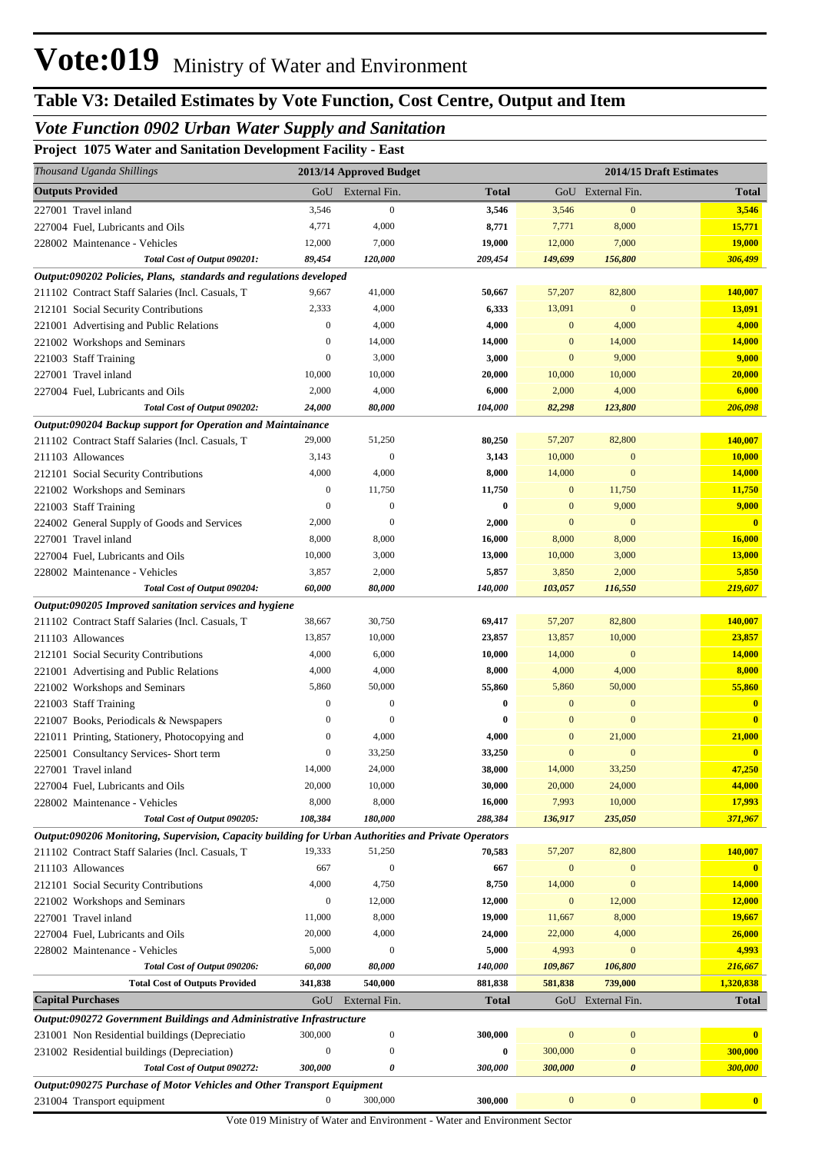## *Vote Function 0902 Urban Water Supply and Sanitation*

**Project 1075 Water and Sanitation Development Facility - East**

| Thousand Uganda Shillings                                                                            |                  | 2013/14 Approved Budget |                  |                  | 2014/15 Draft Estimates |                         |
|------------------------------------------------------------------------------------------------------|------------------|-------------------------|------------------|------------------|-------------------------|-------------------------|
| <b>Outputs Provided</b>                                                                              | GoU              | External Fin.           | <b>Total</b>     |                  | GoU External Fin.       | <b>Total</b>            |
| 227001 Travel inland                                                                                 | 3,546            | $\mathbf{0}$            | 3,546            | 3,546            | $\mathbf{0}$            | 3,546                   |
| 227004 Fuel, Lubricants and Oils                                                                     | 4,771            | 4,000                   | 8,771            | 7,771            | 8,000                   | 15,771                  |
| 228002 Maintenance - Vehicles                                                                        | 12,000           | 7,000                   | 19,000           | 12,000           | 7,000                   | <b>19,000</b>           |
| Total Cost of Output 090201:                                                                         | 89,454           | 120,000                 | 209,454          | 149,699          | 156,800                 | 306,499                 |
| Output:090202 Policies, Plans, standards and regulations developed                                   |                  |                         |                  |                  |                         |                         |
| 211102 Contract Staff Salaries (Incl. Casuals, T                                                     | 9,667            | 41,000                  | 50,667           | 57,207           | 82,800                  | 140,007                 |
| 212101 Social Security Contributions                                                                 | 2,333            | 4,000                   | 6,333            | 13,091           | $\mathbf{0}$            | 13,091                  |
| 221001 Advertising and Public Relations                                                              | $\boldsymbol{0}$ | 4,000                   | 4,000            | $\mathbf{0}$     | 4,000                   | 4,000                   |
| 221002 Workshops and Seminars                                                                        | $\mathbf{0}$     | 14,000                  | 14,000           | $\mathbf{0}$     | 14,000                  | 14,000                  |
| 221003 Staff Training                                                                                | $\boldsymbol{0}$ | 3,000                   | 3,000            | $\mathbf{0}$     | 9,000                   | 9,000                   |
| 227001 Travel inland                                                                                 | 10,000           | 10,000                  | 20,000           | 10,000           | 10,000                  | 20,000                  |
| 227004 Fuel, Lubricants and Oils                                                                     | 2,000            | 4,000                   | 6,000            | 2,000            | 4,000                   | 6,000                   |
| Total Cost of Output 090202:                                                                         | 24,000           | 80,000                  | 104,000          | 82,298           | 123,800                 | 206,098                 |
| Output:090204 Backup support for Operation and Maintainance                                          |                  |                         |                  |                  |                         |                         |
| 211102 Contract Staff Salaries (Incl. Casuals, T                                                     | 29,000           | 51,250                  | 80,250           | 57,207           | 82,800                  | 140,007                 |
| 211103 Allowances                                                                                    | 3,143            | $\boldsymbol{0}$        | 3,143            | 10,000           | $\mathbf{0}$            | 10,000                  |
| 212101 Social Security Contributions                                                                 | 4,000            | 4,000                   | 8,000            | 14,000           | $\mathbf{0}$            | <b>14,000</b>           |
| 221002 Workshops and Seminars                                                                        | $\boldsymbol{0}$ | 11,750                  | 11,750           | $\mathbf{0}$     | 11,750                  | 11,750                  |
| 221003 Staff Training                                                                                | $\mathbf{0}$     | $\boldsymbol{0}$        | 0                | $\mathbf{0}$     | 9,000                   | 9,000                   |
| 224002 General Supply of Goods and Services                                                          | 2,000            | $\Omega$                | 2,000            | $\mathbf{0}$     | $\mathbf{0}$            | $\mathbf{0}$            |
| 227001 Travel inland                                                                                 | 8,000            | 8,000                   | 16,000           | 8,000            | 8,000                   | 16,000                  |
| 227004 Fuel, Lubricants and Oils                                                                     | 10,000           | 3,000                   | 13,000           | 10,000           | 3,000                   | 13,000                  |
| 228002 Maintenance - Vehicles                                                                        | 3,857            | 2,000                   | 5,857            | 3,850            | 2,000                   | 5,850                   |
| Total Cost of Output 090204:                                                                         | 60,000           | 80,000                  | 140,000          | 103,057          | 116,550                 | 219,607                 |
| Output:090205 Improved sanitation services and hygiene                                               |                  |                         |                  |                  |                         |                         |
| 211102 Contract Staff Salaries (Incl. Casuals, T                                                     | 38,667<br>13,857 | 30,750<br>10,000        | 69,417           | 57,207           | 82,800<br>10,000        | 140,007                 |
| 211103 Allowances                                                                                    | 4,000            | 6,000                   | 23,857<br>10,000 | 13,857<br>14,000 | $\mathbf{0}$            | 23,857<br>14,000        |
| 212101 Social Security Contributions<br>221001 Advertising and Public Relations                      | 4,000            | 4,000                   | 8,000            | 4,000            | 4,000                   | 8,000                   |
| 221002 Workshops and Seminars                                                                        | 5,860            | 50,000                  | 55,860           | 5,860            | 50,000                  | 55,860                  |
| 221003 Staff Training                                                                                | $\boldsymbol{0}$ | $\boldsymbol{0}$        | 0                | $\boldsymbol{0}$ | $\mathbf{0}$            | $\mathbf{0}$            |
| 221007 Books, Periodicals & Newspapers                                                               | $\mathbf{0}$     | $\Omega$                | 0                | $\Omega$         | $\mathbf{0}$            | $\overline{\mathbf{0}}$ |
| 221011 Printing, Stationery, Photocopying and                                                        | $\mathbf{0}$     | 4,000                   | 4,000            | $\mathbf{0}$     | 21,000                  | 21,000                  |
| 225001 Consultancy Services- Short term                                                              | $\boldsymbol{0}$ | 33,250                  | 33,250           | $\mathbf{0}$     | $\mathbf{0}$            | $\overline{\mathbf{0}}$ |
| 227001 Travel inland                                                                                 | 14,000           | 24,000                  | 38,000           | 14,000           | 33,250                  | 47,250                  |
| 227004 Fuel, Lubricants and Oils                                                                     | 20,000           | 10,000                  | 30,000           | 20,000           | 24,000                  | 44,000                  |
| 228002 Maintenance - Vehicles                                                                        | 8,000            | 8,000                   | 16,000           | 7,993            | 10,000                  | 17,993                  |
| Total Cost of Output 090205:                                                                         | 108,384          | 180,000                 | 288,384          | 136,917          | 235,050                 | 371,967                 |
| Output:090206 Monitoring, Supervision, Capacity building for Urban Authorities and Private Operators |                  |                         |                  |                  |                         |                         |
| 211102 Contract Staff Salaries (Incl. Casuals, T                                                     | 19,333           | 51,250                  | 70,583           | 57,207           | 82,800                  | 140,007                 |
| 211103 Allowances                                                                                    | 667              | $\overline{0}$          | 667              | $\mathbf{0}$     | $\mathbf{0}$            | $\mathbf{0}$            |
| 212101 Social Security Contributions                                                                 | 4,000            | 4,750                   | 8,750            | 14,000           | $\mathbf{0}$            | 14,000                  |
| 221002 Workshops and Seminars                                                                        | $\boldsymbol{0}$ | 12,000                  | 12,000           | $\boldsymbol{0}$ | 12,000                  | 12,000                  |
| 227001 Travel inland                                                                                 | 11,000           | 8,000                   | 19,000           | 11,667           | 8,000                   | 19,667                  |
| 227004 Fuel, Lubricants and Oils                                                                     | 20,000           | 4,000                   | 24,000           | 22,000           | 4,000                   | 26,000                  |
| 228002 Maintenance - Vehicles                                                                        | 5,000            | $\Omega$                | 5,000            | 4,993            | $\mathbf{0}$            | 4,993                   |
| Total Cost of Output 090206:                                                                         | 60,000           | 80,000                  | 140,000          | 109,867          | 106,800                 | 216,667                 |
| <b>Total Cost of Outputs Provided</b>                                                                | 341,838          | 540,000                 | 881,838          | 581,838          | 739,000                 | 1,320,838               |
| <b>Capital Purchases</b>                                                                             | GoU              | External Fin.           | <b>Total</b>     |                  | GoU External Fin.       | <b>Total</b>            |
| Output:090272 Government Buildings and Administrative Infrastructure                                 |                  |                         |                  |                  |                         |                         |
| 231001 Non Residential buildings (Depreciatio                                                        | 300,000          | $\boldsymbol{0}$        | 300,000          | $\boldsymbol{0}$ | $\boldsymbol{0}$        |                         |
| 231002 Residential buildings (Depreciation)                                                          | $\boldsymbol{0}$ | $\mathbf{0}$            | $\bf{0}$         | 300,000          | $\boldsymbol{0}$        | 300,000                 |
| Total Cost of Output 090272:                                                                         | 300,000          | 0                       | 300,000          | 300,000          | $\pmb{\theta}$          | 300,000                 |
| <b>Output:090275 Purchase of Motor Vehicles and Other Transport Equipment</b>                        |                  |                         |                  |                  |                         |                         |
| 231004 Transport equipment                                                                           | 0                | 300,000                 | 300,000          | $\bf{0}$         | $\boldsymbol{0}$        | $\bullet$               |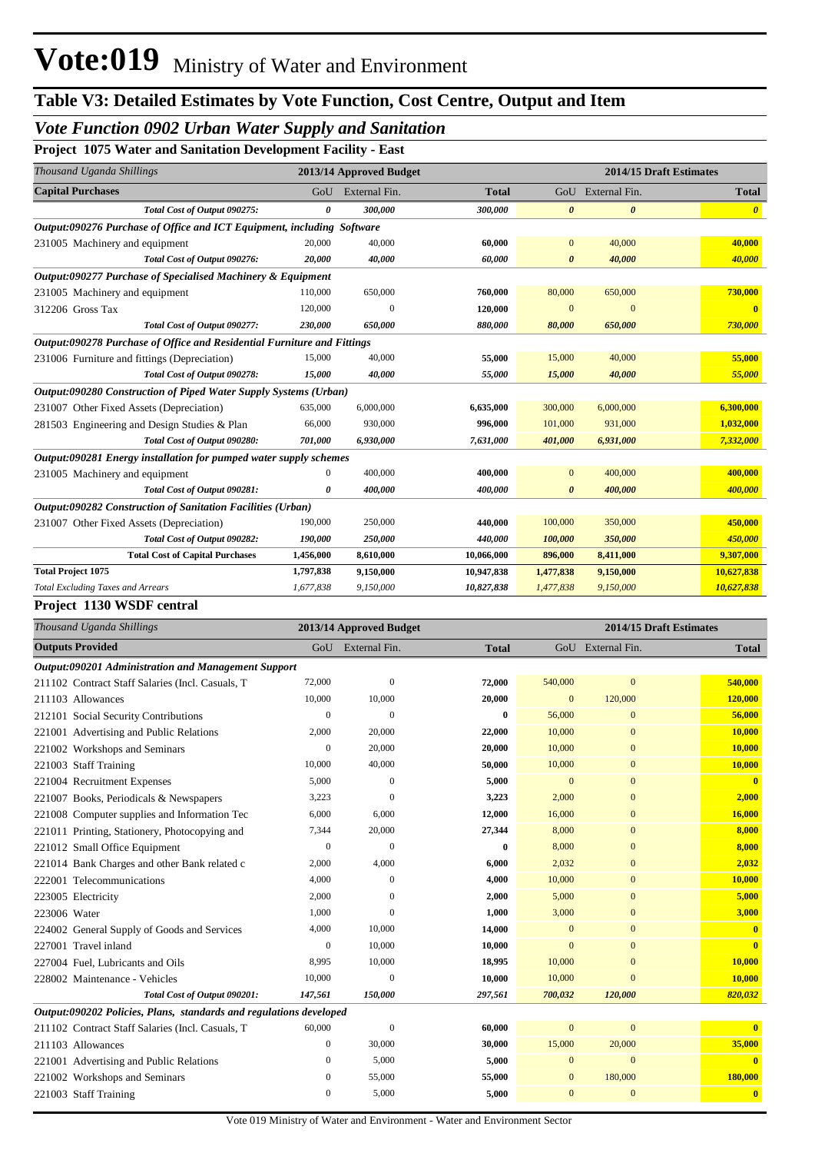## *Vote Function 0902 Urban Water Supply and Sanitation*

**Project 1075 Water and Sanitation Development Facility - East**

| Thousand Uganda Shillings                                               |           | 2013/14 Approved Budget |              |                       |                       | 2014/15 Draft Estimates |
|-------------------------------------------------------------------------|-----------|-------------------------|--------------|-----------------------|-----------------------|-------------------------|
| <b>Capital Purchases</b>                                                | GoU       | External Fin.           | <b>Total</b> |                       | GoU External Fin.     | <b>Total</b>            |
| Total Cost of Output 090275:                                            | 0         | 300,000                 | 300,000      | $\boldsymbol{\theta}$ | $\boldsymbol{\theta}$ | $\boldsymbol{\theta}$   |
| Output:090276 Purchase of Office and ICT Equipment, including Software  |           |                         |              |                       |                       |                         |
| 231005 Machinery and equipment                                          | 20,000    | 40,000                  | 60,000       | $\overline{0}$        | 40,000                | 40,000                  |
| Total Cost of Output 090276:                                            | 20,000    | 40,000                  | 60,000       | $\theta$              | 40,000                | 40,000                  |
| Output:090277 Purchase of Specialised Machinery & Equipment             |           |                         |              |                       |                       |                         |
| 231005 Machinery and equipment                                          | 110,000   | 650,000                 | 760,000      | 80,000                | 650,000               | 730,000                 |
| 312206 Gross Tax                                                        | 120,000   | $\Omega$                | 120,000      | $\Omega$              | $\Omega$              |                         |
| Total Cost of Output 090277:                                            | 230,000   | 650,000                 | 880,000      | 80,000                | 650,000               | 730,000                 |
| Output:090278 Purchase of Office and Residential Furniture and Fittings |           |                         |              |                       |                       |                         |
| 231006 Furniture and fittings (Depreciation)                            | 15,000    | 40,000                  | 55,000       | 15,000                | 40,000                | 55,000                  |
| Total Cost of Output 090278:                                            | 15,000    | 40,000                  | 55,000       | 15,000                | 40,000                | 55,000                  |
| Output:090280 Construction of Piped Water Supply Systems (Urban)        |           |                         |              |                       |                       |                         |
| 231007 Other Fixed Assets (Depreciation)                                | 635,000   | 6,000,000               | 6,635,000    | 300,000               | 6,000,000             | 6,300,000               |
| 281503 Engineering and Design Studies & Plan                            | 66,000    | 930,000                 | 996,000      | 101,000               | 931,000               | 1,032,000               |
| Total Cost of Output 090280:                                            | 701,000   | 6,930,000               | 7,631,000    | 401,000               | 6,931,000             | 7,332,000               |
| Output:090281 Energy installation for pumped water supply schemes       |           |                         |              |                       |                       |                         |
| 231005 Machinery and equipment                                          | 0         | 400,000                 | 400,000      | $\Omega$              | 400,000               | 400,000                 |
| Total Cost of Output 090281:                                            | 0         | 400,000                 | 400,000      | 0                     | 400,000               | 400,000                 |
| <b>Output:090282 Construction of Sanitation Facilities (Urban)</b>      |           |                         |              |                       |                       |                         |
| 231007 Other Fixed Assets (Depreciation)                                | 190,000   | 250,000                 | 440,000      | 100,000               | 350,000               | 450,000                 |
| Total Cost of Output 090282:                                            | 190,000   | 250,000                 | 440,000      | 100,000               | 350,000               | 450,000                 |
| <b>Total Cost of Capital Purchases</b>                                  | 1,456,000 | 8,610,000               | 10,066,000   | 896,000               | 8,411,000             | 9,307,000               |
| <b>Total Project 1075</b>                                               | 1,797,838 | 9,150,000               | 10,947,838   | 1,477,838             | 9,150,000             | 10,627,838              |
| <b>Total Excluding Taxes and Arrears</b>                                | 1,677,838 | 9,150,000               | 10,827,838   | 1,477,838             | 9,150,000             | 10,627,838              |

#### **Project 1130 WSDF central**

| Thousand Uganda Shillings                                          |                  | 2013/14 Approved Budget |              | 2014/15 Draft Estimates |                   |                         |
|--------------------------------------------------------------------|------------------|-------------------------|--------------|-------------------------|-------------------|-------------------------|
| <b>Outputs Provided</b>                                            | GoU              | External Fin.           | <b>Total</b> |                         | GoU External Fin. | <b>Total</b>            |
| Output:090201 Administration and Management Support                |                  |                         |              |                         |                   |                         |
| 211102 Contract Staff Salaries (Incl. Casuals, T                   | 72,000           | $\mathbf{0}$            | 72,000       | 540,000                 | $\overline{0}$    | 540,000                 |
| 211103 Allowances                                                  | 10,000           | 10,000                  | 20,000       | $\bf{0}$                | 120,000           | 120,000                 |
| 212101 Social Security Contributions                               | $\boldsymbol{0}$ | $\overline{0}$          | $\bf{0}$     | 56,000                  | $\overline{0}$    | 56,000                  |
| 221001 Advertising and Public Relations                            | 2,000            | 20,000                  | 22,000       | 10,000                  | $\overline{0}$    | 10,000                  |
| 221002 Workshops and Seminars                                      | $\mathbf{0}$     | 20,000                  | 20,000       | 10,000                  | $\overline{0}$    | 10,000                  |
| 221003 Staff Training                                              | 10,000           | 40,000                  | 50,000       | 10,000                  | $\mathbf{0}$      | 10,000                  |
| 221004 Recruitment Expenses                                        | 5,000            | $\overline{0}$          | 5,000        | $\overline{0}$          | $\overline{0}$    | $\mathbf{0}$            |
| 221007 Books, Periodicals & Newspapers                             | 3,223            | $\Omega$                | 3,223        | 2,000                   | $\overline{0}$    | 2,000                   |
| 221008 Computer supplies and Information Tec                       | 6,000            | 6,000                   | 12,000       | 16,000                  | $\mathbf{0}$      | 16,000                  |
| 221011 Printing, Stationery, Photocopying and                      | 7,344            | 20,000                  | 27,344       | 8,000                   | $\overline{0}$    | 8,000                   |
| 221012 Small Office Equipment                                      | $\mathbf{0}$     | $\theta$                | $\bf{0}$     | 8,000                   | $\overline{0}$    | 8,000                   |
| 221014 Bank Charges and other Bank related c                       | 2,000            | 4,000                   | 6,000        | 2.032                   | $\overline{0}$    | 2,032                   |
| 222001 Telecommunications                                          | 4,000            | $\theta$                | 4,000        | 10,000                  | $\overline{0}$    | 10,000                  |
| 223005 Electricity                                                 | 2,000            | $\Omega$                | 2,000        | 5,000                   | $\overline{0}$    | 5,000                   |
| 223006 Water                                                       | 1,000            | $\Omega$                | 1,000        | 3,000                   | $\overline{0}$    | 3,000                   |
| 224002 General Supply of Goods and Services                        | 4,000            | 10,000                  | 14,000       | $\overline{0}$          | $\overline{0}$    | $\overline{\mathbf{0}}$ |
| 227001 Travel inland                                               | $\mathbf{0}$     | 10,000                  | 10,000       | $\overline{0}$          | $\overline{0}$    | $\mathbf{0}$            |
| 227004 Fuel, Lubricants and Oils                                   | 8,995            | 10,000                  | 18,995       | 10,000                  | $\overline{0}$    | 10,000                  |
| 228002 Maintenance - Vehicles                                      | 10,000           | $\theta$                | 10,000       | 10,000                  | $\overline{0}$    | 10,000                  |
| Total Cost of Output 090201:                                       | 147,561          | 150,000                 | 297,561      | 700,032                 | 120,000           | 820,032                 |
| Output:090202 Policies, Plans, standards and regulations developed |                  |                         |              |                         |                   |                         |
| 211102 Contract Staff Salaries (Incl. Casuals, T                   | 60,000           | $\mathbf{0}$            | 60,000       | $\overline{0}$          | $\overline{0}$    | $\mathbf{0}$            |
| 211103 Allowances                                                  | $\mathbf{0}$     | 30,000                  | 30,000       | 15,000                  | 20,000            | 35,000                  |
| 221001 Advertising and Public Relations                            | $\mathbf{0}$     | 5,000                   | 5,000        | 0                       | $\overline{0}$    | $\mathbf{0}$            |
| 221002 Workshops and Seminars                                      | $\mathbf{0}$     | 55,000                  | 55,000       | $\bf{0}$                | 180,000           | 180,000                 |
| 221003 Staff Training                                              | $\mathbf{0}$     | 5,000                   | 5,000        | $\overline{0}$          | $\overline{0}$    | $\overline{\mathbf{0}}$ |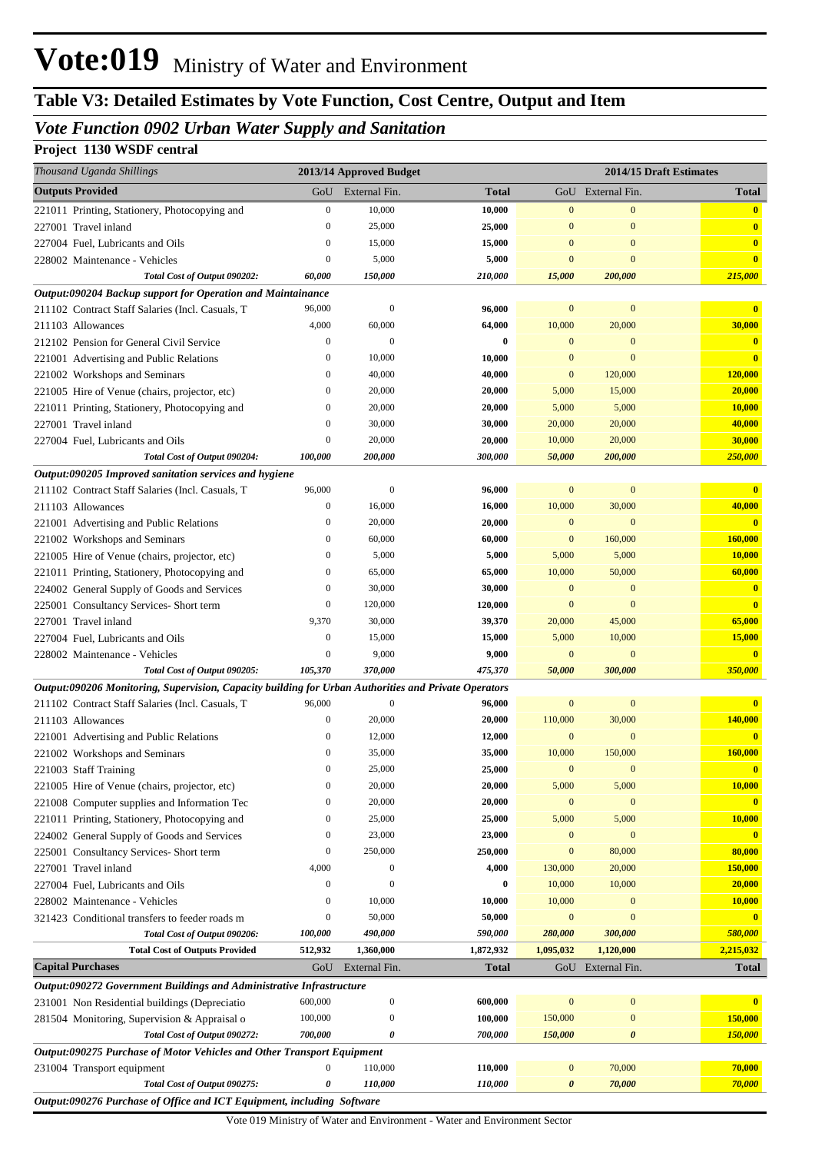# **Table V3: Detailed Estimates by Vote Function, Cost Centre, Output and Item**

## *Vote Function 0902 Urban Water Supply and Sanitation*

## **Project 1130 WSDF central**

| Thousand Uganda Shillings                                                                            |                  | 2013/14 Approved Budget |              |                  |                       | 2014/15 Draft Estimates |
|------------------------------------------------------------------------------------------------------|------------------|-------------------------|--------------|------------------|-----------------------|-------------------------|
| <b>Outputs Provided</b>                                                                              |                  | GoU External Fin.       | <b>Total</b> |                  | GoU External Fin.     | <b>Total</b>            |
| 221011 Printing, Stationery, Photocopying and                                                        | $\boldsymbol{0}$ | 10,000                  | 10,000       | $\mathbf{0}$     | $\mathbf{0}$          | $\mathbf{0}$            |
| 227001 Travel inland                                                                                 | $\mathbf{0}$     | 25,000                  | 25,000       | $\mathbf{0}$     | $\mathbf{0}$          | $\bf{0}$                |
| 227004 Fuel, Lubricants and Oils                                                                     | $\mathbf{0}$     | 15,000                  | 15,000       | $\mathbf{0}$     | $\mathbf{0}$          | $\bf{0}$                |
| 228002 Maintenance - Vehicles                                                                        | $\boldsymbol{0}$ | 5,000                   | 5,000        | $\mathbf{0}$     | $\mathbf{0}$          | $\overline{\mathbf{0}}$ |
| Total Cost of Output 090202:                                                                         | 60,000           | 150,000                 | 210,000      | 15,000           | 200,000               | 215,000                 |
| Output:090204 Backup support for Operation and Maintainance                                          |                  |                         |              |                  |                       |                         |
| 211102 Contract Staff Salaries (Incl. Casuals, T                                                     | 96,000           | $\mathbf{0}$            | 96,000       | $\mathbf{0}$     | $\boldsymbol{0}$      |                         |
| 211103 Allowances                                                                                    | 4,000            | 60,000                  | 64,000       | 10,000           | 20,000                | 30,000                  |
| 212102 Pension for General Civil Service                                                             | $\boldsymbol{0}$ | $\boldsymbol{0}$        | 0            | $\mathbf{0}$     | $\mathbf{0}$          | $\mathbf{0}$            |
| 221001 Advertising and Public Relations                                                              | $\mathbf{0}$     | 10,000                  | 10,000       | $\mathbf{0}$     | $\mathbf{0}$          | $\overline{\mathbf{0}}$ |
| 221002 Workshops and Seminars                                                                        | $\mathbf{0}$     | 40,000                  | 40,000       | $\mathbf{0}$     | 120,000               | 120,000                 |
| 221005 Hire of Venue (chairs, projector, etc)                                                        | $\mathbf{0}$     | 20,000                  | 20,000       | 5,000            | 15,000                | 20,000                  |
| 221011 Printing, Stationery, Photocopying and                                                        | $\mathbf{0}$     | 20,000                  | 20,000       | 5,000            | 5,000                 | 10,000                  |
| 227001 Travel inland                                                                                 | $\mathbf{0}$     | 30,000                  | 30,000       | 20,000           | 20,000                | 40,000                  |
| 227004 Fuel, Lubricants and Oils                                                                     | $\mathbf{0}$     | 20,000                  | 20,000       | 10,000           | 20,000                | 30,000                  |
| Total Cost of Output 090204:                                                                         | 100,000          | 200,000                 | 300,000      | 50,000           | 200,000               | 250,000                 |
| Output:090205 Improved sanitation services and hygiene                                               |                  |                         |              |                  |                       |                         |
| 211102 Contract Staff Salaries (Incl. Casuals, T                                                     | 96,000           | $\mathbf{0}$            | 96,000       | $\mathbf{0}$     | $\boldsymbol{0}$      | $\mathbf{0}$            |
| 211103 Allowances                                                                                    | $\boldsymbol{0}$ | 16,000                  | 16,000       | 10,000           | 30,000                | 40,000                  |
| 221001 Advertising and Public Relations                                                              | $\mathbf{0}$     | 20,000                  | 20,000       | $\mathbf{0}$     | $\mathbf{0}$          | $\overline{\mathbf{0}}$ |
| 221002 Workshops and Seminars                                                                        | $\mathbf{0}$     | 60,000                  | 60,000       | $\mathbf{0}$     | 160,000               | <b>160,000</b>          |
| 221005 Hire of Venue (chairs, projector, etc)                                                        | $\mathbf{0}$     | 5,000                   | 5,000        | 5,000            | 5,000                 | 10,000                  |
| 221011 Printing, Stationery, Photocopying and                                                        | $\mathbf{0}$     | 65,000                  | 65,000       | 10,000           | 50,000                | 60,000                  |
| 224002 General Supply of Goods and Services                                                          | 0                | 30,000                  | 30,000       | $\mathbf{0}$     | $\mathbf{0}$          | $\bf{0}$                |
| 225001 Consultancy Services- Short term                                                              | $\boldsymbol{0}$ | 120,000                 | 120,000      | $\mathbf{0}$     | $\mathbf{0}$          | $\overline{\mathbf{0}}$ |
| 227001 Travel inland                                                                                 | 9,370            | 30,000                  | 39,370       | 20,000           | 45,000                | 65,000                  |
| 227004 Fuel, Lubricants and Oils                                                                     | $\boldsymbol{0}$ | 15,000                  | 15,000       | 5,000            | 10,000                | 15,000                  |
| 228002 Maintenance - Vehicles                                                                        | $\mathbf{0}$     | 9,000                   | 9,000        | $\mathbf{0}$     | $\mathbf{0}$          | $\overline{\mathbf{0}}$ |
| Total Cost of Output 090205:                                                                         | 105,370          | 370,000                 | 475,370      | 50,000           | 300,000               | 350,000                 |
| Output:090206 Monitoring, Supervision, Capacity building for Urban Authorities and Private Operators |                  |                         |              |                  |                       |                         |
| 211102 Contract Staff Salaries (Incl. Casuals, T                                                     | 96,000           | $\mathbf{0}$            | 96,000       | $\mathbf{0}$     | $\boldsymbol{0}$      | $\mathbf{0}$            |
| 211103 Allowances                                                                                    | $\boldsymbol{0}$ | 20,000                  | 20,000       | 110,000          | 30,000                | 140,000                 |
| 221001 Advertising and Public Relations                                                              | $\mathbf{0}$     | 12,000                  | 12,000       | $\mathbf{0}$     | $\mathbf{0}$          | $\overline{\mathbf{0}}$ |
| 221002 Workshops and Seminars                                                                        | $\mathbf{0}$     | 35,000                  | 35,000       | 10,000           | 150,000               | 160,000                 |
| 221003 Staff Training                                                                                | 0                | 25,000                  | 25,000       | $\mathbf{0}$     | $\mathbf{0}$          | $\overline{\mathbf{0}}$ |
| 221005 Hire of Venue (chairs, projector, etc)                                                        | $\boldsymbol{0}$ | 20,000                  | 20,000       | 5,000            | 5,000                 | 10,000                  |
| 221008 Computer supplies and Information Tec                                                         | $\mathbf{0}$     | 20,000                  | 20,000       | $\mathbf{0}$     | $\mathbf{0}$          | $\mathbf{0}$            |
| 221011 Printing, Stationery, Photocopying and                                                        | $\mathbf{0}$     | 25,000                  | 25,000       | 5,000            | 5,000                 | 10,000                  |
| 224002 General Supply of Goods and Services                                                          | 0                | 23,000                  | 23,000       | $\mathbf{0}$     | $\boldsymbol{0}$      | $\overline{\mathbf{0}}$ |
| 225001 Consultancy Services- Short term                                                              | $\boldsymbol{0}$ | 250,000                 | 250,000      | $\mathbf{0}$     | 80,000                | 80,000                  |
| 227001 Travel inland                                                                                 | 4,000            | $\mathbf{0}$            | 4,000        | 130,000          | 20,000                | 150,000                 |
| 227004 Fuel, Lubricants and Oils                                                                     | $\mathbf{0}$     | $\mathbf{0}$            | 0            | 10,000           | 10,000                | 20,000                  |
| 228002 Maintenance - Vehicles                                                                        | $\mathbf{0}$     | 10,000                  | 10,000       | 10,000           | $\mathbf{0}$          | 10,000                  |
| 321423 Conditional transfers to feeder roads m                                                       | $\boldsymbol{0}$ | 50,000                  | 50,000       | $\mathbf{0}$     | $\mathbf{0}$          | $\mathbf{0}$            |
| Total Cost of Output 090206:                                                                         | 100,000          | 490,000                 | 590,000      | 280,000          | 300,000               | 580,000                 |
| <b>Total Cost of Outputs Provided</b>                                                                | 512,932          | 1,360,000               | 1,872,932    | 1,095,032        | 1,120,000             | 2,215,032               |
| <b>Capital Purchases</b>                                                                             | GoU              | External Fin.           | <b>Total</b> | GoU              | External Fin.         | <b>Total</b>            |
| Output:090272 Government Buildings and Administrative Infrastructure                                 |                  |                         |              |                  |                       |                         |
| 231001 Non Residential buildings (Depreciatio                                                        | 600,000          | $\boldsymbol{0}$        | 600,000      | $\boldsymbol{0}$ | $\boldsymbol{0}$      |                         |
| 281504 Monitoring, Supervision & Appraisal o                                                         | 100,000          | $\boldsymbol{0}$        | 100,000      | 150,000          | $\boldsymbol{0}$      | 150,000                 |
| Total Cost of Output 090272:                                                                         | 700,000          | 0                       | 700,000      | 150,000          | $\boldsymbol{\theta}$ | 150,000                 |
| Output:090275 Purchase of Motor Vehicles and Other Transport Equipment                               |                  |                         |              |                  |                       |                         |
| 231004 Transport equipment                                                                           | $\mathbf{0}$     | 110,000                 | 110,000      | $\mathbf{0}$     | 70,000                | 70,000                  |
| Total Cost of Output 090275:                                                                         | 0                | 110,000                 | 110,000      | 0                | 70,000                | 70,000                  |
| Output:090276 Purchase of Office and ICT Equipment, including Software                               |                  |                         |              |                  |                       |                         |

Vote 019 Ministry of Water and Environment - Water and Environment Sector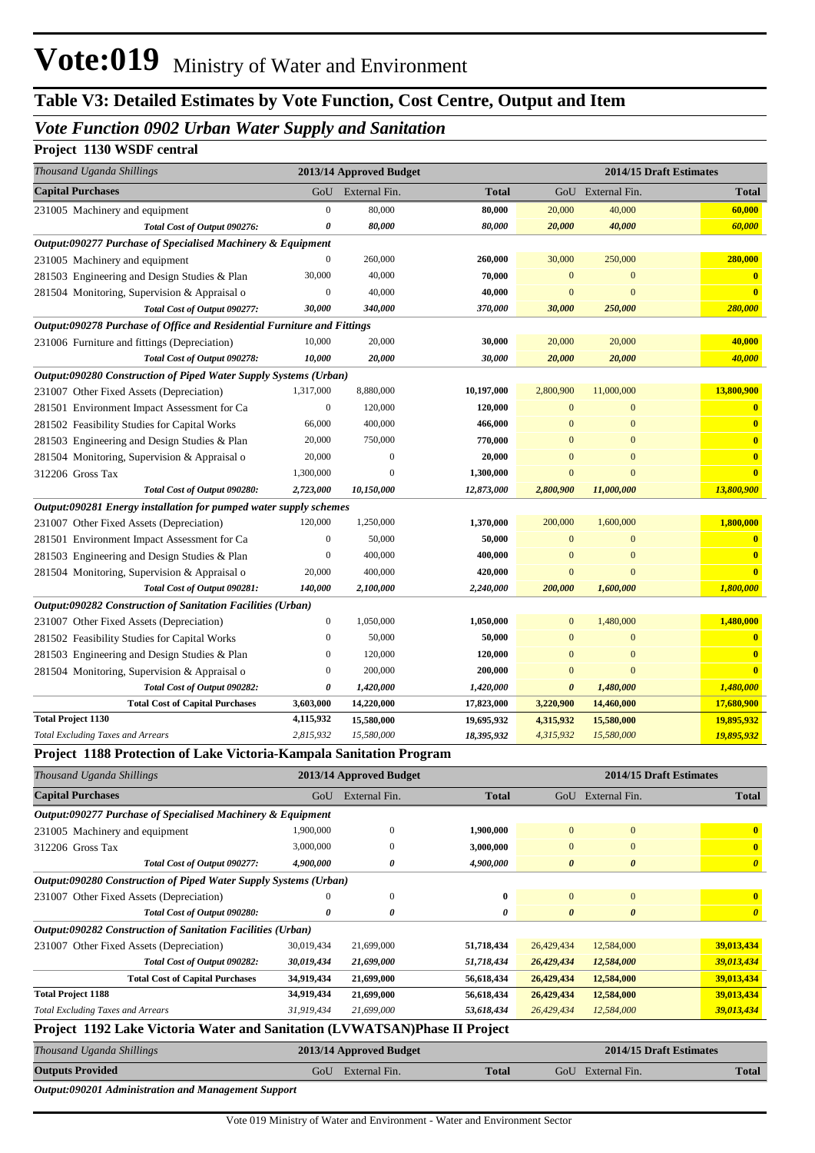## *Vote Function 0902 Urban Water Supply and Sanitation*

### **Project 1130 WSDF central**

| Thousand Uganda Shillings                                                                    |                  | 2013/14 Approved Budget |              |                       |                       | 2014/15 Draft Estimates |
|----------------------------------------------------------------------------------------------|------------------|-------------------------|--------------|-----------------------|-----------------------|-------------------------|
| <b>Capital Purchases</b>                                                                     | GoU              | External Fin.           | <b>Total</b> |                       | GoU External Fin.     | <b>Total</b>            |
| 231005 Machinery and equipment                                                               | $\boldsymbol{0}$ | 80,000                  | 80,000       | 20,000                | 40,000                | 60,000                  |
| Total Cost of Output 090276:                                                                 | 0                | 80,000                  | 80,000       | 20,000                | 40,000                | 60,000                  |
| Output:090277 Purchase of Specialised Machinery & Equipment                                  |                  |                         |              |                       |                       |                         |
| 231005 Machinery and equipment                                                               | $\boldsymbol{0}$ | 260,000                 | 260,000      | 30,000                | 250,000               | 280,000                 |
| 281503 Engineering and Design Studies & Plan                                                 | 30,000           | 40,000                  | 70,000       | $\mathbf{0}$          | $\mathbf{0}$          | $\mathbf{0}$            |
| 281504 Monitoring, Supervision & Appraisal o                                                 | $\boldsymbol{0}$ | 40,000                  | 40,000       | $\mathbf{0}$          | $\mathbf{0}$          | $\overline{\mathbf{0}}$ |
| Total Cost of Output 090277:                                                                 | 30,000           | 340,000                 | 370,000      | 30,000                | 250,000               | 280,000                 |
| Output:090278 Purchase of Office and Residential Furniture and Fittings                      |                  |                         |              |                       |                       |                         |
| 231006 Furniture and fittings (Depreciation)                                                 | 10,000           | 20,000                  | 30,000       | 20,000                | 20,000                | 40,000                  |
| Total Cost of Output 090278:                                                                 | 10,000           | 20,000                  | 30,000       | 20,000                | 20,000                | 40,000                  |
| Output:090280 Construction of Piped Water Supply Systems (Urban)                             |                  |                         |              |                       |                       |                         |
| 231007 Other Fixed Assets (Depreciation)                                                     | 1,317,000        | 8,880,000               | 10,197,000   | 2,800,900             | 11,000,000            | 13,800,900              |
| 281501 Environment Impact Assessment for Ca                                                  | $\boldsymbol{0}$ | 120,000                 | 120,000      | $\mathbf{0}$          | $\mathbf{0}$          | $\bf{0}$                |
| 281502 Feasibility Studies for Capital Works                                                 | 66,000           | 400,000                 | 466,000      | $\mathbf{0}$          | $\mathbf{0}$          | $\mathbf{0}$            |
| 281503 Engineering and Design Studies & Plan                                                 | 20,000           | 750,000                 | 770,000      | $\mathbf{0}$          | $\mathbf{0}$          | $\mathbf{0}$            |
| 281504 Monitoring, Supervision & Appraisal o                                                 | 20,000           | $\boldsymbol{0}$        | 20,000       | $\mathbf{0}$          | $\mathbf{0}$          | $\mathbf{0}$            |
| 312206 Gross Tax                                                                             | 1,300,000        | $\sqrt{ }$              | 1,300,000    | $\mathbf{0}$          | $\mathbf{0}$          | $\bf{0}$                |
| Total Cost of Output 090280:                                                                 | 2,723,000        | 10,150,000              | 12,873,000   | 2,800,900             | 11,000,000            | 13,800,900              |
| Output:090281 Energy installation for pumped water supply schemes                            |                  |                         |              |                       |                       |                         |
| 231007 Other Fixed Assets (Depreciation)                                                     | 120,000          | 1,250,000               | 1,370,000    | 200,000               | 1,600,000             | 1,800,000               |
| 281501 Environment Impact Assessment for Ca                                                  | $\boldsymbol{0}$ | 50,000                  | 50,000       | $\mathbf{0}$          | $\mathbf{0}$          | $\bf{0}$                |
| 281503 Engineering and Design Studies & Plan                                                 | $\boldsymbol{0}$ | 400,000                 | 400,000      | $\mathbf{0}$          | $\mathbf{0}$          | $\mathbf{0}$            |
| 281504 Monitoring, Supervision & Appraisal o                                                 | 20,000           | 400,000                 | 420,000      | $\mathbf{0}$          | $\mathbf{0}$          | $\overline{\mathbf{0}}$ |
| Total Cost of Output 090281:                                                                 | 140,000          | 2,100,000               | 2,240,000    | 200,000               | 1,600,000             | 1,800,000               |
| Output:090282 Construction of Sanitation Facilities (Urban)                                  | $\boldsymbol{0}$ | 1,050,000               | 1,050,000    | $\mathbf{0}$          | 1,480,000             | 1,480,000               |
| 231007 Other Fixed Assets (Depreciation)                                                     | $\boldsymbol{0}$ | 50,000                  | 50,000       | $\mathbf{0}$          | $\mathbf{0}$          | $\overline{\mathbf{0}}$ |
| 281502 Feasibility Studies for Capital Works                                                 | $\boldsymbol{0}$ | 120,000                 | 120,000      | $\mathbf{0}$          | $\mathbf{0}$          | $\bf{0}$                |
| 281503 Engineering and Design Studies & Plan<br>281504 Monitoring, Supervision & Appraisal o | $\boldsymbol{0}$ | 200,000                 | 200,000      | $\mathbf{0}$          | $\mathbf{0}$          | $\bf{0}$                |
| Total Cost of Output 090282:                                                                 | 0                | 1,420,000               | 1,420,000    | $\boldsymbol{\theta}$ | 1,480,000             | 1,480,000               |
| <b>Total Cost of Capital Purchases</b>                                                       | 3,603,000        | 14,220,000              | 17,823,000   | 3,220,900             | 14,460,000            | 17,680,900              |
| <b>Total Project 1130</b>                                                                    | 4,115,932        | 15,580,000              | 19,695,932   | 4,315,932             | 15,580,000            | 19,895,932              |
| <b>Total Excluding Taxes and Arrears</b>                                                     | 2,815,932        | 15,580,000              | 18,395,932   | 4,315,932             | 15,580,000            | 19,895,932              |
| Project 1188 Protection of Lake Victoria-Kampala Sanitation Program                          |                  |                         |              |                       |                       |                         |
| Thousand Uganda Shillings                                                                    |                  | 2013/14 Approved Budget |              |                       |                       | 2014/15 Draft Estimates |
| <b>Capital Purchases</b>                                                                     | GoU              | External Fin.           | <b>Total</b> |                       | GoU External Fin.     | <b>Total</b>            |
| Output:090277 Purchase of Specialised Machinery & Equipment                                  |                  |                         |              |                       |                       |                         |
| 231005 Machinery and equipment                                                               | 1,900,000        | $\boldsymbol{0}$        | 1,900,000    | $\boldsymbol{0}$      | $\bf{0}$              | $\mathbf{0}$            |
| 312206 Gross Tax                                                                             | 3,000,000        | $\boldsymbol{0}$        | 3,000,000    | $\mathbf{0}$          | $\boldsymbol{0}$      | $\bullet$               |
| Total Cost of Output 090277:                                                                 | 4,900,000        | 0                       | 4,900,000    | $\boldsymbol{\theta}$ | $\boldsymbol{\theta}$ | $\boldsymbol{\theta}$   |
| Output:090280 Construction of Piped Water Supply Systems (Urban)                             |                  |                         |              |                       |                       |                         |
| 231007 Other Fixed Assets (Depreciation)                                                     | $\theta$         | $\mathbf{0}$            | $\bf{0}$     | $\boldsymbol{0}$      | $\boldsymbol{0}$      | $\mathbf{0}$            |
| Total Cost of Output 090280:                                                                 | $\pmb{\theta}$   | 0                       | 0            | $\boldsymbol{\theta}$ | $\boldsymbol{\theta}$ | $\boldsymbol{\theta}$   |
| Output:090282 Construction of Sanitation Facilities (Urban)                                  |                  |                         |              |                       |                       |                         |
| 231007 Other Fixed Assets (Depreciation)                                                     | 30,019,434       | 21,699,000              | 51,718,434   | 26,429,434            | 12,584,000            | 39,013,434              |
| Total Cost of Output 090282:                                                                 | 30,019,434       | 21,699,000              | 51,718,434   | 26,429,434            | 12,584,000            | 39,013,434              |
| <b>Total Cost of Capital Purchases</b>                                                       | 34,919,434       | 21,699,000              | 56,618,434   | 26,429,434            | 12,584,000            | 39,013,434              |
| <b>Total Project 1188</b>                                                                    | 34,919,434       | 21,699,000              | 56,618,434   | 26,429,434            | 12,584,000            | 39,013,434              |
| <b>Total Excluding Taxes and Arrears</b>                                                     | 31,919,434       | 21,699,000              | 53,618,434   | 26,429,434            | 12,584,000            | 39,013,434              |
| Project 1192 Lake Victoria Water and Sanitation (LVWATSAN)Phase II Project                   |                  |                         |              |                       |                       |                         |
| Thousand Uganda Shillings                                                                    |                  | 2013/14 Approved Budget |              |                       |                       | 2014/15 Draft Estimates |
| <b>Outputs Provided</b>                                                                      |                  | GoU External Fin.       | <b>Total</b> |                       | GoU External Fin.     | <b>Total</b>            |
|                                                                                              |                  |                         |              |                       |                       |                         |

*Output:090201 Administration and Management Support*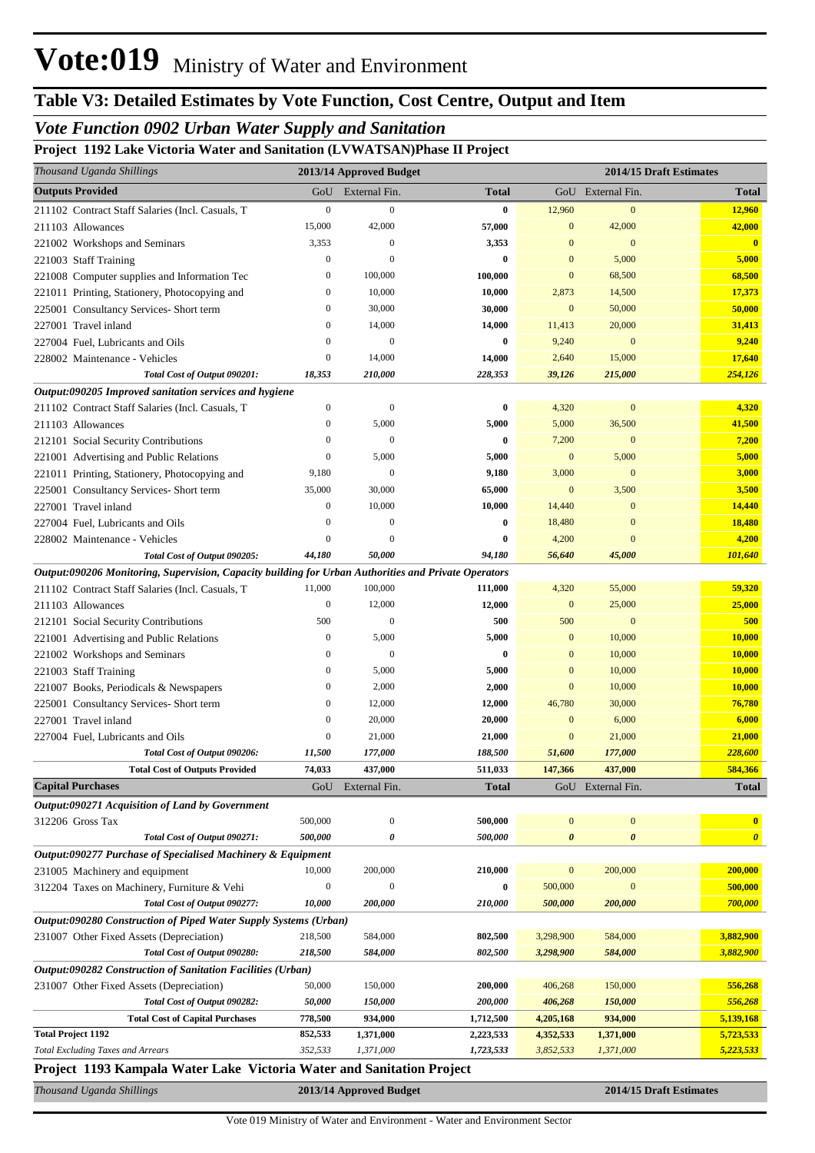# **Table V3: Detailed Estimates by Vote Function, Cost Centre, Output and Item**

# *Vote Function 0902 Urban Water Supply and Sanitation*

## **Project 1192 Lake Victoria Water and Sanitation (LVWATSAN)Phase II Project**

| Thousand Uganda Shillings                                                                            |                  | 2013/14 Approved Budget |              |                  | 2014/15 Draft Estimates |                       |  |
|------------------------------------------------------------------------------------------------------|------------------|-------------------------|--------------|------------------|-------------------------|-----------------------|--|
| <b>Outputs Provided</b>                                                                              | GoU              | External Fin.           | <b>Total</b> |                  | GoU External Fin.       | <b>Total</b>          |  |
| 211102 Contract Staff Salaries (Incl. Casuals, T                                                     | $\boldsymbol{0}$ | $\boldsymbol{0}$        | $\bf{0}$     | 12,960           | $\mathbf{0}$            | 12,960                |  |
| 211103 Allowances                                                                                    | 15,000           | 42,000                  | 57,000       | $\mathbf{0}$     | 42,000                  | 42,000                |  |
| 221002 Workshops and Seminars                                                                        | 3,353            | $\theta$                | 3,353        | $\mathbf{0}$     | $\mathbf{0}$            | $\mathbf{0}$          |  |
| 221003 Staff Training                                                                                | $\boldsymbol{0}$ | $\theta$                | $\bf{0}$     | $\mathbf{0}$     | 5,000                   | 5,000                 |  |
| 221008 Computer supplies and Information Tec                                                         | $\mathbf{0}$     | 100,000                 | 100,000      | $\bf{0}$         | 68,500                  | 68,500                |  |
| 221011 Printing, Stationery, Photocopying and                                                        | $\bf{0}$         | 10,000                  | 10,000       | 2,873            | 14,500                  | 17,373                |  |
| 225001 Consultancy Services- Short term                                                              | $\bf{0}$         | 30,000                  | 30,000       | $\mathbf{0}$     | 50,000                  | 50,000                |  |
| 227001 Travel inland                                                                                 | $\boldsymbol{0}$ | 14,000                  | 14,000       | 11,413           | 20,000                  | 31,413                |  |
| 227004 Fuel, Lubricants and Oils                                                                     | $\mathbf{0}$     | $\mathbf{0}$            | $\bf{0}$     | 9,240            | $\boldsymbol{0}$        | 9,240                 |  |
| 228002 Maintenance - Vehicles                                                                        | $\boldsymbol{0}$ | 14,000                  | 14,000       | 2,640            | 15,000                  | 17,640                |  |
| Total Cost of Output 090201:                                                                         | 18,353           | 210,000                 | 228,353      | 39,126           | 215,000                 | 254,126               |  |
| Output:090205 Improved sanitation services and hygiene                                               |                  |                         |              |                  |                         |                       |  |
| 211102 Contract Staff Salaries (Incl. Casuals, T                                                     | $\boldsymbol{0}$ | $\mathbf{0}$            | $\bf{0}$     | 4,320            | $\boldsymbol{0}$        | 4,320                 |  |
| 211103 Allowances                                                                                    | $\boldsymbol{0}$ | 5,000                   | 5,000        | 5,000            | 36,500                  | 41,500                |  |
| 212101 Social Security Contributions                                                                 | $\boldsymbol{0}$ | $\mathbf{0}$            | 0            | 7,200            | $\mathbf{0}$            | 7,200                 |  |
| 221001 Advertising and Public Relations                                                              | $\boldsymbol{0}$ | 5,000                   | 5,000        | $\bf{0}$         | 5,000                   | 5,000                 |  |
| 221011 Printing, Stationery, Photocopying and                                                        | 9,180            | $\mathbf{0}$            | 9,180        | 3,000            | $\mathbf{0}$            | 3,000                 |  |
| 225001 Consultancy Services- Short term                                                              | 35,000           | 30,000                  | 65,000       | $\bf{0}$         | 3,500                   | 3,500                 |  |
| 227001 Travel inland                                                                                 | $\boldsymbol{0}$ | 10,000                  | 10,000       | 14,440           | $\mathbf{0}$            | 14,440                |  |
| 227004 Fuel, Lubricants and Oils                                                                     | $\mathbf{0}$     | $\mathbf{0}$            | 0            | 18,480           | $\mathbf{0}$            | 18,480                |  |
| 228002 Maintenance - Vehicles                                                                        | $\overline{0}$   | $\theta$                | $\bf{0}$     | 4,200            | $\overline{0}$          | 4,200                 |  |
| Total Cost of Output 090205:                                                                         | 44,180           | 50,000                  | 94,180       | 56,640           | 45,000                  | 101,640               |  |
| Output:090206 Monitoring, Supervision, Capacity building for Urban Authorities and Private Operators |                  |                         |              |                  |                         |                       |  |
| 211102 Contract Staff Salaries (Incl. Casuals, T                                                     | 11,000           | 100,000                 | 111,000      | 4,320            | 55,000                  | 59,320                |  |
| 211103 Allowances                                                                                    | $\boldsymbol{0}$ | 12,000                  | 12,000       | $\mathbf{0}$     | 25,000                  | 25,000                |  |
| 212101 Social Security Contributions                                                                 | 500              | $\boldsymbol{0}$        | 500          | 500              | $\boldsymbol{0}$        | 500                   |  |
| 221001 Advertising and Public Relations                                                              | $\boldsymbol{0}$ | 5,000                   | 5,000        | $\bf{0}$         | 10,000                  | 10,000                |  |
| 221002 Workshops and Seminars                                                                        | $\mathbf{0}$     | $\boldsymbol{0}$        | $\bf{0}$     | $\mathbf{0}$     | 10,000                  | 10,000                |  |
| 221003 Staff Training                                                                                | $\boldsymbol{0}$ | 5,000                   | 5,000        | $\mathbf{0}$     | 10,000                  | 10,000                |  |
| 221007 Books, Periodicals & Newspapers                                                               | $\bf{0}$         | 2,000                   | 2,000        | $\bf{0}$         | 10,000                  | 10,000                |  |
| 225001 Consultancy Services- Short term                                                              | $\bf{0}$         | 12,000                  | 12,000       | 46,780           | 30,000                  | 76,780                |  |
| 227001 Travel inland                                                                                 | $\boldsymbol{0}$ | 20,000                  | 20,000       | $\mathbf{0}$     | 6,000                   | 6,000                 |  |
| 227004 Fuel, Lubricants and Oils                                                                     | $\boldsymbol{0}$ | 21,000                  | 21,000       | $\bf{0}$         | 21,000                  | 21,000                |  |
| Total Cost of Output 090206:                                                                         | 11,500           | 177,000                 | 188,500      | 51,600           | 177,000                 | 228,600               |  |
| <b>Total Cost of Outputs Provided</b>                                                                | 74,033           | 437,000                 | 511,033      | 147,366          | 437,000                 | 584,366               |  |
| <b>Capital Purchases</b>                                                                             | GoU              | External Fin.           | <b>Total</b> |                  | GoU External Fin.       | Total                 |  |
| Output:090271 Acquisition of Land by Government                                                      |                  |                         |              |                  |                         |                       |  |
| 312206 Gross Tax                                                                                     | 500,000          | $\boldsymbol{0}$        | 500,000      | $\boldsymbol{0}$ | $\boldsymbol{0}$        | $\mathbf{0}$          |  |
| Total Cost of Output 090271:                                                                         | 500,000          | 0                       | 500,000      | 0                | $\pmb{\theta}$          | $\boldsymbol{\theta}$ |  |
| Output:090277 Purchase of Specialised Machinery & Equipment                                          |                  |                         |              |                  |                         |                       |  |
| 231005 Machinery and equipment                                                                       | 10,000           | 200,000                 | 210,000      | $\boldsymbol{0}$ | 200,000                 | 200,000               |  |
| 312204 Taxes on Machinery, Furniture & Vehi                                                          | $\boldsymbol{0}$ | $\boldsymbol{0}$        | $\bf{0}$     | 500,000          | $\boldsymbol{0}$        | 500,000               |  |
| Total Cost of Output 090277:                                                                         | 10,000           | 200,000                 | 210,000      | 500,000          | 200,000                 | 700,000               |  |
| Output:090280 Construction of Piped Water Supply Systems (Urban)                                     |                  |                         |              |                  |                         |                       |  |
| 231007 Other Fixed Assets (Depreciation)                                                             | 218,500          | 584,000                 | 802,500      | 3,298,900        | 584,000                 | 3,882,900             |  |
| Total Cost of Output 090280:                                                                         | 218,500          | 584,000                 | 802,500      | 3,298,900        | 584,000                 | 3,882,900             |  |
| <b>Output:090282 Construction of Sanitation Facilities (Urban)</b>                                   |                  |                         |              |                  |                         |                       |  |
| 231007 Other Fixed Assets (Depreciation)                                                             | 50,000           | 150,000                 | 200,000      | 406,268          | 150,000                 | 556,268               |  |
| Total Cost of Output 090282:                                                                         | 50,000           | 150,000                 | 200,000      | 406,268          | 150,000                 | 556,268               |  |
| <b>Total Cost of Capital Purchases</b>                                                               | 778,500          | 934,000                 | 1,712,500    | 4,205,168        | 934,000                 | 5,139,168             |  |
| <b>Total Project 1192</b>                                                                            | 852,533          | 1,371,000               | 2,223,533    | 4,352,533        | 1,371,000               | 5,723,533             |  |
| <b>Total Excluding Taxes and Arrears</b>                                                             | 352,533          | 1,371,000               | 1,723,533    | 3,852,533        | 1,371,000               | 5,223,533             |  |
| Project 1193 Kampala Water Lake Victoria Water and Sanitation Project                                |                  |                         |              |                  |                         |                       |  |
| Thousand Uganda Shillings<br>2013/14 Approved Budget<br>2014/15 Draft Estimates                      |                  |                         |              |                  |                         |                       |  |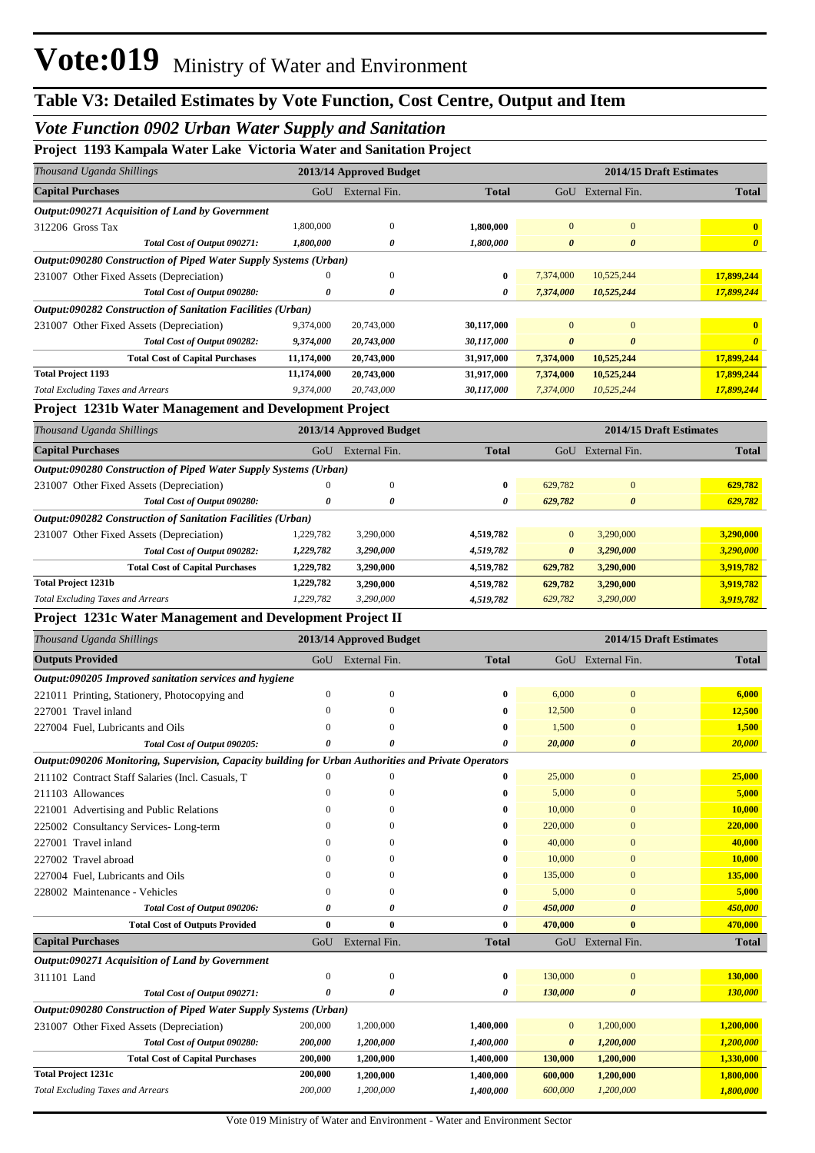# *Vote Function 0902 Urban Water Supply and Sanitation*

## **Project 1193 Kampala Water Lake Victoria Water and Sanitation Project**

| гтојсес 1199 гланијана театег тако у тесотна театег ани баницатон гтојесе<br>Thousand Uganda Shillings |                  |                         |                        |                       | 2014/15 Draft Estimates |                                   |
|--------------------------------------------------------------------------------------------------------|------------------|-------------------------|------------------------|-----------------------|-------------------------|-----------------------------------|
|                                                                                                        |                  | 2013/14 Approved Budget |                        |                       |                         |                                   |
| <b>Capital Purchases</b>                                                                               | GoU              | External Fin.           | <b>Total</b>           |                       | GoU External Fin.       | <b>Total</b>                      |
| Output:090271 Acquisition of Land by Government                                                        | 1,800,000        | $\mathbf{0}$            |                        | $\mathbf{0}$          | $\boldsymbol{0}$        |                                   |
| 312206 Gross Tax<br>Total Cost of Output 090271:                                                       | 1,800,000        | 0                       | 1,800,000<br>1,800,000 | $\boldsymbol{\theta}$ | $\boldsymbol{\theta}$   | $\bf{0}$<br>$\boldsymbol{\theta}$ |
| Output:090280 Construction of Piped Water Supply Systems (Urban)                                       |                  |                         |                        |                       |                         |                                   |
| 231007 Other Fixed Assets (Depreciation)                                                               |                  | $\Omega$                | 0                      | 7,374,000             | 10,525,244              | 17,899,244                        |
| Total Cost of Output 090280:                                                                           | 0                | 0                       | 0                      | 7,374,000             | 10,525,244              | 17,899,244                        |
| Output:090282 Construction of Sanitation Facilities (Urban)                                            |                  |                         |                        |                       |                         |                                   |
| 231007 Other Fixed Assets (Depreciation)                                                               | 9,374,000        | 20,743,000              | 30,117,000             | $\mathbf{0}$          | $\mathbf{0}$            | $\bf{0}$                          |
| Total Cost of Output 090282:                                                                           | 9,374,000        | 20,743,000              | 30,117,000             | $\boldsymbol{\theta}$ | 0                       | $\boldsymbol{\theta}$             |
| <b>Total Cost of Capital Purchases</b>                                                                 | 11,174,000       | 20,743,000              | 31,917,000             | 7,374,000             | 10,525,244              | 17,899,244                        |
| <b>Total Project 1193</b>                                                                              | 11,174,000       | 20,743,000              | 31,917,000             | 7,374,000             | 10,525,244              | 17,899,244                        |
| <b>Total Excluding Taxes and Arrears</b>                                                               | 9,374,000        | 20,743,000              | 30,117,000             | 7,374,000             | 10,525,244              | 17,899,244                        |
| Project 1231b Water Management and Development Project                                                 |                  |                         |                        |                       |                         |                                   |
| Thousand Uganda Shillings                                                                              |                  | 2013/14 Approved Budget |                        |                       | 2014/15 Draft Estimates |                                   |
| <b>Capital Purchases</b>                                                                               |                  | GoU External Fin.       | <b>Total</b>           |                       | GoU External Fin.       | <b>Total</b>                      |
| Output:090280 Construction of Piped Water Supply Systems (Urban)                                       |                  |                         |                        |                       |                         |                                   |
| 231007 Other Fixed Assets (Depreciation)                                                               | $\Omega$         | $\boldsymbol{0}$        | 0                      | 629,782               | $\boldsymbol{0}$        | 629,782                           |
| Total Cost of Output 090280:                                                                           | 0                | 0                       | 0                      | 629,782               | 0                       | 629,782                           |
| Output:090282 Construction of Sanitation Facilities (Urban)                                            |                  |                         |                        |                       |                         |                                   |
| 231007 Other Fixed Assets (Depreciation)                                                               | 1,229,782        | 3,290,000               | 4,519,782              | $\mathbf{0}$          | 3,290,000               | 3,290,000                         |
| Total Cost of Output 090282:                                                                           | 1,229,782        | 3,290,000               | 4,519,782              | $\boldsymbol{\theta}$ | 3,290,000               | 3,290,000                         |
| <b>Total Cost of Capital Purchases</b>                                                                 | 1,229,782        | 3,290,000               | 4,519,782              | 629,782               | 3,290,000               | 3,919,782                         |
| <b>Total Project 1231b</b>                                                                             | 1,229,782        | 3,290,000               | 4,519,782              | 629,782               | 3,290,000               | 3,919,782                         |
| <b>Total Excluding Taxes and Arrears</b>                                                               | 1,229,782        | 3,290,000               | 4,519,782              | 629,782               | 3,290,000               | 3,919,782                         |
| Project 1231c Water Management and Development Project II                                              |                  |                         |                        |                       |                         |                                   |
|                                                                                                        |                  |                         |                        |                       |                         |                                   |
| Thousand Uganda Shillings                                                                              |                  | 2013/14 Approved Budget |                        |                       | 2014/15 Draft Estimates |                                   |
| <b>Outputs Provided</b>                                                                                | GoU              | External Fin.           | <b>Total</b>           |                       | GoU External Fin.       | <b>Total</b>                      |
| Output:090205 Improved sanitation services and hygiene                                                 |                  |                         |                        |                       |                         |                                   |
| 221011 Printing, Stationery, Photocopying and                                                          | $\boldsymbol{0}$ | $\mathbf{0}$            | 0                      | 6,000                 | $\bf{0}$                | 6,000                             |
| 227001 Travel inland                                                                                   | $\Omega$         | 0                       | 0                      | 12,500                | $\bf{0}$                | 12,500                            |
| 227004 Fuel, Lubricants and Oils                                                                       |                  | $\Omega$                | 0                      | 1,500                 | $\bf{0}$                | 1,500                             |
| Total Cost of Output 090205:                                                                           | $\theta$         |                         | 0                      | 20,000                | 0                       | 20,000                            |
| Output:090206 Monitoring, Supervision, Capacity building for Urban Authorities and Private Operators   |                  |                         |                        |                       |                         |                                   |
| 211102 Contract Staff Salaries (Incl. Casuals, T                                                       | $\mathbf{0}$     | $\Omega$                | $\bf{0}$               | 25,000                | $\boldsymbol{0}$        | 25,000                            |
| 211103 Allowances                                                                                      | $\Omega$         | 0                       | 0                      | 5,000                 | $\bf{0}$                | 5,000                             |
| 221001 Advertising and Public Relations                                                                | $\Omega$         | $\Omega$                | 0                      | 10,000                | $\bf{0}$                | 10,000                            |
| 225002 Consultancy Services-Long-term                                                                  | $\mathbf{0}$     | $\Omega$                | 0                      | 220,000               | $\bf{0}$                | <b>220,000</b>                    |
| 227001 Travel inland                                                                                   | $\Omega$         | $\Omega$                | 0                      | 40,000                | $\bf{0}$                | 40,000                            |
| 227002 Travel abroad                                                                                   | $\Omega$         | $\Omega$                | 0                      | 10,000                | $\bf{0}$                | 10,000                            |
| 227004 Fuel, Lubricants and Oils                                                                       | $\mathbf{0}$     | $\Omega$                | 0                      | 135,000               | $\bf{0}$                | 135,000                           |
|                                                                                                        | $\mathbf{0}$     | 0                       | 0                      | 5,000                 | $\bf{0}$                | 5,000                             |
| 228002 Maintenance - Vehicles<br>Total Cost of Output 090206:                                          | 0                | 0                       | 0                      | 450,000               | 0                       | 450,000                           |
| <b>Total Cost of Outputs Provided</b>                                                                  | $\bf{0}$         | $\bf{0}$                | 0                      | 470,000               | $\bf{0}$                | 470,000                           |
| <b>Capital Purchases</b>                                                                               | GoU              | External Fin.           | <b>Total</b>           |                       | GoU External Fin.       | <b>Total</b>                      |
| Output:090271 Acquisition of Land by Government                                                        |                  |                         |                        |                       |                         |                                   |
| 311101 Land                                                                                            | $\boldsymbol{0}$ | $\boldsymbol{0}$        | $\bf{0}$               | 130,000               | $\boldsymbol{0}$        | 130,000                           |
| Total Cost of Output 090271:                                                                           | 0                | 0                       | 0                      | 130,000               | 0                       | <b>130,000</b>                    |
| Output:090280 Construction of Piped Water Supply Systems (Urban)                                       |                  |                         |                        |                       |                         |                                   |
| 231007 Other Fixed Assets (Depreciation)                                                               | 200,000          | 1,200,000               | 1,400,000              | $\mathbf{0}$          | 1,200,000               | 1,200,000                         |
| Total Cost of Output 090280:                                                                           | 200,000          | 1,200,000               | 1,400,000              | $\boldsymbol{\theta}$ | 1,200,000               | 1,200,000                         |
| <b>Total Cost of Capital Purchases</b>                                                                 | 200,000          | 1,200,000               | 1,400,000              | 130,000               | 1,200,000               | 1,330,000                         |
| <b>Total Project 1231c</b>                                                                             | 200,000          | 1,200,000               | 1,400,000              | 600,000               | 1,200,000               | 1,800,000                         |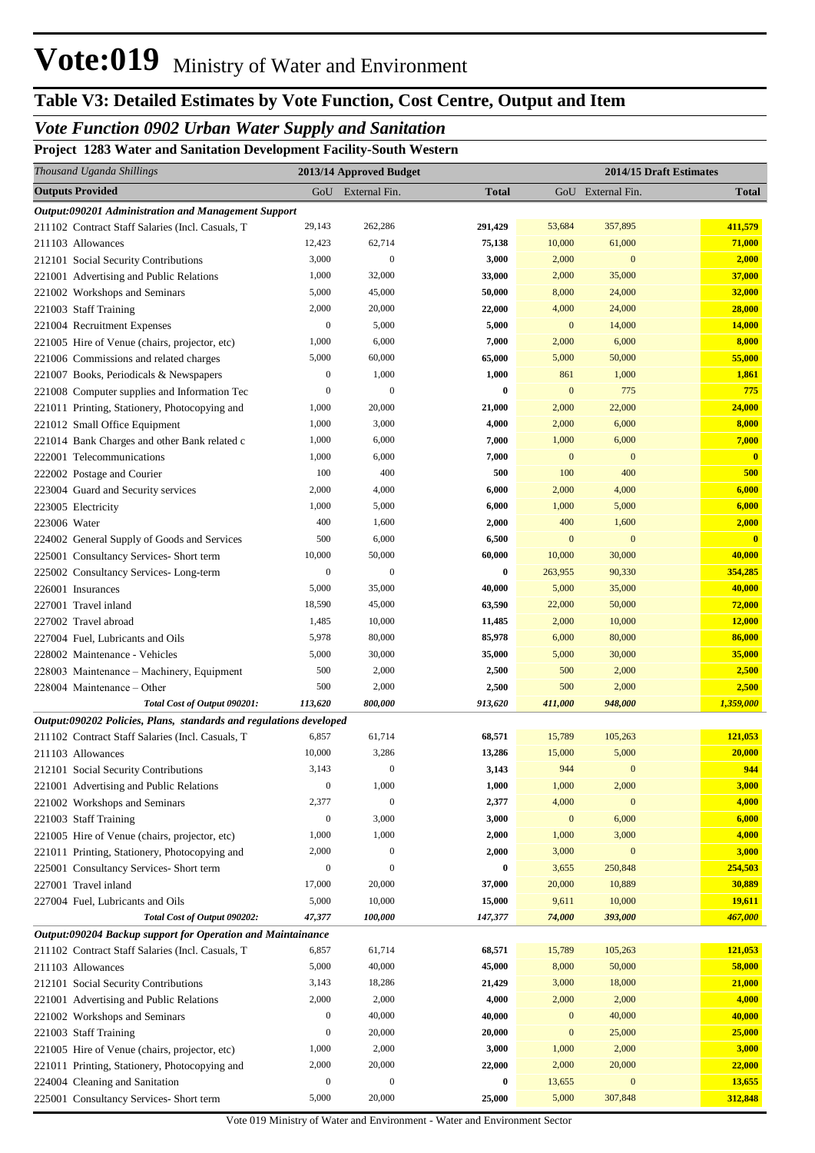# **Table V3: Detailed Estimates by Vote Function, Cost Centre, Output and Item**

# *Vote Function 0902 Urban Water Supply and Sanitation*

**Project 1283 Water and Sanitation Development Facility-South Western**

| Thousand Uganda Shillings                                          |                  | 2013/14 Approved Budget |              |                  | 2014/15 Draft Estimates |                                  |
|--------------------------------------------------------------------|------------------|-------------------------|--------------|------------------|-------------------------|----------------------------------|
| <b>Outputs Provided</b>                                            |                  | GoU External Fin.       | <b>Total</b> |                  | GoU External Fin.       | <b>Total</b>                     |
| Output:090201 Administration and Management Support                |                  |                         |              |                  |                         |                                  |
| 211102 Contract Staff Salaries (Incl. Casuals, T                   | 29,143           | 262,286                 | 291,429      | 53,684           | 357,895                 | 411,579                          |
| 211103 Allowances                                                  | 12,423           | 62,714                  | 75,138       | 10,000           | 61,000                  | 71,000                           |
| 212101 Social Security Contributions                               | 3,000            | $\mathbf{0}$            | 3,000        | 2,000            | $\bf{0}$                | 2,000                            |
| 221001 Advertising and Public Relations                            | 1,000            | 32,000                  | 33,000       | 2,000            | 35,000                  | 37,000                           |
| 221002 Workshops and Seminars                                      | 5,000            | 45,000                  | 50,000       | 8,000            | 24,000                  | 32,000                           |
| 221003 Staff Training                                              | 2,000            | 20,000                  | 22,000       | 4,000            | 24,000                  | 28,000                           |
| 221004 Recruitment Expenses                                        | $\mathbf{0}$     | 5,000                   | 5,000        | $\mathbf{0}$     | 14,000                  | 14,000                           |
| 221005 Hire of Venue (chairs, projector, etc)                      | 1,000            | 6,000                   | 7,000        | 2,000            | 6,000                   | 8,000                            |
| 221006 Commissions and related charges                             | 5,000            | 60,000                  | 65,000       | 5,000            | 50,000                  | 55,000                           |
| 221007 Books, Periodicals & Newspapers                             | $\mathbf{0}$     | 1,000                   | 1,000        | 861              | 1,000                   | 1,861                            |
| 221008 Computer supplies and Information Tec                       | $\boldsymbol{0}$ | $\mathbf{0}$            | 0            | $\mathbf{0}$     | 775                     | 775                              |
| 221011 Printing, Stationery, Photocopying and                      | 1,000            | 20,000                  | 21,000       | 2,000            | 22,000                  | 24,000                           |
| 221012 Small Office Equipment                                      | 1,000            | 3,000                   | 4,000        | 2,000            | 6,000                   | 8,000                            |
| 221014 Bank Charges and other Bank related c                       | 1,000            | 6,000                   | 7,000        | 1,000            | 6,000                   | 7,000                            |
| 222001 Telecommunications                                          | 1,000            | 6,000                   | 7,000        | $\mathbf{0}$     | $\mathbf{0}$            | $\bf{0}$                         |
| 222002 Postage and Courier                                         | 100              | 400                     | 500          | 100              | 400                     | 500                              |
| 223004 Guard and Security services                                 | 2,000            | 4,000                   | 6,000        | 2,000            | 4,000                   | 6,000                            |
| 223005 Electricity                                                 | 1,000            | 5,000                   | 6,000        | 1,000            | 5,000                   | 6,000                            |
| 223006 Water                                                       | 400              | 1,600                   | 2,000        | 400              | 1,600<br>$\mathbf{0}$   | 2,000<br>$\overline{\mathbf{0}}$ |
| 224002 General Supply of Goods and Services                        | 500<br>10,000    | 6,000<br>50,000         | 6,500        | $\mathbf{0}$     |                         |                                  |
| 225001 Consultancy Services- Short term                            | $\boldsymbol{0}$ | $\boldsymbol{0}$        | 60,000       | 10,000           | 30,000<br>90,330        | 40,000                           |
| 225002 Consultancy Services-Long-term                              | 5,000            | 35,000                  | 0<br>40,000  | 263,955<br>5,000 | 35,000                  | 354,285<br>40,000                |
| 226001 Insurances                                                  | 18,590           | 45,000                  | 63,590       | 22,000           | 50,000                  | 72,000                           |
| 227001 Travel inland<br>227002 Travel abroad                       | 1,485            | 10,000                  | 11,485       | 2,000            | 10,000                  | 12,000                           |
| 227004 Fuel, Lubricants and Oils                                   | 5,978            | 80,000                  | 85,978       | 6,000            | 80,000                  | 86,000                           |
| 228002 Maintenance - Vehicles                                      | 5,000            | 30,000                  | 35,000       | 5,000            | 30,000                  | 35,000                           |
| 228003 Maintenance - Machinery, Equipment                          | 500              | 2,000                   | 2,500        | 500              | 2,000                   | 2,500                            |
| 228004 Maintenance - Other                                         | 500              | 2,000                   | 2,500        | 500              | 2,000                   | 2,500                            |
| Total Cost of Output 090201:                                       | 113,620          | 800,000                 | 913,620      | 411,000          | 948,000                 | 1,359,000                        |
| Output:090202 Policies, Plans, standards and regulations developed |                  |                         |              |                  |                         |                                  |
| 211102 Contract Staff Salaries (Incl. Casuals, T                   | 6,857            | 61,714                  | 68,571       | 15,789           | 105,263                 | 121,053                          |
| 211103 Allowances                                                  | 10,000           | 3,286                   | 13,286       | 15,000           | 5,000                   | 20,000                           |
| 212101 Social Security Contributions                               | 3,143            | 0                       | 3,143        | 944              | $\bf{0}$                | 944                              |
| 221001 Advertising and Public Relations                            | $\boldsymbol{0}$ | 1,000                   | 1,000        | 1,000            | 2,000                   | 3,000                            |
| 221002 Workshops and Seminars                                      | 2,377            | $\mathbf{0}$            | 2,377        | 4,000            | $\bf{0}$                | 4,000                            |
| 221003 Staff Training                                              | $\boldsymbol{0}$ | 3,000                   | 3,000        | $\boldsymbol{0}$ | 6,000                   | 6,000                            |
| 221005 Hire of Venue (chairs, projector, etc)                      | 1,000            | 1,000                   | 2,000        | 1,000            | 3,000                   | 4,000                            |
| 221011 Printing, Stationery, Photocopying and                      | 2,000            | $\boldsymbol{0}$        | 2,000        | 3,000            | $\boldsymbol{0}$        | 3,000                            |
| 225001 Consultancy Services- Short term                            | $\boldsymbol{0}$ | $\mathbf{0}$            | 0            | 3,655            | 250,848                 | 254,503                          |
| 227001 Travel inland                                               | 17,000           | 20,000                  | 37,000       | 20,000           | 10,889                  | 30,889                           |
| 227004 Fuel, Lubricants and Oils                                   | 5,000            | 10,000                  | 15,000       | 9,611            | 10,000                  | 19,611                           |
| Total Cost of Output 090202:                                       | 47,377           | 100,000                 | 147,377      | 74,000           | 393,000                 | 467,000                          |
| Output:090204 Backup support for Operation and Maintainance        |                  |                         |              |                  |                         |                                  |
| 211102 Contract Staff Salaries (Incl. Casuals, T                   | 6,857            | 61,714                  | 68,571       | 15,789           | 105,263                 | 121,053                          |
| 211103 Allowances                                                  | 5,000            | 40,000                  | 45,000       | 8,000            | 50,000                  | 58,000                           |
| 212101 Social Security Contributions                               | 3,143            | 18,286                  | 21,429       | 3,000            | 18,000                  | 21,000                           |
| 221001 Advertising and Public Relations                            | 2,000            | 2,000                   | 4,000        | 2,000            | 2,000                   | 4,000                            |
| 221002 Workshops and Seminars                                      | $\boldsymbol{0}$ | 40,000                  | 40,000       | $\boldsymbol{0}$ | 40,000                  | 40,000                           |
| 221003 Staff Training                                              | $\boldsymbol{0}$ | 20,000                  | 20,000       | $\boldsymbol{0}$ | 25,000                  | 25,000                           |
| 221005 Hire of Venue (chairs, projector, etc)                      | 1,000            | 2,000                   | 3,000        | 1,000            | 2,000                   | 3,000                            |
| 221011 Printing, Stationery, Photocopying and                      | 2,000            | 20,000                  | 22,000       | 2,000            | 20,000                  | 22,000                           |
| 224004 Cleaning and Sanitation                                     | $\boldsymbol{0}$ | $\mathbf{0}$            | 0            | 13,655           | $\boldsymbol{0}$        | 13,655                           |
| 225001 Consultancy Services- Short term                            | 5,000            | 20,000                  | 25,000       | 5,000            | 307,848                 | 312,848                          |

Vote 019 Ministry of Water and Environment - Water and Environment Sector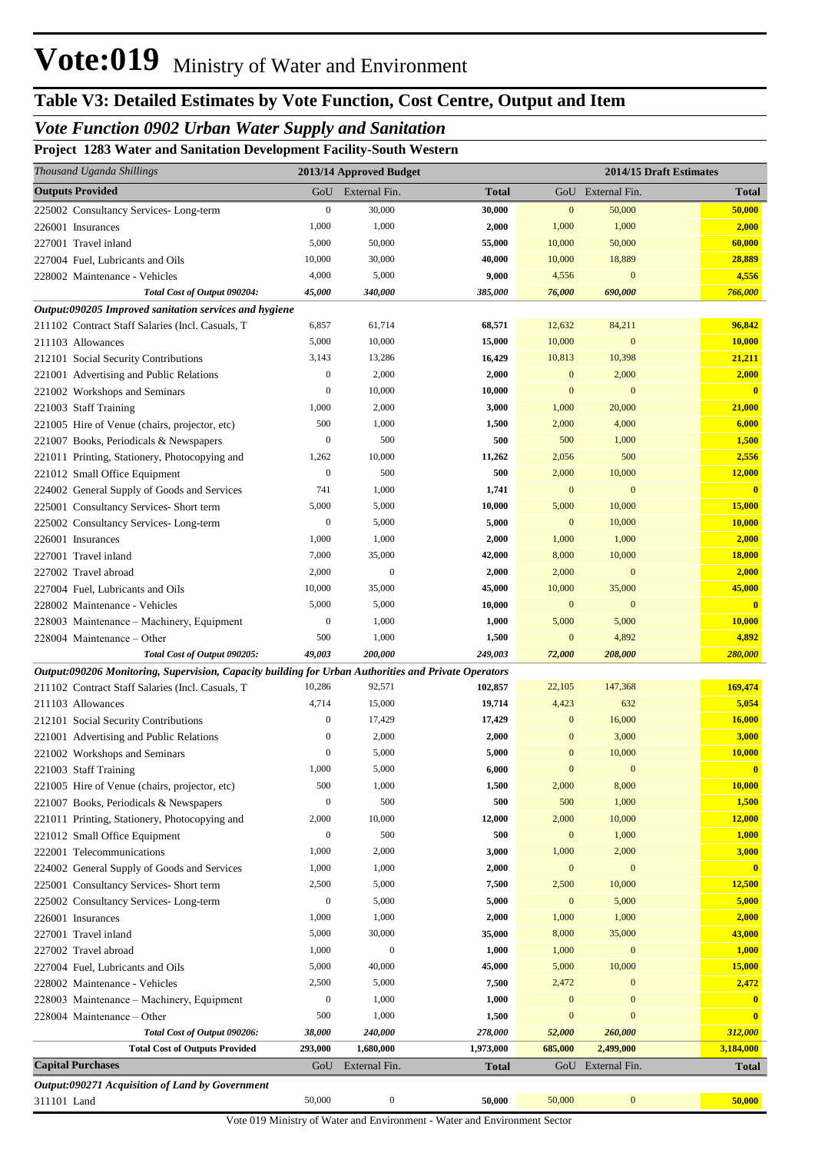## *Vote Function 0902 Urban Water Supply and Sanitation*

**Project 1283 Water and Sanitation Development Facility-South Western**

| Thousand Uganda Shillings                                                                            |                  | 2013/14 Approved Budget |                  |                  | 2014/15 Draft Estimates    |                              |
|------------------------------------------------------------------------------------------------------|------------------|-------------------------|------------------|------------------|----------------------------|------------------------------|
| <b>Outputs Provided</b>                                                                              | GoU              | External Fin.           | <b>Total</b>     |                  | GoU External Fin.          | <b>Total</b>                 |
| 225002 Consultancy Services-Long-term                                                                | $\boldsymbol{0}$ | 30,000                  | 30,000           | $\mathbf{0}$     | 50,000                     | 50,000                       |
| 226001 Insurances                                                                                    | 1,000            | 1,000                   | 2,000            | 1,000            | 1,000                      | 2,000                        |
| 227001 Travel inland                                                                                 | 5,000            | 50,000                  | 55,000           | 10,000           | 50,000                     | 60,000                       |
| 227004 Fuel, Lubricants and Oils                                                                     | 10,000           | 30,000                  | 40,000           | 10,000           | 18,889                     | 28,889                       |
| 228002 Maintenance - Vehicles                                                                        | 4,000            | 5,000                   | 9,000            | 4,556            | $\mathbf{0}$               | 4,556                        |
| Total Cost of Output 090204:                                                                         | 45,000           | 340,000                 | 385,000          | 76,000           | 690,000                    | 766,000                      |
| Output:090205 Improved sanitation services and hygiene                                               |                  |                         |                  |                  |                            |                              |
| 211102 Contract Staff Salaries (Incl. Casuals, T                                                     | 6,857            | 61,714                  | 68,571           | 12,632           | 84,211                     | 96,842                       |
| 211103 Allowances                                                                                    | 5,000            | 10,000                  | 15,000           | 10,000           | $\mathbf{0}$               | 10,000                       |
| 212101 Social Security Contributions                                                                 | 3,143            | 13,286                  | 16,429           | 10,813           | 10,398                     | 21,211                       |
| 221001 Advertising and Public Relations                                                              | $\boldsymbol{0}$ | 2,000                   | 2,000            | $\mathbf{0}$     | 2,000                      | 2,000                        |
| 221002 Workshops and Seminars                                                                        | $\boldsymbol{0}$ | 10,000                  | 10,000           | $\bf{0}$         | $\mathbf{0}$               | $\overline{\mathbf{0}}$      |
| 221003 Staff Training                                                                                | 1,000            | 2,000                   | 3,000            | 1,000            | 20,000                     | 21,000                       |
| 221005 Hire of Venue (chairs, projector, etc)                                                        | 500              | 1,000                   | 1,500            | 2,000            | 4,000                      | 6,000                        |
| 221007 Books, Periodicals & Newspapers                                                               | $\boldsymbol{0}$ | 500                     | 500              | 500              | 1,000                      | 1,500                        |
| 221011 Printing, Stationery, Photocopying and                                                        | 1,262            | 10,000                  | 11,262           | 2,056            | 500                        | 2,556                        |
| 221012 Small Office Equipment                                                                        | $\boldsymbol{0}$ | 500                     | 500              | 2,000            | 10,000                     | 12,000                       |
| 224002 General Supply of Goods and Services                                                          | 741              | 1,000                   | 1,741            | $\mathbf{0}$     | $\mathbf{0}$               | $\mathbf{0}$                 |
| 225001 Consultancy Services- Short term                                                              | 5,000            | 5,000                   | 10,000           | 5,000            | 10,000                     | 15,000                       |
| 225002 Consultancy Services-Long-term                                                                | $\boldsymbol{0}$ | 5,000                   | 5,000            | $\mathbf{0}$     | 10,000                     | 10,000                       |
| 226001 Insurances                                                                                    | 1,000            | 1,000                   | 2,000            | 1,000            | 1,000                      | 2,000                        |
| 227001 Travel inland                                                                                 | 7,000            | 35,000                  | 42,000           | 8,000            | 10,000                     | <b>18,000</b>                |
| 227002 Travel abroad                                                                                 | 2,000            | $\mathbf{0}$            | 2,000            | 2,000            | $\mathbf{0}$               | 2,000                        |
| 227004 Fuel, Lubricants and Oils                                                                     | 10,000           | 35,000                  | 45,000           | 10,000           | 35,000                     | 45,000                       |
| 228002 Maintenance - Vehicles                                                                        | 5,000            | 5,000                   | 10,000           | $\mathbf{0}$     | $\mathbf{0}$               | $\mathbf{0}$                 |
| 228003 Maintenance - Machinery, Equipment                                                            | $\boldsymbol{0}$ | 1,000                   | 1,000            | 5,000            | 5,000                      | 10,000                       |
| 228004 Maintenance – Other                                                                           | 500              | 1,000                   | 1,500            | $\mathbf{0}$     | 4,892                      | 4,892                        |
| Total Cost of Output 090205:                                                                         | 49,003           | 200,000                 | 249,003          | 72,000           | 208,000                    | 280,000                      |
| Output:090206 Monitoring, Supervision, Capacity building for Urban Authorities and Private Operators |                  |                         |                  |                  |                            |                              |
| 211102 Contract Staff Salaries (Incl. Casuals, T                                                     | 10,286           | 92,571                  | 102,857          | 22,105           | 147,368                    | 169,474                      |
| 211103 Allowances                                                                                    | 4,714            | 15,000                  | 19,714           | 4,423            | 632                        | 5,054                        |
| 212101 Social Security Contributions                                                                 | $\boldsymbol{0}$ | 17,429                  | 17,429           | $\bf{0}$         | 16,000                     | 16,000                       |
| 221001 Advertising and Public Relations                                                              | $\boldsymbol{0}$ | 2,000                   | 2,000            | $\bf{0}$         | 3,000                      | 3,000                        |
| 221002 Workshops and Seminars                                                                        | $\boldsymbol{0}$ | 5,000                   | 5,000            | $\mathbf{0}$     | 10,000                     | 10,000                       |
| 221003 Staff Training                                                                                | $1,\!000$        | 5,000                   | 6,000            | $\mathbf{0}$     | $\mathbf{0}$               |                              |
| 221005 Hire of Venue (chairs, projector, etc)                                                        | 500              | 1,000                   | 1,500            | 2,000            | 8,000                      | 10,000                       |
| 221007 Books, Periodicals & Newspapers                                                               | $\boldsymbol{0}$ | 500                     | 500              | 500              | 1,000                      | 1,500                        |
| 221011 Printing, Stationery, Photocopying and                                                        | 2,000            | 10,000                  | 12,000           | 2,000            | 10,000                     | 12,000                       |
| 221012 Small Office Equipment                                                                        | $\boldsymbol{0}$ | 500                     | 500              | $\bf{0}$         | 1,000                      | 1,000                        |
| 222001 Telecommunications                                                                            | 1,000            | 2,000                   | 3,000            | 1,000            | 2,000                      | 3,000                        |
| 224002 General Supply of Goods and Services                                                          | 1,000            | 1,000                   | 2,000            | $\boldsymbol{0}$ | $\boldsymbol{0}$           | $\mathbf{0}$                 |
| 225001 Consultancy Services- Short term                                                              | 2,500            | 5,000                   | 7,500            | 2,500            | 10,000                     | 12,500                       |
| 225002 Consultancy Services-Long-term                                                                | $\boldsymbol{0}$ | 5,000                   | 5,000            | $\boldsymbol{0}$ | 5,000                      | 5,000                        |
| 226001 Insurances                                                                                    | 1,000<br>5,000   | 1,000<br>30,000         | 2,000<br>35,000  | 1,000            | 1,000                      | 2,000<br>43,000              |
| 227001 Travel inland                                                                                 |                  | $\boldsymbol{0}$        |                  | 8,000            | 35,000<br>$\boldsymbol{0}$ |                              |
| 227002 Travel abroad                                                                                 | 1,000            |                         | 1,000            | 1,000            |                            | 1,000<br>15,000              |
| 227004 Fuel, Lubricants and Oils                                                                     | 5,000<br>2,500   | 40,000<br>5,000         | 45,000<br>7,500  | 5,000<br>2,472   | 10,000<br>$\mathbf{0}$     | 2,472                        |
| 228002 Maintenance - Vehicles                                                                        | $\boldsymbol{0}$ | 1,000                   |                  | $\bf{0}$         | $\mathbf{0}$               |                              |
| 228003 Maintenance - Machinery, Equipment                                                            | 500              | 1,000                   | 1,000            | $\bf{0}$         | $\mathbf{0}$               | $\mathbf{0}$<br>$\mathbf{0}$ |
| 228004 Maintenance – Other<br>Total Cost of Output 090206:                                           | 38,000           | 240,000                 | 1,500<br>278,000 | 52,000           | 260,000                    | 312,000                      |
| <b>Total Cost of Outputs Provided</b>                                                                | <b>293,000</b>   | 1,680,000               | 1,973,000        | 685,000          | 2,499,000                  | 3,184,000                    |
| <b>Capital Purchases</b>                                                                             | GoU              | External Fin.           | Total            |                  | GoU External Fin.          | <b>Total</b>                 |
|                                                                                                      |                  |                         |                  |                  |                            |                              |
| Output:090271 Acquisition of Land by Government<br>311101 Land                                       | 50,000           | $\boldsymbol{0}$        | 50,000           | 50,000           | $\boldsymbol{0}$           | 50,000                       |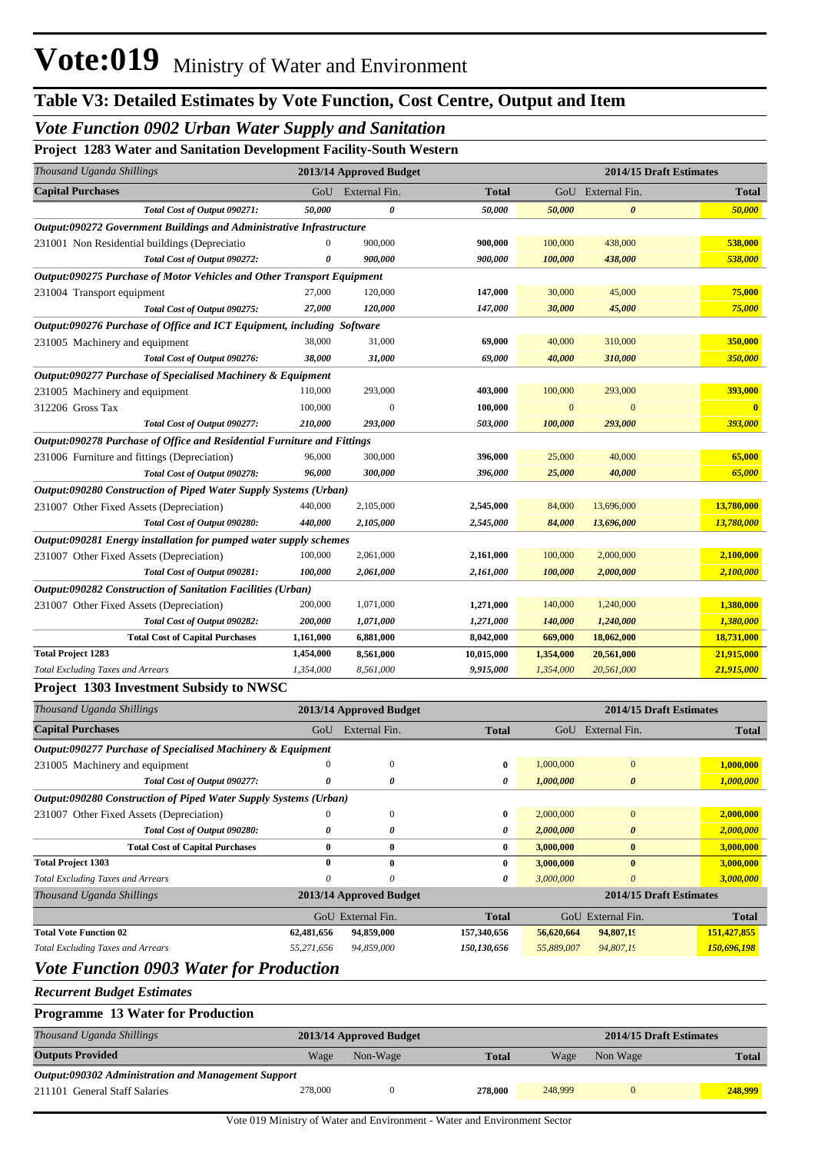## *Vote Function 0902 Urban Water Supply and Sanitation*

## **Project 1283 Water and Sanitation Development Facility-South Western**

| Thousand Uganda Shillings                                               |                  | 2013/14 Approved Budget |              |              | 2014/15 Draft Estimates |                         |
|-------------------------------------------------------------------------|------------------|-------------------------|--------------|--------------|-------------------------|-------------------------|
| <b>Capital Purchases</b>                                                | GoU              | External Fin.           | <b>Total</b> |              | GoU External Fin.       | <b>Total</b>            |
| Total Cost of Output 090271:                                            | 50,000           | 0                       | 50,000       | 50,000       | $\boldsymbol{\theta}$   | 50,000                  |
| Output:090272 Government Buildings and Administrative Infrastructure    |                  |                         |              |              |                         |                         |
| 231001 Non Residential buildings (Depreciatio                           | $\boldsymbol{0}$ | 900,000                 | 900,000      | 100,000      | 438,000                 | 538,000                 |
| Total Cost of Output 090272:                                            | 0                | 900,000                 | 900,000      | 100,000      | 438,000                 | 538,000                 |
| Output:090275 Purchase of Motor Vehicles and Other Transport Equipment  |                  |                         |              |              |                         |                         |
| 231004 Transport equipment                                              | 27,000           | 120,000                 | 147,000      | 30,000       | 45,000                  | 75,000                  |
| Total Cost of Output 090275:                                            | 27,000           | 120,000                 | 147,000      | 30,000       | 45,000                  | 75,000                  |
| Output:090276 Purchase of Office and ICT Equipment, including Software  |                  |                         |              |              |                         |                         |
| 231005 Machinery and equipment                                          | 38,000           | 31,000                  | 69,000       | 40,000       | 310,000                 | 350,000                 |
| Total Cost of Output 090276:                                            | 38,000           | 31,000                  | 69,000       | 40,000       | 310,000                 | 350,000                 |
|                                                                         |                  |                         |              |              |                         |                         |
| Output:090277 Purchase of Specialised Machinery & Equipment             |                  | 293,000                 |              |              |                         | 393,000                 |
| 231005 Machinery and equipment                                          | 110,000          |                         | 403,000      | 100,000      | 293,000                 | $\overline{\mathbf{0}}$ |
| 312206 Gross Tax                                                        | 100,000          | $\mathbf{0}$            | 100,000      | $\mathbf{0}$ | $\mathbf{0}$            |                         |
| Total Cost of Output 090277:                                            | 210,000          | 293,000                 | 503,000      | 100,000      | 293,000                 | 393,000                 |
| Output:090278 Purchase of Office and Residential Furniture and Fittings |                  |                         |              |              |                         |                         |
| 231006 Furniture and fittings (Depreciation)                            | 96,000           | 300,000                 | 396,000      | 25,000       | 40,000                  | 65,000                  |
| Total Cost of Output 090278:                                            | 96,000           | 300,000                 | 396,000      | 25,000       | 40,000                  | 65,000                  |
| Output:090280 Construction of Piped Water Supply Systems (Urban)        |                  |                         |              |              |                         |                         |
| 231007 Other Fixed Assets (Depreciation)                                | 440,000          | 2,105,000               | 2,545,000    | 84,000       | 13,696,000              | 13,780,000              |
| Total Cost of Output 090280:                                            | 440,000          | 2,105,000               | 2,545,000    | 84,000       | 13,696,000              | 13,780,000              |
| Output:090281 Energy installation for pumped water supply schemes       |                  |                         |              |              |                         |                         |
| 231007 Other Fixed Assets (Depreciation)                                | 100,000          | 2,061,000               | 2,161,000    | 100,000      | 2,000,000               | 2,100,000               |
| Total Cost of Output 090281:                                            | 100,000          | 2,061,000               | 2,161,000    | 100,000      | 2,000,000               | 2,100,000               |
| Output:090282 Construction of Sanitation Facilities (Urban)             |                  |                         |              |              |                         |                         |
| 231007 Other Fixed Assets (Depreciation)                                | 200,000          | 1,071,000               | 1,271,000    | 140,000      | 1,240,000               | 1,380,000               |
| Total Cost of Output 090282:                                            | 200,000          | 1,071,000               | 1,271,000    | 140,000      | 1,240,000               | 1,380,000               |
| <b>Total Cost of Capital Purchases</b>                                  | 1,161,000        | 6,881,000               | 8,042,000    | 669,000      | 18,062,000              | 18,731,000              |
| <b>Total Project 1283</b>                                               | 1,454,000        | 8,561,000               | 10,015,000   | 1,354,000    | 20,561,000              | 21,915,000              |
| <b>Total Excluding Taxes and Arrears</b>                                | 1,354,000        | 8,561,000               | 9,915,000    | 1,354,000    | 20,561,000              | 21,915,000              |
| Project 1303 Investment Subsidy to NWSC                                 |                  |                         |              |              |                         |                         |
| Thousand Uganda Shillings                                               |                  | 2013/14 Approved Budget |              |              | 2014/15 Draft Estimates |                         |
| <b>Capital Purchases</b>                                                | GoU              | External Fin.           | <b>Total</b> |              | GoU External Fin.       | <b>Total</b>            |
| Output:090277 Purchase of Specialised Machinery & Equipment             |                  |                         |              |              |                         |                         |
| 231005 Machinery and equipment                                          | $\mathbf{0}$     | $\boldsymbol{0}$        | 0            | 1,000,000    | $\mathbf{0}$            | 1,000,000               |
| Total Cost of Output 090277:                                            | 0                | 0                       | 0            | 1,000,000    | $\pmb{\theta}$          | 1,000,000               |
| Output:090280 Construction of Piped Water Supply Systems (Urban)        |                  |                         |              |              |                         |                         |
|                                                                         | $\boldsymbol{0}$ | $\boldsymbol{0}$        | $\bf{0}$     | 2,000,000    | $\boldsymbol{0}$        | 2,000,000               |
| 231007 Other Fixed Assets (Depreciation)                                |                  |                         |              |              |                         |                         |
| Total Cost of Output 090280:                                            | 0                | 0                       | 0            | 2,000,000    | 0                       | 2,000,000               |
| <b>Total Cost of Capital Purchases</b>                                  | $\bf{0}$         | $\bf{0}$                | 0            | 3,000,000    | $\bf{0}$                | 3,000,000               |
| <b>Total Project 1303</b>                                               | 0                | $\bf{0}$                | 0            | 3,000,000    | $\bf{0}$                | 3,000,000               |
| <b>Total Excluding Taxes and Arrears</b>                                | $\theta$         | 0                       | 0            | 3,000,000    | $\boldsymbol{\theta}$   | 3,000,000               |
| Thousand Uganda Shillings                                               |                  | 2013/14 Approved Budget |              |              | 2014/15 Draft Estimates |                         |
|                                                                         |                  | GoU External Fin.       | Total        |              | GoU External Fin.       | <b>Total</b>            |
| <b>Total Vote Function 02</b>                                           | 62,481,656       | 94,859,000              | 157,340,656  | 56,620,664   | 94,807,19               | 151,427,855             |
| <b>Total Excluding Taxes and Arrears</b>                                | 55,271,656       | 94,859,000              | 150,130,656  | 55,889,007   | 94,807,19               | 150,696,198             |
| <b>Vote Function 0903 Water for Production</b>                          |                  |                         |              |              |                         |                         |
|                                                                         |                  |                         |              |              |                         |                         |

*Recurrent Budget Estimates*

| <b>Programme 13 Water for Production</b>            |         |                         |              |         |                         |              |
|-----------------------------------------------------|---------|-------------------------|--------------|---------|-------------------------|--------------|
| Thousand Uganda Shillings                           |         | 2013/14 Approved Budget |              |         | 2014/15 Draft Estimates |              |
| <b>Outputs Provided</b>                             | Wage    | Non-Wage                | <b>Total</b> | Wage    | Non Wage                | <b>Total</b> |
| Output:090302 Administration and Management Support |         |                         |              |         |                         |              |
| 211101 General Staff Salaries                       | 278,000 |                         | 278.000      | 248,999 |                         | 248,999      |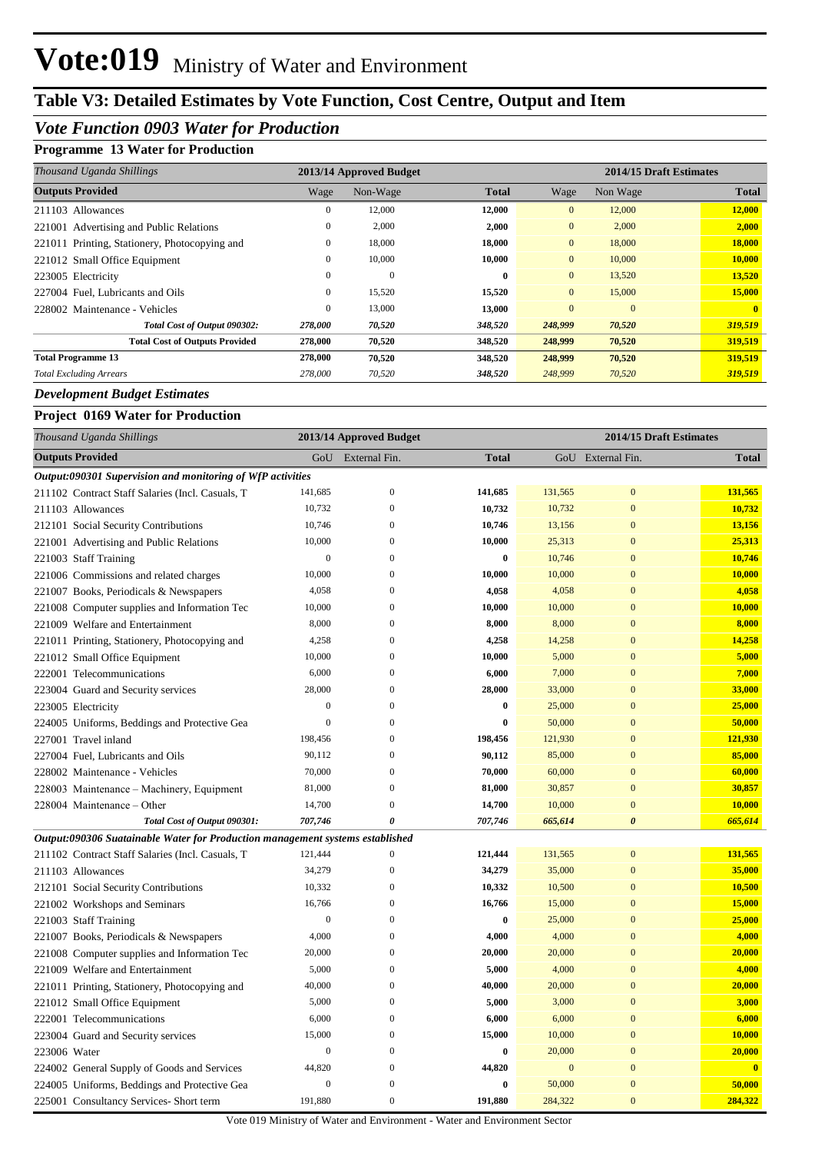# **Table V3: Detailed Estimates by Vote Function, Cost Centre, Output and Item**

## *Vote Function 0903 Water for Production*

### **Programme 13 Water for Production**

| Thousand Uganda Shillings                     |              | 2013/14 Approved Budget |              |                | 2014/15 Draft Estimates |              |  |
|-----------------------------------------------|--------------|-------------------------|--------------|----------------|-------------------------|--------------|--|
| <b>Outputs Provided</b>                       | Wage         | Non-Wage                | <b>Total</b> | Wage           | Non Wage                | <b>Total</b> |  |
| 211103 Allowances                             | $\mathbf{0}$ | 12,000                  | 12,000       | $\overline{0}$ | 12,000                  | 12,000       |  |
| 221001 Advertising and Public Relations       | $\mathbf{0}$ | 2,000                   | 2,000        | $\overline{0}$ | 2,000                   | 2,000        |  |
| 221011 Printing, Stationery, Photocopying and | $\mathbf{0}$ | 18,000                  | 18,000       | $\overline{0}$ | 18,000                  | 18,000       |  |
| 221012 Small Office Equipment                 | $\mathbf{0}$ | 10,000                  | 10,000       | $\overline{0}$ | 10,000                  | 10,000       |  |
| 223005 Electricity                            | $\mathbf{0}$ | $\mathbf{0}$            | $\mathbf{0}$ | $\overline{0}$ | 13,520                  | 13,520       |  |
| 227004 Fuel, Lubricants and Oils              | $\mathbf{0}$ | 15,520                  | 15,520       | $\overline{0}$ | 15,000                  | 15,000       |  |
| 228002 Maintenance - Vehicles                 | $\mathbf{0}$ | 13,000                  | 13,000       | $\overline{0}$ | $\mathbf{0}$            |              |  |
| Total Cost of Output 090302:                  | 278,000      | 70,520                  | 348,520      | 248,999        | 70,520                  | 319,519      |  |
| <b>Total Cost of Outputs Provided</b>         | 278,000      | 70,520                  | 348,520      | 248,999        | 70,520                  | 319,519      |  |
| <b>Total Programme 13</b>                     | 278,000      | 70,520                  | 348,520      | 248,999        | 70,520                  | 319,519      |  |
| <b>Total Excluding Arrears</b>                | 278,000      | 70,520                  | 348,520      | 248,999        | 70,520                  | 319,519      |  |

#### *Development Budget Estimates*

### **Project 0169 Water for Production**

|              | Thousand Uganda Shillings                                                     |                  | 2013/14 Approved Budget |                  |              | 2014/15 Draft Estimates |              |
|--------------|-------------------------------------------------------------------------------|------------------|-------------------------|------------------|--------------|-------------------------|--------------|
|              | <b>Outputs Provided</b>                                                       | GoU              | External Fin.           | <b>Total</b>     |              | GoU External Fin.       | <b>Total</b> |
|              | Output:090301 Supervision and monitoring of WfP activities                    |                  |                         |                  |              |                         |              |
|              | 211102 Contract Staff Salaries (Incl. Casuals, T                              | 141,685          | $\boldsymbol{0}$        | 141,685          | 131,565      | $\mathbf{0}$            | 131,565      |
|              | 211103 Allowances                                                             | 10,732           | $\mathbf{0}$            | 10,732           | 10,732       | $\mathbf{0}$            | 10,732       |
|              | 212101 Social Security Contributions                                          | 10,746           | $\mathbf{0}$            | 10,746           | 13,156       | $\bf{0}$                | 13,156       |
|              | 221001 Advertising and Public Relations                                       | 10,000           | $\overline{0}$          | 10,000           | 25,313       | $\overline{0}$          | 25,313       |
|              | 221003 Staff Training                                                         | $\boldsymbol{0}$ | $\overline{0}$          | $\bf{0}$         | 10,746       | $\mathbf{0}$            | 10,746       |
|              | 221006 Commissions and related charges                                        | 10,000           | $\Omega$                | 10,000           | 10,000       | $\mathbf{0}$            | 10,000       |
|              | 221007 Books, Periodicals & Newspapers                                        | 4,058            | $\Omega$                | 4,058            | 4,058        | $\overline{0}$          | 4,058        |
|              | 221008 Computer supplies and Information Tec                                  | 10,000           | $\mathbf{0}$            | 10,000           | 10,000       | $\mathbf{0}$            | 10,000       |
|              | 221009 Welfare and Entertainment                                              | 8,000            | $\Omega$                | 8,000            | 8,000        | $\mathbf{0}$            | 8,000        |
|              | 221011 Printing, Stationery, Photocopying and                                 | 4,258            | $\mathbf{0}$            | 4,258            | 14,258       | $\mathbf{0}$            | 14,258       |
|              | 221012 Small Office Equipment                                                 | 10,000           | $\Omega$                | 10,000           | 5,000        | $\mathbf{0}$            | 5,000        |
|              | 222001 Telecommunications                                                     | 6,000            | $\overline{0}$          | 6,000            | 7,000        | $\overline{0}$          | 7,000        |
|              | 223004 Guard and Security services                                            | 28,000           | $\Omega$                | 28,000           | 33,000       | $\overline{0}$          | 33,000       |
|              | 223005 Electricity                                                            | $\mathbf{0}$     | $\overline{0}$          | $\bf{0}$         | 25,000       | $\bf{0}$                | 25,000       |
|              | 224005 Uniforms, Beddings and Protective Gea                                  | $\mathbf{0}$     | $\mathbf{0}$            | $\boldsymbol{0}$ | 50,000       | $\boldsymbol{0}$        | 50,000       |
|              | 227001 Travel inland                                                          | 198,456          | $\overline{0}$          | 198,456          | 121,930      | $\mathbf{0}$            | 121,930      |
|              | 227004 Fuel, Lubricants and Oils                                              | 90,112           | $\mathbf{0}$            | 90,112           | 85,000       | $\mathbf{0}$            | 85,000       |
|              | 228002 Maintenance - Vehicles                                                 | 70,000           | $\overline{0}$          | 70,000           | 60,000       | $\bf{0}$                | 60,000       |
|              | 228003 Maintenance – Machinery, Equipment                                     | 81,000           | $\mathbf{0}$            | 81,000           | 30,857       | $\mathbf{0}$            | 30,857       |
|              | 228004 Maintenance – Other                                                    | 14,700           | $\boldsymbol{0}$        | 14,700           | 10,000       | $\mathbf{0}$            | 10,000       |
|              | Total Cost of Output 090301:                                                  | 707,746          | $\theta$                | 707,746          | 665,614      | $\boldsymbol{\theta}$   | 665,614      |
|              | Output:090306 Suatainable Water for Production management systems established |                  |                         |                  |              |                         |              |
|              | 211102 Contract Staff Salaries (Incl. Casuals, T                              | 121,444          | $\mathbf{0}$            | 121,444          | 131,565      | $\bf{0}$                | 131,565      |
|              | 211103 Allowances                                                             | 34,279           | $\boldsymbol{0}$        | 34,279           | 35,000       | $\mathbf{0}$            | 35,000       |
|              | 212101 Social Security Contributions                                          | 10,332           | $\overline{0}$          | 10,332           | 10,500       | $\mathbf{0}$            | 10,500       |
|              | 221002 Workshops and Seminars                                                 | 16,766           | $\overline{0}$          | 16,766           | 15,000       | $\mathbf{0}$            | 15,000       |
|              | 221003 Staff Training                                                         | $\boldsymbol{0}$ | $\overline{0}$          | $\bf{0}$         | 25,000       | $\bf{0}$                | 25,000       |
|              | 221007 Books, Periodicals & Newspapers                                        | 4,000            | $\overline{0}$          | 4,000            | 4,000        | $\overline{0}$          | 4,000        |
|              | 221008 Computer supplies and Information Tec                                  | 20,000           | 0                       | 20,000           | 20,000       | $\bf{0}$                | 20,000       |
|              | 221009 Welfare and Entertainment                                              | 5,000            | $\Omega$                | 5,000            | 4,000        | $\overline{0}$          | 4,000        |
|              | 221011 Printing, Stationery, Photocopying and                                 | 40,000           | $\mathbf{0}$            | 40,000           | 20,000       | $\overline{0}$          | 20,000       |
|              | 221012 Small Office Equipment                                                 | 5,000            | $\mathbf{0}$            | 5,000            | 3,000        | $\mathbf{0}$            | 3,000        |
|              | 222001 Telecommunications                                                     | 6,000            | $\boldsymbol{0}$        | 6,000            | 6,000        | $\mathbf{0}$            | 6,000        |
|              | 223004 Guard and Security services                                            | 15,000           | $\Omega$                | 15,000           | 10,000       | $\mathbf{0}$            | 10,000       |
| 223006 Water |                                                                               | $\boldsymbol{0}$ | $\mathbf{0}$            | $\bf{0}$         | 20,000       | $\mathbf{0}$            | 20,000       |
|              | 224002 General Supply of Goods and Services                                   | 44,820           | $\mathbf{0}$            | 44,820           | $\mathbf{0}$ | $\mathbf{0}$            | $\mathbf{0}$ |
|              | 224005 Uniforms, Beddings and Protective Gea                                  | $\boldsymbol{0}$ | $\mathbf{0}$            | $\bf{0}$         | 50,000       | $\mathbf{0}$            | 50,000       |
|              | 225001 Consultancy Services- Short term                                       | 191,880          | $\boldsymbol{0}$        | 191,880          | 284,322      | $\mathbf{0}$            | 284,322      |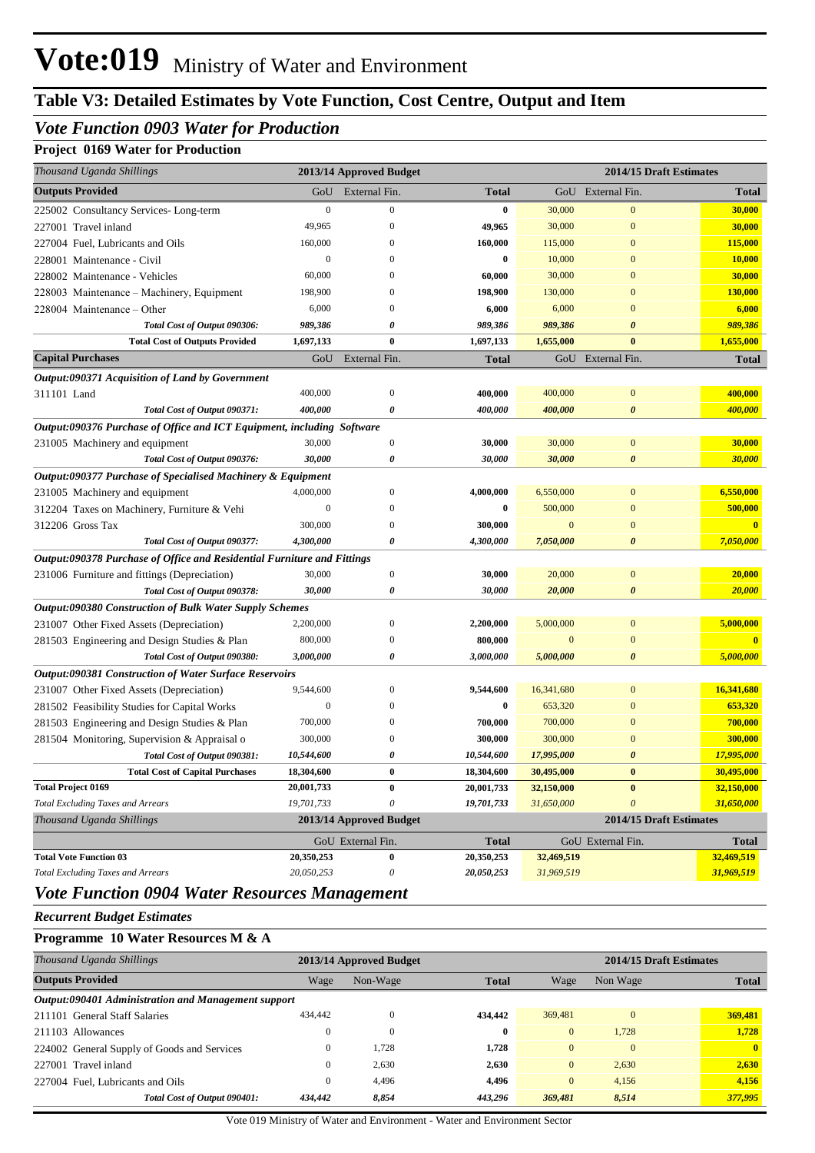# **Table V3: Detailed Estimates by Vote Function, Cost Centre, Output and Item**

## *Vote Function 0903 Water for Production*

## **Project 0169 Water for Production**

| Thousand Uganda Shillings                                               |                  | 2013/14 Approved Budget |              | 2014/15 Draft Estimates |                         |              |  |  |  |  |
|-------------------------------------------------------------------------|------------------|-------------------------|--------------|-------------------------|-------------------------|--------------|--|--|--|--|
| <b>Outputs Provided</b>                                                 | GoU              | External Fin.           | Total        |                         | GoU External Fin.       | <b>Total</b> |  |  |  |  |
| 225002 Consultancy Services-Long-term                                   | $\boldsymbol{0}$ | $\boldsymbol{0}$        | 0            | 30,000                  | $\bf{0}$                | 30,000       |  |  |  |  |
| 227001 Travel inland                                                    | 49,965           | $\Omega$                | 49,965       | 30,000                  | $\overline{0}$          | 30,000       |  |  |  |  |
| 227004 Fuel, Lubricants and Oils                                        | 160,000          | $\left($                | 160,000      | 115,000                 | $\bf{0}$                | 115,000      |  |  |  |  |
| 228001 Maintenance - Civil                                              | $\mathbf{0}$     | $\Omega$                | 0            | 10,000                  | $\overline{0}$          | 10,000       |  |  |  |  |
| 228002 Maintenance - Vehicles                                           | 60,000           | $\Omega$                | 60,000       | 30,000                  | $\overline{0}$          | 30,000       |  |  |  |  |
| 228003 Maintenance - Machinery, Equipment                               | 198,900          | $\Omega$                | 198,900      | 130,000                 | $\overline{0}$          | 130,000      |  |  |  |  |
| 228004 Maintenance – Other                                              | 6,000            | $\Omega$                | 6,000        | 6,000                   | $\overline{0}$          | 6,000        |  |  |  |  |
| Total Cost of Output 090306:                                            | 989,386          | 0                       | 989,386      | 989,386                 | 0                       | 989,386      |  |  |  |  |
| <b>Total Cost of Outputs Provided</b>                                   | 1,697,133        | $\bf{0}$                | 1,697,133    | 1,655,000               | $\bf{0}$                | 1,655,000    |  |  |  |  |
| <b>Capital Purchases</b>                                                | GoU              | External Fin.           | <b>Total</b> |                         | GoU External Fin.       | <b>Total</b> |  |  |  |  |
| Output:090371 Acquisition of Land by Government                         |                  |                         |              |                         |                         |              |  |  |  |  |
| 311101 Land                                                             | 400,000          | $\boldsymbol{0}$        | 400,000      | 400,000                 | $\bf{0}$                | 400,000      |  |  |  |  |
| Total Cost of Output 090371:                                            | 400,000          | 0                       | 400,000      | 400,000                 | 0                       | 400,000      |  |  |  |  |
| Output:090376 Purchase of Office and ICT Equipment, including Software  |                  |                         |              |                         |                         |              |  |  |  |  |
| 231005 Machinery and equipment                                          | 30,000           | $\boldsymbol{0}$        | 30,000       | 30,000                  | $\boldsymbol{0}$        | 30,000       |  |  |  |  |
| Total Cost of Output 090376:                                            | 30,000           | 0                       | 30,000       | 30,000                  | 0                       | 30,000       |  |  |  |  |
| Output:090377 Purchase of Specialised Machinery & Equipment             |                  |                         |              |                         |                         |              |  |  |  |  |
| 231005 Machinery and equipment                                          | 4,000,000        | $\mathbf{0}$            | 4,000,000    | 6,550,000               | $\bf{0}$                | 6,550,000    |  |  |  |  |
| 312204 Taxes on Machinery, Furniture & Vehi                             | $\boldsymbol{0}$ | $\mathbf{0}$            | 0            | 500,000                 | $\bf{0}$                | 500,000      |  |  |  |  |
| 312206 Gross Tax                                                        | 300,000          | $\mathbf{0}$            | 300,000      | $\mathbf{0}$            | $\bf{0}$                | $\bf{0}$     |  |  |  |  |
| Total Cost of Output 090377:                                            | 4,300,000        | 0                       | 4,300,000    | 7,050,000               | $\boldsymbol{\theta}$   | 7,050,000    |  |  |  |  |
| Output:090378 Purchase of Office and Residential Furniture and Fittings |                  |                         |              |                         |                         |              |  |  |  |  |
| 231006 Furniture and fittings (Depreciation)                            | 30,000           | $\boldsymbol{0}$        | 30,000       | 20,000                  | $\bf{0}$                | 20,000       |  |  |  |  |
| Total Cost of Output 090378:                                            | 30,000           | 0                       | 30,000       | 20,000                  | 0                       | 20,000       |  |  |  |  |
| Output:090380 Construction of Bulk Water Supply Schemes                 |                  |                         |              |                         |                         |              |  |  |  |  |
| 231007 Other Fixed Assets (Depreciation)                                | 2,200,000        | $\boldsymbol{0}$        | 2,200,000    | 5,000,000               | $\bf{0}$                | 5,000,000    |  |  |  |  |
| 281503 Engineering and Design Studies & Plan                            | 800,000          | $\mathbf{0}$            | 800,000      | $\mathbf{0}$            | $\bf{0}$                | $\mathbf{0}$ |  |  |  |  |
| Total Cost of Output 090380:                                            | 3,000,000        | 0                       | 3,000,000    | 5,000,000               | 0                       | 5,000,000    |  |  |  |  |
| <b>Output:090381 Construction of Water Surface Reservoirs</b>           |                  |                         |              |                         |                         |              |  |  |  |  |
| 231007 Other Fixed Assets (Depreciation)                                | 9,544,600        | $\mathbf{0}$            | 9,544,600    | 16,341,680              | $\bf{0}$                | 16,341,680   |  |  |  |  |
| 281502 Feasibility Studies for Capital Works                            | $\boldsymbol{0}$ | $\Omega$                | 0            | 653,320                 | $\bf{0}$                | 653,320      |  |  |  |  |
| 281503 Engineering and Design Studies & Plan                            | 700,000          | $\mathbf{0}$            | 700,000      | 700,000                 | $\bf{0}$                | 700,000      |  |  |  |  |
| 281504 Monitoring, Supervision & Appraisal o                            | 300,000          | $\mathbf{0}$            | 300,000      | 300,000                 | $\bf{0}$                | 300,000      |  |  |  |  |
| Total Cost of Output 090381:                                            | 10,544,600       | 0                       | 10,544,600   | 17,995,000              | 0                       | 17,995,000   |  |  |  |  |
| <b>Total Cost of Capital Purchases</b>                                  | 18,304,600       | $\bf{0}$                | 18,304,600   | 30,495,000              | $\pmb{0}$               | 30,495,000   |  |  |  |  |
| <b>Total Project 0169</b>                                               | 20,001,733       | $\bf{0}$                | 20,001,733   | 32,150,000              | $\bf{0}$                | 32,150,000   |  |  |  |  |
| <b>Total Excluding Taxes and Arrears</b>                                | 19,701,733       | $\theta$                | 19,701,733   | 31,650,000              | $\theta$                | 31,650,000   |  |  |  |  |
| Thousand Uganda Shillings                                               |                  | 2013/14 Approved Budget |              |                         | 2014/15 Draft Estimates |              |  |  |  |  |
|                                                                         |                  | GoU External Fin.       | <b>Total</b> |                         | GoU External Fin.       | Total        |  |  |  |  |
| <b>Total Vote Function 03</b>                                           | 20,350,253       | $\bf{0}$                | 20,350,253   | 32,469,519              |                         | 32,469,519   |  |  |  |  |
| <b>Total Excluding Taxes and Arrears</b>                                | 20,050,253       | 0                       | 20,050,253   | 31,969,519              |                         | 31,969,519   |  |  |  |  |

# *Vote Function 0904 Water Resources Management*

*Recurrent Budget Estimates*

#### **Programme 10 Water Resources M & A**

| Thousand Uganda Shillings                           |              | 2013/14 Approved Budget |              |          | 2014/15 Draft Estimates |              |  |  |  |
|-----------------------------------------------------|--------------|-------------------------|--------------|----------|-------------------------|--------------|--|--|--|
| <b>Outputs Provided</b>                             | Wage         | Non-Wage                | <b>Total</b> | Wage     | Non Wage                | <b>Total</b> |  |  |  |
| Output:090401 Administration and Management support |              |                         |              |          |                         |              |  |  |  |
| 211101 General Staff Salaries                       | 434,442      | $\sqrt{ }$              | 434,442      | 369,481  | $\mathbf{0}$            | 369,481      |  |  |  |
| 211103 Allowances                                   |              | $\Omega$                | $\bf{0}$     | $\Omega$ | 1.728                   | 1,728        |  |  |  |
| 224002 General Supply of Goods and Services         |              | 1.728                   | 1,728        | $\Omega$ | $\Omega$                | $\mathbf{0}$ |  |  |  |
| 227001 Travel inland                                | $\mathbf{0}$ | 2.630                   | 2,630        | $\Omega$ | 2.630                   | 2,630        |  |  |  |
| 227004 Fuel, Lubricants and Oils                    |              | 4.496                   | 4.496        | $\Omega$ | 4.156                   | 4,156        |  |  |  |
| Total Cost of Output 090401:                        | 434,442      | 8,854                   | 443,296      | 369,481  | 8,514                   | 377,995      |  |  |  |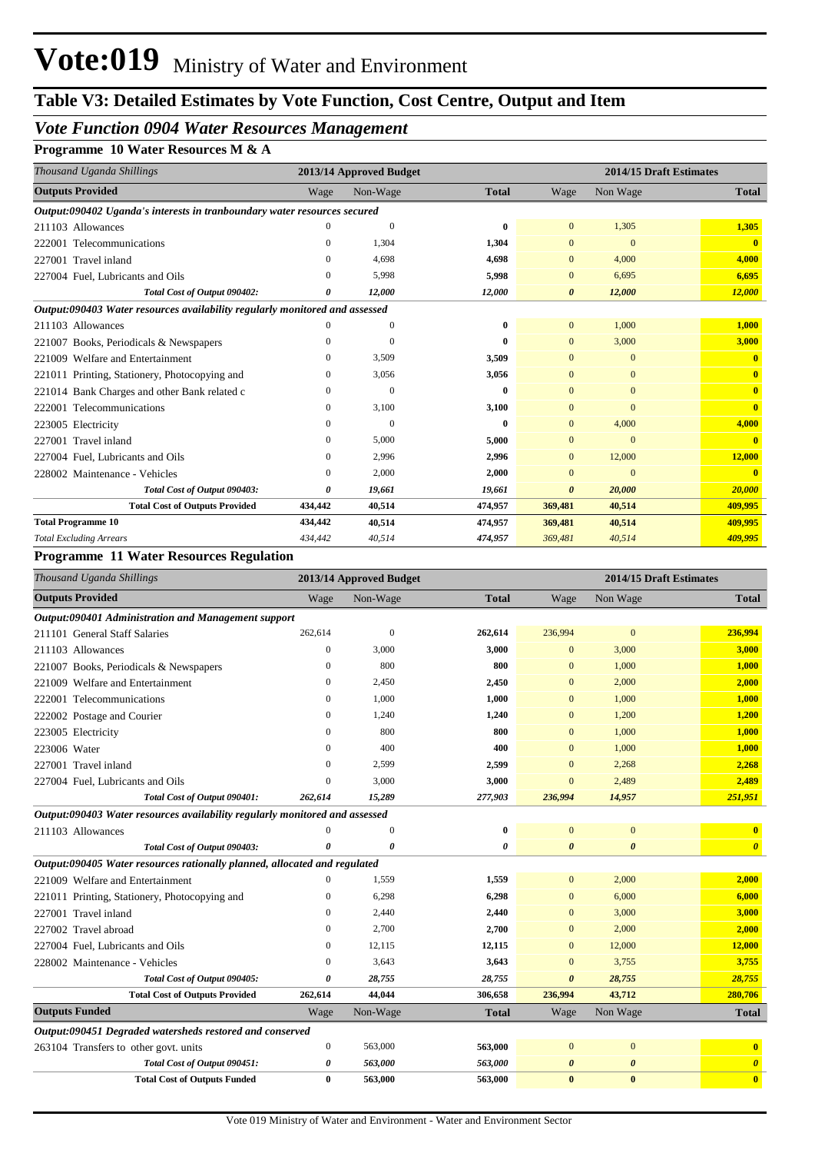# **Table V3: Detailed Estimates by Vote Function, Cost Centre, Output and Item**

# *Vote Function 0904 Water Resources Management*

## **Programme 10 Water Resources M & A**

| Thousand Uganda Shillings                                                   | 2013/14 Approved Budget |          |              |                       | 2014/15 Draft Estimates |              |  |
|-----------------------------------------------------------------------------|-------------------------|----------|--------------|-----------------------|-------------------------|--------------|--|
| <b>Outputs Provided</b>                                                     | Wage                    | Non-Wage | <b>Total</b> | Wage                  | Non Wage                | <b>Total</b> |  |
| Output:090402 Uganda's interests in tranboundary water resources secured    |                         |          |              |                       |                         |              |  |
| 211103 Allowances                                                           | $\Omega$                | $\Omega$ | 0            | $\Omega$              | 1,305                   | 1,305        |  |
| 222001 Telecommunications                                                   | $\Omega$                | 1,304    | 1,304        | $\mathbf{0}$          | $\mathbf{0}$            | $\mathbf{0}$ |  |
| 227001 Travel inland                                                        | $\Omega$                | 4,698    | 4,698        | $\mathbf{0}$          | 4,000                   | 4,000        |  |
| 227004 Fuel, Lubricants and Oils                                            | $\Omega$                | 5,998    | 5,998        | $\mathbf{0}$          | 6,695                   | 6,695        |  |
| Total Cost of Output 090402:                                                | 0                       | 12,000   | 12,000       | 0                     | 12,000                  | 12,000       |  |
| Output:090403 Water resources availability regularly monitored and assessed |                         |          |              |                       |                         |              |  |
| 211103 Allowances                                                           |                         | $\Omega$ | 0            | $\overline{0}$        | 1,000                   | 1,000        |  |
| 221007 Books, Periodicals & Newspapers                                      | $\Omega$                | $\Omega$ | 0            | $\Omega$              | 3,000                   | 3,000        |  |
| 221009 Welfare and Entertainment                                            | $\Omega$                | 3,509    | 3,509        | $\Omega$              | $\mathbf{0}$            | $\mathbf{0}$ |  |
| 221011 Printing, Stationery, Photocopying and                               | 0                       | 3,056    | 3,056        | $\Omega$              | $\Omega$                | $\mathbf{0}$ |  |
| 221014 Bank Charges and other Bank related c                                | 0                       | $\Omega$ | 0            | $\Omega$              | $\Omega$                | $\mathbf{0}$ |  |
| 222001 Telecommunications                                                   | $\mathbf{0}$            | 3,100    | 3,100        | $\mathbf{0}$          | $\Omega$                | $\mathbf{0}$ |  |
| 223005 Electricity                                                          | $\Omega$                | $\Omega$ | 0            | $\mathbf{0}$          | 4,000                   | 4,000        |  |
| Travel inland<br>227001                                                     | $\mathbf{0}$            | 5,000    | 5,000        | $\mathbf{0}$          | $\Omega$                | $\mathbf{0}$ |  |
| 227004 Fuel, Lubricants and Oils                                            | 0                       | 2,996    | 2,996        | $\overline{0}$        | 12,000                  | 12,000       |  |
| 228002 Maintenance - Vehicles                                               | 0                       | 2,000    | 2,000        | $\mathbf{0}$          | $\mathbf{0}$            | $\mathbf{0}$ |  |
| Total Cost of Output 090403:                                                | 0                       | 19,661   | 19,661       | $\boldsymbol{\theta}$ | 20,000                  | 20,000       |  |
| <b>Total Cost of Outputs Provided</b>                                       | 434,442                 | 40,514   | 474,957      | 369,481               | 40,514                  | 409,995      |  |
| <b>Total Programme 10</b>                                                   | 434,442                 | 40,514   | 474,957      | 369,481               | 40,514                  | 409,995      |  |
| <b>Total Excluding Arrears</b>                                              | 434,442                 | 40,514   | 474,957      | 369,481               | 40,514                  | 409,995      |  |

### **Programme 11 Water Resources Regulation**

| Thousand Uganda Shillings                                                   |                  | 2013/14 Approved Budget |                       |                       | 2014/15 Draft Estimates |                         |
|-----------------------------------------------------------------------------|------------------|-------------------------|-----------------------|-----------------------|-------------------------|-------------------------|
| <b>Outputs Provided</b>                                                     | Wage             | Non-Wage                | <b>Total</b>          | Wage                  | Non Wage                | <b>Total</b>            |
| Output:090401 Administration and Management support                         |                  |                         |                       |                       |                         |                         |
| 211101 General Staff Salaries                                               | 262,614          | $\overline{0}$          | 262,614               | 236,994               | $\mathbf{0}$            | 236,994                 |
| 211103 Allowances                                                           | $\boldsymbol{0}$ | 3,000                   | 3,000                 | $\mathbf{0}$          | 3,000                   | 3,000                   |
| 221007 Books, Periodicals & Newspapers                                      | $\mathbf{0}$     | 800                     | 800                   | $\mathbf{0}$          | 1,000                   | 1,000                   |
| 221009 Welfare and Entertainment                                            | $\Omega$         | 2,450                   | 2,450                 | $\Omega$              | 2,000                   | 2,000                   |
| 222001 Telecommunications                                                   | $\theta$         | 1,000                   | 1,000                 | $\Omega$              | 1,000                   | 1,000                   |
| 222002 Postage and Courier                                                  | $\mathbf{0}$     | 1,240                   | 1,240                 | $\mathbf{0}$          | 1,200                   | 1,200                   |
| 223005 Electricity                                                          | $\overline{0}$   | 800                     | 800                   | $\Omega$              | 1,000                   | 1,000                   |
| 223006 Water                                                                | 0                | 400                     | 400                   | $\mathbf{0}$          | 1,000                   | 1,000                   |
| 227001 Travel inland                                                        | 0                | 2,599                   | 2,599                 | $\mathbf{0}$          | 2,268                   | 2,268                   |
| 227004 Fuel, Lubricants and Oils                                            | $\Omega$         | 3,000                   | 3,000                 | $\Omega$              | 2,489                   | 2,489                   |
| Total Cost of Output 090401:                                                | 262,614          | 15,289                  | 277,903               | 236,994               | 14,957                  | 251,951                 |
| Output:090403 Water resources availability regularly monitored and assessed |                  |                         |                       |                       |                         |                         |
| 211103 Allowances                                                           | $\Omega$         | $\overline{0}$          | $\bf{0}$              | $\mathbf{0}$          | $\mathbf{0}$            | $\overline{\mathbf{0}}$ |
| Total Cost of Output 090403:                                                | 0                | $\boldsymbol{\theta}$   | $\boldsymbol{\theta}$ | $\boldsymbol{\theta}$ | $\boldsymbol{\theta}$   | $\boldsymbol{\theta}$   |
| Output:090405 Water resources rationally planned, allocated and regulated   |                  |                         |                       |                       |                         |                         |
| 221009 Welfare and Entertainment                                            | 0                | 1,559                   | 1,559                 | $\overline{0}$        | 2,000                   | 2,000                   |
| 221011 Printing, Stationery, Photocopying and                               | $\Omega$         | 6,298                   | 6,298                 | $\mathbf{0}$          | 6,000                   | 6,000                   |
| 227001 Travel inland                                                        | $\Omega$         | 2,440                   | 2,440                 | $\Omega$              | 3,000                   | 3,000                   |
| 227002 Travel abroad                                                        | $\Omega$         | 2,700                   | 2,700                 | $\Omega$              | 2,000                   | 2,000                   |
| 227004 Fuel, Lubricants and Oils                                            | $\overline{0}$   | 12,115                  | 12,115                | $\mathbf{0}$          | 12,000                  | 12,000                  |
| 228002 Maintenance - Vehicles                                               | $\overline{0}$   | 3,643                   | 3,643                 | $\mathbf{0}$          | 3,755                   | 3,755                   |
| Total Cost of Output 090405:                                                | 0                | 28,755                  | 28,755                | $\boldsymbol{\theta}$ | 28,755                  | 28,755                  |
| <b>Total Cost of Outputs Provided</b>                                       | 262,614          | 44,044                  | 306,658               | 236,994               | 43,712                  | 280,706                 |
| <b>Outputs Funded</b>                                                       | Wage             | Non-Wage                | <b>Total</b>          | Wage                  | Non Wage                | <b>Total</b>            |
| Output:090451 Degraded watersheds restored and conserved                    |                  |                         |                       |                       |                         |                         |
| 263104 Transfers to other govt. units                                       | $\boldsymbol{0}$ | 563,000                 | 563,000               | $\mathbf{0}$          | $\mathbf{0}$            | $\mathbf{0}$            |
| Total Cost of Output 090451:                                                | 0                | 563,000                 | 563,000               | $\boldsymbol{\theta}$ | $\boldsymbol{\theta}$   | $\boldsymbol{\theta}$   |
| <b>Total Cost of Outputs Funded</b>                                         | $\bf{0}$         | 563,000                 | 563,000               | $\bf{0}$              | $\mathbf{0}$            | $\overline{\mathbf{0}}$ |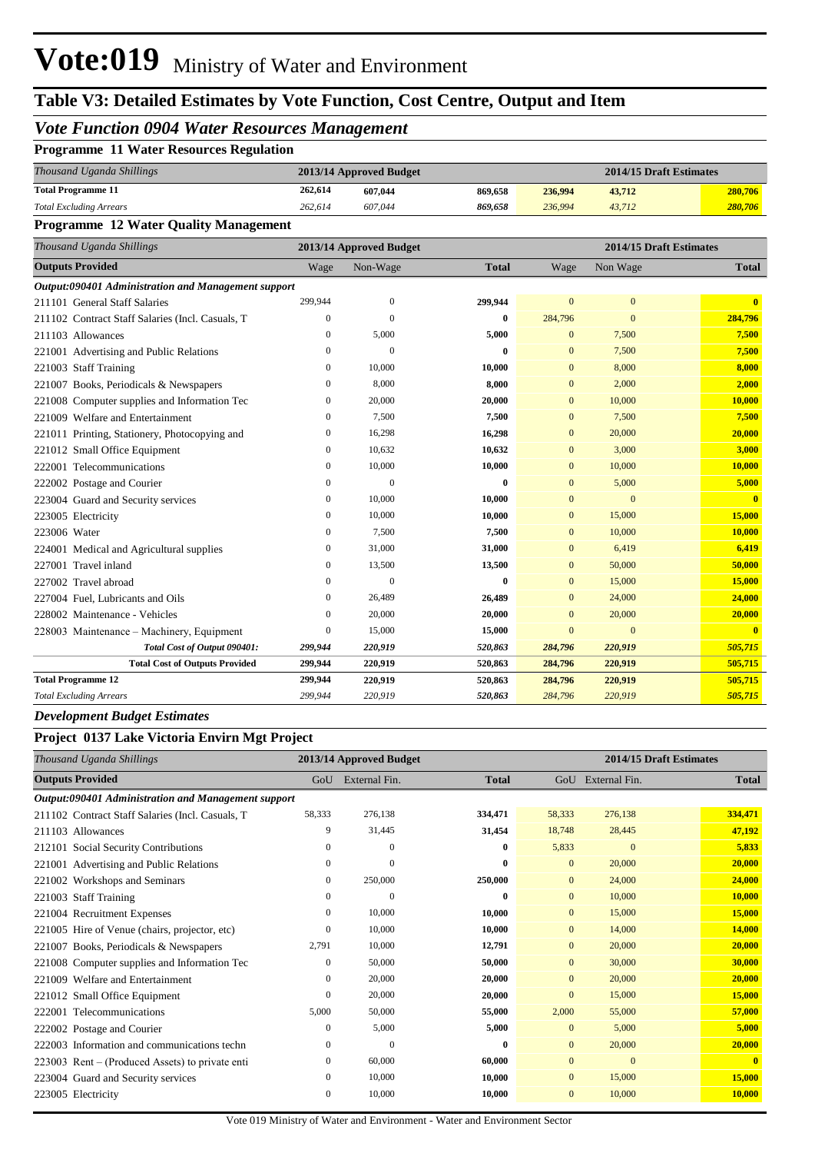# **Table V3: Detailed Estimates by Vote Function, Cost Centre, Output and Item**

## *Vote Function 0904 Water Resources Management*

| <b>Programme 11 Water Resources Regulation</b> |  |  |  |  |
|------------------------------------------------|--|--|--|--|
|------------------------------------------------|--|--|--|--|

| Thousand Uganda Shillings      |         | 2013/14 Approved Budget | 2014/15 Draft Estimates |         |        |         |
|--------------------------------|---------|-------------------------|-------------------------|---------|--------|---------|
| <b>Total Programme 11</b>      | 262,614 | 607.044                 | 869.658                 | 236.994 | 43,712 | 280,706 |
| <b>Total Excluding Arrears</b> | 262,614 | 607.044                 | 869.658                 | 236,994 | 43.712 | 280,706 |

### **Programme 12 Water Quality Management**

| Thousand Uganda Shillings                           | 2014/15 Draft Estimates<br>2013/14 Approved Budget |                  |              |                |                |                         |
|-----------------------------------------------------|----------------------------------------------------|------------------|--------------|----------------|----------------|-------------------------|
| <b>Outputs Provided</b>                             | Wage                                               | Non-Wage         | <b>Total</b> | Wage           | Non Wage       | <b>Total</b>            |
| Output:090401 Administration and Management support |                                                    |                  |              |                |                |                         |
| 211101 General Staff Salaries                       | 299,944                                            | $\boldsymbol{0}$ | 299,944      | $\overline{0}$ | $\mathbf{0}$   | $\mathbf{0}$            |
| 211102 Contract Staff Salaries (Incl. Casuals, T    | $\mathbf{0}$                                       | $\mathbf{0}$     | $\bf{0}$     | 284,796        | $\overline{0}$ | 284,796                 |
| 211103 Allowances                                   | $\Omega$                                           | 5,000            | 5,000        | $\mathbf{0}$   | 7,500          | 7,500                   |
| 221001 Advertising and Public Relations             | $\Omega$                                           | $\mathbf{0}$     | 0            | $\mathbf{0}$   | 7,500          | 7,500                   |
| 221003 Staff Training                               | $\mathbf{0}$                                       | 10,000           | 10,000       | $\overline{0}$ | 8,000          | 8,000                   |
| 221007 Books, Periodicals & Newspapers              | $\Omega$                                           | 8,000            | 8,000        | $\Omega$       | 2,000          | 2,000                   |
| 221008 Computer supplies and Information Tec        | $\mathbf{0}$                                       | 20,000           | 20,000       | $\mathbf{0}$   | 10,000         | 10,000                  |
| 221009 Welfare and Entertainment                    | $\mathbf{0}$                                       | 7,500            | 7,500        | $\overline{0}$ | 7.500          | 7,500                   |
| 221011 Printing, Stationery, Photocopying and       | $\mathbf{0}$                                       | 16,298           | 16,298       | $\Omega$       | 20,000         | 20,000                  |
| 221012 Small Office Equipment                       | $\mathbf{0}$                                       | 10,632           | 10,632       | $\bf{0}$       | 3,000          | 3,000                   |
| 222001 Telecommunications                           | $\mathbf{0}$                                       | 10,000           | 10,000       | $\overline{0}$ | 10,000         | 10,000                  |
| 222002 Postage and Courier                          | $\mathbf{0}$                                       | $\mathbf{0}$     | 0            | $\mathbf{0}$   | 5,000          | 5,000                   |
| 223004 Guard and Security services                  | $\mathbf{0}$                                       | 10,000           | 10,000       | $\overline{0}$ | $\mathbf{0}$   | $\overline{\mathbf{0}}$ |
| 223005 Electricity                                  | $\Omega$                                           | 10,000           | 10,000       | $\mathbf{0}$   | 15,000         | 15,000                  |
| 223006 Water                                        | $\mathbf{0}$                                       | 7,500            | 7,500        | $\mathbf{0}$   | 10,000         | 10,000                  |
| 224001 Medical and Agricultural supplies            | $\mathbf{0}$                                       | 31,000           | 31,000       | $\overline{0}$ | 6.419          | 6,419                   |
| 227001 Travel inland                                | $\Omega$                                           | 13,500           | 13,500       | $\mathbf{0}$   | 50,000         | 50,000                  |
| 227002 Travel abroad                                | $\Omega$                                           | $\mathbf{0}$     | 0            | $\mathbf{0}$   | 15,000         | 15,000                  |
| 227004 Fuel, Lubricants and Oils                    | $\mathbf{0}$                                       | 26,489           | 26,489       | $\mathbf{0}$   | 24,000         | 24,000                  |
| 228002 Maintenance - Vehicles                       | $\Omega$                                           | 20,000           | 20,000       | $\Omega$       | 20,000         | 20,000                  |
| 228003 Maintenance – Machinery, Equipment           | $\mathbf{0}$                                       | 15,000           | 15,000       | $\overline{0}$ | $\mathbf{0}$   | $\mathbf{0}$            |
| Total Cost of Output 090401:                        | 299,944                                            | 220,919          | 520,863      | 284,796        | 220,919        | 505,715                 |
| <b>Total Cost of Outputs Provided</b>               | 299,944                                            | 220,919          | 520,863      | 284,796        | 220,919        | 505,715                 |
| <b>Total Programme 12</b>                           | 299,944                                            | 220,919          | 520,863      | 284,796        | 220,919        | 505,715                 |
| <b>Total Excluding Arrears</b>                      | 299,944                                            | 220,919          | 520,863      | 284,796        | 220,919        | 505,715                 |

### *Development Budget Estimates*

### **Project 0137 Lake Victoria Envirn Mgt Project**

| Thousand Uganda Shillings                           |              | 2013/14 Approved Budget |              | 2014/15 Draft Estimates |                   |              |
|-----------------------------------------------------|--------------|-------------------------|--------------|-------------------------|-------------------|--------------|
| <b>Outputs Provided</b>                             | GoU          | External Fin.           | <b>Total</b> |                         | GoU External Fin. | <b>Total</b> |
| Output:090401 Administration and Management support |              |                         |              |                         |                   |              |
| 211102 Contract Staff Salaries (Incl. Casuals, T    | 58,333       | 276,138                 | 334,471      | 58,333                  | 276,138           | 334,471      |
| 211103 Allowances                                   | 9            | 31,445                  | 31,454       | 18,748                  | 28,445            | 47,192       |
| 212101 Social Security Contributions                | 0            | $\overline{0}$          | $\mathbf{0}$ | 5,833                   | $\mathbf{0}$      | 5,833        |
| 221001 Advertising and Public Relations             | $\mathbf{0}$ | $\Omega$                | $\bf{0}$     | $\overline{0}$          | 20,000            | 20,000       |
| 221002 Workshops and Seminars                       | $\mathbf{0}$ | 250,000                 | 250,000      | $\Omega$                | 24,000            | 24,000       |
| 221003 Staff Training                               | 0            | $\Omega$                | $\bf{0}$     | $\overline{0}$          | 10,000            | 10,000       |
| 221004 Recruitment Expenses                         | $\mathbf{0}$ | 10,000                  | 10,000       | $\overline{0}$          | 15,000            | 15,000       |
| 221005 Hire of Venue (chairs, projector, etc)       | $\mathbf{0}$ | 10,000                  | 10,000       | $\overline{0}$          | 14,000            | 14,000       |
| 221007 Books, Periodicals & Newspapers              | 2,791        | 10,000                  | 12,791       | $\overline{0}$          | 20,000            | 20,000       |
| 221008 Computer supplies and Information Tec        | $\mathbf{0}$ | 50,000                  | 50,000       | $\Omega$                | 30,000            | 30,000       |
| 221009 Welfare and Entertainment                    | $\mathbf{0}$ | 20,000                  | 20,000       | $\overline{0}$          | 20,000            | 20,000       |
| 221012 Small Office Equipment                       | $\mathbf{0}$ | 20,000                  | 20,000       | $\mathbf{0}$            | 15,000            | 15,000       |
| 222001 Telecommunications                           | 5,000        | 50,000                  | 55,000       | 2,000                   | 55,000            | 57,000       |
| 222002 Postage and Courier                          | $\mathbf{0}$ | 5,000                   | 5,000        | $\mathbf{0}$            | 5,000             | 5,000        |
| 222003 Information and communications techn         | $\mathbf{0}$ | $\Omega$                | $\bf{0}$     | $\overline{0}$          | 20,000            | 20,000       |
| 223003 Rent – (Produced Assets) to private enti     | $\mathbf{0}$ | 60,000                  | 60,000       | $\overline{0}$          | $\mathbf{0}$      | $\mathbf{0}$ |
| 223004 Guard and Security services                  | $\mathbf{0}$ | 10,000                  | 10,000       | $\mathbf{0}$            | 15,000            | 15,000       |
| 223005 Electricity                                  | $\mathbf{0}$ | 10,000                  | 10,000       | $\overline{0}$          | 10,000            | 10,000       |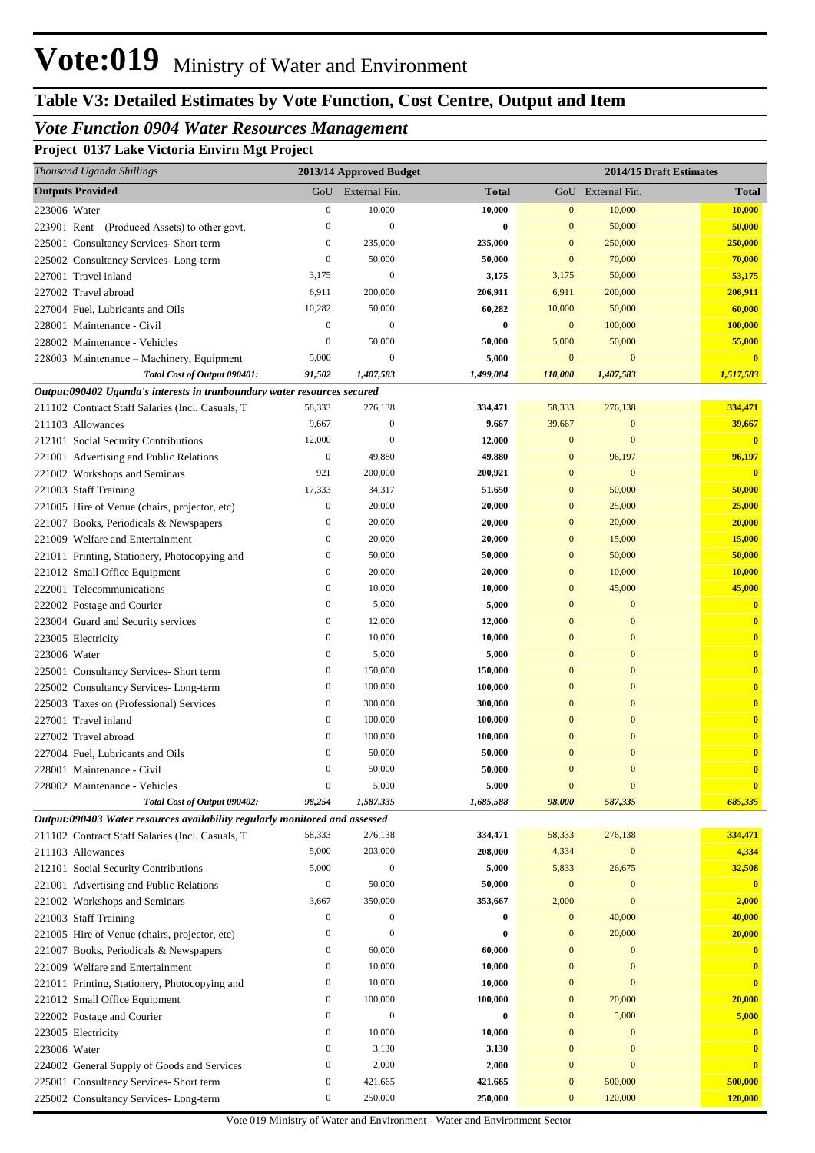# **Table V3: Detailed Estimates by Vote Function, Cost Centre, Output and Item**

# *Vote Function 0904 Water Resources Management*

**Project 0137 Lake Victoria Envirn Mgt Project**

|              | Thousand Uganda Shillings                                                   |                  | 2013/14 Approved Budget |                    |                  |                             | 2014/15 Draft Estimates |
|--------------|-----------------------------------------------------------------------------|------------------|-------------------------|--------------------|------------------|-----------------------------|-------------------------|
|              | <b>Outputs Provided</b>                                                     |                  | GoU External Fin.       | <b>Total</b>       |                  | GoU External Fin.           | <b>Total</b>            |
| 223006 Water |                                                                             | $\boldsymbol{0}$ | 10,000                  | 10,000             | $\mathbf{0}$     | 10,000                      | 10,000                  |
|              | $223901$ Rent – (Produced Assets) to other govt.                            | $\mathbf{0}$     | $\Omega$                | 0                  | $\mathbf{0}$     | 50,000                      | 50,000                  |
|              | 225001 Consultancy Services- Short term                                     | $\boldsymbol{0}$ | 235,000                 | 235,000            | $\mathbf{0}$     | 250,000                     | 250,000                 |
|              | 225002 Consultancy Services-Long-term                                       | $\boldsymbol{0}$ | 50,000                  | 50,000             | $\mathbf{0}$     | 70,000                      | 70,000                  |
|              | 227001 Travel inland                                                        | 3,175            | $\mathbf{0}$            | 3,175              | 3,175            | 50,000                      | 53,175                  |
|              | 227002 Travel abroad                                                        | 6,911            | 200,000                 | 206,911            | 6,911            | 200,000                     | 206,911                 |
|              | 227004 Fuel, Lubricants and Oils                                            | 10,282           | 50,000                  | 60,282             | 10,000           | 50,000                      | 60,000                  |
|              | 228001 Maintenance - Civil                                                  | $\boldsymbol{0}$ | $\mathbf{0}$            | 0                  | $\mathbf{0}$     | 100,000                     | 100,000                 |
|              | 228002 Maintenance - Vehicles                                               | $\boldsymbol{0}$ | 50,000                  | 50,000             | 5,000            | 50,000                      | 55,000                  |
|              | 228003 Maintenance - Machinery, Equipment                                   | 5,000            | $\mathbf{0}$            | 5,000              | $\mathbf{0}$     | $\mathbf{0}$                | $\mathbf{0}$            |
|              | Total Cost of Output 090401:                                                | 91,502           | 1,407,583               | 1,499,084          | 110,000          | 1,407,583                   | 1,517,583               |
|              | Output:090402 Uganda's interests in tranboundary water resources secured    |                  |                         |                    |                  |                             |                         |
|              | 211102 Contract Staff Salaries (Incl. Casuals, T                            | 58,333           | 276,138                 | 334,471            | 58,333           | 276,138                     | 334,471                 |
|              | 211103 Allowances                                                           | 9,667            | $\boldsymbol{0}$        | 9,667              | 39,667           | $\mathbf{0}$                | 39,667                  |
|              | 212101 Social Security Contributions                                        | 12,000           | $\Omega$                | 12,000             | $\mathbf{0}$     | $\mathbf{0}$                | $\overline{\mathbf{0}}$ |
|              | 221001 Advertising and Public Relations                                     | 0                | 49,880                  | 49,880             | $\mathbf{0}$     | 96,197                      | 96,197                  |
|              | 221002 Workshops and Seminars                                               | 921              | 200,000                 | 200,921            | $\mathbf{0}$     | $\mathbf{0}$                | $\overline{\mathbf{0}}$ |
|              | 221003 Staff Training                                                       | 17,333           | 34,317                  | 51,650             | $\mathbf{0}$     | 50,000                      | 50,000                  |
|              | 221005 Hire of Venue (chairs, projector, etc)                               | $\boldsymbol{0}$ | 20,000                  | 20,000             | $\mathbf{0}$     | 25,000                      | 25,000                  |
|              | 221007 Books, Periodicals & Newspapers                                      | $\boldsymbol{0}$ | 20,000                  | 20,000             | $\mathbf{0}$     | 20,000                      | 20,000                  |
|              | 221009 Welfare and Entertainment                                            | $\boldsymbol{0}$ | 20,000                  | 20,000             | $\mathbf{0}$     | 15,000                      | 15,000                  |
|              | 221011 Printing, Stationery, Photocopying and                               | $\boldsymbol{0}$ | 50,000                  | 50,000             | $\mathbf{0}$     | 50,000                      | 50,000                  |
|              | 221012 Small Office Equipment                                               | 0                | 20,000                  | 20,000             | $\mathbf{0}$     | 10,000                      | 10,000                  |
|              | 222001 Telecommunications                                                   | 0                | 10,000                  | 10,000             | $\mathbf{0}$     | 45,000                      | 45,000                  |
|              | 222002 Postage and Courier                                                  | 0                | 5,000                   | 5,000              | $\mathbf{0}$     | $\mathbf{0}$                | $\overline{\mathbf{0}}$ |
|              | 223004 Guard and Security services                                          | 0                | 12,000                  | 12,000             | $\mathbf{0}$     | $\mathbf{0}$                | $\mathbf{0}$            |
|              | 223005 Electricity                                                          | 0                | 10,000                  | 10,000             | $\mathbf{0}$     | $\mathbf{0}$                | $\bf{0}$                |
| 223006 Water |                                                                             | $\mathbf{0}$     | 5,000                   | 5,000              | $\mathbf{0}$     | $\mathbf{0}$                | $\mathbf{0}$            |
|              | 225001 Consultancy Services- Short term                                     | 0                | 150,000                 | 150,000            | $\mathbf{0}$     | $\mathbf{0}$                | $\mathbf{0}$            |
|              | 225002 Consultancy Services-Long-term                                       | 0                | 100,000                 | 100,000            | $\mathbf{0}$     | $\mathbf{0}$                | $\bf{0}$                |
|              | 225003 Taxes on (Professional) Services                                     | $\mathbf{0}$     | 300,000                 | 300,000            | $\Omega$         | $\mathbf{0}$                | $\mathbf{0}$            |
|              | 227001 Travel inland                                                        | $\mathbf{0}$     | 100,000                 | 100,000            | $\Omega$         | $\mathbf{0}$                | $\mathbf{0}$            |
|              | 227002 Travel abroad                                                        | $\mathbf{0}$     | 100,000                 | 100,000            | $\mathbf{0}$     | $\mathbf{0}$                | $\mathbf{0}$            |
|              |                                                                             | $\mathbf{0}$     | 50,000                  | 50,000             | $\overline{0}$   | $\overline{0}$              | $\mathbf{0}$            |
|              | 227004 Fuel, Lubricants and Oils                                            | $\mathbf{0}$     |                         | 50,000             | $\mathbf{0}$     | $\mathbf{0}$                | $\overline{\mathbf{0}}$ |
|              | 228001 Maintenance - Civil                                                  | $\boldsymbol{0}$ | 50,000                  |                    | $\boldsymbol{0}$ | $\mathbf{0}$                | $\overline{\mathbf{0}}$ |
|              | 228002 Maintenance - Vehicles                                               |                  | 5,000                   | 5,000<br>1,685,588 |                  |                             | 685,335                 |
|              | Total Cost of Output 090402:                                                | 98,254           | 1,587,335               |                    | 98,000           | 587,335                     |                         |
|              | Output:090403 Water resources availability regularly monitored and assessed | 58,333           |                         |                    |                  |                             | 334,471                 |
|              | 211102 Contract Staff Salaries (Incl. Casuals, T                            |                  | 276,138                 | 334,471            | 58,333           | 276,138<br>$\boldsymbol{0}$ | 4,334                   |
|              | 211103 Allowances                                                           | 5,000            | 203,000<br>$\mathbf{0}$ | 208,000            | 4,334            |                             |                         |
|              | 212101 Social Security Contributions                                        | 5,000            |                         | 5,000              | 5,833            | 26,675                      | 32,508                  |
|              | 221001 Advertising and Public Relations                                     | $\boldsymbol{0}$ | 50,000                  | 50,000             | $\boldsymbol{0}$ | $\boldsymbol{0}$            | $\overline{\mathbf{0}}$ |
|              | 221002 Workshops and Seminars                                               | 3,667            | 350,000                 | 353,667            | 2,000            | $\mathbf{0}$                | 2,000                   |
|              | 221003 Staff Training                                                       | 0                | $\mathbf{0}$            | 0                  | $\mathbf{0}$     | 40,000                      | 40,000                  |
|              | 221005 Hire of Venue (chairs, projector, etc)                               | $\boldsymbol{0}$ | $\Omega$                | 0                  | $\mathbf{0}$     | 20,000                      | 20,000                  |
|              | 221007 Books, Periodicals & Newspapers                                      | 0                | 60,000                  | 60,000             | $\mathbf{0}$     | $\boldsymbol{0}$            | $\mathbf{0}$            |
|              | 221009 Welfare and Entertainment                                            | 0                | 10,000                  | 10,000             | $\mathbf{0}$     | $\mathbf{0}$                | $\mathbf{0}$            |
|              | 221011 Printing, Stationery, Photocopying and                               | 0                | 10,000                  | 10,000             | $\mathbf{0}$     | $\bf{0}$                    | $\overline{0}$          |
|              | 221012 Small Office Equipment                                               | 0                | 100,000                 | 100,000            | $\mathbf{0}$     | 20,000                      | 20,000                  |
|              | 222002 Postage and Courier                                                  | 0                | $\mathbf{0}$            | 0                  | $\mathbf{0}$     | 5,000                       | 5,000                   |
|              | 223005 Electricity                                                          | 0                | 10,000                  | 10,000             | $\mathbf{0}$     | $\mathbf{0}$                | $\mathbf{0}$            |
| 223006 Water |                                                                             | 0                | 3,130                   | 3,130              | $\mathbf{0}$     | $\mathbf{0}$                | $\mathbf{0}$            |
|              | 224002 General Supply of Goods and Services                                 | 0                | 2,000                   | 2,000              | $\mathbf{0}$     | $\boldsymbol{0}$            | $\mathbf{0}$            |
|              | 225001 Consultancy Services- Short term                                     | 0                | 421,665                 | 421,665            | $\boldsymbol{0}$ | 500,000                     | 500,000                 |
|              | 225002 Consultancy Services-Long-term                                       | $\boldsymbol{0}$ | 250,000                 | 250,000            | $\boldsymbol{0}$ | 120,000                     | 120,000                 |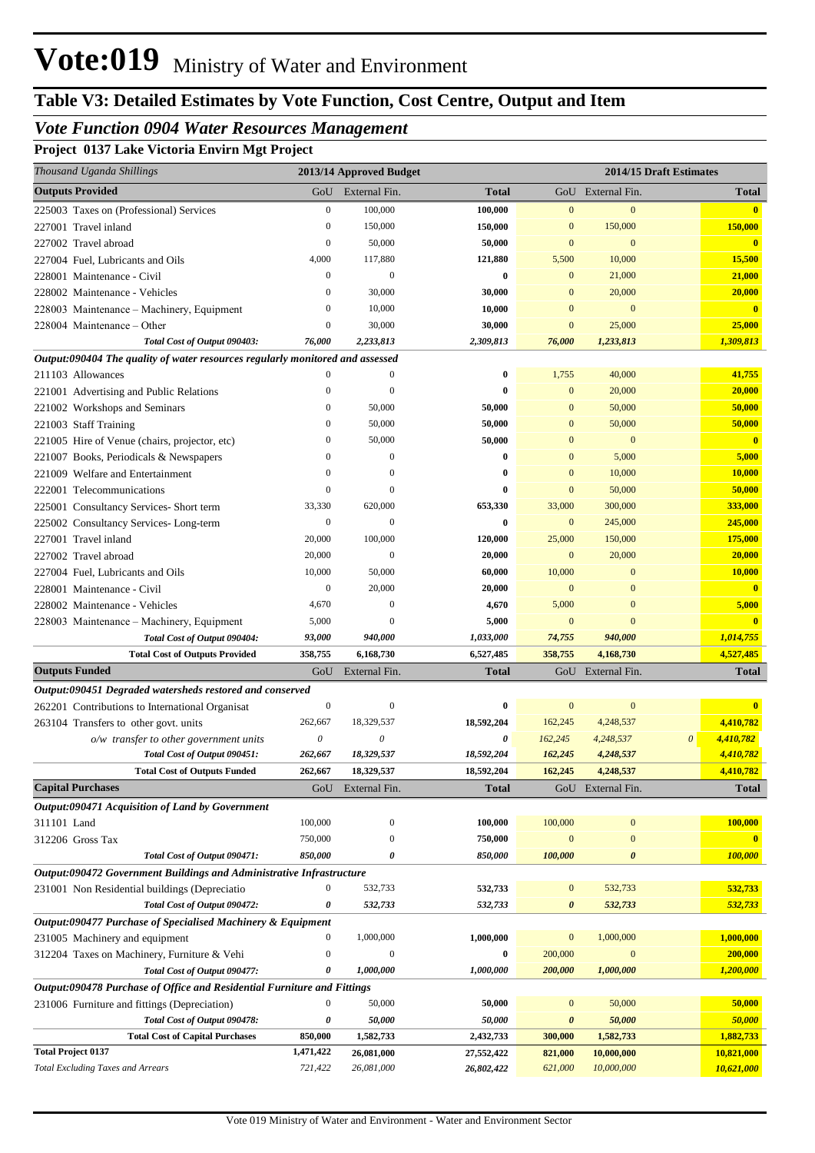# **Table V3: Detailed Estimates by Vote Function, Cost Centre, Output and Item**

## *Vote Function 0904 Water Resources Management*

**Project 0137 Lake Victoria Envirn Mgt Project**

| 0<br>Thousand Uganda Shillings                                                |                  | 2013/14 Approved Budget |              |                  |                       | 2014/15 Draft Estimates |               |
|-------------------------------------------------------------------------------|------------------|-------------------------|--------------|------------------|-----------------------|-------------------------|---------------|
| <b>Outputs Provided</b>                                                       | GoU              | External Fin.           | <b>Total</b> |                  | GoU External Fin.     |                         | <b>Total</b>  |
| 225003 Taxes on (Professional) Services                                       | $\boldsymbol{0}$ | 100,000                 | 100,000      | $\mathbf{0}$     | $\mathbf{0}$          |                         | $\mathbf{0}$  |
| 227001 Travel inland                                                          | $\boldsymbol{0}$ | 150,000                 | 150,000      | $\mathbf{0}$     | 150,000               |                         | 150,000       |
| 227002 Travel abroad                                                          | $\boldsymbol{0}$ | 50,000                  | 50,000       | $\mathbf{0}$     | $\mathbf{0}$          |                         | $\mathbf{0}$  |
| 227004 Fuel, Lubricants and Oils                                              | 4,000            | 117,880                 | 121,880      | 5,500            | 10,000                |                         | 15,500        |
| 228001 Maintenance - Civil                                                    | $\boldsymbol{0}$ | $\mathbf{0}$            | $\bf{0}$     | $\mathbf{0}$     | 21,000                |                         | 21,000        |
| 228002 Maintenance - Vehicles                                                 | $\mathbf{0}$     | 30,000                  | 30,000       | $\mathbf{0}$     | 20,000                |                         | 20,000        |
| 228003 Maintenance - Machinery, Equipment                                     | $\boldsymbol{0}$ | 10,000                  | 10,000       | $\mathbf{0}$     | $\mathbf{0}$          |                         | $\mathbf{0}$  |
| 228004 Maintenance - Other                                                    | $\boldsymbol{0}$ | 30,000                  | 30,000       | $\bf{0}$         | 25,000                |                         | 25,000        |
| Total Cost of Output 090403:                                                  | 76,000           | 2,233,813               | 2,309,813    | 76,000           | 1,233,813             |                         | 1,309,813     |
| Output:090404 The quality of water resources regularly monitored and assessed |                  |                         |              |                  |                       |                         |               |
| 211103 Allowances                                                             | $\Omega$         | $\mathbf{0}$            | $\bf{0}$     | 1,755            | 40,000                |                         | 41,755        |
| 221001 Advertising and Public Relations                                       | $\overline{0}$   | $\overline{0}$          | $\bf{0}$     | $\overline{0}$   | 20,000                |                         | 20,000        |
| 221002 Workshops and Seminars                                                 | $\mathbf{0}$     | 50,000                  | 50,000       | $\mathbf{0}$     | 50,000                |                         | 50,000        |
| 221003 Staff Training                                                         | $\mathbf{0}$     | 50,000                  | 50,000       | $\mathbf{0}$     | 50,000                |                         | 50,000        |
| 221005 Hire of Venue (chairs, projector, etc)                                 | $\mathbf{0}$     | 50,000                  | 50,000       | $\mathbf{0}$     | $\mathbf{0}$          |                         | $\mathbf{0}$  |
| 221007 Books, Periodicals & Newspapers                                        | $\mathbf{0}$     | $\mathbf{0}$            | $\bf{0}$     | $\mathbf{0}$     | 5,000                 |                         | 5,000         |
| 221009 Welfare and Entertainment                                              | $\mathbf{0}$     | $\theta$                | $\bf{0}$     | $\mathbf{0}$     | 10,000                |                         | <b>10,000</b> |
| 222001 Telecommunications                                                     | $\overline{0}$   | $\theta$                | $\bf{0}$     | $\mathbf{0}$     | 50,000                |                         | 50,000        |
| 225001 Consultancy Services- Short term                                       | 33,330           | 620,000                 | 653,330      | 33,000           | 300,000               |                         | 333,000       |
| 225002 Consultancy Services-Long-term                                         | $\boldsymbol{0}$ | $\mathbf{0}$            | $\bf{0}$     | $\bf{0}$         | 245,000               |                         | 245,000       |
| 227001 Travel inland                                                          | 20,000           | 100,000                 | 120,000      | 25,000           | 150,000               |                         | 175,000       |
| 227002 Travel abroad                                                          | 20,000           | $\boldsymbol{0}$        | 20,000       | $\mathbf{0}$     | 20,000                |                         | 20,000        |
| 227004 Fuel, Lubricants and Oils                                              | 10,000           | 50,000                  | 60,000       | 10,000           | $\mathbf{0}$          |                         | 10,000        |
| 228001 Maintenance - Civil                                                    | $\boldsymbol{0}$ | 20,000                  | 20,000       | $\mathbf{0}$     | $\mathbf{0}$          |                         | $\mathbf{0}$  |
| 228002 Maintenance - Vehicles                                                 | 4,670            | $\boldsymbol{0}$        | 4,670        | 5,000            | $\mathbf{0}$          |                         | 5,000         |
| 228003 Maintenance - Machinery, Equipment                                     | 5,000            | $\theta$                | 5,000        | $\mathbf{0}$     | $\overline{0}$        |                         | $\mathbf{0}$  |
| Total Cost of Output 090404:                                                  | 93,000           | 940,000                 | 1,033,000    | 74,755           | 940,000               |                         | 1,014,755     |
| <b>Total Cost of Outputs Provided</b>                                         | 358,755          | 6,168,730               | 6,527,485    | 358,755          | 4,168,730             |                         | 4,527,485     |
| <b>Outputs Funded</b>                                                         | GoU              | External Fin.           | <b>Total</b> |                  | GoU External Fin.     |                         | <b>Total</b>  |
| Output:090451 Degraded watersheds restored and conserved                      |                  |                         |              |                  |                       |                         |               |
| 262201 Contributions to International Organisat                               | $\boldsymbol{0}$ | $\boldsymbol{0}$        | $\bf{0}$     | $\mathbf{0}$     | $\mathbf{0}$          |                         | $\mathbf{0}$  |
| 263104 Transfers to other govt. units                                         | 262,667          | 18,329,537              | 18,592,204   | 162,245          | 4,248,537             |                         | 4,410,782     |
| $o/w$ transfer to other government units                                      | 0                | 0                       | 0            | 162,245          | 4,248,537             | 0                       | 4,410,782     |
| Total Cost of Output 090451:                                                  | 262,667          | 18,329,537              | 18,592,204   | 162,245          | 4,248,537             |                         | 4,410,782     |
| <b>Total Cost of Outputs Funded</b>                                           | 262,667          | 18,329,537              | 18,592,204   | 162,245          | 4,248,537             |                         | 4,410,782     |
| <b>Capital Purchases</b>                                                      | GoU              | External Fin.           | <b>Total</b> |                  | GoU External Fin.     |                         | Total         |
| Output:090471 Acquisition of Land by Government                               |                  |                         |              |                  |                       |                         |               |
| 311101 Land                                                                   | 100,000          | $\boldsymbol{0}$        | 100,000      | 100,000          | $\boldsymbol{0}$      |                         | 100,000       |
| 312206 Gross Tax                                                              | 750,000          | $\boldsymbol{0}$        | 750,000      | $\mathbf{0}$     | $\boldsymbol{0}$      |                         | $\mathbf{0}$  |
| Total Cost of Output 090471:                                                  | 850,000          | $\boldsymbol{\theta}$   | 850,000      | 100,000          | $\boldsymbol{\theta}$ |                         | 100,000       |
| Output:090472 Government Buildings and Administrative Infrastructure          |                  |                         |              |                  |                       |                         |               |
| 231001 Non Residential buildings (Depreciatio                                 | $\boldsymbol{0}$ | 532,733                 | 532,733      | $\mathbf{0}$     | 532,733               |                         | 532,733       |
| Total Cost of Output 090472:                                                  | 0                | 532,733                 | 532,733      | 0                | 532,733               |                         | 532,733       |
| Output:090477 Purchase of Specialised Machinery & Equipment                   |                  |                         |              |                  |                       |                         |               |
| 231005 Machinery and equipment                                                | $\bf{0}$         | 1,000,000               | 1,000,000    | $\boldsymbol{0}$ | 1,000,000             |                         | 1,000,000     |
| 312204 Taxes on Machinery, Furniture & Vehi                                   | $\boldsymbol{0}$ | $\mathbf{0}$            | $\bf{0}$     | 200,000          | $\boldsymbol{0}$      |                         | 200,000       |
| Total Cost of Output 090477:                                                  | 0                | 1,000,000               | 1,000,000    | 200,000          | 1,000,000             |                         | 1,200,000     |
| Output:090478 Purchase of Office and Residential Furniture and Fittings       |                  |                         |              |                  |                       |                         |               |
| 231006 Furniture and fittings (Depreciation)                                  | $\boldsymbol{0}$ | 50,000                  | 50,000       | $\bf{0}$         | 50,000                |                         | 50,000        |
| Total Cost of Output 090478:                                                  | 0                | 50,000                  | 50,000       | 0                | 50,000                |                         | 50,000        |
| <b>Total Cost of Capital Purchases</b>                                        | 850,000          | 1,582,733               | 2,432,733    | 300,000          | 1,582,733             |                         | 1,882,733     |
| <b>Total Project 0137</b>                                                     | 1,471,422        | 26,081,000              | 27,552,422   | 821,000          | 10,000,000            |                         | 10,821,000    |
| <b>Total Excluding Taxes and Arrears</b>                                      | 721,422          | 26,081,000              | 26,802,422   | 621,000          | 10,000,000            |                         | 10,621,000    |
|                                                                               |                  |                         |              |                  |                       |                         |               |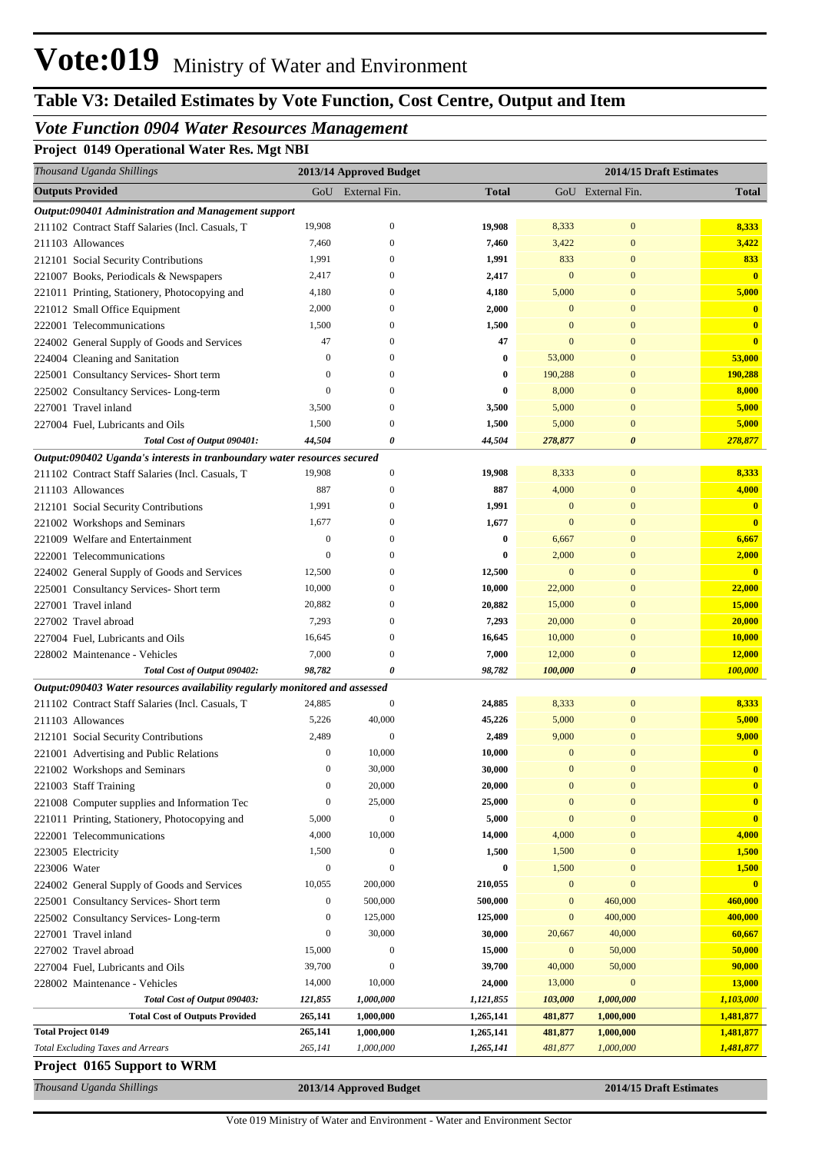# **Table V3: Detailed Estimates by Vote Function, Cost Centre, Output and Item**

## *Vote Function 0904 Water Resources Management*

**Project 0149 Operational Water Res. Mgt NBI**

| Thousand Uganda Shillings                                                                                                       |                  | 2013/14 Approved Budget |              |                  | 2014/15 Draft Estimates |                         |
|---------------------------------------------------------------------------------------------------------------------------------|------------------|-------------------------|--------------|------------------|-------------------------|-------------------------|
| <b>Outputs Provided</b>                                                                                                         | GoU              | External Fin.           | <b>Total</b> |                  | GoU External Fin.       | <b>Total</b>            |
| Output:090401 Administration and Management support                                                                             |                  |                         |              |                  |                         |                         |
| 211102 Contract Staff Salaries (Incl. Casuals, T                                                                                | 19,908           | $\mathbf{0}$            | 19,908       | 8,333            | $\mathbf{0}$            | 8,333                   |
| 211103 Allowances                                                                                                               | 7,460            | $\Omega$                | 7,460        | 3,422            | $\mathbf{0}$            | 3,422                   |
| 212101 Social Security Contributions                                                                                            | 1,991            | $\Omega$                | 1,991        | 833              | $\mathbf{0}$            | 833                     |
| 221007 Books, Periodicals & Newspapers                                                                                          | 2,417            | $\Omega$                | 2,417        | $\mathbf{0}$     | $\boldsymbol{0}$        | $\overline{\mathbf{0}}$ |
| 221011 Printing, Stationery, Photocopying and                                                                                   | 4,180            | $\Omega$                | 4,180        | 5,000            | $\mathbf{0}$            | 5,000                   |
| 221012 Small Office Equipment                                                                                                   | 2,000            | $\Omega$                | 2,000        | $\mathbf{0}$     | $\overline{0}$          | $\mathbf{0}$            |
| 222001 Telecommunications                                                                                                       | 1,500            | $\Omega$                | 1,500        | $\mathbf{0}$     | $\overline{0}$          | $\overline{\mathbf{0}}$ |
| 224002 General Supply of Goods and Services                                                                                     | 47               | $\Omega$                | 47           | $\mathbf{0}$     | $\overline{0}$          | $\bf{0}$                |
| 224004 Cleaning and Sanitation                                                                                                  | $\mathbf{0}$     | $\Omega$                | $\bf{0}$     | 53,000           | $\overline{0}$          | 53,000                  |
| 225001 Consultancy Services- Short term                                                                                         | $\mathbf{0}$     | $\Omega$                | $\bf{0}$     | 190,288          | $\mathbf{0}$            | 190,288                 |
| 225002 Consultancy Services-Long-term                                                                                           | $\mathbf{0}$     | $\Omega$                | 0            | 8,000            | $\overline{0}$          | 8,000                   |
| 227001 Travel inland                                                                                                            | 3,500            | $\Omega$                | 3,500        | 5,000            | $\overline{0}$          | 5,000                   |
| 227004 Fuel, Lubricants and Oils                                                                                                | 1,500            | $\Omega$                | 1,500        | 5,000            | $\overline{0}$          | 5,000                   |
| Total Cost of Output 090401:                                                                                                    | 44,504           | 0                       | 44,504       | 278,877          | $\boldsymbol{\theta}$   | 278,877                 |
| Output:090402 Uganda's interests in tranboundary water resources secured                                                        |                  |                         |              |                  |                         |                         |
| 211102 Contract Staff Salaries (Incl. Casuals, T                                                                                | 19,908           | $\mathbf{0}$            | 19,908       | 8,333            | $\boldsymbol{0}$        | 8,333                   |
| 211103 Allowances                                                                                                               | 887              | $\Omega$                | 887          | 4,000            | $\mathbf{0}$            | 4,000                   |
| 212101 Social Security Contributions                                                                                            | 1,991            | $\Omega$                | 1,991        | $\mathbf{0}$     | $\mathbf{0}$            | $\bf{0}$                |
| 221002 Workshops and Seminars                                                                                                   | 1,677            | $\Omega$                | 1,677        | $\mathbf{0}$     | $\mathbf{0}$            | $\bf{0}$                |
| 221009 Welfare and Entertainment                                                                                                | $\boldsymbol{0}$ | $\Omega$                | $\bf{0}$     | 6,667            | $\overline{0}$          | 6,667                   |
| 222001 Telecommunications                                                                                                       | $\mathbf{0}$     | $\Omega$                | 0            | 2,000            | $\mathbf{0}$            | 2,000                   |
| 224002 General Supply of Goods and Services                                                                                     | 12,500           | $\Omega$                | 12,500       | $\mathbf{0}$     | $\mathbf{0}$            | $\mathbf{0}$            |
| 225001 Consultancy Services- Short term                                                                                         | 10,000           | $\Omega$                | 10,000       | 22,000           | $\mathbf{0}$            | 22,000                  |
| 227001 Travel inland                                                                                                            | 20,882           | $\Omega$                | 20,882       | 15,000           | $\mathbf{0}$            | 15,000                  |
| 227002 Travel abroad                                                                                                            | 7,293            | $\Omega$                | 7,293        | 20,000           | $\mathbf{0}$            | 20,000                  |
| 227004 Fuel, Lubricants and Oils                                                                                                | 16,645           | $\Omega$                | 16,645       | 10,000           | $\mathbf{0}$            | 10,000                  |
| 228002 Maintenance - Vehicles                                                                                                   | 7,000            | $\Omega$                | 7,000        | 12,000           | $\mathbf{0}$            | 12,000                  |
| Total Cost of Output 090402:                                                                                                    | 98,782           | 0                       | 98,782       | 100,000          | $\boldsymbol{\theta}$   | 100,000                 |
| Output:090403 Water resources availability regularly monitored and assessed<br>211102 Contract Staff Salaries (Incl. Casuals, T | 24,885           | $\boldsymbol{0}$        | 24,885       | 8,333            | $\mathbf{0}$            | 8,333                   |
| 211103 Allowances                                                                                                               | 5,226            | 40,000                  | 45,226       | 5,000            | $\mathbf{0}$            | 5,000                   |
| 212101 Social Security Contributions                                                                                            | 2,489            | $\mathbf{0}$            | 2,489        | 9,000            | $\overline{0}$          | 9,000                   |
| 221001 Advertising and Public Relations                                                                                         | $\boldsymbol{0}$ | 10,000                  | 10,000       | $\mathbf{0}$     | $\overline{0}$          | $\bf{0}$                |
| 221002 Workshops and Seminars                                                                                                   |                  | 30,000                  | 30,000       | $\boldsymbol{0}$ | $\boldsymbol{0}$        |                         |
| 221003 Staff Training                                                                                                           | $\boldsymbol{0}$ | 20,000                  | 20,000       | $\boldsymbol{0}$ | $\boldsymbol{0}$        | $\bf{0}$                |
| 221008 Computer supplies and Information Tec                                                                                    | $\boldsymbol{0}$ | 25,000                  | 25,000       | $\mathbf{0}$     | $\overline{0}$          | $\bf{0}$                |
| 221011 Printing, Stationery, Photocopying and                                                                                   | 5,000            | $\mathbf{0}$            | 5,000        | $\mathbf{0}$     | $\overline{0}$          | $\overline{\mathbf{0}}$ |
| 222001 Telecommunications                                                                                                       | 4,000            | 10,000                  | 14,000       | 4,000            | $\overline{0}$          | 4,000                   |
| 223005 Electricity                                                                                                              | 1,500            | $\boldsymbol{0}$        | 1,500        | 1,500            | $\overline{0}$          | 1,500                   |
| 223006 Water                                                                                                                    | $\boldsymbol{0}$ | $\Omega$                | 0            | 1,500            | $\overline{0}$          | 1,500                   |
| 224002 General Supply of Goods and Services                                                                                     | 10,055           | 200,000                 | 210,055      | $\bf{0}$         | $\overline{0}$          |                         |
| 225001 Consultancy Services- Short term                                                                                         | $\boldsymbol{0}$ | 500,000                 | 500,000      | $\boldsymbol{0}$ | 460,000                 | 460,000                 |
| 225002 Consultancy Services-Long-term                                                                                           | $\boldsymbol{0}$ | 125,000                 | 125,000      | $\mathbf{0}$     | 400,000                 | 400,000                 |
| 227001 Travel inland                                                                                                            | $\boldsymbol{0}$ | 30,000                  | 30,000       | 20,667           | 40,000                  | 60,667                  |
| 227002 Travel abroad                                                                                                            | 15,000           | $\boldsymbol{0}$        | 15,000       | $\mathbf{0}$     | 50,000                  | 50,000                  |
| 227004 Fuel, Lubricants and Oils                                                                                                | 39,700           | $\Omega$                | 39,700       | 40,000           | 50,000                  | 90,000                  |
| 228002 Maintenance - Vehicles                                                                                                   | 14,000           | 10,000                  | 24,000       | 13,000           | $\bf{0}$                | 13,000                  |
| Total Cost of Output 090403:                                                                                                    | 121,855          | 1,000,000               | 1,121,855    | 103,000          | 1,000,000               | 1,103,000               |
| <b>Total Cost of Outputs Provided</b>                                                                                           | 265,141          | 1,000,000               | 1,265,141    | 481,877          | 1,000,000               | 1,481,877               |
| <b>Total Project 0149</b>                                                                                                       | 265,141          | 1,000,000               | 1,265,141    | 481,877          | 1,000,000               | 1,481,877               |
| <b>Total Excluding Taxes and Arrears</b>                                                                                        | 265,141          | 1,000,000               | 1,265,141    | 481,877          | 1,000,000               | 1,481,877               |
| Project 0165 Support to WRM                                                                                                     |                  |                         |              |                  |                         |                         |

*Thousand Uganda Shillings* **2013/14 Approved Budget 2014/15 Draft Estimates**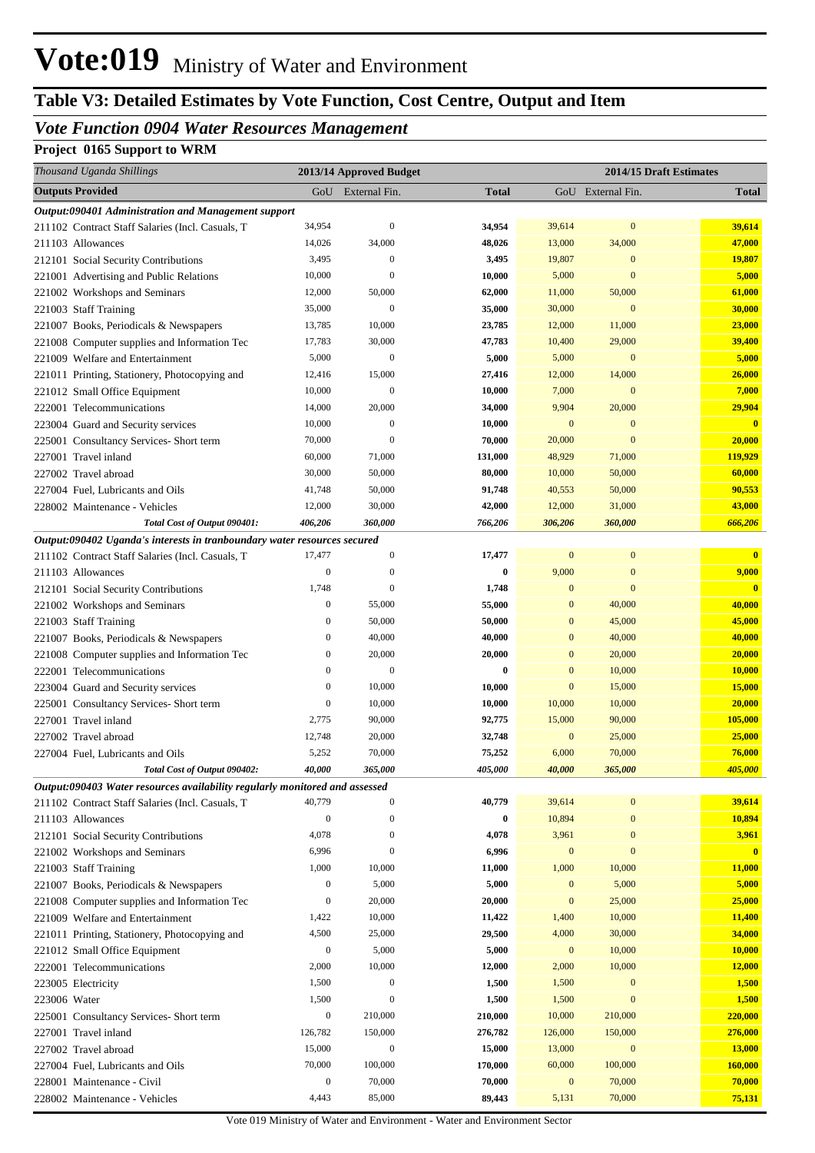# **Table V3: Detailed Estimates by Vote Function, Cost Centre, Output and Item**

# *Vote Function 0904 Water Resources Management*

# **Project 0165 Support to WRM**

|              | Thousand Uganda Shillings                                                                                |                   | 2013/14 Approved Budget |                   |                  |                   | 2014/15 Draft Estimates |
|--------------|----------------------------------------------------------------------------------------------------------|-------------------|-------------------------|-------------------|------------------|-------------------|-------------------------|
|              | <b>Outputs Provided</b>                                                                                  |                   | GoU External Fin.       | <b>Total</b>      |                  | GoU External Fin. | <b>Total</b>            |
|              | Output:090401 Administration and Management support                                                      |                   |                         |                   |                  |                   |                         |
|              | 211102 Contract Staff Salaries (Incl. Casuals, T                                                         | 34,954            | $\mathbf{0}$            | 34,954            | 39,614           | $\bf{0}$          | 39,614                  |
|              | 211103 Allowances                                                                                        | 14,026            | 34,000                  | 48,026            | 13,000           | 34,000            | 47,000                  |
|              | 212101 Social Security Contributions                                                                     | 3,495             | $\mathbf{0}$            | 3,495             | 19,807           | $\mathbf{0}$      | 19,807                  |
|              | 221001 Advertising and Public Relations                                                                  | 10,000            | $\Omega$                | 10,000            | 5,000            | $\mathbf{0}$      | 5,000                   |
|              | 221002 Workshops and Seminars                                                                            | 12,000            | 50,000                  | 62,000            | 11,000           | 50,000            | 61,000                  |
|              | 221003 Staff Training                                                                                    | 35,000            | $\mathbf{0}$            | 35,000            | 30,000           | $\mathbf{0}$      | 30,000                  |
|              | 221007 Books, Periodicals & Newspapers                                                                   | 13,785            | 10,000                  | 23,785            | 12,000           | 11,000            | 23,000                  |
|              | 221008 Computer supplies and Information Tec                                                             | 17,783            | 30,000                  | 47,783            | 10,400           | 29,000            | 39,400                  |
|              | 221009 Welfare and Entertainment                                                                         | 5,000             | $\mathbf{0}$            | 5,000             | 5,000            | $\mathbf{0}$      | 5,000                   |
|              | 221011 Printing, Stationery, Photocopying and                                                            | 12,416            | 15,000                  | 27,416            | 12,000           | 14,000            | 26,000                  |
|              | 221012 Small Office Equipment                                                                            | 10,000            | $\mathbf{0}$            | 10,000            | 7,000            | $\mathbf{0}$      | 7,000                   |
|              | 222001 Telecommunications                                                                                | 14,000            | 20,000                  | 34,000            | 9,904            | 20,000            | 29,904                  |
|              | 223004 Guard and Security services                                                                       | 10,000            | $\boldsymbol{0}$        | 10,000            | $\mathbf{0}$     | $\mathbf{0}$      | $\mathbf{0}$            |
|              | 225001 Consultancy Services- Short term                                                                  | 70,000            | $\Omega$                | 70,000            | 20,000           | $\mathbf{0}$      | 20,000                  |
|              | 227001 Travel inland                                                                                     | 60,000            | 71,000                  | 131,000           | 48,929           | 71,000            | 119,929                 |
|              | 227002 Travel abroad                                                                                     | 30,000            | 50,000                  | 80,000            | 10,000           | 50,000            | 60,000                  |
|              | 227004 Fuel, Lubricants and Oils                                                                         | 41,748            | 50,000<br>30,000        | 91,748            | 40,553<br>12,000 | 50,000            | 90,553<br>43,000        |
|              | 228002 Maintenance - Vehicles                                                                            | 12,000<br>406,206 | 360,000                 | 42,000<br>766,206 | 306,206          | 31,000<br>360,000 | 666,206                 |
|              | Total Cost of Output 090401:<br>Output:090402 Uganda's interests in tranboundary water resources secured |                   |                         |                   |                  |                   |                         |
|              | 211102 Contract Staff Salaries (Incl. Casuals, T                                                         | 17,477            | $\boldsymbol{0}$        | 17,477            | $\mathbf{0}$     | $\bf{0}$          | $\overline{0}$          |
|              | 211103 Allowances                                                                                        | $\mathbf{0}$      | $\mathbf{0}$            | 0                 | 9,000            | $\mathbf{0}$      | 9,000                   |
|              | 212101 Social Security Contributions                                                                     | 1,748             | $\Omega$                | 1,748             | $\mathbf{0}$     | $\overline{0}$    | $\overline{\mathbf{0}}$ |
|              | 221002 Workshops and Seminars                                                                            | $\mathbf{0}$      | 55,000                  | 55,000            | $\mathbf{0}$     | 40,000            | 40,000                  |
|              | 221003 Staff Training                                                                                    | $\mathbf{0}$      | 50,000                  | 50,000            | $\mathbf{0}$     | 45,000            | 45,000                  |
|              | 221007 Books, Periodicals & Newspapers                                                                   | $\mathbf{0}$      | 40,000                  | 40,000            | $\mathbf{0}$     | 40,000            | 40,000                  |
|              | 221008 Computer supplies and Information Tec                                                             | $\mathbf{0}$      | 20,000                  | 20,000            | $\mathbf{0}$     | 20,000            | 20,000                  |
|              | 222001 Telecommunications                                                                                | $\mathbf{0}$      | $\Omega$                | 0                 | $\mathbf{0}$     | 10,000            | 10,000                  |
|              | 223004 Guard and Security services                                                                       | $\mathbf{0}$      | 10,000                  | 10,000            | $\mathbf{0}$     | 15,000            | 15,000                  |
|              | 225001 Consultancy Services- Short term                                                                  | $\boldsymbol{0}$  | 10,000                  | 10,000            | 10,000           | 10,000            | 20,000                  |
|              | 227001 Travel inland                                                                                     | 2,775             | 90,000                  | 92,775            | 15,000           | 90,000            | 105,000                 |
|              | 227002 Travel abroad                                                                                     | 12,748            | 20,000                  | 32,748            | $\mathbf{0}$     | 25,000            | 25,000                  |
|              | 227004 Fuel, Lubricants and Oils                                                                         | 5,252             | 70,000                  | 75,252            | 6,000            | 70,000            | 76,000                  |
|              | Total Cost of Output 090402:                                                                             | 40.000            | 365,000                 | 405,000           | 40,000           | 365,000           | 405,000                 |
|              | Output:090403 Water resources availability regularly monitored and assessed                              |                   |                         |                   |                  |                   |                         |
|              | 211102 Contract Staff Salaries (Incl. Casuals, T                                                         | 40,779            | $\mathbf{0}$            | 40,779            | 39,614           | $\boldsymbol{0}$  | 39,614                  |
|              | 211103 Allowances                                                                                        | $\boldsymbol{0}$  | $\mathbf{0}$            | 0                 | 10,894           | $\boldsymbol{0}$  | 10,894                  |
|              | 212101 Social Security Contributions                                                                     | 4,078             | $\mathbf{0}$            | 4,078             | 3,961            | $\boldsymbol{0}$  | 3,961                   |
|              | 221002 Workshops and Seminars                                                                            | 6,996             | $\mathbf{0}$            | 6,996             | $\mathbf{0}$     | $\boldsymbol{0}$  | $\overline{\mathbf{0}}$ |
|              | 221003 Staff Training                                                                                    | 1,000             | 10,000                  | 11,000            | 1,000            | 10,000            | 11,000                  |
|              | 221007 Books, Periodicals & Newspapers                                                                   | $\boldsymbol{0}$  | 5,000                   | 5,000             | $\mathbf{0}$     | 5,000             | 5,000                   |
|              | 221008 Computer supplies and Information Tec                                                             | $\boldsymbol{0}$  | 20,000                  | 20,000            | $\mathbf{0}$     | 25,000            | 25,000                  |
|              | 221009 Welfare and Entertainment                                                                         | 1,422             | 10,000                  | 11,422            | 1,400            | 10,000            | 11,400                  |
|              | 221011 Printing, Stationery, Photocopying and                                                            | 4,500             | 25,000                  | 29,500            | 4,000            | 30,000            | 34,000                  |
|              | 221012 Small Office Equipment                                                                            | $\boldsymbol{0}$  | 5,000                   | 5,000             | $\mathbf{0}$     | 10,000            | 10,000                  |
|              | 222001 Telecommunications                                                                                | 2,000             | 10,000                  | 12,000            | 2,000            | 10,000            | 12,000                  |
|              | 223005 Electricity                                                                                       | 1,500             | $\boldsymbol{0}$        | 1,500             | 1,500            | $\boldsymbol{0}$  | 1,500                   |
| 223006 Water |                                                                                                          | 1,500             | $\boldsymbol{0}$        | 1,500             | 1,500            | $\mathbf{0}$      | 1,500                   |
|              | 225001 Consultancy Services- Short term                                                                  | $\boldsymbol{0}$  | 210,000                 | 210,000           | 10,000           | 210,000           | 220,000                 |
|              | 227001 Travel inland                                                                                     | 126,782           | 150,000                 | 276,782           | 126,000          | 150,000           | 276,000                 |
|              | 227002 Travel abroad                                                                                     | 15,000<br>70,000  | $\boldsymbol{0}$        | 15,000            | 13,000<br>60,000 | $\boldsymbol{0}$  | 13,000                  |
|              | 227004 Fuel, Lubricants and Oils                                                                         | $\boldsymbol{0}$  | 100,000<br>70,000       | 170,000<br>70,000 | $\mathbf{0}$     | 100,000<br>70,000 | 160,000<br>70,000       |
|              | 228001 Maintenance - Civil                                                                               | 4,443             | 85,000                  |                   | 5,131            | 70,000            |                         |
|              | 228002 Maintenance - Vehicles                                                                            |                   |                         | 89,443            |                  |                   | 75,131                  |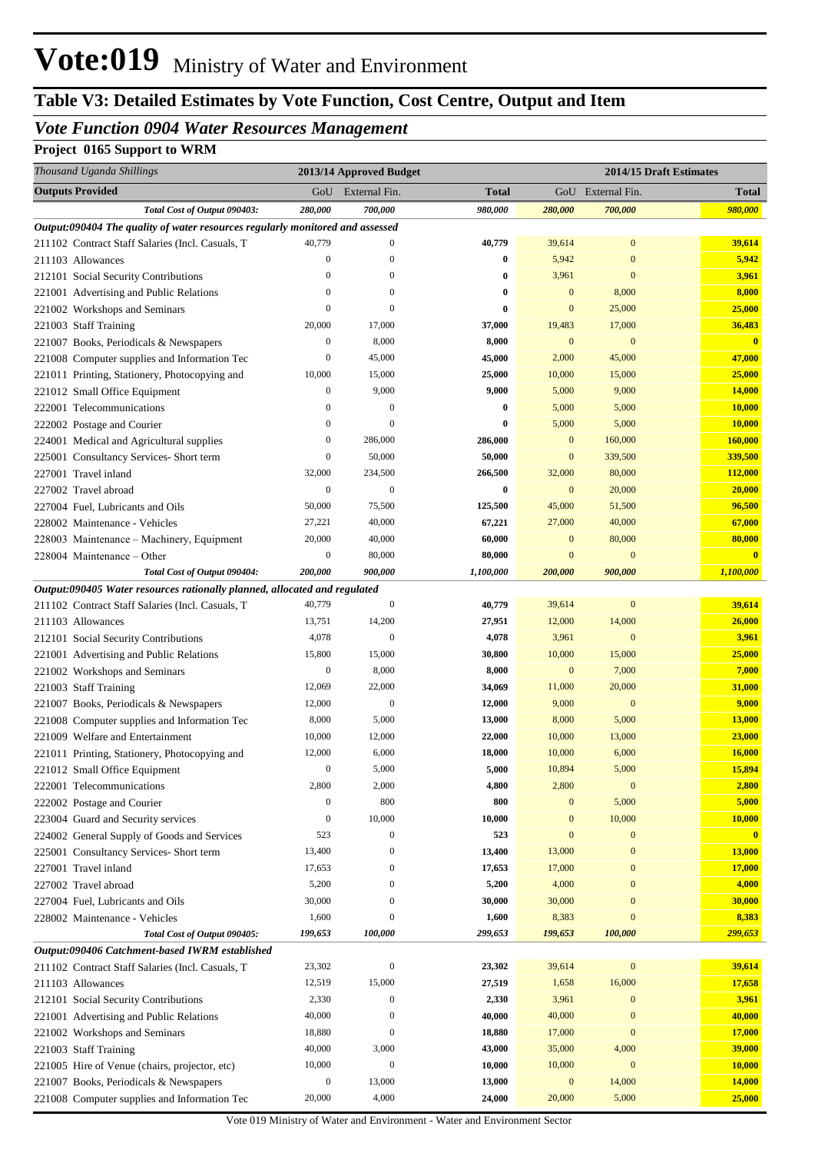# **Table V3: Detailed Estimates by Vote Function, Cost Centre, Output and Item**

## *Vote Function 0904 Water Resources Management*

## **Project 0165 Support to WRM**

| Thousand Uganda Shillings                                                                                                     |                             | 2013/14 Approved Budget |                     |                  | 2014/15 Draft Estimates |                                      |
|-------------------------------------------------------------------------------------------------------------------------------|-----------------------------|-------------------------|---------------------|------------------|-------------------------|--------------------------------------|
| <b>Outputs Provided</b>                                                                                                       | GoU                         | External Fin.           | Total               |                  | GoU External Fin.       | <b>Total</b>                         |
| Total Cost of Output 090403:                                                                                                  | 280,000                     | 700,000                 | 980,000             | 280,000          | 700,000                 | 980,000                              |
| Output:090404 The quality of water resources regularly monitored and assessed                                                 |                             |                         |                     |                  |                         |                                      |
| 211102 Contract Staff Salaries (Incl. Casuals, T                                                                              | 40,779                      | $\boldsymbol{0}$        | 40,779              | 39,614           | $\boldsymbol{0}$        | 39,614                               |
| 211103 Allowances                                                                                                             | $\boldsymbol{0}$            | $\boldsymbol{0}$        | $\bf{0}$            | 5,942            | $\mathbf{0}$            | 5,942                                |
| 212101 Social Security Contributions                                                                                          | $\theta$                    | $\boldsymbol{0}$        | $\bf{0}$            | 3,961            | $\boldsymbol{0}$        | 3,961                                |
| 221001 Advertising and Public Relations                                                                                       | $\theta$                    | $\boldsymbol{0}$        | 0                   | $\mathbf{0}$     | 8,000                   | 8,000                                |
| 221002 Workshops and Seminars                                                                                                 | $\mathbf{0}$                | $\mathbf{0}$            | $\bf{0}$            | $\mathbf{0}$     | 25,000                  | 25,000                               |
| 221003 Staff Training                                                                                                         | 20,000                      | 17,000                  | 37,000              | 19,483           | 17,000                  | 36,483                               |
| 221007 Books, Periodicals & Newspapers                                                                                        | $\boldsymbol{0}$            | 8,000                   | 8,000               | $\mathbf{0}$     | $\mathbf{0}$            | $\overline{\mathbf{0}}$              |
| 221008 Computer supplies and Information Tec                                                                                  | $\boldsymbol{0}$            | 45,000                  | 45,000              | 2,000            | 45,000                  | 47,000                               |
| 221011 Printing, Stationery, Photocopying and                                                                                 | 10,000                      | 15,000                  | 25,000              | 10,000           | 15,000                  | 25,000                               |
| 221012 Small Office Equipment                                                                                                 | $\boldsymbol{0}$            | 9,000                   | 9,000               | 5,000            | 9,000                   | 14,000                               |
| 222001 Telecommunications                                                                                                     | $\boldsymbol{0}$            | $\mathbf{0}$            | $\bf{0}$            | 5,000            | 5,000                   | 10,000                               |
| 222002 Postage and Courier                                                                                                    | $\boldsymbol{0}$            | $\boldsymbol{0}$        | 0                   | 5,000            | 5,000                   | 10,000                               |
| 224001 Medical and Agricultural supplies                                                                                      | $\boldsymbol{0}$            | 286,000                 | 286,000             | $\mathbf{0}$     | 160,000                 | 160,000                              |
| 225001 Consultancy Services- Short term                                                                                       | $\boldsymbol{0}$            | 50,000                  | 50,000              | $\mathbf{0}$     | 339,500                 | 339,500                              |
| 227001 Travel inland                                                                                                          | 32,000                      | 234,500                 | 266,500             | 32,000           | 80,000                  | 112,000                              |
| 227002 Travel abroad                                                                                                          | $\boldsymbol{0}$            | $\boldsymbol{0}$        | 0                   | $\mathbf{0}$     | 20,000                  | 20,000                               |
| 227004 Fuel, Lubricants and Oils                                                                                              | 50,000                      | 75,500                  | 125,500             | 45,000           | 51,500                  | 96,500                               |
| 228002 Maintenance - Vehicles                                                                                                 | 27,221                      | 40,000                  | 67,221              | 27,000           | 40,000                  | 67,000                               |
| 228003 Maintenance - Machinery, Equipment                                                                                     | 20,000                      | 40,000                  | 60,000              | $\mathbf{0}$     | 80,000                  | 80,000                               |
| 228004 Maintenance – Other                                                                                                    | $\boldsymbol{0}$<br>200,000 | 80,000<br>900,000       | 80,000<br>1,100,000 | $\mathbf{0}$     | $\mathbf{0}$<br>900,000 | $\overline{\mathbf{0}}$<br>1,100,000 |
| Total Cost of Output 090404:                                                                                                  |                             |                         |                     | 200,000          |                         |                                      |
| Output:090405 Water resources rationally planned, allocated and regulated<br>211102 Contract Staff Salaries (Incl. Casuals, T | 40,779                      | $\boldsymbol{0}$        | 40,779              | 39,614           | $\boldsymbol{0}$        | 39,614                               |
| 211103 Allowances                                                                                                             | 13,751                      | 14,200                  | 27,951              | 12,000           | 14,000                  | 26,000                               |
| 212101 Social Security Contributions                                                                                          | 4,078                       | $\boldsymbol{0}$        | 4,078               | 3,961            | $\mathbf{0}$            | 3,961                                |
| 221001 Advertising and Public Relations                                                                                       | 15,800                      | 15,000                  | 30,800              | 10,000           | 15,000                  | 25,000                               |
| 221002 Workshops and Seminars                                                                                                 | $\boldsymbol{0}$            | 8,000                   | 8,000               | $\boldsymbol{0}$ | 7,000                   | 7,000                                |
| 221003 Staff Training                                                                                                         | 12,069                      | 22,000                  | 34,069              | 11,000           | 20,000                  | 31,000                               |
| 221007 Books, Periodicals & Newspapers                                                                                        | 12,000                      | $\boldsymbol{0}$        | 12,000              | 9,000            | $\mathbf{0}$            | 9,000                                |
| 221008 Computer supplies and Information Tec                                                                                  | 8,000                       | 5,000                   | 13,000              | 8,000            | 5,000                   | <b>13,000</b>                        |
| 221009 Welfare and Entertainment                                                                                              | 10,000                      | 12,000                  | 22,000              | 10,000           | 13,000                  | 23,000                               |
| 221011 Printing, Stationery, Photocopying and                                                                                 | 12,000                      | 6,000                   | 18,000              | 10,000           | 6,000                   | 16,000                               |
| 221012 Small Office Equipment                                                                                                 | $\boldsymbol{0}$            | 5,000                   | 5,000               | 10,894           | 5,000                   | 15,894                               |
| 222001 Telecommunications                                                                                                     | 2,800                       | 2,000                   | 4,800               | 2,800            | $\boldsymbol{0}$        | 2,800                                |
| 222002 Postage and Courier                                                                                                    | $\boldsymbol{0}$            | 800                     | 800                 | $\mathbf{0}$     | 5,000                   | 5,000                                |
| 223004 Guard and Security services                                                                                            | $\boldsymbol{0}$            | 10,000                  | 10,000              | $\boldsymbol{0}$ | 10,000                  | 10,000                               |
| 224002 General Supply of Goods and Services                                                                                   | 523                         | $\boldsymbol{0}$        | 523                 | $\mathbf{0}$     | $\boldsymbol{0}$        | $\mathbf{0}$                         |
| 225001 Consultancy Services- Short term                                                                                       | 13,400                      | $\boldsymbol{0}$        | 13,400              | 13,000           | $\boldsymbol{0}$        | <b>13,000</b>                        |
| 227001 Travel inland                                                                                                          | 17,653                      | $\boldsymbol{0}$        | 17,653              | 17,000           | $\mathbf{0}$            | 17,000                               |
| 227002 Travel abroad                                                                                                          | 5,200                       | $\boldsymbol{0}$        | 5,200               | 4,000            | $\mathbf{0}$            | 4,000                                |
| 227004 Fuel, Lubricants and Oils                                                                                              | 30,000                      | $\boldsymbol{0}$        | 30,000              | 30,000           | $\mathbf{0}$            | 30,000                               |
| 228002 Maintenance - Vehicles                                                                                                 | 1,600                       | $\boldsymbol{0}$        | 1,600               | 8,383            | $\boldsymbol{0}$        | 8,383                                |
| Total Cost of Output 090405:                                                                                                  | 199,653                     | 100,000                 | 299,653             | 199,653          | 100,000                 | 299,653                              |
| Output:090406 Catchment-based IWRM established                                                                                |                             |                         |                     |                  |                         |                                      |
| 211102 Contract Staff Salaries (Incl. Casuals, T                                                                              | 23,302                      | $\boldsymbol{0}$        | 23,302              | 39,614           | $\boldsymbol{0}$        | 39,614                               |
| 211103 Allowances                                                                                                             | 12,519                      | 15,000                  | 27,519              | 1,658            | 16,000                  | 17,658                               |
| 212101 Social Security Contributions                                                                                          | 2,330                       | $\boldsymbol{0}$        | 2,330               | 3,961            | $\boldsymbol{0}$        | 3,961                                |
| 221001 Advertising and Public Relations                                                                                       | 40,000                      | $\boldsymbol{0}$        | 40,000              | 40,000           | $\overline{0}$          | 40,000                               |
| 221002 Workshops and Seminars                                                                                                 | 18,880                      | $\boldsymbol{0}$        | 18,880              | 17,000           | $\boldsymbol{0}$        | 17,000                               |
| 221003 Staff Training                                                                                                         | 40,000                      | 3,000                   | 43,000              | 35,000           | 4,000                   | 39,000                               |
| 221005 Hire of Venue (chairs, projector, etc)                                                                                 | 10,000                      | $\mathbf{0}$            | 10,000              | 10,000           | $\boldsymbol{0}$        | 10,000                               |
| 221007 Books, Periodicals & Newspapers                                                                                        | $\boldsymbol{0}$            | 13,000                  | 13,000              | $\mathbf{0}$     | 14,000                  | 14,000                               |
| 221008 Computer supplies and Information Tec                                                                                  | 20,000                      | 4,000                   | 24,000              | 20,000           | 5,000                   | 25,000                               |

Vote 019 Ministry of Water and Environment - Water and Environment Sector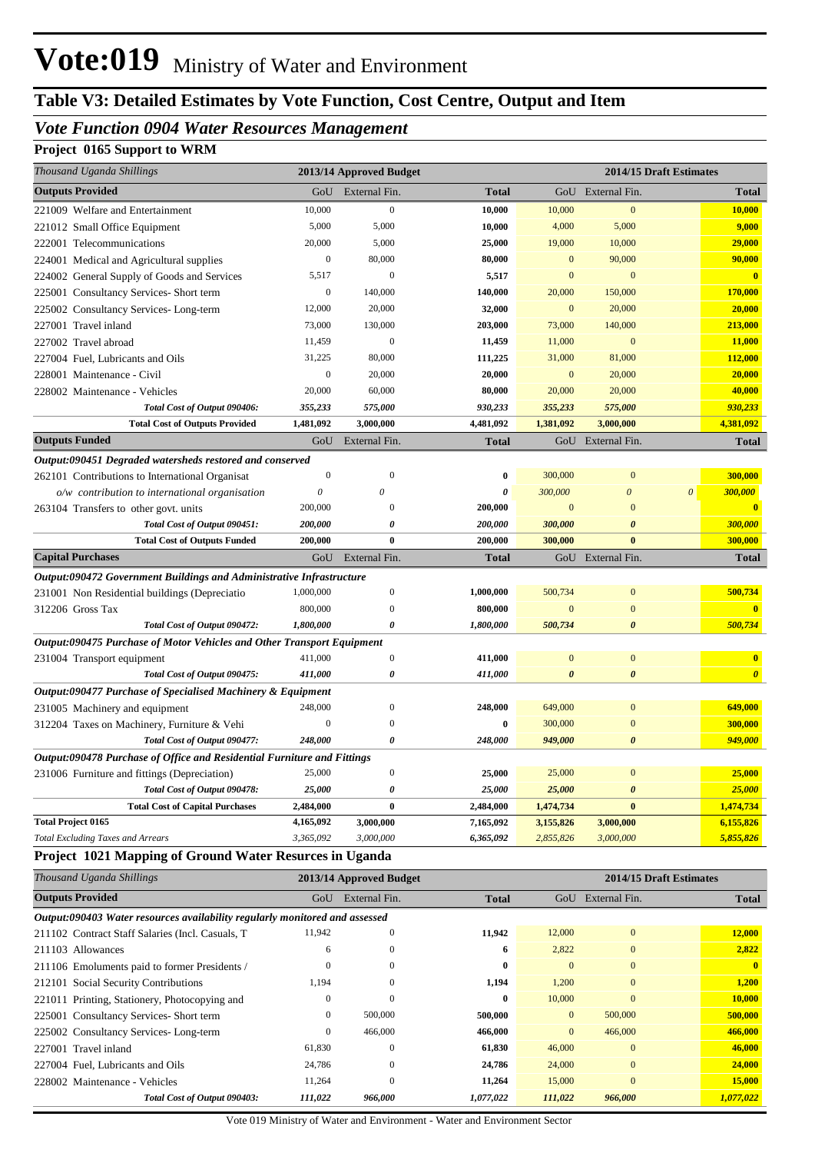# **Table V3: Detailed Estimates by Vote Function, Cost Centre, Output and Item**

# *Vote Function 0904 Water Resources Management*

## **Project 0165 Support to WRM**

| Thousand Uganda Shillings                                               | 2013/14 Approved Budget<br>2014/15 Draft Estimates |                         |              |                       |                       |                         |                       |
|-------------------------------------------------------------------------|----------------------------------------------------|-------------------------|--------------|-----------------------|-----------------------|-------------------------|-----------------------|
| <b>Outputs Provided</b>                                                 | GoU                                                | External Fin.           | <b>Total</b> |                       | GoU External Fin.     |                         | <b>Total</b>          |
| 221009 Welfare and Entertainment                                        | 10,000                                             | $\mathbf{0}$            | 10,000       | 10,000                | $\boldsymbol{0}$      |                         | 10,000                |
| 221012 Small Office Equipment                                           | 5,000                                              | 5,000                   | 10,000       | 4,000                 | 5,000                 |                         | 9,000                 |
| 222001 Telecommunications                                               | 20,000                                             | 5,000                   | 25,000       | 19,000                | 10,000                |                         | 29,000                |
| 224001 Medical and Agricultural supplies                                | $\boldsymbol{0}$                                   | 80,000                  | 80,000       | $\mathbf{0}$          | 90,000                |                         | 90,000                |
| 224002 General Supply of Goods and Services                             | 5,517                                              | $\mathbf{0}$            | 5,517        | $\bf{0}$              | $\mathbf{0}$          |                         | $\bf{0}$              |
| 225001 Consultancy Services- Short term                                 | $\boldsymbol{0}$                                   | 140,000                 | 140,000      | 20,000                | 150,000               |                         | 170,000               |
| 225002 Consultancy Services-Long-term                                   | 12,000                                             | 20,000                  | 32,000       | $\mathbf{0}$          | 20,000                |                         | 20,000                |
| 227001 Travel inland                                                    | 73,000                                             | 130,000                 | 203,000      | 73,000                | 140,000               |                         | 213,000               |
| 227002 Travel abroad                                                    | 11,459                                             | $\mathbf{0}$            | 11,459       | 11,000                | $\mathbf{0}$          |                         | 11,000                |
| 227004 Fuel, Lubricants and Oils                                        | 31,225                                             | 80,000                  | 111,225      | 31,000                | 81,000                |                         | 112,000               |
| 228001 Maintenance - Civil                                              | $\boldsymbol{0}$                                   | 20,000                  | 20,000       | $\mathbf{0}$          | 20,000                |                         | 20,000                |
| 228002 Maintenance - Vehicles                                           | 20,000                                             | 60,000                  | 80,000       | 20,000                | 20,000                |                         | 40,000                |
| Total Cost of Output 090406:                                            | 355,233                                            | 575,000                 | 930,233      | 355,233               | 575,000               |                         | 930,233               |
| <b>Total Cost of Outputs Provided</b>                                   | 1,481,092                                          | 3,000,000               | 4,481,092    | 1,381,092             | 3,000,000             |                         | 4,381,092             |
| <b>Outputs Funded</b>                                                   | GoU                                                | External Fin.           | <b>Total</b> |                       | GoU External Fin.     |                         | <b>Total</b>          |
| Output:090451 Degraded watersheds restored and conserved                |                                                    |                         |              |                       |                       |                         |                       |
| 262101 Contributions to International Organisat                         | $\mathbf{0}$                                       | $\boldsymbol{0}$        | 0            | 300,000               | $\boldsymbol{0}$      |                         | 300,000               |
| o/w contribution to international organisation                          | $\theta$                                           | 0                       | 0            | 300,000               | $\boldsymbol{\theta}$ | $\theta$                | <b>300,000</b>        |
| 263104 Transfers to other govt. units                                   | 200,000                                            | $\mathbf{0}$            | 200,000      | $\bf{0}$              | $\mathbf{0}$          |                         | $\bf{0}$              |
| Total Cost of Output 090451:                                            | 200,000                                            | 0                       | 200,000      | 300,000               | $\boldsymbol{\theta}$ |                         | 300,000               |
| <b>Total Cost of Outputs Funded</b>                                     | 200,000                                            | $\bf{0}$                | 200,000      | 300,000               | $\bf{0}$              |                         | 300,000               |
| <b>Capital Purchases</b>                                                | GoU                                                | External Fin.           | <b>Total</b> |                       | GoU External Fin.     |                         | <b>Total</b>          |
| Output:090472 Government Buildings and Administrative Infrastructure    |                                                    |                         |              |                       |                       |                         |                       |
| 231001 Non Residential buildings (Depreciatio                           | 1,000,000                                          | $\mathbf{0}$            | 1,000,000    | 500,734               | $\boldsymbol{0}$      |                         | 500,734               |
| 312206 Gross Tax                                                        | 800,000                                            | $\Omega$                | 800,000      | $\overline{0}$        | $\overline{0}$        |                         |                       |
| Total Cost of Output 090472:                                            | 1,800,000                                          | 0                       | 1,800,000    | 500,734               | $\boldsymbol{\theta}$ |                         | 500,734               |
| Output:090475 Purchase of Motor Vehicles and Other Transport Equipment  |                                                    |                         |              |                       |                       |                         |                       |
| 231004 Transport equipment                                              | 411,000                                            | $\mathbf{0}$            | 411,000      | $\mathbf{0}$          | $\bf{0}$              |                         | $\bf{0}$              |
| Total Cost of Output 090475:                                            | 411,000                                            | 0                       | 411,000      | $\boldsymbol{\theta}$ | $\boldsymbol{\theta}$ |                         | $\boldsymbol{\theta}$ |
| Output:090477 Purchase of Specialised Machinery & Equipment             |                                                    |                         |              |                       |                       |                         |                       |
| 231005 Machinery and equipment                                          | 248,000                                            | $\Omega$                | 248,000      | 649,000               | $\bf{0}$              |                         | 649,000               |
| 312204 Taxes on Machinery, Furniture & Vehi                             | $\boldsymbol{0}$                                   | $\Omega$                | 0            | 300,000               | $\overline{0}$        |                         | 300,000               |
| Total Cost of Output 090477:                                            | 248,000                                            | 0                       | 248,000      | 949,000               | $\boldsymbol{\theta}$ |                         | 949,000               |
| Output:090478 Purchase of Office and Residential Furniture and Fittings |                                                    |                         |              |                       |                       |                         |                       |
| 231006 Furniture and fittings (Depreciation)                            | 25,000                                             |                         | 25,000       | 25,000                |                       |                         | 25,000                |
| Total Cost of Output 090478:                                            | 25,000                                             | 0                       | 25,000       | 25,000                | $\boldsymbol{\theta}$ |                         | 25,000                |
| <b>Total Cost of Capital Purchases</b>                                  | 2,484,000                                          | $\bf{0}$                | 2,484,000    | 1,474,734             | $\bf{0}$              |                         | 1,474,734             |
| <b>Total Project 0165</b>                                               | 4,165,092                                          | 3,000,000               | 7,165,092    | 3,155,826             | 3,000,000             |                         | 6,155,826             |
| <b>Total Excluding Taxes and Arrears</b>                                | 3,365,092                                          | 3,000,000               | 6,365,092    | 2,855,826             | 3,000,000             |                         | 5,855,826             |
| Project 1021 Mapping of Ground Water Resurces in Uganda                 |                                                    |                         |              |                       |                       |                         |                       |
| Thousand Uganda Shillings                                               |                                                    | 2013/14 Approved Budget |              |                       |                       | 2014/15 Draft Estimates |                       |

| <b>Outputs Provided</b>                                                     | GoU          | External Fin. | <b>Total</b> | GoU            | External Fin. | <b>Total</b> |  |  |  |  |
|-----------------------------------------------------------------------------|--------------|---------------|--------------|----------------|---------------|--------------|--|--|--|--|
| Output:090403 Water resources availability regularly monitored and assessed |              |               |              |                |               |              |  |  |  |  |
| 211102 Contract Staff Salaries (Incl. Casuals, T.                           | 11,942       | $\Omega$      | 11,942       | 12,000         | $\mathbf{0}$  | 12,000       |  |  |  |  |
| 211103 Allowances                                                           | 6            | $\mathbf{0}$  | 6            | 2,822          | $\mathbf{0}$  | 2,822        |  |  |  |  |
| 211106 Emoluments paid to former Presidents /                               | $\mathbf{0}$ | $\mathbf{0}$  | $\bf{0}$     | $\mathbf{0}$   | $\mathbf{0}$  | $\mathbf{0}$ |  |  |  |  |
| 212101 Social Security Contributions                                        | 1,194        | $\mathbf{0}$  | 1,194        | 1,200          | $\mathbf{0}$  | 1,200        |  |  |  |  |
| 221011 Printing, Stationery, Photocopying and                               | $\mathbf{0}$ | $\Omega$      | $\bf{0}$     | 10,000         | $\mathbf{0}$  | 10,000       |  |  |  |  |
| 225001 Consultancy Services- Short term                                     | $\mathbf{0}$ | 500,000       | 500,000      | $\overline{0}$ | 500,000       | 500,000      |  |  |  |  |
| 225002 Consultancy Services-Long-term                                       | $\mathbf{0}$ | 466,000       | 466,000      | $\overline{0}$ | 466,000       | 466,000      |  |  |  |  |
| 227001 Travel inland                                                        | 61,830       | $\Omega$      | 61,830       | 46,000         | $\mathbf{0}$  | 46,000       |  |  |  |  |
| 227004 Fuel, Lubricants and Oils                                            | 24,786       | $\Omega$      | 24,786       | 24,000         | $\mathbf{0}$  | 24,000       |  |  |  |  |
| 228002 Maintenance - Vehicles                                               | 11,264       | $\mathbf{0}$  | 11,264       | 15,000         | $\mathbf{0}$  | 15,000       |  |  |  |  |
| Total Cost of Output 090403:                                                | 111,022      | 966.000       | 1,077,022    | 111,022        | 966,000       | 1,077,022    |  |  |  |  |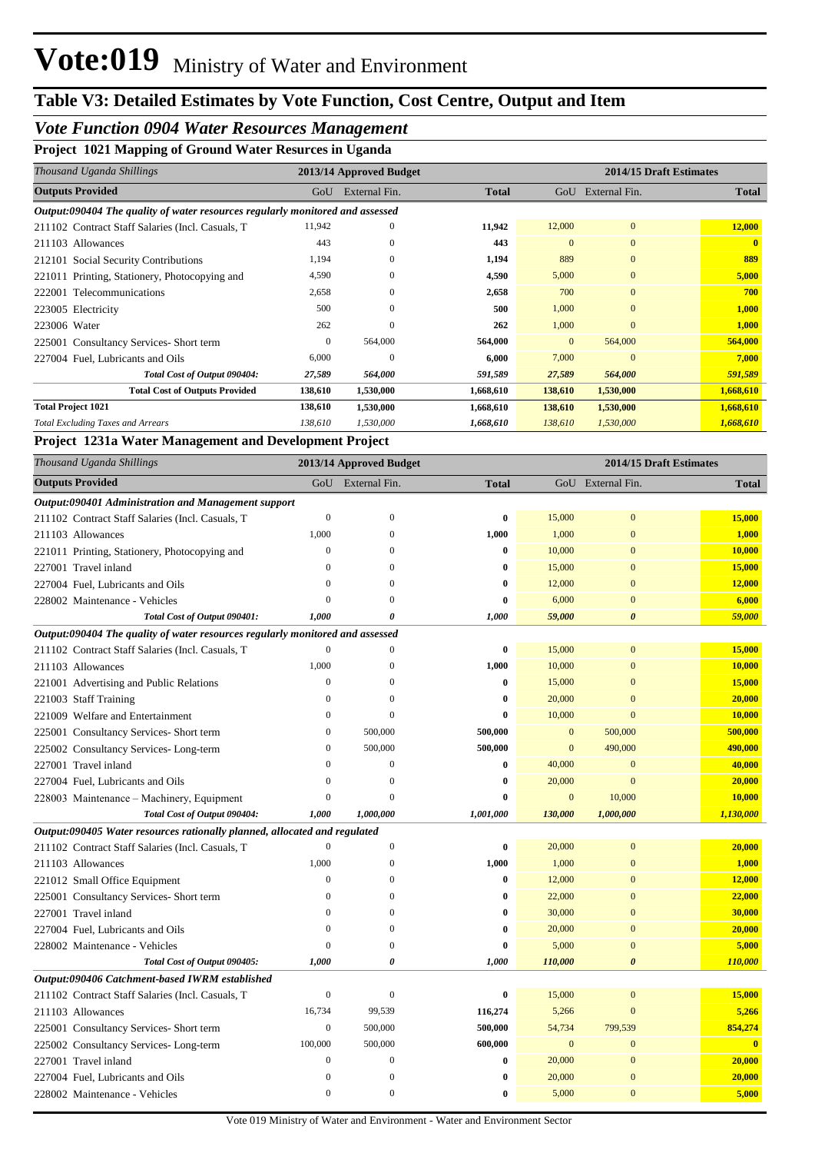# *Vote Function 0904 Water Resources Management*

**Project 1021 Mapping of Ground Water Resurces in Uganda**

| Thousand Uganda Shillings                                                     |         | 2013/14 Approved Budget |              | 2014/15 Draft Estimates |               |              |  |  |
|-------------------------------------------------------------------------------|---------|-------------------------|--------------|-------------------------|---------------|--------------|--|--|
| <b>Outputs Provided</b>                                                       | GoU     | External Fin.           | <b>Total</b> | GoU                     | External Fin. | <b>Total</b> |  |  |
| Output:090404 The quality of water resources regularly monitored and assessed |         |                         |              |                         |               |              |  |  |
| 211102 Contract Staff Salaries (Incl. Casuals, T.                             | 11,942  | $\mathbf{0}$            | 11,942       | 12,000                  | $\mathbf{0}$  | 12,000       |  |  |
| 211103 Allowances                                                             | 443     | $\mathbf{0}$            | 443          | $\Omega$                | $\mathbf{0}$  | $\mathbf{0}$ |  |  |
| 212101 Social Security Contributions                                          | 1,194   | $\mathbf{0}$            | 1,194        | 889                     | $\mathbf{0}$  | 889          |  |  |
| 221011 Printing, Stationery, Photocopying and                                 | 4,590   | $\mathbf{0}$            | 4,590        | 5,000                   | $\bf{0}$      | 5,000        |  |  |
| 222001 Telecommunications                                                     | 2,658   | $\overline{0}$          | 2,658        | 700                     | $\mathbf{0}$  | 700          |  |  |
| 223005 Electricity                                                            | 500     | $\mathbf{0}$            | 500          | 1,000                   | $\Omega$      | 1,000        |  |  |
| 223006 Water                                                                  | 262     | $\Omega$                | 262          | 1,000                   | $\Omega$      | 1,000        |  |  |
| 225001 Consultancy Services-Short term                                        | 0       | 564,000                 | 564,000      | $\overline{0}$          | 564,000       | 564,000      |  |  |
| 227004 Fuel, Lubricants and Oils                                              | 6,000   | $\mathbf{0}$            | 6,000        | 7,000                   | $\mathbf{0}$  | 7,000        |  |  |
| Total Cost of Output 090404:                                                  | 27,589  | 564,000                 | 591,589      | 27,589                  | 564,000       | 591,589      |  |  |
| <b>Total Cost of Outputs Provided</b>                                         | 138,610 | 1,530,000               | 1,668,610    | 138,610                 | 1,530,000     | 1,668,610    |  |  |
| <b>Total Project 1021</b>                                                     | 138,610 | 1,530,000               | 1,668,610    | 138,610                 | 1,530,000     | 1,668,610    |  |  |
| <b>Total Excluding Taxes and Arrears</b>                                      | 138,610 | 1,530,000               | 1,668,610    | 138,610                 | 1,530,000     | 1,668,610    |  |  |

### **Project 1231a Water Management and Development Project**

| Thousand Uganda Shillings                                                     |                  | 2013/14 Approved Budget | 2014/15 Draft Estimates |              |                       |                         |
|-------------------------------------------------------------------------------|------------------|-------------------------|-------------------------|--------------|-----------------------|-------------------------|
| <b>Outputs Provided</b>                                                       | GoU              | External Fin.           | <b>Total</b>            |              | GoU External Fin.     | <b>Total</b>            |
| Output:090401 Administration and Management support                           |                  |                         |                         |              |                       |                         |
| 211102 Contract Staff Salaries (Incl. Casuals, T                              | $\mathbf{0}$     | $\mathbf{0}$            | 0                       | 15,000       | $\mathbf{0}$          | 15,000                  |
| 211103 Allowances                                                             | 1,000            | $\mathbf{0}$            | 1,000                   | 1,000        | $\mathbf{0}$          | 1,000                   |
| 221011 Printing, Stationery, Photocopying and                                 | $\mathbf{0}$     | $\mathbf{0}$            | $\bf{0}$                | 10,000       | $\mathbf{0}$          | 10,000                  |
| 227001 Travel inland                                                          | $\mathbf{0}$     | $\mathbf{0}$            | $\bf{0}$                | 15,000       | $\mathbf{0}$          | 15,000                  |
| 227004 Fuel, Lubricants and Oils                                              | $\mathbf{0}$     | $\mathbf{0}$            | 0                       | 12,000       | $\mathbf{0}$          | 12,000                  |
| 228002 Maintenance - Vehicles                                                 | $\theta$         | 0                       | 0                       | 6,000        | $\mathbf{0}$          | 6,000                   |
| Total Cost of Output 090401:                                                  | 1,000            | 0                       | 1,000                   | 59,000       | $\theta$              | 59,000                  |
| Output:090404 The quality of water resources regularly monitored and assessed |                  |                         |                         |              |                       |                         |
| 211102 Contract Staff Salaries (Incl. Casuals, T                              | $\overline{0}$   | $\Omega$                | $\bf{0}$                | 15,000       | $\overline{0}$        | 15,000                  |
| 211103 Allowances                                                             | 1,000            | $\overline{0}$          | 1,000                   | 10,000       | $\overline{0}$        | 10,000                  |
| 221001 Advertising and Public Relations                                       | $\Omega$         | $\Omega$                | $\bf{0}$                | 15,000       | $\overline{0}$        | 15,000                  |
| 221003 Staff Training                                                         | $\theta$         | $\mathbf{0}$            | $\bf{0}$                | 20,000       | $\overline{0}$        | 20,000                  |
| 221009 Welfare and Entertainment                                              | $\mathbf{0}$     | $\mathbf{0}$            | 0                       | 10,000       | $\mathbf{0}$          | 10,000                  |
| 225001 Consultancy Services- Short term                                       | $\mathbf{0}$     | 500,000                 | 500,000                 | $\mathbf{0}$ | 500,000               | 500,000                 |
| 225002 Consultancy Services-Long-term                                         | $\mathbf{0}$     | 500,000                 | 500,000                 | $\mathbf{0}$ | 490,000               | 490,000                 |
| 227001 Travel inland                                                          | $\overline{0}$   | $\boldsymbol{0}$        | $\bf{0}$                | 40,000       | $\mathbf{0}$          | 40,000                  |
| 227004 Fuel, Lubricants and Oils                                              | $\overline{0}$   | $\boldsymbol{0}$        | $\bf{0}$                | 20,000       | $\mathbf{0}$          | 20,000                  |
| 228003 Maintenance – Machinery, Equipment                                     | $\mathbf{0}$     | $\mathbf{0}$            | 0                       | $\mathbf{0}$ | 10,000                | 10,000                  |
| Total Cost of Output 090404:                                                  | 1,000            | 1,000,000               | 1,001,000               | 130,000      | 1,000,000             | 1,130,000               |
| Output:090405 Water resources rationally planned, allocated and regulated     |                  |                         |                         |              |                       |                         |
| 211102 Contract Staff Salaries (Incl. Casuals, T                              | $\theta$         | $\boldsymbol{0}$        | $\bf{0}$                | 20,000       | $\boldsymbol{0}$      | 20,000                  |
| 211103 Allowances                                                             | 1.000            | $\mathbf{0}$            | 1,000                   | 1,000        | $\bf{0}$              | 1,000                   |
| 221012 Small Office Equipment                                                 | $\theta$         | 0                       | $\bf{0}$                | 12,000       | $\mathbf{0}$          | 12,000                  |
| 225001 Consultancy Services- Short term                                       | $\Omega$         | $\theta$                | $\bf{0}$                | 22,000       | $\overline{0}$        | 22,000                  |
| 227001 Travel inland                                                          | $\mathbf{0}$     | $\overline{0}$          | $\bf{0}$                | 30,000       | $\overline{0}$        | 30,000                  |
| 227004 Fuel, Lubricants and Oils                                              | $\Omega$         | $\mathbf{0}$            | $\bf{0}$                | 20,000       | $\overline{0}$        | 20,000                  |
| 228002 Maintenance - Vehicles                                                 | $\theta$         | $\overline{0}$          | $\bf{0}$                | 5,000        | $\overline{0}$        | 5,000                   |
| Total Cost of Output 090405:                                                  | 1,000            | 0                       | 1,000                   | 110,000      | $\boldsymbol{\theta}$ | 110,000                 |
| Output:090406 Catchment-based IWRM established                                |                  |                         |                         |              |                       |                         |
| 211102 Contract Staff Salaries (Incl. Casuals, T                              | $\boldsymbol{0}$ | $\boldsymbol{0}$        | $\bf{0}$                | 15,000       | $\boldsymbol{0}$      | 15,000                  |
| 211103 Allowances                                                             | 16,734           | 99,539                  | 116,274                 | 5,266        | $\mathbf{0}$          | 5,266                   |
| 225001 Consultancy Services- Short term                                       | $\boldsymbol{0}$ | 500,000                 | 500,000                 | 54,734       | 799,539               | 854,274                 |
| 225002 Consultancy Services-Long-term                                         | 100,000          | 500,000                 | 600,000                 | $\mathbf{0}$ | $\mathbf{0}$          | $\overline{\mathbf{0}}$ |
| 227001 Travel inland                                                          | $\mathbf{0}$     | $\boldsymbol{0}$        | $\bf{0}$                | 20,000       | $\mathbf{0}$          | 20,000                  |
| 227004 Fuel, Lubricants and Oils                                              | $\Omega$         | $\Omega$                | 0                       | 20,000       | $\mathbf{0}$          | 20,000                  |
| 228002 Maintenance - Vehicles                                                 | $\Omega$         | $\mathbf{0}$            | $\bf{0}$                | 5,000        | $\overline{0}$        | 5,000                   |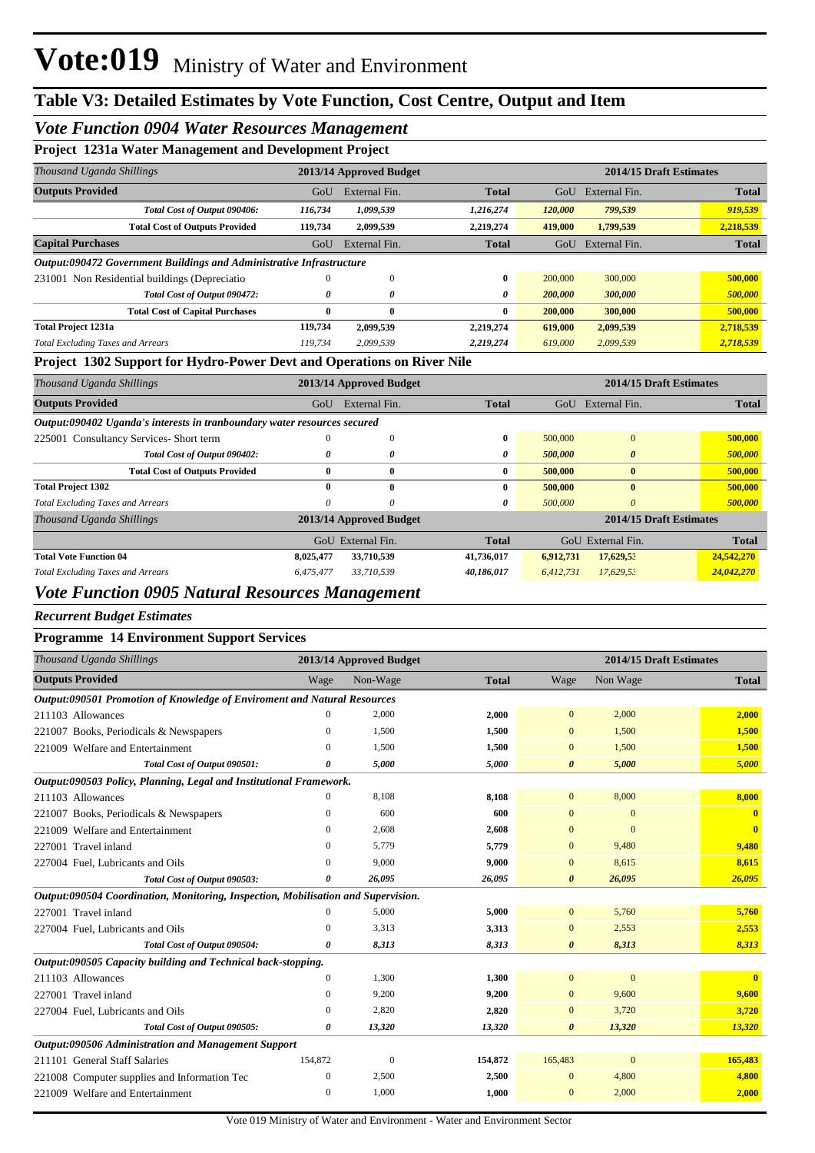## *Vote Function 0904 Water Resources Management*

### **Project 1231a Water Management and Development Project**

| -                                             |                                                    | $\cdot$       |                                                                      |         |               |              |
|-----------------------------------------------|----------------------------------------------------|---------------|----------------------------------------------------------------------|---------|---------------|--------------|
| Thousand Uganda Shillings                     | 2014/15 Draft Estimates<br>2013/14 Approved Budget |               |                                                                      |         |               |              |
|                                               | GoU                                                | External Fin. | <b>Total</b>                                                         | GoU     | External Fin. | <b>Total</b> |
| Total Cost of Output 090406:                  | 116,734                                            | 1,099,539     | 1,216,274                                                            | 120,000 | 799,539       | 919,539      |
| <b>Total Cost of Outputs Provided</b>         | 119,734                                            | 2,099,539     | 2,219,274                                                            | 419,000 | 1,799,539     | 2,218,539    |
|                                               | GoU                                                | External Fin. | <b>Total</b>                                                         | GoU     | External Fin. | <b>Total</b> |
|                                               |                                                    |               |                                                                      |         |               |              |
| 231001 Non Residential buildings (Depreciatio | 0                                                  | 0             | 0                                                                    | 200,000 | 300,000       | 500,000      |
| Total Cost of Output 090472:                  | 0                                                  | 0             | 0                                                                    | 200,000 | 300,000       | 500,000      |
| <b>Total Cost of Capital Purchases</b>        | 0                                                  | $\bf{0}$      | 0                                                                    | 200,000 | 300,000       | 500,000      |
|                                               | 119,734                                            | 2,099,539     | 2,219,274                                                            | 619,000 | 2,099,539     | 2,718,539    |
| <b>Total Excluding Taxes and Arrears</b>      | 119,734                                            | 2,099,539     | 2,219,274                                                            | 619,000 | 2,099,539     | 2,718,539    |
|                                               |                                                    |               | Output:090472 Government Buildings and Administrative Infrastructure |         |               |              |

#### **Project 1302 Support for Hydro-Power Devt and Operations on River Nile**

| Thousand Uganda Shillings                                                |           | 2013/14 Approved Budget |              | 2014/15 Draft Estimates |                         |              |  |
|--------------------------------------------------------------------------|-----------|-------------------------|--------------|-------------------------|-------------------------|--------------|--|
| <b>Outputs Provided</b>                                                  | GoU       | External Fin.           | <b>Total</b> | GoU                     | External Fin.           | <b>Total</b> |  |
| Output:090402 Uganda's interests in tranboundary water resources secured |           |                         |              |                         |                         |              |  |
| 225001 Consultancy Services- Short term                                  | $_{0}$    | 0                       | 0            | 500,000                 | $\mathbf{0}$            | 500,000      |  |
| Total Cost of Output 090402:                                             | 0         | 0                       | 0            | 500,000                 | $\boldsymbol{\theta}$   | 500,000      |  |
| <b>Total Cost of Outputs Provided</b>                                    | 0         | $\bf{0}$                | 0            | 500,000                 | $\mathbf{0}$            | 500,000      |  |
| <b>Total Project 1302</b>                                                | 0         | $\mathbf{0}$            | 0            | 500,000                 | $\mathbf{0}$            | 500,000      |  |
| <b>Total Excluding Taxes and Arrears</b>                                 | 0         | 0                       | 0            | 500,000                 | $\theta$                | 500,000      |  |
| Thousand Uganda Shillings                                                |           | 2013/14 Approved Budget |              |                         | 2014/15 Draft Estimates |              |  |
|                                                                          | $G_{O}U$  | External Fin.           | <b>Total</b> | GoU                     | External Fin.           | <b>Total</b> |  |
| <b>Total Vote Function 04</b>                                            | 8,025,477 | 33,710,539              | 41,736,017   | 6,912,731               | 17,629,53               | 24,542,270   |  |
| <b>Total Excluding Taxes and Arrears</b>                                 | 6,475,477 | 33,710,539              | 40,186,017   | 6.412.731               | 17,629,52               | 24,042,270   |  |

# *Vote Function 0905 Natural Resources Management*

#### *Recurrent Budget Estimates*

### **Programme 14 Environment Support Services**

| Thousand Uganda Shillings                                                         |                  | 2013/14 Approved Budget |              |                       | 2014/15 Draft Estimates |                         |
|-----------------------------------------------------------------------------------|------------------|-------------------------|--------------|-----------------------|-------------------------|-------------------------|
| <b>Outputs Provided</b>                                                           | Wage             | Non-Wage                | <b>Total</b> | Wage                  | Non Wage                | <b>Total</b>            |
| Output:090501 Promotion of Knowledge of Enviroment and Natural Resources          |                  |                         |              |                       |                         |                         |
| 211103 Allowances                                                                 | 0                | 2,000                   | 2,000        | $\overline{0}$        | 2,000                   | 2,000                   |
| 221007 Books, Periodicals & Newspapers                                            | $\mathbf{0}$     | 1.500                   | 1,500        | $\mathbf{0}$          | 1,500                   | 1,500                   |
| 221009 Welfare and Entertainment                                                  | $\Omega$         | 1,500                   | 1,500        | $\mathbf{0}$          | 1,500                   | 1,500                   |
| Total Cost of Output 090501:                                                      | 0                | 5,000                   | 5,000        | $\boldsymbol{\theta}$ | 5,000                   | 5,000                   |
| Output:090503 Policy, Planning, Legal and Institutional Framework.                |                  |                         |              |                       |                         |                         |
| 211103 Allowances                                                                 | $\mathbf{0}$     | 8,108                   | 8,108        | $\overline{0}$        | 8,000                   | 8,000                   |
| 221007 Books, Periodicals & Newspapers                                            | $\mathbf{0}$     | 600                     | 600          | $\mathbf{0}$          | $\mathbf{0}$            | $\mathbf{0}$            |
| 221009 Welfare and Entertainment                                                  | $\mathbf{0}$     | 2,608                   | 2,608        | $\overline{0}$        | $\Omega$                | $\overline{\mathbf{0}}$ |
| 227001 Travel inland                                                              | $\overline{0}$   | 5.779                   | 5,779        | $\overline{0}$        | 9,480                   | 9,480                   |
| 227004 Fuel, Lubricants and Oils                                                  | $\Omega$         | 9,000                   | 9,000        | $\mathbf{0}$          | 8,615                   | 8,615                   |
| Total Cost of Output 090503:                                                      | 0                | 26,095                  | 26,095       | $\boldsymbol{\theta}$ | 26,095                  | 26,095                  |
| Output:090504 Coordination, Monitoring, Inspection, Mobilisation and Supervision. |                  |                         |              |                       |                         |                         |
| 227001 Travel inland                                                              | $\Omega$         | 5,000                   | 5,000        | $\overline{0}$        | 5,760                   | 5,760                   |
| 227004 Fuel, Lubricants and Oils                                                  | $\mathbf{0}$     | 3.313                   | 3,313        | $\mathbf{0}$          | 2,553                   | 2,553                   |
| Total Cost of Output 090504:                                                      | 0                | 8,313                   | 8,313        | $\boldsymbol{\theta}$ | 8,313                   | 8,313                   |
| Output:090505 Capacity building and Technical back-stopping.                      |                  |                         |              |                       |                         |                         |
| 211103 Allowances                                                                 | $\boldsymbol{0}$ | 1,300                   | 1,300        | $\mathbf{0}$          | $\mathbf{0}$            | $\mathbf{0}$            |
| 227001 Travel inland                                                              | $\Omega$         | 9,200                   | 9,200        | $\overline{0}$        | 9,600                   | 9,600                   |
| 227004 Fuel, Lubricants and Oils                                                  | $\Omega$         | 2.820                   | 2,820        | $\overline{0}$        | 3,720                   | 3,720                   |
| Total Cost of Output 090505:                                                      | 0                | 13,320                  | 13,320       | $\boldsymbol{\theta}$ | 13,320                  | 13,320                  |
| Output:090506 Administration and Management Support                               |                  |                         |              |                       |                         |                         |
| 211101 General Staff Salaries                                                     | 154,872          | $\mathbf{0}$            | 154,872      | 165,483               | $\mathbf{0}$            | 165,483                 |
| 221008 Computer supplies and Information Tec                                      | $\boldsymbol{0}$ | 2,500                   | 2,500        | $\mathbf{0}$          | 4,800                   | 4,800                   |
| 221009 Welfare and Entertainment                                                  | $\mathbf{0}$     | 1.000                   | 1,000        | $\overline{0}$        | 2,000                   | 2,000                   |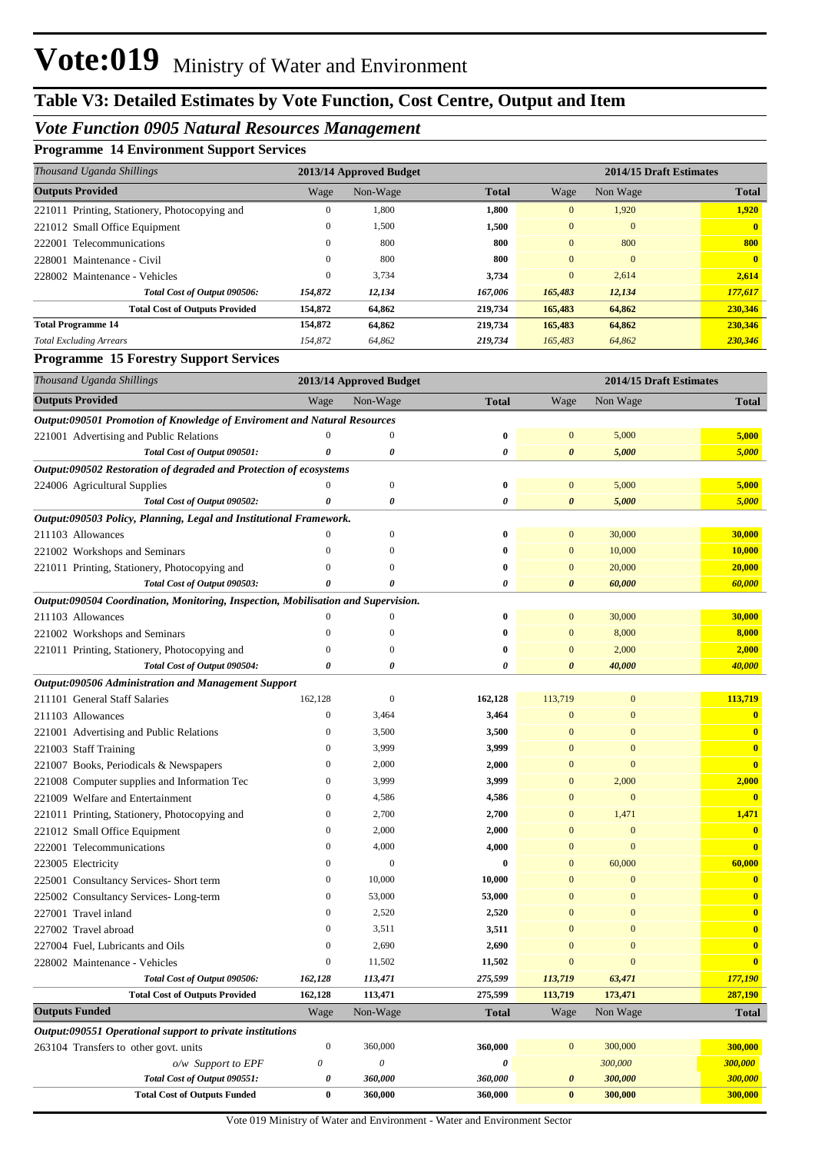# **Table V3: Detailed Estimates by Vote Function, Cost Centre, Output and Item**

## *Vote Function 0905 Natural Resources Management*

### **Programme 14 Environment Support Services**

| Thousand Uganda Shillings                     | 2013/14 Approved Budget |          |              |                | 2014/15 Draft Estimates |              |  |
|-----------------------------------------------|-------------------------|----------|--------------|----------------|-------------------------|--------------|--|
| <b>Outputs Provided</b>                       | Wage                    | Non-Wage | <b>Total</b> | Wage           | Non Wage                | <b>Total</b> |  |
| 221011 Printing, Stationery, Photocopying and | 0                       | 1,800    | 1.800        | $\overline{0}$ | 1,920                   | 1.920        |  |
| 221012 Small Office Equipment                 | $\mathbf{0}$            | 1,500    | 1,500        | $\mathbf{0}$   | $\mathbf{0}$            |              |  |
| Telecommunications<br>222001                  | 0                       | 800      | 800          | $\Omega$       | 800                     | 800          |  |
| Maintenance - Civil<br>228001                 | $\mathbf{0}$            | 800      | 800          | $\overline{0}$ | $\mathbf{0}$            | $\mathbf{0}$ |  |
| 228002 Maintenance - Vehicles                 | $\mathbf{0}$            | 3,734    | 3,734        | $\overline{0}$ | 2,614                   | 2,614        |  |
| Total Cost of Output 090506:                  | 154,872                 | 12,134   | 167.006      | 165,483        | 12,134                  | 177,617      |  |
| <b>Total Cost of Outputs Provided</b>         | 154,872                 | 64,862   | 219,734      | 165,483        | 64,862                  | 230,346      |  |
| <b>Total Programme 14</b>                     | 154,872                 | 64.862   | 219.734      | 165,483        | 64,862                  | 230,346      |  |
| <b>Total Excluding Arrears</b>                | 154,872                 | 64,862   | 219,734      | 165,483        | 64,862                  | 230,346      |  |

### **Programme 15 Forestry Support Services**

| Thousand Uganda Shillings                                                         | 2013/14 Approved Budget |                           |              | 2014/15 Draft Estimates |                  |                         |  |
|-----------------------------------------------------------------------------------|-------------------------|---------------------------|--------------|-------------------------|------------------|-------------------------|--|
| <b>Outputs Provided</b>                                                           | Wage                    | Non-Wage                  | <b>Total</b> | Wage                    | Non Wage         | <b>Total</b>            |  |
| Output:090501 Promotion of Knowledge of Enviroment and Natural Resources          |                         |                           |              |                         |                  |                         |  |
| 221001 Advertising and Public Relations                                           | $\theta$                | $\boldsymbol{0}$          | 0            | $\bf{0}$                | 5,000            | 5,000                   |  |
| Total Cost of Output 090501:                                                      | 0                       | 0                         | 0            | 0                       | 5,000            | 5,000                   |  |
| Output:090502 Restoration of degraded and Protection of ecosystems                |                         |                           |              |                         |                  |                         |  |
| 224006 Agricultural Supplies                                                      | $\mathbf{0}$            | $\boldsymbol{0}$          | $\bf{0}$     | $\bf{0}$                | 5,000            | 5,000                   |  |
| Total Cost of Output 090502:                                                      | 0                       | 0                         | 0            | 0                       | 5,000            | 5,000                   |  |
| Output:090503 Policy, Planning, Legal and Institutional Framework.                |                         |                           |              |                         |                  |                         |  |
| 211103 Allowances                                                                 | $\theta$                | $\boldsymbol{0}$          | 0            | $\bf{0}$                | 30,000           | 30,000                  |  |
| 221002 Workshops and Seminars                                                     | $\overline{0}$          | $\mathbf{0}$              | 0            | $\mathbf{0}$            | 10,000           | <b>10,000</b>           |  |
| 221011 Printing, Stationery, Photocopying and                                     | $\mathbf{0}$            | $\mathbf{0}$              | 0            | $\mathbf{0}$            | 20,000           | 20,000                  |  |
| Total Cost of Output 090503:                                                      | 0                       | 0                         | 0            | 0                       | 60,000           | 60,000                  |  |
| Output:090504 Coordination, Monitoring, Inspection, Mobilisation and Supervision. |                         |                           |              |                         |                  |                         |  |
| 211103 Allowances                                                                 | $\mathbf{0}$            | $\boldsymbol{0}$          | 0            | $\bf{0}$                | 30,000           | 30,000                  |  |
| 221002 Workshops and Seminars                                                     | $\overline{0}$          | $\mathbf{0}$              | 0            | $\boldsymbol{0}$        | 8,000            | 8,000                   |  |
| 221011 Printing, Stationery, Photocopying and                                     | $\mathbf{0}$            | $\boldsymbol{0}$          | 0            | $\bf{0}$                | 2,000            | 2,000                   |  |
| Total Cost of Output 090504:                                                      | 0                       | 0                         | 0            | 0                       | 40,000           | 40,000                  |  |
| Output:090506 Administration and Management Support                               |                         |                           |              |                         |                  |                         |  |
| 211101 General Staff Salaries                                                     | 162,128                 | $\boldsymbol{0}$          | 162,128      | 113,719                 | $\boldsymbol{0}$ | 113,719                 |  |
| 211103 Allowances                                                                 | $\mathbf{0}$            | 3,464                     | 3,464        | $\bf{0}$                | $\overline{0}$   | $\bf{0}$                |  |
| 221001 Advertising and Public Relations                                           | $\boldsymbol{0}$        | 3,500                     | 3,500        | $\bf{0}$                | $\overline{0}$   | $\mathbf{0}$            |  |
| 221003 Staff Training                                                             | $\mathbf{0}$            | 3,999                     | 3,999        | $\mathbf{0}$            | $\overline{0}$   | $\overline{\mathbf{0}}$ |  |
| 221007 Books, Periodicals & Newspapers                                            | $\boldsymbol{0}$        | 2,000                     | 2,000        | $\mathbf{0}$            | $\overline{0}$   | $\overline{0}$          |  |
| 221008 Computer supplies and Information Tec                                      | $\boldsymbol{0}$        | 3,999                     | 3,999        | $\bf{0}$                | 2,000            | 2,000                   |  |
| 221009 Welfare and Entertainment                                                  | $\mathbf{0}$            | 4,586                     | 4,586        | $\bf{0}$                | $\mathbf{0}$     |                         |  |
| 221011 Printing, Stationery, Photocopying and                                     | $\boldsymbol{0}$        | 2,700                     | 2,700        | $\bf{0}$                | 1,471            | 1,471                   |  |
| 221012 Small Office Equipment                                                     | $\mathbf{0}$            | 2,000                     | 2,000        | $\mathbf{0}$            | $\mathbf{0}$     | $\bf{0}$                |  |
| 222001 Telecommunications                                                         | $\mathbf{0}$            | 4,000                     | 4,000        | $\mathbf{0}$            | $\overline{0}$   | $\overline{0}$          |  |
| 223005 Electricity                                                                | $\mathbf{0}$            | $\boldsymbol{0}$          | 0            | $\bf{0}$                | 60,000           | 60,000                  |  |
| 225001 Consultancy Services-Short term                                            | $\boldsymbol{0}$        | 10,000                    | 10,000       | $\mathbf{0}$            | $\boldsymbol{0}$ | $\mathbf{0}$            |  |
| 225002 Consultancy Services-Long-term                                             | $\boldsymbol{0}$        | 53,000                    | 53,000       | $\mathbf{0}$            | $\overline{0}$   | $\mathbf{0}$            |  |
| 227001 Travel inland                                                              | $\mathbf{0}$            | 2,520                     | 2,520        | $\mathbf{0}$            | $\overline{0}$   | $\mathbf{0}$            |  |
| 227002 Travel abroad                                                              | $\mathbf{0}$            | 3,511                     | 3,511        | $\mathbf{0}$            | $\overline{0}$   | $\mathbf{0}$            |  |
| 227004 Fuel, Lubricants and Oils                                                  | $\mathbf{0}$            | 2,690                     | 2,690        | $\mathbf{0}$            | $\Omega$         | $\bf{0}$                |  |
| 228002 Maintenance - Vehicles                                                     | $\boldsymbol{0}$        | 11,502                    | 11,502       | $\Omega$                | $\Omega$         | $\overline{\mathbf{0}}$ |  |
| Total Cost of Output 090506:                                                      | 162,128                 | 113,471                   | 275,599      | 113,719                 | 63,471           | 177,190                 |  |
| <b>Total Cost of Outputs Provided</b>                                             | 162,128                 | 113,471                   | 275,599      | 113,719                 | 173,471          | 287,190                 |  |
| <b>Outputs Funded</b>                                                             | Wage                    | Non-Wage                  | <b>Total</b> | Wage                    | Non Wage         | <b>Total</b>            |  |
| Output:090551 Operational support to private institutions                         |                         |                           |              |                         |                  |                         |  |
| 263104 Transfers to other govt. units                                             | $\boldsymbol{0}$        | 360,000                   | 360,000      | $\mathbf{0}$            | 300,000          | 300,000                 |  |
| o/w Support to EPF                                                                | $\boldsymbol{\theta}$   | $\boldsymbol{\mathit{0}}$ | 0            |                         | 300,000          | 300,000                 |  |
| Total Cost of Output 090551:                                                      | $\pmb{\theta}$          | 360,000                   | 360,000      | $\boldsymbol{\theta}$   | 300,000          | 300,000                 |  |
| <b>Total Cost of Outputs Funded</b>                                               | $\bf{0}$                | 360,000                   | 360,000      | $\bf{0}$                | 300,000          | 300,000                 |  |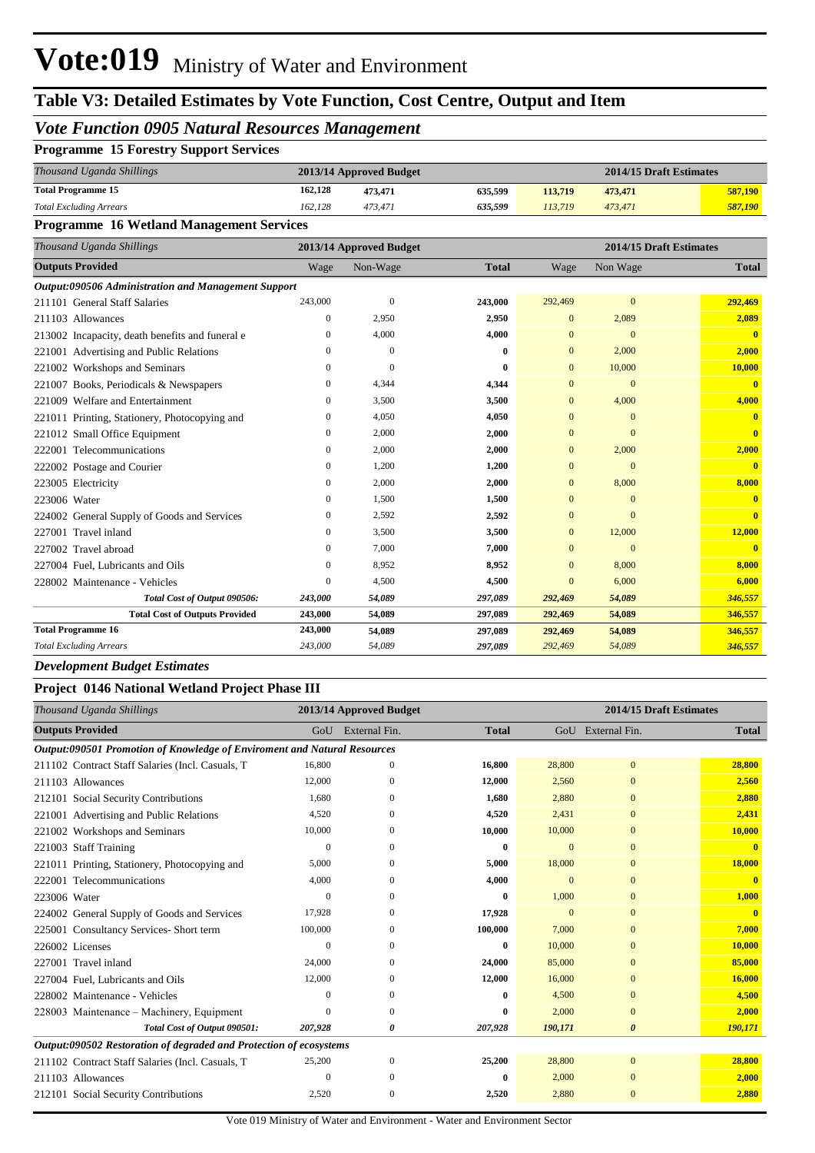# **Table V3: Detailed Estimates by Vote Function, Cost Centre, Output and Item**

## *Vote Function 0905 Natural Resources Management*

| <b>Programme 15 Forestry Support Services</b> |  |  |  |  |
|-----------------------------------------------|--|--|--|--|
|-----------------------------------------------|--|--|--|--|

| Thousand Uganda Shillings      | 2013/14 Approved Budget |         |         |         | 2014/15 Draft Estimates |         |
|--------------------------------|-------------------------|---------|---------|---------|-------------------------|---------|
| <b>Total Programme 15</b>      | 162.128                 | 473,471 | 635.599 | 113.719 | 473,471                 | 587,190 |
| <b>Total Excluding Arrears</b> | 162.128                 | 473.471 | 635.599 | 113.719 | 473.471                 | 587.190 |

### **Programme 16 Wetland Management Services**

| Thousand Uganda Shillings                           |                | 2013/14 Approved Budget |              | 2014/15 Draft Estimates |                |              |  |
|-----------------------------------------------------|----------------|-------------------------|--------------|-------------------------|----------------|--------------|--|
| <b>Outputs Provided</b>                             | Wage           | Non-Wage                | <b>Total</b> | Wage                    | Non Wage       | <b>Total</b> |  |
| Output:090506 Administration and Management Support |                |                         |              |                         |                |              |  |
| 211101 General Staff Salaries                       | 243,000        | $\overline{0}$          | 243,000      | 292,469                 | $\Omega$       | 292,469      |  |
| 211103 Allowances                                   | $\overline{0}$ | 2,950                   | 2,950        | $\mathbf{0}$            | 2,089          | 2,089        |  |
| 213002 Incapacity, death benefits and funeral e     | 0              | 4,000                   | 4,000        | $\Omega$                | $\Omega$       | $\mathbf{0}$ |  |
| 221001 Advertising and Public Relations             | $\Omega$       | $\mathbf{0}$            | 0            | $\mathbf{0}$            | 2,000          | 2,000        |  |
| 221002 Workshops and Seminars                       | $\Omega$       | $\Omega$                | 0            | $\mathbf{0}$            | 10,000         | 10,000       |  |
| 221007 Books, Periodicals & Newspapers              | 0              | 4,344                   | 4,344        | $\mathbf{0}$            | $\overline{0}$ | $\mathbf{0}$ |  |
| 221009 Welfare and Entertainment                    | 0              | 3,500                   | 3,500        | $\overline{0}$          | 4,000          | 4,000        |  |
| 221011 Printing, Stationery, Photocopying and       | 0              | 4,050                   | 4,050        | $\overline{0}$          | $\mathbf{0}$   | $\mathbf{0}$ |  |
| 221012 Small Office Equipment                       | 0              | 2,000                   | 2,000        | $\overline{0}$          | $\Omega$       | $\mathbf{0}$ |  |
| Telecommunications<br>222001                        | $\mathbf{0}$   | 2,000                   | 2,000        | $\mathbf{0}$            | 2,000          | 2,000        |  |
| 222002 Postage and Courier                          | $\mathbf{0}$   | 1,200                   | 1,200        | $\overline{0}$          | $\mathbf{0}$   | $\mathbf{0}$ |  |
| 223005 Electricity                                  | 0              | 2,000                   | 2,000        | $\mathbf{0}$            | 8,000          | 8,000        |  |
| 223006 Water                                        | $\mathbf{0}$   | 1,500                   | 1,500        | $\overline{0}$          | $\overline{0}$ | $\mathbf{0}$ |  |
| 224002 General Supply of Goods and Services         | 0              | 2,592                   | 2,592        | $\overline{0}$          | $\Omega$       | $\mathbf{0}$ |  |
| 227001 Travel inland                                | $\Omega$       | 3,500                   | 3,500        | $\mathbf{0}$            | 12,000         | 12,000       |  |
| 227002 Travel abroad                                | 0              | 7.000                   | 7,000        | $\overline{0}$          | $\overline{0}$ | $\mathbf{0}$ |  |
| 227004 Fuel, Lubricants and Oils                    | 0              | 8,952                   | 8,952        | $\overline{0}$          | 8,000          | 8,000        |  |
| 228002 Maintenance - Vehicles                       | $\Omega$       | 4,500                   | 4,500        | $\Omega$                | 6,000          | 6,000        |  |
| Total Cost of Output 090506:                        | 243,000        | 54,089                  | 297,089      | 292,469                 | 54,089         | 346,557      |  |
| <b>Total Cost of Outputs Provided</b>               | 243,000        | 54,089                  | 297,089      | 292,469                 | 54,089         | 346,557      |  |
| <b>Total Programme 16</b>                           | 243,000        | 54,089                  | 297,089      | 292,469                 | 54,089         | 346,557      |  |
| <b>Total Excluding Arrears</b>                      | 243,000        | 54,089                  | 297,089      | 292,469                 | 54,089         | 346,557      |  |

#### *Development Budget Estimates*

#### **Project 0146 National Wetland Project Phase III**

| Thousand Uganda Shillings                                                |          | 2013/14 Approved Budget |              | 2014/15 Draft Estimates |                       |              |  |
|--------------------------------------------------------------------------|----------|-------------------------|--------------|-------------------------|-----------------------|--------------|--|
| <b>Outputs Provided</b>                                                  | GoU      | External Fin.           | <b>Total</b> |                         | GoU External Fin.     | <b>Total</b> |  |
| Output:090501 Promotion of Knowledge of Enviroment and Natural Resources |          |                         |              |                         |                       |              |  |
| 211102 Contract Staff Salaries (Incl. Casuals, T                         | 16,800   | $\Omega$                | 16,800       | 28,800                  | $\mathbf{0}$          | 28,800       |  |
| 211103 Allowances                                                        | 12,000   | 0                       | 12,000       | 2,560                   | $\mathbf{0}$          | 2,560        |  |
| 212101 Social Security Contributions                                     | 1,680    |                         | 1,680        | 2,880                   | $\Omega$              | 2,880        |  |
| 221001 Advertising and Public Relations                                  | 4,520    | 0                       | 4,520        | 2,431                   | $\mathbf{0}$          | 2,431        |  |
| 221002 Workshops and Seminars                                            | 10,000   |                         | 10,000       | 10,000                  | $\mathbf{0}$          | 10,000       |  |
| 221003 Staff Training                                                    | $\Omega$ | $\Omega$                | $\bf{0}$     | $\Omega$                | $\mathbf{0}$          |              |  |
| 221011 Printing, Stationery, Photocopying and                            | 5,000    | 0                       | 5,000        | 18,000                  | $\mathbf{0}$          | 18,000       |  |
| 222001 Telecommunications                                                | 4,000    | $\Omega$                | 4,000        | $\Omega$                | $\mathbf{0}$          |              |  |
| 223006 Water                                                             | 0        | 0                       | 0            | 1,000                   | $\Omega$              | 1,000        |  |
| 224002 General Supply of Goods and Services                              | 17,928   | $\Omega$                | 17,928       |                         | $\mathbf{0}$          | $\mathbf{0}$ |  |
| 225001 Consultancy Services- Short term                                  | 100,000  | 0                       | 100,000      | 7,000                   | $\mathbf{0}$          | 7,000        |  |
| 226002 Licenses                                                          | 0        | 0                       | 0            | 10,000                  | $\mathbf{0}$          | 10,000       |  |
| 227001 Travel inland                                                     | 24,000   |                         | 24,000       | 85,000                  | $\mathbf{0}$          | 85,000       |  |
| 227004 Fuel, Lubricants and Oils                                         | 12,000   | 0                       | 12,000       | 16,000                  | $\mathbf{0}$          | 16,000       |  |
| 228002 Maintenance - Vehicles                                            | $\Omega$ | 0                       | 0            | 4,500                   | $\mathbf{0}$          | 4,500        |  |
| 228003 Maintenance – Machinery, Equipment                                | 0        | $\Omega$                | 0            | 2,000                   | $\mathbf{0}$          | 2,000        |  |
| Total Cost of Output 090501:                                             | 207,928  | 0                       | 207,928      | 190,171                 | $\boldsymbol{\theta}$ | 190,171      |  |
| Output:090502 Restoration of degraded and Protection of ecosystems       |          |                         |              |                         |                       |              |  |
| 211102 Contract Staff Salaries (Incl. Casuals, T                         | 25,200   | $\mathbf{0}$            | 25,200       | 28,800                  | $\mathbf{0}$          | 28,800       |  |
| 211103 Allowances                                                        | $\Omega$ | 0                       | 0            | 2,000                   | $\Omega$              | 2,000        |  |
| 212101 Social Security Contributions                                     | 2,520    | $\mathbf{0}$            | 2,520        | 2,880                   | $\mathbf{0}$          | 2,880        |  |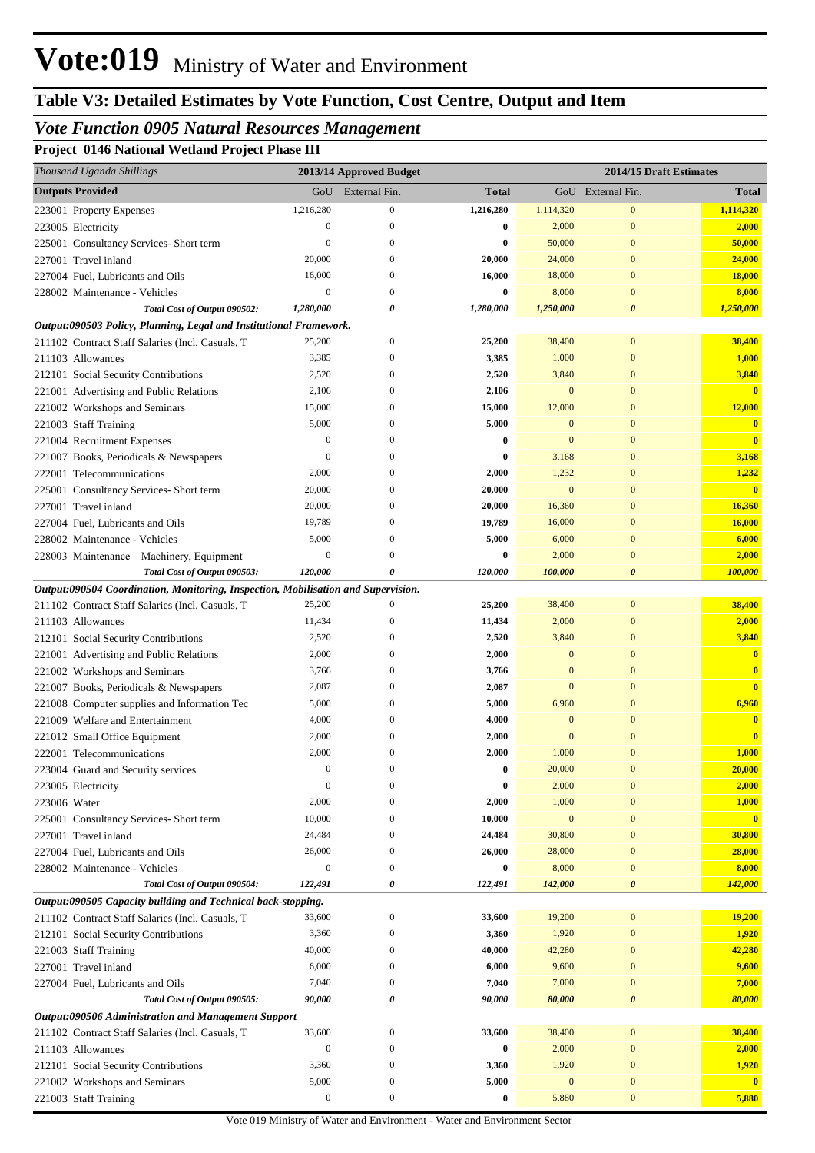## *Vote Function 0905 Natural Resources Management*

**Project 0146 National Wetland Project Phase III**

| Thousand Uganda Shillings                                                              |                  | 2013/14 Approved Budget      |                |                          | 2014/15 Draft Estimates        |                                         |
|----------------------------------------------------------------------------------------|------------------|------------------------------|----------------|--------------------------|--------------------------------|-----------------------------------------|
| <b>Outputs Provided</b>                                                                | GoU              | External Fin.                | <b>Total</b>   |                          | GoU External Fin.              | <b>Total</b>                            |
| 223001 Property Expenses                                                               | 1,216,280        | $\boldsymbol{0}$             | 1,216,280      | 1,114,320                | $\mathbf{0}$                   | 1,114,320                               |
| 223005 Electricity                                                                     | $\mathbf{0}$     | $\mathbf{0}$                 | 0              | 2,000                    | $\mathbf{0}$                   | 2,000                                   |
| 225001 Consultancy Services- Short term                                                | $\overline{0}$   | 0                            | $\bf{0}$       | 50,000                   | $\mathbf{0}$                   | 50,000                                  |
| 227001 Travel inland                                                                   | 20,000           | 0                            | 20,000         | 24,000                   | $\mathbf{0}$                   | 24,000                                  |
| 227004 Fuel, Lubricants and Oils                                                       | 16,000           | $\mathbf{0}$                 | 16,000         | 18,000                   | $\mathbf{0}$                   | <b>18,000</b>                           |
| 228002 Maintenance - Vehicles                                                          | $\boldsymbol{0}$ | $\mathbf{0}$                 | $\bf{0}$       | 8,000                    | $\overline{0}$                 | 8,000                                   |
| Total Cost of Output 090502:                                                           | 1,280,000        | 0                            | 1,280,000      | 1,250,000                | $\boldsymbol{\theta}$          | 1,250,000                               |
| Output:090503 Policy, Planning, Legal and Institutional Framework.                     |                  |                              |                |                          |                                |                                         |
| 211102 Contract Staff Salaries (Incl. Casuals, T                                       | 25,200           | $\boldsymbol{0}$             | 25,200         | 38,400                   | $\mathbf{0}$                   | 38,400                                  |
| 211103 Allowances                                                                      | 3,385            | $\mathbf{0}$                 | 3,385          | 1,000                    | $\mathbf{0}$                   | 1,000                                   |
| 212101 Social Security Contributions                                                   | 2,520            | $\mathbf{0}$                 | 2,520          | 3,840                    | $\mathbf{0}$                   | 3,840                                   |
| 221001 Advertising and Public Relations                                                | 2,106            | $\mathbf{0}$                 | 2,106          | $\bf{0}$                 | $\overline{0}$                 | $\overline{\mathbf{0}}$                 |
| 221002 Workshops and Seminars                                                          | 15,000           | $\mathbf{0}$                 | 15,000         | 12,000                   | $\overline{0}$                 | 12,000                                  |
| 221003 Staff Training                                                                  | 5,000            | $\mathbf{0}$                 | 5,000          | $\mathbf{0}$             | $\overline{0}$                 | $\mathbf{0}$                            |
| 221004 Recruitment Expenses                                                            | $\boldsymbol{0}$ | $\Omega$                     | $\bf{0}$       | $\Omega$                 | $\overline{0}$                 | $\overline{\mathbf{0}}$                 |
| 221007 Books, Periodicals & Newspapers                                                 | $\overline{0}$   | $\Omega$                     | $\bf{0}$       | 3,168                    | $\overline{0}$                 | 3,168                                   |
| 222001 Telecommunications                                                              | 2,000            | $\Omega$                     | 2,000          | 1,232                    | $\overline{0}$                 | 1,232                                   |
| 225001 Consultancy Services- Short term                                                | 20,000           | $\mathbf{0}$                 | 20,000         | $\boldsymbol{0}$         | $\overline{0}$                 | $\overline{\mathbf{0}}$                 |
| 227001 Travel inland                                                                   | 20,000           | $\Omega$                     | 20,000         | 16,360                   | $\overline{0}$                 | 16,360                                  |
| 227004 Fuel, Lubricants and Oils                                                       | 19,789           | $\mathbf{0}$                 | 19,789         | 16,000                   | $\overline{0}$                 | 16,000                                  |
| 228002 Maintenance - Vehicles                                                          | 5,000            | $\mathbf{0}$                 | 5,000          | 6,000                    | $\overline{0}$                 | 6,000                                   |
| 228003 Maintenance - Machinery, Equipment                                              | $\mathbf{0}$     | 0                            | $\bf{0}$       | 2,000                    | $\overline{0}$                 | 2,000                                   |
| Total Cost of Output 090503:                                                           | 120,000          | 0                            | 120,000        | 100,000                  | $\boldsymbol{\theta}$          | 100,000                                 |
| Output:090504 Coordination, Monitoring, Inspection, Mobilisation and Supervision.      |                  |                              |                |                          |                                |                                         |
| 211102 Contract Staff Salaries (Incl. Casuals, T                                       | 25,200           | $\mathbf{0}$                 | 25,200         | 38,400                   | $\boldsymbol{0}$               | 38,400                                  |
| 211103 Allowances                                                                      | 11,434           | $\Omega$                     | 11,434         | 2,000                    | $\mathbf{0}$                   | 2,000                                   |
| 212101 Social Security Contributions                                                   | 2,520            | $\mathbf{0}$                 | 2,520          | 3,840                    | $\mathbf{0}$                   | 3,840                                   |
| 221001 Advertising and Public Relations                                                | 2,000            | $\mathbf{0}$<br>$\mathbf{0}$ | 2,000          | $\mathbf{0}$<br>$\Omega$ | $\mathbf{0}$<br>$\overline{0}$ | $\mathbf{0}$                            |
| 221002 Workshops and Seminars                                                          | 3,766<br>2,087   | $\mathbf{0}$                 | 3,766          | $\mathbf{0}$             | $\overline{0}$                 | $\overline{\mathbf{0}}$<br>$\mathbf{0}$ |
| 221007 Books, Periodicals & Newspapers<br>221008 Computer supplies and Information Tec | 5,000            | $\mathbf{0}$                 | 2,087<br>5,000 | 6,960                    | $\mathbf{0}$                   | 6,960                                   |
|                                                                                        | 4,000            | $\Omega$                     | 4,000          | $\mathbf{0}$             | $\overline{0}$                 | $\mathbf{0}$                            |
| 221009 Welfare and Entertainment<br>221012 Small Office Equipment                      | 2,000            | $\Omega$                     | 2,000          | $\mathbf{0}$             | $\overline{0}$                 | $\overline{\mathbf{0}}$                 |
| 222001 Telecommunications                                                              | 2,000            | $\mathbf{0}$                 | 2,000          | 1,000                    | $\overline{0}$                 | 1,000                                   |
| 223004 Guard and Security services                                                     | $\mathbf{0}$     | $\mathbf{0}$                 | $\bf{0}$       | 20,000                   | $\boldsymbol{0}$               | 20,000                                  |
| 223005 Electricity                                                                     | $\boldsymbol{0}$ | $\boldsymbol{0}$             | $\bf{0}$       | 2,000                    | $\bf{0}$                       | 2,000                                   |
| 223006 Water                                                                           | 2,000            | $\mathbf{0}$                 | 2,000          | 1,000                    | $\boldsymbol{0}$               | 1,000                                   |
| 225001 Consultancy Services- Short term                                                | 10,000           | $\mathbf{0}$                 | 10,000         | $\bf{0}$                 | $\boldsymbol{0}$               | $\mathbf{0}$                            |
| 227001 Travel inland                                                                   | 24,484           | $\mathbf{0}$                 | 24,484         | 30,800                   | $\boldsymbol{0}$               | 30,800                                  |
| 227004 Fuel, Lubricants and Oils                                                       | 26,000           | $\boldsymbol{0}$             | 26,000         | 28,000                   | $\boldsymbol{0}$               | 28,000                                  |
| 228002 Maintenance - Vehicles                                                          | $\boldsymbol{0}$ | $\boldsymbol{0}$             | 0              | 8,000                    | $\boldsymbol{0}$               | 8,000                                   |
| Total Cost of Output 090504:                                                           | 122,491          | 0                            | 122,491        | 142,000                  | $\boldsymbol{\theta}$          | 142,000                                 |
| Output:090505 Capacity building and Technical back-stopping.                           |                  |                              |                |                          |                                |                                         |
| 211102 Contract Staff Salaries (Incl. Casuals, T                                       | 33,600           | $\boldsymbol{0}$             | 33,600         | 19,200                   | $\boldsymbol{0}$               | 19,200                                  |
| 212101 Social Security Contributions                                                   | 3,360            | $\mathbf{0}$                 | 3,360          | 1,920                    | $\mathbf{0}$                   | 1,920                                   |
| 221003 Staff Training                                                                  | 40,000           | $\boldsymbol{0}$             | 40,000         | 42,280                   | $\boldsymbol{0}$               | 42,280                                  |
| 227001 Travel inland                                                                   | 6,000            | $\boldsymbol{0}$             | 6,000          | 9,600                    | $\boldsymbol{0}$               | 9,600                                   |
| 227004 Fuel, Lubricants and Oils                                                       | 7,040            | $\boldsymbol{0}$             | 7,040          | 7,000                    | $\boldsymbol{0}$               | 7,000                                   |
| Total Cost of Output 090505:                                                           | 90,000           | 0                            | 90,000         | 80,000                   | $\boldsymbol{\theta}$          | 80,000                                  |
| Output:090506 Administration and Management Support                                    |                  |                              |                |                          |                                |                                         |
| 211102 Contract Staff Salaries (Incl. Casuals, T                                       | 33,600           | $\mathbf{0}$                 | 33,600         | 38,400                   | $\boldsymbol{0}$               | 38,400                                  |
| 211103 Allowances                                                                      | $\boldsymbol{0}$ | $\mathbf{0}$                 | $\bf{0}$       | 2,000                    | $\mathbf{0}$                   | 2,000                                   |
| 212101 Social Security Contributions                                                   | 3,360            | $\boldsymbol{0}$             | 3,360          | 1,920                    | $\mathbf{0}$                   | 1,920                                   |
| 221002 Workshops and Seminars                                                          | 5,000            | $\boldsymbol{0}$             | 5,000          | $\bf{0}$                 | $\boldsymbol{0}$               | $\mathbf{0}$                            |
| 221003 Staff Training                                                                  | $\boldsymbol{0}$ | $\boldsymbol{0}$             | $\bf{0}$       | 5,880                    | $\boldsymbol{0}$               | 5,880                                   |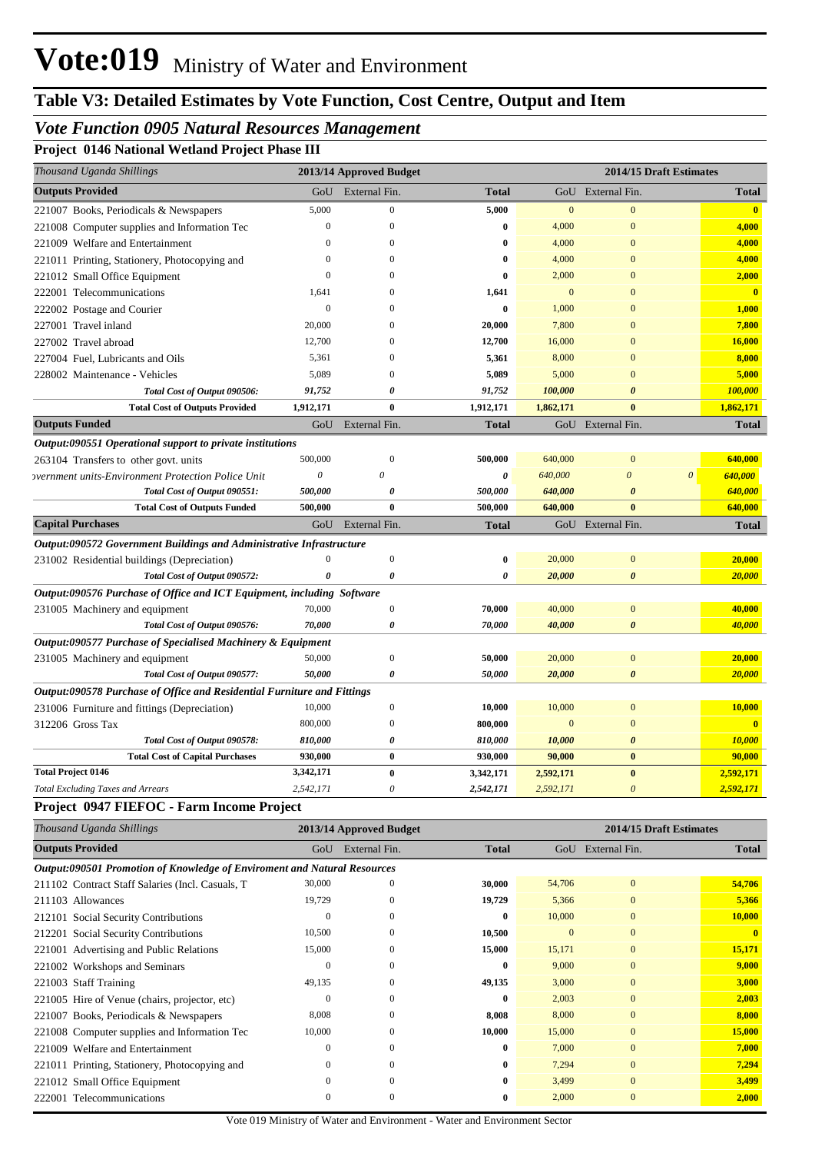# **Table V3: Detailed Estimates by Vote Function, Cost Centre, Output and Item**

## *Vote Function 0905 Natural Resources Management*

**Project 0146 National Wetland Project Phase III**

| Thousand Uganda Shillings                                               |                       | 2013/14 Approved Budget |              |                |                       | 2014/15 Draft Estimates |              |
|-------------------------------------------------------------------------|-----------------------|-------------------------|--------------|----------------|-----------------------|-------------------------|--------------|
| <b>Outputs Provided</b>                                                 | GoU                   | External Fin.           | <b>Total</b> |                | GoU External Fin.     |                         | <b>Total</b> |
| 221007 Books, Periodicals & Newspapers                                  | 5,000                 | $\overline{0}$          | 5,000        | $\mathbf{0}$   | $\overline{0}$        |                         | $\bullet$    |
| 221008 Computer supplies and Information Tec                            | $\mathbf{0}$          | $\boldsymbol{0}$        | $\bf{0}$     | 4,000          | $\Omega$              |                         | 4,000        |
| 221009 Welfare and Entertainment                                        | $\overline{0}$        | $\boldsymbol{0}$        | 0            | 4,000          | $\Omega$              |                         | 4,000        |
| 221011 Printing, Stationery, Photocopying and                           | $\Omega$              | $\boldsymbol{0}$        | $\bf{0}$     | 4,000          | $\Omega$              |                         | 4,000        |
| 221012 Small Office Equipment                                           | $\theta$              | $\boldsymbol{0}$        | $\bf{0}$     | 2,000          | $\Omega$              |                         | 2,000        |
| 222001 Telecommunications                                               | 1.641                 | $\mathbf{0}$            | 1,641        | $\overline{0}$ | $\Omega$              |                         | $\mathbf{0}$ |
| 222002 Postage and Courier                                              | $\overline{0}$        | $\boldsymbol{0}$        | $\bf{0}$     | 1,000          | $\Omega$              |                         | 1,000        |
| 227001 Travel inland                                                    | 20,000                | $\overline{0}$          | 20,000       | 7,800          | $\Omega$              |                         | 7,800        |
| 227002 Travel abroad                                                    | 12,700                | $\Omega$                | 12,700       | 16,000         | $\Omega$              |                         | 16,000       |
| 227004 Fuel, Lubricants and Oils                                        | 5,361                 | $\overline{0}$          | 5,361        | 8,000          | $\Omega$              |                         | 8,000        |
| 228002 Maintenance - Vehicles                                           | 5,089                 | $\mathbf{0}$            | 5,089        | 5,000          | $\Omega$              |                         | 5,000        |
| Total Cost of Output 090506:                                            | 91,752                | $\boldsymbol{\theta}$   | 91,752       | 100,000        | $\boldsymbol{\theta}$ |                         | 100,000      |
| <b>Total Cost of Outputs Provided</b>                                   | 1,912,171             | $\bf{0}$                | 1,912,171    | 1,862,171      | $\mathbf{0}$          |                         | 1,862,171    |
| <b>Outputs Funded</b>                                                   |                       | GoU External Fin.       | <b>Total</b> |                | GoU External Fin.     |                         | <b>Total</b> |
| Output:090551 Operational support to private institutions               |                       |                         |              |                |                       |                         |              |
| 263104 Transfers to other govt. units                                   | 500,000               | $\mathbf{0}$            | 500,000      | 640,000        | $\mathbf{0}$          |                         | 640,000      |
| overnment units-Environment Protection Police Unit                      | $\boldsymbol{\theta}$ | 0                       | 0            | 640,000        | $\theta$              | $\boldsymbol{\theta}$   | 640,000      |
| Total Cost of Output 090551:                                            | 500,000               | $\boldsymbol{\theta}$   | 500,000      | 640,000        | $\theta$              |                         | 640,000      |
| <b>Total Cost of Outputs Funded</b>                                     | 500,000               | $\mathbf{0}$            | 500,000      | 640,000        | $\mathbf{0}$          |                         | 640,000      |
| <b>Capital Purchases</b>                                                |                       | GoU External Fin.       | <b>Total</b> |                | GoU External Fin.     |                         | <b>Total</b> |
| Output:090572 Government Buildings and Administrative Infrastructure    |                       |                         |              |                |                       |                         |              |
| 231002 Residential buildings (Depreciation)                             | $\mathbf{0}$          | $\boldsymbol{0}$        | $\bf{0}$     | 20,000         | $\Omega$              |                         | 20,000       |
| Total Cost of Output 090572:                                            | $\theta$              | $\boldsymbol{\theta}$   | 0            | 20,000         | $\theta$              |                         | 20,000       |
| Output:090576 Purchase of Office and ICT Equipment, including Software  |                       |                         |              |                |                       |                         |              |
| 231005 Machinery and equipment                                          | 70,000                | $\boldsymbol{0}$        | 70,000       | 40,000         | $\Omega$              |                         | 40,000       |
| Total Cost of Output 090576:                                            | 70,000                | $\boldsymbol{\theta}$   | 70,000       | 40,000         | $\boldsymbol{\theta}$ |                         | 40,000       |
| Output:090577 Purchase of Specialised Machinery & Equipment             |                       |                         |              |                |                       |                         |              |
| 231005 Machinery and equipment                                          | 50,000                | $\boldsymbol{0}$        | 50,000       | 20,000         | $\Omega$              |                         | 20,000       |
| Total Cost of Output 090577:                                            | 50,000                | $\boldsymbol{\theta}$   | 50,000       | 20,000         | $\theta$              |                         | 20,000       |
| Output:090578 Purchase of Office and Residential Furniture and Fittings |                       |                         |              |                |                       |                         |              |
| 231006 Furniture and fittings (Depreciation)                            | 10,000                | $\boldsymbol{0}$        | 10,000       | 10,000         | $\Omega$              |                         | 10,000       |
| 312206 Gross Tax                                                        | 800,000               | $\mathbf{0}$            | 800,000      | $\overline{0}$ | $\Omega$              |                         | $\mathbf{0}$ |
| Total Cost of Output 090578:                                            | 810,000               | $\boldsymbol{\theta}$   | 810,000      | 10,000         | $\theta$              |                         | 10,000       |
| <b>Total Cost of Capital Purchases</b>                                  | 930,000               | $\bf{0}$                | 930,000      | 90,000         | $\mathbf{0}$          |                         | 90,000       |
| <b>Total Project 0146</b>                                               | 3,342,171             | $\bf{0}$                | 3,342,171    | 2,592,171      | $\bf{0}$              |                         | 2,592,171    |
| <b>Total Excluding Taxes and Arrears</b>                                | 2,542,171             | $\theta$                | 2,542,171    | 2,592,171      | $\theta$              |                         | 2,592,171    |

### **Project 0947 FIEFOC - Farm Income Project**

| Thousand Uganda Shillings                                                |              | 2013/14 Approved Budget |              |              | 2014/15 Draft Estimates |              |
|--------------------------------------------------------------------------|--------------|-------------------------|--------------|--------------|-------------------------|--------------|
| <b>Outputs Provided</b>                                                  | GoU          | External Fin.           | <b>Total</b> | GoU          | External Fin.           | <b>Total</b> |
| Output:090501 Promotion of Knowledge of Enviroment and Natural Resources |              |                         |              |              |                         |              |
| 211102 Contract Staff Salaries (Incl. Casuals, T.                        | 30,000       | $\mathbf{0}$            | 30,000       | 54,706       | $\mathbf{0}$            | 54,706       |
| 211103 Allowances                                                        | 19,729       | $\Omega$                | 19,729       | 5,366        | $\mathbf{0}$            | 5,366        |
| 212101 Social Security Contributions                                     | $\Omega$     | $\Omega$                | $\bf{0}$     | 10,000       | $\mathbf{0}$            | 10,000       |
| 212201 Social Security Contributions                                     | 10,500       | $\theta$                | 10,500       | $\mathbf{0}$ | $\mathbf{0}$            | $\mathbf{0}$ |
| 221001 Advertising and Public Relations                                  | 15,000       | $\mathbf{0}$            | 15,000       | 15,171       | $\mathbf{0}$            | 15,171       |
| 221002 Workshops and Seminars                                            | $\bf{0}$     | $\Omega$                | $\bf{0}$     | 9,000        | $\mathbf{0}$            | 9,000        |
| 221003 Staff Training                                                    | 49,135       | $\Omega$                | 49,135       | 3,000        | $\mathbf{0}$            | 3,000        |
| 221005 Hire of Venue (chairs, projector, etc)                            | $\Omega$     | $\Omega$                | $\mathbf{0}$ | 2,003        | $\mathbf{0}$            | 2,003        |
| 221007 Books, Periodicals & Newspapers                                   | 8,008        | $\Omega$                | 8,008        | 8,000        | $\mathbf{0}$            | 8,000        |
| 221008 Computer supplies and Information Tec                             | 10,000       | $\Omega$                | 10,000       | 15,000       | $\mathbf{0}$            | 15,000       |
| 221009 Welfare and Entertainment                                         | $\Omega$     | $\Omega$                | $\mathbf{0}$ | 7,000        | $\mathbf{0}$            | 7,000        |
| 221011 Printing, Stationery, Photocopying and                            | $\mathbf{0}$ | $\mathbf{0}$            | $\bf{0}$     | 7,294        | $\mathbf{0}$            | 7,294        |
| 221012 Small Office Equipment                                            | $\Omega$     | $\Omega$                | $\bf{0}$     | 3,499        | $\mathbf{0}$            | 3,499        |
| 222001 Telecommunications                                                | $\Omega$     | $\Omega$                | 0            | 2,000        | $\Omega$                | 2,000        |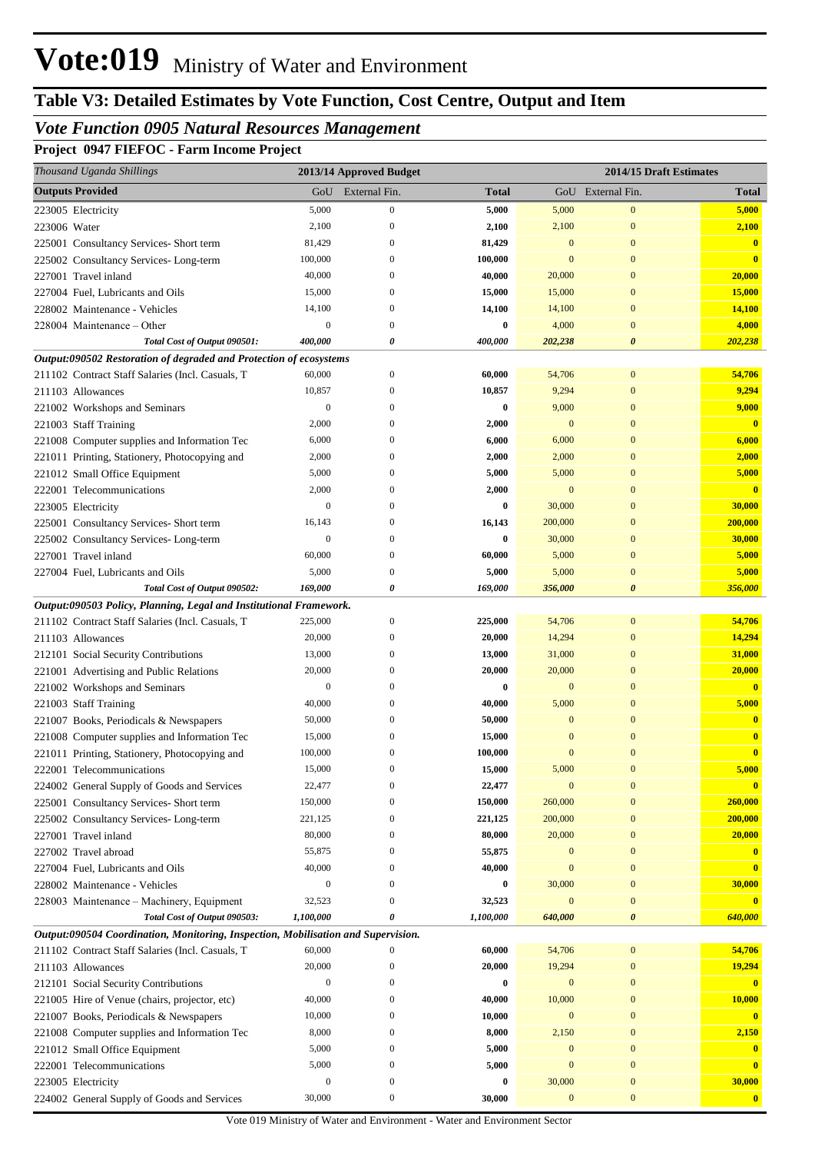# **Table V3: Detailed Estimates by Vote Function, Cost Centre, Output and Item**

## *Vote Function 0905 Natural Resources Management*

**Project 0947 FIEFOC - Farm Income Project**

|              | Thousand Uganda Shillings                                                                                              |                  | 2013/14 Approved Budget      |                  | 2014/15 Draft Estimates |                              |                         |
|--------------|------------------------------------------------------------------------------------------------------------------------|------------------|------------------------------|------------------|-------------------------|------------------------------|-------------------------|
|              | <b>Outputs Provided</b>                                                                                                | GoU              | External Fin.                | <b>Total</b>     |                         | GoU External Fin.            | <b>Total</b>            |
|              | 223005 Electricity                                                                                                     | 5,000            | $\boldsymbol{0}$             | 5,000            | 5,000                   | $\boldsymbol{0}$             | 5,000                   |
| 223006 Water |                                                                                                                        | 2,100            | $\mathbf{0}$                 | 2,100            | 2,100                   | $\mathbf{0}$                 | 2,100                   |
|              | 225001 Consultancy Services- Short term                                                                                | 81,429           | 0                            | 81,429           | $\mathbf{0}$            | $\mathbf{0}$                 | $\mathbf{0}$            |
|              | 225002 Consultancy Services-Long-term                                                                                  | 100,000          | $\Omega$                     | 100,000          | $\mathbf{0}$            | $\bf{0}$                     | $\mathbf{0}$            |
|              | 227001 Travel inland                                                                                                   | 40,000           | $\Omega$                     | 40,000           | 20,000                  | $\mathbf{0}$                 | 20,000                  |
|              | 227004 Fuel, Lubricants and Oils                                                                                       | 15,000           | 0                            | 15,000           | 15,000                  | $\mathbf{0}$                 | 15,000                  |
|              | 228002 Maintenance - Vehicles                                                                                          | 14,100           | $\mathbf{0}$                 | 14,100           | 14,100                  | $\mathbf{0}$                 | 14,100                  |
|              | 228004 Maintenance – Other                                                                                             | $\boldsymbol{0}$ | $\mathbf{0}$                 | $\bf{0}$         | 4,000                   | $\mathbf{0}$                 | 4,000                   |
|              | Total Cost of Output 090501:                                                                                           | 400,000          | 0                            | 400,000          | 202,238                 | $\boldsymbol{\theta}$        | 202,238                 |
|              | Output:090502 Restoration of degraded and Protection of ecosystems                                                     |                  |                              |                  |                         |                              |                         |
|              | 211102 Contract Staff Salaries (Incl. Casuals, T                                                                       | 60,000           | $\boldsymbol{0}$             | 60,000           | 54,706                  | $\boldsymbol{0}$             | 54,706                  |
|              | 211103 Allowances                                                                                                      | 10,857           | $\mathbf{0}$                 | 10,857           | 9,294                   | $\boldsymbol{0}$             | 9,294                   |
|              | 221002 Workshops and Seminars                                                                                          | $\boldsymbol{0}$ | $\mathbf{0}$                 | 0                | 9,000                   | $\mathbf{0}$                 | 9,000                   |
|              | 221003 Staff Training                                                                                                  | 2,000            | 0                            | 2,000            | $\mathbf{0}$            | $\mathbf{0}$                 | $\overline{\mathbf{0}}$ |
|              | 221008 Computer supplies and Information Tec                                                                           | 6,000            | $\mathbf{0}$                 | 6,000            | 6,000                   | $\mathbf{0}$                 | 6,000                   |
|              | 221011 Printing, Stationery, Photocopying and                                                                          | 2,000            | 0                            | 2,000            | 2,000                   | $\mathbf{0}$                 | 2,000                   |
|              | 221012 Small Office Equipment                                                                                          | 5,000            | 0                            | 5,000            | 5,000                   | $\mathbf{0}$                 | 5,000                   |
|              | 222001 Telecommunications                                                                                              | 2,000            | 0                            | 2,000            | $\mathbf{0}$            | $\mathbf{0}$                 | $\overline{\mathbf{0}}$ |
|              | 223005 Electricity                                                                                                     | $\mathbf{0}$     | $\mathbf{0}$                 | $\bf{0}$         | 30,000                  | $\mathbf{0}$                 | 30,000                  |
|              | 225001 Consultancy Services- Short term                                                                                | 16,143           | 0                            | 16,143           | 200,000                 | $\mathbf{0}$                 | 200,000                 |
|              | 225002 Consultancy Services-Long-term                                                                                  | $\boldsymbol{0}$ | $\mathbf{0}$                 | 0                | 30,000                  | $\mathbf{0}$                 | 30,000                  |
|              | 227001 Travel inland                                                                                                   | 60,000           | $\mathbf{0}$<br>$\mathbf{0}$ | 60,000           | 5,000                   | $\mathbf{0}$<br>$\mathbf{0}$ | 5,000                   |
|              | 227004 Fuel, Lubricants and Oils                                                                                       | 5,000<br>169,000 | 0                            | 5,000<br>169,000 | 5,000<br>356,000        | $\boldsymbol{\theta}$        | 5,000<br>356,000        |
|              | Total Cost of Output 090502:                                                                                           |                  |                              |                  |                         |                              |                         |
|              | Output:090503 Policy, Planning, Legal and Institutional Framework.<br>211102 Contract Staff Salaries (Incl. Casuals, T | 225,000          | $\boldsymbol{0}$             | 225,000          | 54,706                  | $\boldsymbol{0}$             | 54,706                  |
|              | 211103 Allowances                                                                                                      | 20,000           | $\mathbf{0}$                 | 20,000           | 14,294                  | $\mathbf{0}$                 | 14,294                  |
|              | 212101 Social Security Contributions                                                                                   | 13,000           | $\mathbf{0}$                 | 13,000           | 31,000                  | $\mathbf{0}$                 | 31,000                  |
|              | 221001 Advertising and Public Relations                                                                                | 20,000           | 0                            | 20,000           | 20,000                  | $\mathbf{0}$                 | 20,000                  |
|              | 221002 Workshops and Seminars                                                                                          | $\boldsymbol{0}$ | $\mathbf{0}$                 | 0                | $\mathbf{0}$            | $\mathbf{0}$                 | $\overline{0}$          |
|              | 221003 Staff Training                                                                                                  | 40,000           | 0                            | 40,000           | 5,000                   | $\bf{0}$                     | 5,000                   |
|              | 221007 Books, Periodicals & Newspapers                                                                                 | 50,000           | 0                            | 50,000           | $\mathbf{0}$            | $\mathbf{0}$                 | $\mathbf{0}$            |
|              | 221008 Computer supplies and Information Tec                                                                           | 15,000           | 0                            | 15,000           | $\Omega$                | $\mathbf{0}$                 | $\mathbf{0}$            |
|              | 221011 Printing, Stationery, Photocopying and                                                                          | 100,000          | $\mathbf{0}$                 | 100,000          | $\mathbf{0}$            | $\mathbf{0}$                 | $\bf{0}$                |
|              | 222001 Telecommunications                                                                                              | 15,000           | $\Omega$                     | 15,000           | 5,000                   | $\Omega$                     | 5,000                   |
|              | 224002 General Supply of Goods and Services                                                                            | 22,477           | $\mathbf{0}$                 | 22,477           | $\mathbf{0}$            | $\bf{0}$                     | $\overline{\mathbf{0}}$ |
|              | 225001 Consultancy Services- Short term                                                                                | 150,000          | $\mathbf{0}$                 | 150,000          | 260,000                 | $\mathbf{0}$                 | 260,000                 |
|              | 225002 Consultancy Services-Long-term                                                                                  | 221,125          | 0                            | 221,125          | 200,000                 | $\mathbf{0}$                 | 200,000                 |
|              | 227001 Travel inland                                                                                                   | 80,000           | $^{0}$                       | 80,000           | 20,000                  | $\mathbf{0}$                 | 20,000                  |
|              | 227002 Travel abroad                                                                                                   | 55,875           | $^{0}$                       | 55,875           | $\boldsymbol{0}$        | $\mathbf{0}$                 |                         |
|              | 227004 Fuel, Lubricants and Oils                                                                                       | 40,000           | 0                            | 40,000           | $\overline{0}$          | $\mathbf{0}$                 | $\overline{\mathbf{0}}$ |
|              | 228002 Maintenance - Vehicles                                                                                          | $\boldsymbol{0}$ | $\mathbf{0}$                 | 0                | 30,000                  | $\mathbf{0}$                 | 30,000                  |
|              | 228003 Maintenance - Machinery, Equipment                                                                              | 32,523           | $\mathbf{0}$                 | 32,523           | $\Omega$                | $\boldsymbol{0}$             |                         |
|              | Total Cost of Output 090503:                                                                                           | 1,100,000        | 0                            | 1,100,000        | 640,000                 | $\boldsymbol{\theta}$        | 640,000                 |
|              | Output:090504 Coordination, Monitoring, Inspection, Mobilisation and Supervision.                                      |                  |                              |                  |                         |                              |                         |
|              | 211102 Contract Staff Salaries (Incl. Casuals, T                                                                       | 60,000           | $\mathbf{0}$                 | 60,000           | 54,706                  | $\boldsymbol{0}$             | 54,706                  |
|              | 211103 Allowances                                                                                                      | 20,000           | $\mathbf{0}$                 | 20,000           | 19,294                  | $\boldsymbol{0}$             | 19,294                  |
|              | 212101 Social Security Contributions                                                                                   | $\boldsymbol{0}$ | $\mathbf{0}$                 | 0                | $\mathbf{0}$            | $\mathbf{0}$                 |                         |
|              | 221005 Hire of Venue (chairs, projector, etc)                                                                          | 40,000           | $\Omega$                     | 40,000           | 10,000                  | $\mathbf{0}$                 | 10,000                  |
|              | 221007 Books, Periodicals & Newspapers                                                                                 | 10,000           | 0                            | 10,000           | $\mathbf{0}$            | $\mathbf{0}$                 |                         |
|              | 221008 Computer supplies and Information Tec                                                                           | 8,000            | 0                            | 8,000            | 2,150                   | $\mathbf{0}$                 | 2,150                   |
|              | 221012 Small Office Equipment                                                                                          | 5,000            | 0                            | 5,000            | $\mathbf{0}$            | $\mathbf{0}$                 |                         |
|              | 222001 Telecommunications                                                                                              | 5,000            | $\Omega$                     | 5,000            | $\mathbf{0}$            | $\mathbf{0}$                 | $\overline{\mathbf{0}}$ |
|              | 223005 Electricity                                                                                                     | $\boldsymbol{0}$ | $\boldsymbol{0}$             | 0                | 30,000                  | $\mathbf{0}$                 | 30,000                  |
|              | 224002 General Supply of Goods and Services                                                                            | 30,000           | $\boldsymbol{0}$             | 30,000           | $\boldsymbol{0}$        | $\boldsymbol{0}$             | $\mathbf{0}$            |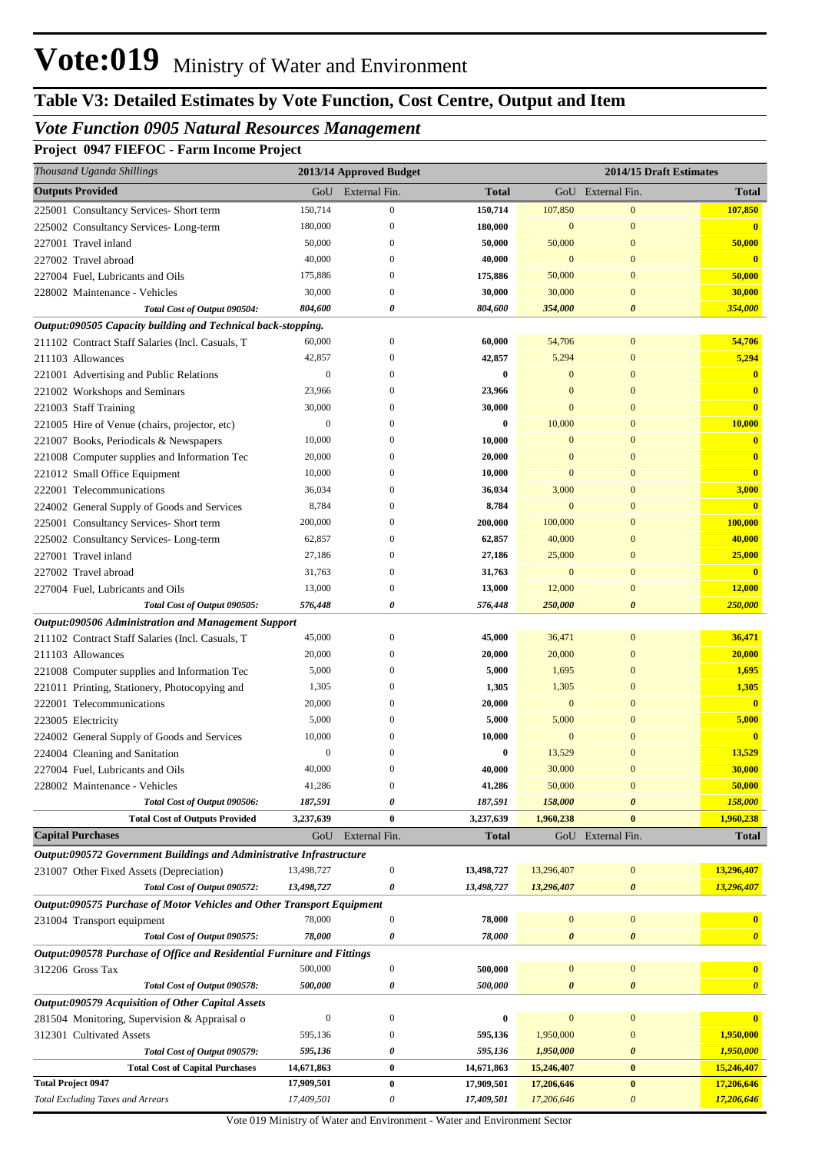# **Table V3: Detailed Estimates by Vote Function, Cost Centre, Output and Item**

## *Vote Function 0905 Natural Resources Management*

**Project 0947 FIEFOC - Farm Income Project**

| Thousand Uganda Shillings                                               |                  | 2013/14 Approved Budget  |                   |                        | 2014/15 Draft Estimates      |                         |
|-------------------------------------------------------------------------|------------------|--------------------------|-------------------|------------------------|------------------------------|-------------------------|
| <b>Outputs Provided</b>                                                 | GoU              | External Fin.            | <b>Total</b>      |                        | GoU External Fin.            | <b>Total</b>            |
| 225001 Consultancy Services- Short term                                 | 150,714          | $\boldsymbol{0}$         | 150,714           | 107,850                | $\boldsymbol{0}$             | 107,850                 |
| 225002 Consultancy Services-Long-term                                   | 180,000          | $\mathbf{0}$             | 180,000           | $\mathbf{0}$           | $\mathbf{0}$                 | $\mathbf{0}$            |
| 227001 Travel inland                                                    | 50,000           | $\mathbf{0}$             | 50,000            | 50,000                 | $\mathbf{0}$                 | 50,000                  |
| 227002 Travel abroad                                                    | 40,000           | 0                        | 40,000            | $\mathbf{0}$           | $\mathbf{0}$                 | $\mathbf{0}$            |
| 227004 Fuel, Lubricants and Oils                                        | 175,886          | $\mathbf{0}$             | 175,886           | 50,000                 | $\mathbf{0}$                 | 50,000                  |
| 228002 Maintenance - Vehicles                                           | 30,000           | $\mathbf{0}$             | 30,000            | 30,000                 | $\mathbf{0}$                 | 30,000                  |
| Total Cost of Output 090504:                                            | 804,600          | 0                        | 804,600           | 354,000                | $\boldsymbol{\theta}$        | 354,000                 |
| Output:090505 Capacity building and Technical back-stopping.            |                  |                          |                   |                        |                              |                         |
| 211102 Contract Staff Salaries (Incl. Casuals, T                        | 60,000           | $\boldsymbol{0}$         | 60,000            | 54,706                 | $\bf{0}$                     | 54,706                  |
| 211103 Allowances                                                       | 42,857           | $\Omega$                 | 42,857            | 5,294                  | $\mathbf{0}$                 | 5,294                   |
| 221001 Advertising and Public Relations                                 | $\boldsymbol{0}$ | $\mathbf{0}$             | 0                 | $\mathbf{0}$           | $\mathbf{0}$                 | $\overline{\mathbf{0}}$ |
| 221002 Workshops and Seminars                                           | 23,966           | 0                        | 23,966            | $\Omega$               | $\mathbf{0}$                 | $\mathbf{0}$            |
| 221003 Staff Training                                                   | 30,000           | $\Omega$                 | 30,000            | $\mathbf{0}$           | $\mathbf{0}$                 | $\mathbf{0}$            |
| 221005 Hire of Venue (chairs, projector, etc)                           | $\boldsymbol{0}$ | $\Omega$                 | 0                 | 10,000                 | $\mathbf{0}$                 | 10,000                  |
| 221007 Books, Periodicals & Newspapers                                  | 10,000           | 0                        | 10,000            | $\mathbf{0}$           | $\mathbf{0}$                 | $\bf{0}$                |
| 221008 Computer supplies and Information Tec                            | 20,000           | $\Omega$                 | 20,000            | $\Omega$               | $\mathbf{0}$                 | $\overline{\mathbf{0}}$ |
| 221012 Small Office Equipment                                           | 10,000           | $\Omega$                 | 10,000            | $\Omega$               | $\mathbf{0}$                 | $\mathbf{0}$            |
| 222001 Telecommunications                                               | 36,034           | $\Omega$                 | 36,034            | 3,000                  | $\mathbf{0}$                 | 3,000<br>$\mathbf{0}$   |
| 224002 General Supply of Goods and Services                             | 8,784            | $\mathbf{0}$<br>$\Omega$ | 8,784             | $\mathbf{0}$           | $\mathbf{0}$<br>$\mathbf{0}$ |                         |
| 225001 Consultancy Services- Short term                                 | 200,000          | $\mathbf{0}$             | 200,000<br>62,857 | 100,000                | $\mathbf{0}$                 | 100,000                 |
| 225002 Consultancy Services-Long-term                                   | 62,857<br>27,186 | $\Omega$                 |                   | 40,000                 | $\mathbf{0}$                 | 40,000                  |
| 227001 Travel inland                                                    | 31,763           | $\boldsymbol{0}$         | 27,186<br>31,763  | 25,000<br>$\mathbf{0}$ | $\mathbf{0}$                 | 25,000<br>$\mathbf{0}$  |
| 227002 Travel abroad<br>227004 Fuel, Lubricants and Oils                | 13,000           | $\boldsymbol{0}$         | 13,000            | 12,000                 | $\mathbf{0}$                 | 12,000                  |
| Total Cost of Output 090505:                                            | 576,448          | 0                        | 576,448           | 250,000                | $\boldsymbol{\theta}$        | 250,000                 |
| Output:090506 Administration and Management Support                     |                  |                          |                   |                        |                              |                         |
| 211102 Contract Staff Salaries (Incl. Casuals, T                        | 45,000           | $\mathbf{0}$             | 45,000            | 36,471                 | $\mathbf{0}$                 | 36,471                  |
| 211103 Allowances                                                       | 20,000           | $\left($                 | 20,000            | 20,000                 | $\mathbf{0}$                 | 20,000                  |
| 221008 Computer supplies and Information Tec                            | 5,000            | 0                        | 5,000             | 1,695                  | $\mathbf{0}$                 | 1,695                   |
| 221011 Printing, Stationery, Photocopying and                           | 1,305            | $\mathbf{0}$             | 1,305             | 1,305                  | $\mathbf{0}$                 | 1,305                   |
| 222001 Telecommunications                                               | 20,000           | $\mathbf{0}$             | 20,000            | $\mathbf{0}$           | $\mathbf{0}$                 | $\overline{\mathbf{0}}$ |
| 223005 Electricity                                                      | 5,000            | $\Omega$                 | 5,000             | 5,000                  | $\mathbf{0}$                 | 5,000                   |
| 224002 General Supply of Goods and Services                             | 10,000           | $\Omega$                 | 10,000            | $\mathbf{0}$           | $\mathbf{0}$                 | $\mathbf{0}$            |
| 224004 Cleaning and Sanitation                                          | $\boldsymbol{0}$ | $\mathbf{0}$             | $\bf{0}$          | 13,529                 | $\mathbf{0}$                 | 13,529                  |
| 227004 Fuel, Lubricants and Oils                                        | 40,000           |                          | 40,000            | 30,000                 | $\Omega$                     | 30,000                  |
| 228002 Maintenance - Vehicles                                           | 41,286           | $\mathbf{0}$             | 41,286            | 50,000                 | $\mathbf{0}$                 | 50,000                  |
| Total Cost of Output 090506:                                            | 187,591          | 0                        | 187,591           | 158,000                | $\boldsymbol{\theta}$        | 158,000                 |
| <b>Total Cost of Outputs Provided</b>                                   | 3,237,639        | $\bf{0}$                 | 3,237,639         | 1,960,238              | $\bf{0}$                     | 1,960,238               |
| <b>Capital Purchases</b>                                                | GoU              | External Fin.            | <b>Total</b>      |                        | GoU External Fin.            | <b>Total</b>            |
| Output:090572 Government Buildings and Administrative Infrastructure    |                  |                          |                   |                        |                              |                         |
| 231007 Other Fixed Assets (Depreciation)                                | 13,498,727       | $\boldsymbol{0}$         | 13,498,727        | 13,296,407             | $\boldsymbol{0}$             | 13,296,407              |
| Total Cost of Output 090572:                                            | 13,498,727       | 0                        | 13,498,727        | 13,296,407             | 0                            | 13,296,407              |
| Output:090575 Purchase of Motor Vehicles and Other Transport Equipment  |                  |                          |                   |                        |                              |                         |
| 231004 Transport equipment                                              | 78,000           | $\boldsymbol{0}$         | 78,000            | $\boldsymbol{0}$       | $\boldsymbol{0}$             | $\mathbf{0}$            |
| Total Cost of Output 090575:                                            | 78,000           | 0                        | 78,000            | 0                      | 0                            | $\boldsymbol{\theta}$   |
| Output:090578 Purchase of Office and Residential Furniture and Fittings |                  |                          |                   |                        |                              |                         |
| 312206 Gross Tax                                                        | 500,000          | $\boldsymbol{0}$         | 500,000           | $\bf{0}$               | $\boldsymbol{0}$             | $\mathbf{0}$            |
| Total Cost of Output 090578:                                            | 500,000          | 0                        | 500,000           | 0                      | 0                            | $\boldsymbol{\theta}$   |
| Output:090579 Acquisition of Other Capital Assets                       |                  |                          |                   |                        |                              |                         |
| 281504 Monitoring, Supervision & Appraisal o                            | $\boldsymbol{0}$ | $\boldsymbol{0}$         | 0                 | $\boldsymbol{0}$       | $\boldsymbol{0}$             |                         |
| 312301 Cultivated Assets                                                | 595,136          | 0                        | 595,136           | 1,950,000              | $\boldsymbol{0}$             | 1,950,000               |
| Total Cost of Output 090579:                                            | 595,136          | 0                        | 595,136           | 1,950,000              | 0                            | 1,950,000               |
| <b>Total Cost of Capital Purchases</b>                                  | 14,671,863       | $\boldsymbol{0}$         | 14,671,863        | 15,246,407             | $\bf{0}$                     | 15,246,407              |
| <b>Total Project 0947</b>                                               | 17,909,501       | $\boldsymbol{0}$         | 17,909,501        | 17,206,646             | $\bf{0}$                     | 17,206,646              |
| <b>Total Excluding Taxes and Arrears</b>                                | 17,409,501       | $\boldsymbol{\theta}$    | 17,409,501        | 17,206,646             | $\boldsymbol{\mathit{0}}$    | 17,206,646              |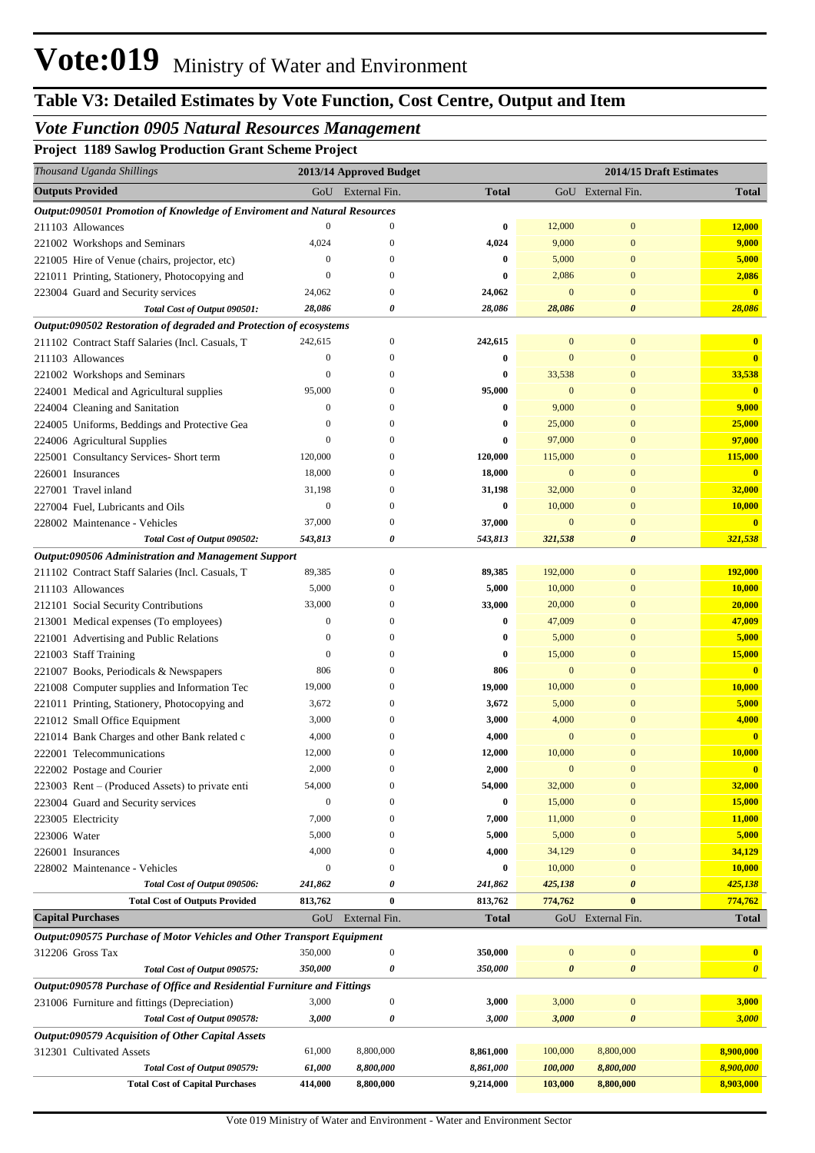## *Vote Function 0905 Natural Resources Management*

**Project 1189 Sawlog Production Grant Scheme Project**

| Thousand Uganda Shillings                                                |                  | 2013/14 Approved Budget |              |                   | 2014/15 Draft Estimates |                       |
|--------------------------------------------------------------------------|------------------|-------------------------|--------------|-------------------|-------------------------|-----------------------|
| <b>Outputs Provided</b>                                                  | GoU              | External Fin.           | <b>Total</b> | GoU External Fin. | <b>Total</b>            |                       |
| Output:090501 Promotion of Knowledge of Enviroment and Natural Resources |                  |                         |              |                   |                         |                       |
| 211103 Allowances                                                        | $\mathbf{0}$     | $\mathbf{0}$            | $\bf{0}$     | 12,000            | $\mathbf{0}$            | 12,000                |
| 221002 Workshops and Seminars                                            | 4,024            | $\Omega$                | 4,024        | 9,000             | $\mathbf{0}$            | 9,000                 |
| 221005 Hire of Venue (chairs, projector, etc)                            | $\boldsymbol{0}$ | $\mathbf{0}$            | $\bf{0}$     | 5,000             | $\mathbf{0}$            | 5,000                 |
| 221011 Printing, Stationery, Photocopying and                            | $\mathbf{0}$     | $\mathbf{0}$            | $\bf{0}$     | 2,086             | $\mathbf{0}$            | 2,086                 |
| 223004 Guard and Security services                                       | 24,062           | $\mathbf{0}$            | 24,062       | $\bf{0}$          | $\mathbf{0}$            | $\mathbf{0}$          |
| Total Cost of Output 090501:                                             | 28,086           | 0                       | 28,086       | 28,086            | $\boldsymbol{\theta}$   | 28,086                |
| Output:090502 Restoration of degraded and Protection of ecosystems       |                  |                         |              |                   |                         |                       |
| 211102 Contract Staff Salaries (Incl. Casuals, T                         | 242,615          | $\mathbf{0}$            | 242,615      | $\mathbf{0}$      | $\mathbf{0}$            | $\mathbf{0}$          |
| 211103 Allowances                                                        | $\boldsymbol{0}$ | $\boldsymbol{0}$        | $\bf{0}$     | $\overline{0}$    | $\boldsymbol{0}$        | $\mathbf{0}$          |
| 221002 Workshops and Seminars                                            | $\theta$         | $\mathbf{0}$            | $\bf{0}$     | 33,538            | $\mathbf{0}$            | 33,538                |
| 224001 Medical and Agricultural supplies                                 | 95,000           | $\mathbf{0}$            | 95,000       | $\bf{0}$          | $\mathbf{0}$            | $\mathbf{0}$          |
| 224004 Cleaning and Sanitation                                           | $\boldsymbol{0}$ | $\mathbf{0}$            | $\bf{0}$     | 9,000             | $\mathbf{0}$            | 9,000                 |
| 224005 Uniforms, Beddings and Protective Gea                             | $\theta$         | $\mathbf{0}$            | $\bf{0}$     | 25,000            | $\mathbf{0}$            | 25,000                |
| 224006 Agricultural Supplies                                             | $\mathbf{0}$     | $\mathbf{0}$            | $\bf{0}$     | 97,000            | $\mathbf{0}$            | 97,000                |
| 225001 Consultancy Services- Short term                                  | 120,000          | $\mathbf{0}$            | 120,000      | 115,000           | $\mathbf{0}$            | 115,000               |
| 226001 Insurances                                                        | 18,000           | $\mathbf{0}$            | 18,000       | $\bf{0}$          | $\boldsymbol{0}$        | $\mathbf{0}$          |
| 227001 Travel inland                                                     | 31,198           | $\boldsymbol{0}$        | 31,198       | 32,000            | $\mathbf{0}$            | 32,000                |
| 227004 Fuel, Lubricants and Oils                                         | $\boldsymbol{0}$ | $\mathbf{0}$            | $\bf{0}$     | 10,000            | $\mathbf{0}$            | 10,000                |
| 228002 Maintenance - Vehicles                                            | 37,000           | $\boldsymbol{0}$        | 37,000       | $\mathbf{0}$      | $\boldsymbol{0}$        |                       |
| Total Cost of Output 090502:                                             | 543,813          | 0                       | 543,813      | 321,538           | $\boldsymbol{\theta}$   | 321,538               |
| Output:090506 Administration and Management Support                      |                  |                         |              |                   |                         |                       |
| 211102 Contract Staff Salaries (Incl. Casuals, T                         | 89,385           | $\mathbf{0}$            | 89,385       | 192,000           | $\mathbf{0}$            | 192,000               |
| 211103 Allowances                                                        | 5,000            | $\boldsymbol{0}$        | 5,000        | 10,000            | $\boldsymbol{0}$        | 10,000                |
| 212101 Social Security Contributions                                     | 33,000           | $\boldsymbol{0}$        | 33,000       | 20,000            | $\mathbf{0}$            | 20,000                |
| 213001 Medical expenses (To employees)                                   | $\boldsymbol{0}$ | $\mathbf{0}$            | 0            | 47,009            | $\boldsymbol{0}$        | 47,009                |
| 221001 Advertising and Public Relations                                  | $\boldsymbol{0}$ | $\mathbf{0}$            | $\bf{0}$     | 5,000             | $\boldsymbol{0}$        | 5,000                 |
| 221003 Staff Training                                                    | $\boldsymbol{0}$ | $\mathbf{0}$            | $\bf{0}$     | 15,000            | $\boldsymbol{0}$        | 15,000                |
| 221007 Books, Periodicals & Newspapers                                   | 806              | $\mathbf{0}$            | 806          | $\bf{0}$          | $\boldsymbol{0}$        |                       |
| 221008 Computer supplies and Information Tec                             | 19,000           | $\mathbf{0}$            | 19,000       | 10,000            | $\mathbf{0}$            | 10,000                |
| 221011 Printing, Stationery, Photocopying and                            | 3,672            | $\mathbf{0}$            | 3,672        | 5,000             | $\mathbf{0}$            | 5,000                 |
| 221012 Small Office Equipment                                            | 3,000            | $\mathbf{0}$            | 3,000        | 4,000             | $\mathbf{0}$            | 4,000                 |
| 221014 Bank Charges and other Bank related c                             | 4,000            | 0                       | 4,000        | $\mathbf{0}$      | $\mathbf{0}$            |                       |
| 222001 Telecommunications                                                | 12,000           | $\boldsymbol{0}$        | 12,000       | 10,000            | $\overline{0}$          | 10,000                |
| 222002 Postage and Courier                                               | 2,000            |                         | 2,000        | $\mathbf{0}$      | $\boldsymbol{0}$        |                       |
| 223003 Rent – (Produced Assets) to private enti                          | 54,000           | $\mathbf{0}$            | 54,000       | 32,000            | $\bf{0}$                | 32,000                |
| 223004 Guard and Security services                                       | $\boldsymbol{0}$ | $\mathbf{0}$            | $\bf{0}$     | 15,000            | $\mathbf{0}$            | 15,000                |
| 223005 Electricity                                                       | 7,000            | $\mathbf{0}$            | 7,000        | 11,000            | $\mathbf{0}$            | 11,000                |
| 223006 Water                                                             | 5,000            | $\boldsymbol{0}$        | 5,000        | 5,000             | $\mathbf{0}$            | 5,000                 |
| 226001 Insurances                                                        | 4,000            | $\boldsymbol{0}$        | 4,000        | 34,129            | $\mathbf{0}$            | 34,129                |
| 228002 Maintenance - Vehicles                                            | $\boldsymbol{0}$ | $\boldsymbol{0}$        | $\bf{0}$     | 10,000            | $\mathbf{0}$            | 10,000                |
| Total Cost of Output 090506:                                             | 241,862          | 0                       | 241,862      | 425,138           | $\boldsymbol{\theta}$   | 425,138               |
| <b>Total Cost of Outputs Provided</b>                                    | 813,762          | $\bf{0}$                | 813,762      | 774,762           | $\bf{0}$                | 774,762               |
| <b>Capital Purchases</b>                                                 | GoU              | External Fin.           | <b>Total</b> |                   | GoU External Fin.       | <b>Total</b>          |
| Output:090575 Purchase of Motor Vehicles and Other Transport Equipment   |                  |                         |              |                   |                         |                       |
| 312206 Gross Tax                                                         | 350,000          | $\boldsymbol{0}$        | 350,000      | $\bf{0}$          | $\boldsymbol{0}$        | $\mathbf{0}$          |
| Total Cost of Output 090575:                                             | 350,000          | 0                       | 350,000      | 0                 | 0                       | $\boldsymbol{\theta}$ |
| Output:090578 Purchase of Office and Residential Furniture and Fittings  |                  |                         |              |                   |                         |                       |
| 231006 Furniture and fittings (Depreciation)                             | 3,000            | $\boldsymbol{0}$        | 3,000        | 3,000             | $\boldsymbol{0}$        | 3,000                 |
| Total Cost of Output 090578:                                             | 3,000            | 0                       | 3,000        | 3,000             | 0                       | 3,000                 |
| Output:090579 Acquisition of Other Capital Assets                        |                  |                         |              |                   |                         |                       |
| 312301 Cultivated Assets                                                 | 61,000           | 8,800,000               | 8,861,000    | 100,000           | 8,800,000               | 8,900,000             |
| Total Cost of Output 090579:                                             | 61,000           | 8,800,000               | 8,861,000    | 100,000           | 8,800,000               | 8,900,000             |
| <b>Total Cost of Capital Purchases</b>                                   | 414,000          | 8,800,000               | 9,214,000    | 103,000           | 8,800,000               | 8,903,000             |
|                                                                          |                  |                         |              |                   |                         |                       |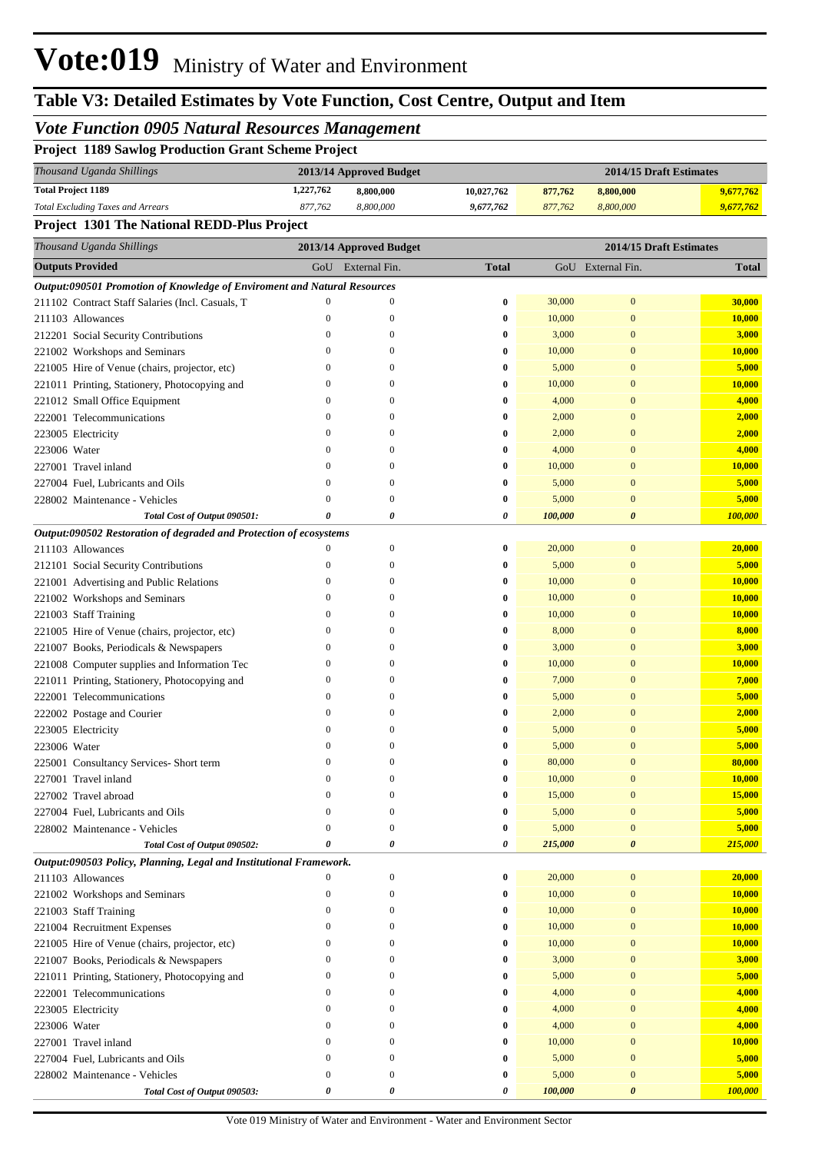# **Table V3: Detailed Estimates by Vote Function, Cost Centre, Output and Item**

### *Vote Function 0905 Natural Resources Management*

| <b>Project 1189 Sawlog Production Grant Scheme Project</b>                      |                                                    |                         |              |                         |               |              |  |
|---------------------------------------------------------------------------------|----------------------------------------------------|-------------------------|--------------|-------------------------|---------------|--------------|--|
| Thousand Uganda Shillings                                                       |                                                    | 2013/14 Approved Budget |              | 2014/15 Draft Estimates |               |              |  |
| <b>Total Project 1189</b>                                                       | 1,227,762                                          | 8,800,000               | 10,027,762   | 877,762                 | 8,800,000     | 9,677,762    |  |
| <b>Total Excluding Taxes and Arrears</b>                                        | 877,762                                            | 8,800,000               | 9,677,762    | 877,762                 | 8,800,000     | 9,677,762    |  |
| Project 1301 The National REDD-Plus Project                                     |                                                    |                         |              |                         |               |              |  |
| Thousand Uganda Shillings                                                       | 2014/15 Draft Estimates<br>2013/14 Approved Budget |                         |              |                         |               |              |  |
| <b>Outputs Provided</b>                                                         | GoU                                                | External Fin.           | <b>Total</b> | GoU                     | External Fin. | <b>Total</b> |  |
| <b>Output:090501 Promotion of Knowledge of Enviroment and Natural Resources</b> |                                                    |                         |              |                         |               |              |  |
| 211102 Contract Staff Salaries (Incl. Casuals, T                                | $\Omega$                                           | $\Omega$                | $\mathbf{0}$ | 30,000                  | $\mathbf{0}$  | 30,000       |  |
| 211103 Allowances                                                               | $\Omega$                                           | $\mathbf{0}$            | $\bf{0}$     | 10,000                  | $\mathbf{0}$  | 10,000       |  |
| 212201 Social Security Contributions                                            | $\Omega$                                           |                         | $\mathbf{0}$ | 3,000                   | $\mathbf{0}$  | 3.000        |  |
| 221002 Workshops and Seminars                                                   | $\Omega$                                           | $\Omega$                | $\bf{0}$     | 10,000                  | $\Omega$      | 10,000       |  |
| 221005 Hire of Venue (chairs, projector, etc)                                   |                                                    | 0                       | $\bf{0}$     | 5,000                   | $\mathbf{0}$  | 5,000        |  |

221011 Printing, Stationery, Photocopying and 0 0 **0** 10,000 0 **10,000**

| 221012 Small Office Equipment                                      | $\boldsymbol{0}$      | $\overline{0}$        | $\bf{0}$       | 4,000   | $\mathbf{0}$          | 4,000   |
|--------------------------------------------------------------------|-----------------------|-----------------------|----------------|---------|-----------------------|---------|
| 222001 Telecommunications                                          | $\boldsymbol{0}$      | $\boldsymbol{0}$      | $\bf{0}$       | 2,000   | $\mathbf{0}$          | 2,000   |
| 223005 Electricity                                                 | $\mathbf{0}$          | $\overline{0}$        | $\bf{0}$       | 2,000   | $\mathbf{0}$          | 2,000   |
| 223006 Water                                                       | $\mathbf{0}$          | $\theta$              | $\bf{0}$       | 4,000   | $\overline{0}$        | 4,000   |
| 227001 Travel inland                                               | $\overline{0}$        | $\mathbf{0}$          | $\bf{0}$       | 10,000  | $\mathbf{0}$          | 10,000  |
| 227004 Fuel, Lubricants and Oils                                   | $\mathbf{0}$          | $\theta$              | $\bf{0}$       | 5,000   | $\overline{0}$        | 5,000   |
| 228002 Maintenance - Vehicles                                      | $\overline{0}$        | $\mathbf{0}$          | $\bf{0}$       | 5,000   | $\mathbf{0}$          | 5,000   |
| Total Cost of Output 090501:                                       | $\theta$              | $\boldsymbol{\theta}$ | $\pmb{\theta}$ | 100,000 | $\boldsymbol{\theta}$ | 100,000 |
| Output:090502 Restoration of degraded and Protection of ecosystems |                       |                       |                |         |                       |         |
| 211103 Allowances                                                  | $\boldsymbol{0}$      | $\boldsymbol{0}$      | $\bf{0}$       | 20,000  | $\mathbf{0}$          | 20,000  |
| 212101 Social Security Contributions                               | $\boldsymbol{0}$      | $\mathbf{0}$          | $\bf{0}$       | 5,000   | $\mathbf{0}$          | 5,000   |
| 221001 Advertising and Public Relations                            | $\boldsymbol{0}$      | $\mathbf{0}$          | $\bf{0}$       | 10,000  | $\mathbf{0}$          | 10,000  |
| 221002 Workshops and Seminars                                      | $\mathbf{0}$          | $\overline{0}$        | $\bf{0}$       | 10,000  | $\mathbf{0}$          | 10,000  |
| 221003 Staff Training                                              | $\boldsymbol{0}$      | $\mathbf{0}$          | $\bf{0}$       | 10,000  | $\mathbf{0}$          | 10,000  |
| 221005 Hire of Venue (chairs, projector, etc)                      | $\overline{0}$        | $\overline{0}$        | $\bf{0}$       | 8,000   | $\overline{0}$        | 8,000   |
| 221007 Books, Periodicals & Newspapers                             | $\mathbf{0}$          | $\mathbf{0}$          | $\bf{0}$       | 3,000   | $\mathbf{0}$          | 3,000   |
| 221008 Computer supplies and Information Tec                       | $\mathbf{0}$          | $\overline{0}$        | $\bf{0}$       | 10,000  | $\overline{0}$        | 10,000  |
| 221011 Printing, Stationery, Photocopying and                      | $\bf{0}$              | $\mathbf{0}$          | $\bf{0}$       | 7,000   | $\mathbf{0}$          | 7,000   |
| 222001 Telecommunications                                          | $\mathbf{0}$          | $\overline{0}$        | $\bf{0}$       | 5,000   | $\overline{0}$        | 5,000   |
| 222002 Postage and Courier                                         | $\boldsymbol{0}$      | $\mathbf{0}$          | $\bf{0}$       | 2,000   | $\mathbf{0}$          | 2,000   |
| 223005 Electricity                                                 | $\boldsymbol{0}$      | $\overline{0}$        | $\bf{0}$       | 5,000   | $\mathbf{0}$          | 5,000   |
| 223006 Water                                                       | $\boldsymbol{0}$      | $\mathbf{0}$          | $\bf{0}$       | 5,000   | $\mathbf{0}$          | 5,000   |
| 225001 Consultancy Services- Short term                            | $\overline{0}$        | $\overline{0}$        | $\bf{0}$       | 80,000  | $\mathbf{0}$          | 80,000  |
| 227001 Travel inland                                               | $\Omega$              | $\Omega$              | $\bf{0}$       | 10,000  | $\overline{0}$        | 10,000  |
| 227002 Travel abroad                                               | $\mathbf{0}$          | $\overline{0}$        | $\bf{0}$       | 15,000  | $\mathbf{0}$          | 15,000  |
| 227004 Fuel, Lubricants and Oils                                   | $\overline{0}$        | $\overline{0}$        | $\bf{0}$       | 5,000   | $\overline{0}$        | 5,000   |
| 228002 Maintenance - Vehicles                                      | $\overline{0}$        | $\mathbf{0}$          | $\bf{0}$       | 5,000   | $\mathbf{0}$          | 5,000   |
| Total Cost of Output 090502:                                       | 0                     | $\boldsymbol{\theta}$ | $\pmb{\theta}$ | 215,000 | $\boldsymbol{\theta}$ | 215,000 |
| Output:090503 Policy, Planning, Legal and Institutional Framework. |                       |                       |                |         |                       |         |
| 211103 Allowances                                                  | $\mathbf{0}$          | $\boldsymbol{0}$      | $\bf{0}$       | 20,000  | $\boldsymbol{0}$      | 20,000  |
| 221002 Workshops and Seminars                                      | $\boldsymbol{0}$      | $\boldsymbol{0}$      | $\bf{0}$       | 10,000  | $\mathbf{0}$          | 10,000  |
| 221003 Staff Training                                              | $\mathbf{0}$          | $\overline{0}$        | $\bf{0}$       | 10,000  | $\bf{0}$              | 10,000  |
| 221004 Recruitment Expenses                                        | $\mathbf{0}$          | $\overline{0}$        | $\bf{0}$       | 10,000  | $\mathbf{0}$          | 10,000  |
| 221005 Hire of Venue (chairs, projector, etc)                      | $\boldsymbol{0}$      | $\boldsymbol{0}$      | $\bf{0}$       | 10,000  | $\mathbf{0}$          | 10,000  |
| 221007 Books, Periodicals & Newspapers                             | $\overline{0}$        | $\overline{0}$        | $\bf{0}$       | 3,000   | $\overline{0}$        | 3,000   |
| 221011 Printing, Stationery, Photocopying and                      | $\mathbf{0}$          | $\mathbf{0}$          | $\bf{0}$       | 5,000   | $\bf{0}$              | 5,000   |
| 222001 Telecommunications                                          | $\mathbf{0}$          | $\overline{0}$        | $\bf{0}$       | 4,000   | $\overline{0}$        | 4,000   |
| 223005 Electricity                                                 | $\boldsymbol{0}$      | $\mathbf{0}$          | $\bf{0}$       | 4,000   | $\mathbf{0}$          | 4,000   |
| 223006 Water                                                       | $\boldsymbol{0}$      | $\overline{0}$        | $\bf{0}$       | 4,000   | $\mathbf{0}$          | 4,000   |
| 227001 Travel inland                                               | $\boldsymbol{0}$      | $\mathbf{0}$          | $\bf{0}$       | 10,000  | $\mathbf{0}$          | 10,000  |
| 227004 Fuel, Lubricants and Oils                                   | $\overline{0}$        | $\overline{0}$        | $\bf{0}$       | 5,000   | $\mathbf{0}$          | 5,000   |
| 228002 Maintenance - Vehicles                                      | $\mathbf{0}$          | $\overline{0}$        | $\bf{0}$       | 5,000   | $\overline{0}$        | 5,000   |
| Total Cost of Output 090503:                                       | $\boldsymbol{\theta}$ | $\boldsymbol{\theta}$ | $\theta$       | 100,000 | $\boldsymbol{\theta}$ | 100,000 |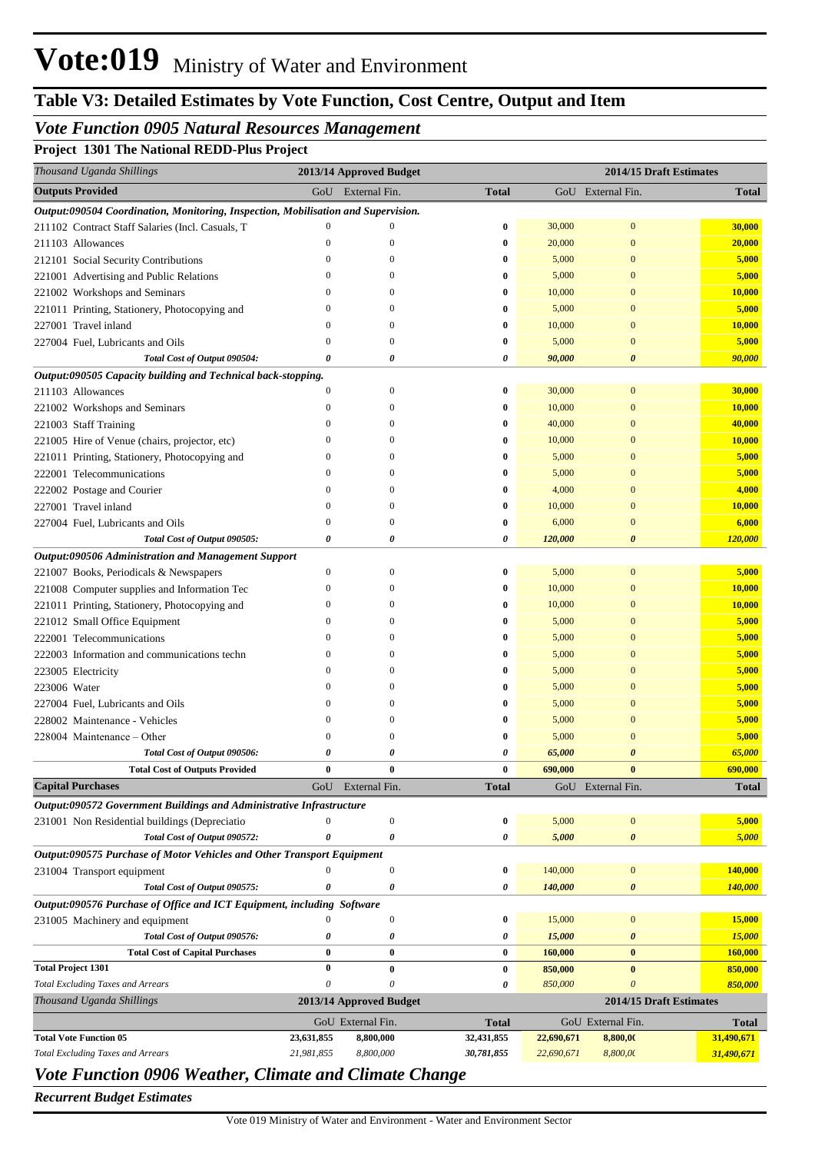# **Table V3: Detailed Estimates by Vote Function, Cost Centre, Output and Item**

## *Vote Function 0905 Natural Resources Management*

## **Project 1301 The National REDD-Plus Project**

| Thousand Uganda Shillings                                                         |                  | 2013/14 Approved Budget |              |            | 2014/15 Draft Estimates   |                |
|-----------------------------------------------------------------------------------|------------------|-------------------------|--------------|------------|---------------------------|----------------|
| <b>Outputs Provided</b>                                                           | GoU              | External Fin.           | <b>Total</b> |            | GoU External Fin.         | <b>Total</b>   |
| Output:090504 Coordination, Monitoring, Inspection, Mobilisation and Supervision. |                  |                         |              |            |                           |                |
| 211102 Contract Staff Salaries (Incl. Casuals, T                                  | $\mathbf{0}$     | $\mathbf{0}$            | $\bf{0}$     | 30,000     | $\mathbf{0}$              | 30,000         |
| 211103 Allowances                                                                 | $\theta$         | $\mathbf{0}$            | $\bf{0}$     | 20,000     | $\mathbf{0}$              | 20,000         |
| 212101 Social Security Contributions                                              | $\overline{0}$   | $\mathbf{0}$            | 0            | 5,000      | $\mathbf{0}$              | 5,000          |
| 221001 Advertising and Public Relations                                           | $\mathbf{0}$     | $\mathbf{0}$            | 0            | 5,000      | $\mathbf{0}$              | 5,000          |
| 221002 Workshops and Seminars                                                     | $\mathbf{0}$     | 0                       | 0            | 10,000     | $\overline{0}$            | 10,000         |
| 221011 Printing, Stationery, Photocopying and                                     | $\theta$         | $\Omega$                | 0            | 5,000      | $\overline{0}$            | 5,000          |
| 227001 Travel inland                                                              | $\mathbf{0}$     | $\mathbf{0}$            | $\bf{0}$     | 10,000     | $\overline{0}$            | 10,000         |
| 227004 Fuel, Lubricants and Oils                                                  | $\theta$         | $\mathbf{0}$            | $\bf{0}$     | 5,000      | $\overline{0}$            | 5,000          |
| Total Cost of Output 090504:                                                      | 0                | 0                       | 0            | 90,000     | $\boldsymbol{\theta}$     | 90,000         |
| Output:090505 Capacity building and Technical back-stopping.                      |                  |                         |              |            |                           |                |
| 211103 Allowances                                                                 | $\boldsymbol{0}$ | $\mathbf{0}$            | $\bf{0}$     | 30,000     | $\boldsymbol{0}$          | 30,000         |
| 221002 Workshops and Seminars                                                     | $\mathbf{0}$     | $\boldsymbol{0}$        | 0            | 10,000     | $\overline{0}$            | 10,000         |
| 221003 Staff Training                                                             | $\boldsymbol{0}$ | $\mathbf{0}$            | 0            | 40,000     | $\overline{0}$            | 40,000         |
| 221005 Hire of Venue (chairs, projector, etc)                                     | $\overline{0}$   | $\Omega$                | 0            | 10,000     | $\overline{0}$            | 10,000         |
| 221011 Printing, Stationery, Photocopying and                                     | $\mathbf{0}$     | $\mathbf{0}$            | 0            | 5,000      | $\overline{0}$            | 5,000          |
| 222001 Telecommunications                                                         | $\mathbf{0}$     | $\Omega$                | 0            | 5,000      | $\overline{0}$            | 5,000          |
| 222002 Postage and Courier                                                        | $\overline{0}$   | $\Omega$                | 0            | 4,000      | $\overline{0}$            | 4,000          |
| 227001 Travel inland                                                              | $\boldsymbol{0}$ | $\mathbf{0}$            | $\bf{0}$     | 10,000     | $\overline{0}$            | 10,000         |
| 227004 Fuel, Lubricants and Oils                                                  | $\mathbf{0}$     | $\Omega$                | $\bf{0}$     | 6,000      | $\overline{0}$            | 6,000          |
| Total Cost of Output 090505:                                                      | 0                | $\theta$                | 0            | 120,000    | $\boldsymbol{\theta}$     | 120,000        |
| Output:090506 Administration and Management Support                               |                  |                         |              |            |                           |                |
| 221007 Books, Periodicals & Newspapers                                            | $\boldsymbol{0}$ | $\mathbf{0}$            | 0            | 5,000      | $\boldsymbol{0}$          | 5,000          |
| 221008 Computer supplies and Information Tec                                      | $\mathbf{0}$     | $\boldsymbol{0}$        | 0            | 10,000     | $\overline{0}$            | 10,000         |
| 221011 Printing, Stationery, Photocopying and                                     | $\boldsymbol{0}$ | $\mathbf{0}$            | 0            | 10,000     | $\overline{0}$            | 10,000         |
| 221012 Small Office Equipment                                                     | $\theta$         | $\Omega$                | 0            | 5,000      | $\overline{0}$            | 5,000          |
| 222001 Telecommunications                                                         | $\mathbf{0}$     | $\Omega$                | 0            | 5,000      | $\overline{0}$            | 5,000          |
| 222003 Information and communications techn                                       | $\theta$         | $\Omega$                | 0            | 5,000      | $\overline{0}$            | 5,000          |
| 223005 Electricity                                                                | $\mathbf{0}$     | $\Omega$                | 0            | 5,000      | $\overline{0}$            | 5,000          |
| 223006 Water                                                                      | $\mathbf{0}$     | $\Omega$                | 0            | 5,000      | $\overline{0}$            | 5,000          |
| 227004 Fuel, Lubricants and Oils                                                  | $\boldsymbol{0}$ | $\Omega$                | 0            | 5,000      | $\overline{0}$            | 5,000          |
| 228002 Maintenance - Vehicles                                                     | $\mathbf{0}$     | $\Omega$                | 0            | 5,000      | $\overline{0}$            | 5,000          |
| 228004 Maintenance - Other                                                        | $\theta$         | 0                       | 0            | 5,000      | $\overline{0}$            | 5,000          |
| Total Cost of Output 090506:                                                      | 0                | 0                       | 0            | 65,000     | $\boldsymbol{\theta}$     | 65,000         |
| <b>Total Cost of Outputs Provided</b>                                             |                  |                         |              | 690,000    |                           | 690,000        |
| <b>Capital Purchases</b>                                                          | GoU              | External Fin.           | Total        |            | GoU External Fin.         | <b>Total</b>   |
| Output:090572 Government Buildings and Administrative Infrastructure              |                  |                         |              |            |                           |                |
| 231001 Non Residential buildings (Depreciatio                                     | $\boldsymbol{0}$ | $\boldsymbol{0}$        | 0            | 5,000      | $\bf{0}$                  | 5,000          |
| Total Cost of Output 090572:                                                      | 0                | 0                       | 0            | 5,000      | 0                         | 5,000          |
| Output:090575 Purchase of Motor Vehicles and Other Transport Equipment            |                  |                         |              |            |                           |                |
| 231004 Transport equipment                                                        | $\boldsymbol{0}$ | $\boldsymbol{0}$        | 0            | 140,000    | $\boldsymbol{0}$          | 140,000        |
| Total Cost of Output 090575:                                                      | 0                | 0                       | 0            | 140,000    | 0                         | <b>140,000</b> |
| Output:090576 Purchase of Office and ICT Equipment, including Software            |                  |                         |              |            |                           |                |
| 231005 Machinery and equipment                                                    | $\mathbf{0}$     | $\boldsymbol{0}$        | 0            | 15,000     | $\boldsymbol{0}$          | 15,000         |
| Total Cost of Output 090576:                                                      | 0                | 0                       | 0            | 15,000     | 0                         | 15,000         |
| <b>Total Cost of Capital Purchases</b>                                            | $\bf{0}$         | $\bf{0}$                | 0            | 160,000    | $\bf{0}$                  | 160,000        |
| <b>Total Project 1301</b>                                                         | $\bf{0}$         | $\bf{0}$                | 0            | 850,000    | $\bf{0}$                  | 850,000        |
| <b>Total Excluding Taxes and Arrears</b>                                          | 0                | 0                       | 0            | 850,000    | $\boldsymbol{\mathit{0}}$ | 850,000        |
| Thousand Uganda Shillings                                                         |                  | 2013/14 Approved Budget |              |            | 2014/15 Draft Estimates   |                |
|                                                                                   |                  | GoU External Fin.       | <b>Total</b> |            | GoU External Fin.         | <b>Total</b>   |
| <b>Total Vote Function 05</b>                                                     | 23,631,855       | 8,800,000               | 32,431,855   | 22,690,671 | 8,800,00                  | 31,490,671     |
| <b>Total Excluding Taxes and Arrears</b>                                          | 21,981,855       | 8,800,000               | 30,781,855   | 22,690,671 | 8,800,00                  | 31,490,671     |
| Vote Function 0906 Weather, Climate and Climate Change                            |                  |                         |              |            |                           |                |

*Recurrent Budget Estimates*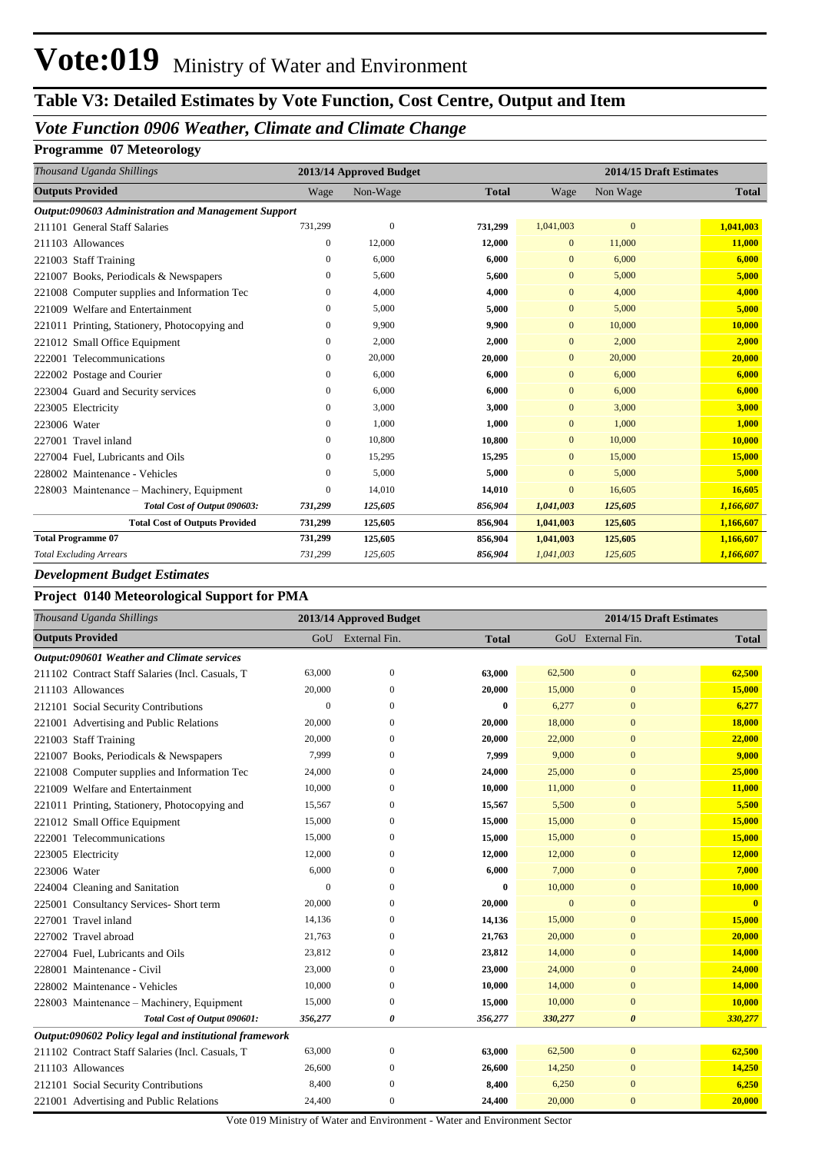# **Table V3: Detailed Estimates by Vote Function, Cost Centre, Output and Item**

## *Vote Function 0906 Weather, Climate and Climate Change*

### **Programme 07 Meteorology**

| Thousand Uganda Shillings                           |              | 2013/14 Approved Budget |              | 2014/15 Draft Estimates |              |              |  |
|-----------------------------------------------------|--------------|-------------------------|--------------|-------------------------|--------------|--------------|--|
| <b>Outputs Provided</b>                             | Wage         | Non-Wage                | <b>Total</b> | Wage                    | Non Wage     | <b>Total</b> |  |
| Output:090603 Administration and Management Support |              |                         |              |                         |              |              |  |
| 211101 General Staff Salaries                       | 731,299      | $\mathbf{0}$            | 731,299      | 1,041,003               | $\mathbf{0}$ | 1,041,003    |  |
| 211103 Allowances                                   | $\mathbf{0}$ | 12,000                  | 12,000       | $\mathbf{0}$            | 11,000       | 11,000       |  |
| 221003 Staff Training                               | $\mathbf{0}$ | 6,000                   | 6,000        | $\mathbf{0}$            | 6,000        | 6,000        |  |
| 221007 Books, Periodicals & Newspapers              | 0            | 5,600                   | 5,600        | $\mathbf{0}$            | 5,000        | 5,000        |  |
| 221008 Computer supplies and Information Tec        | $\mathbf{0}$ | 4,000                   | 4,000        | $\mathbf{0}$            | 4,000        | 4,000        |  |
| 221009 Welfare and Entertainment                    | $\mathbf{0}$ | 5,000                   | 5,000        | $\mathbf{0}$            | 5,000        | 5,000        |  |
| 221011 Printing, Stationery, Photocopying and       | $\mathbf{0}$ | 9,900                   | 9,900        | $\mathbf{0}$            | 10,000       | 10,000       |  |
| 221012 Small Office Equipment                       | $\mathbf{0}$ | 2,000                   | 2,000        | $\mathbf{0}$            | 2,000        | 2,000        |  |
| Telecommunications<br>222001                        | $\mathbf{0}$ | 20,000                  | 20,000       | $\mathbf{0}$            | 20,000       | 20,000       |  |
| 222002 Postage and Courier                          | $\mathbf{0}$ | 6,000                   | 6,000        | $\mathbf{0}$            | 6,000        | 6.000        |  |
| 223004 Guard and Security services                  | $\mathbf{0}$ | 6,000                   | 6,000        | $\mathbf{0}$            | 6,000        | 6,000        |  |
| 223005 Electricity                                  | $\mathbf{0}$ | 3,000                   | 3,000        | $\mathbf{0}$            | 3,000        | 3,000        |  |
| 223006 Water                                        | $\mathbf{0}$ | 1,000                   | 1,000        | $\mathbf{0}$            | 1,000        | 1,000        |  |
| 227001 Travel inland                                | $\mathbf{0}$ | 10,800                  | 10,800       | $\mathbf{0}$            | 10,000       | 10,000       |  |
| 227004 Fuel, Lubricants and Oils                    | $\mathbf{0}$ | 15,295                  | 15,295       | $\mathbf{0}$            | 15,000       | 15,000       |  |
| 228002 Maintenance - Vehicles                       | $\mathbf{0}$ | 5,000                   | 5,000        | $\mathbf{0}$            | 5,000        | 5,000        |  |
| 228003 Maintenance – Machinery, Equipment           | $\mathbf{0}$ | 14,010                  | 14,010       | $\mathbf{0}$            | 16,605       | 16,605       |  |
| Total Cost of Output 090603:                        | 731,299      | 125,605                 | 856,904      | 1,041,003               | 125,605      | 1,166,607    |  |
| <b>Total Cost of Outputs Provided</b>               | 731,299      | 125,605                 | 856,904      | 1,041,003               | 125,605      | 1,166,607    |  |
| <b>Total Programme 07</b>                           | 731,299      | 125,605                 | 856,904      | 1,041,003               | 125,605      | 1,166,607    |  |
| <b>Total Excluding Arrears</b>                      | 731,299      | 125,605                 | 856,904      | 1,041,003               | 125,605      | 1,166,607    |  |

#### *Development Budget Estimates*

### **Project 0140 Meteorological Support for PMA**

| Thousand Uganda Shillings                              |          | 2013/14 Approved Budget |              | 2014/15 Draft Estimates |                       |                         |
|--------------------------------------------------------|----------|-------------------------|--------------|-------------------------|-----------------------|-------------------------|
| <b>Outputs Provided</b>                                | GoU      | External Fin.           | <b>Total</b> |                         | GoU External Fin.     | <b>Total</b>            |
| Output:090601 Weather and Climate services             |          |                         |              |                         |                       |                         |
| 211102 Contract Staff Salaries (Incl. Casuals, T       | 63,000   | $\overline{0}$          | 63,000       | 62,500                  | $\overline{0}$        | 62,500                  |
| 211103 Allowances                                      | 20,000   | $\Omega$                | 20,000       | 15,000                  | $\boldsymbol{0}$      | 15,000                  |
| 212101 Social Security Contributions                   | $\theta$ | $\Omega$                | $\bf{0}$     | 6,277                   | $\mathbf{0}$          | 6,277                   |
| 221001 Advertising and Public Relations                | 20,000   | $\mathbf{0}$            | 20,000       | 18,000                  | $\mathbf{0}$          | 18,000                  |
| 221003 Staff Training                                  | 20,000   | $\Omega$                | 20,000       | 22,000                  | $\overline{0}$        | 22,000                  |
| 221007 Books, Periodicals & Newspapers                 | 7,999    | $\mathbf{0}$            | 7,999        | 9,000                   | $\mathbf{0}$          | 9,000                   |
| 221008 Computer supplies and Information Tec           | 24,000   | $\Omega$                | 24,000       | 25,000                  | $\overline{0}$        | 25,000                  |
| 221009 Welfare and Entertainment                       | 10,000   | $\Omega$                | 10,000       | 11,000                  | $\mathbf{0}$          | 11,000                  |
| 221011 Printing, Stationery, Photocopying and          | 15,567   | $\Omega$                | 15,567       | 5,500                   | $\overline{0}$        | 5,500                   |
| 221012 Small Office Equipment                          | 15,000   | $\mathbf{0}$            | 15,000       | 15,000                  | $\boldsymbol{0}$      | 15,000                  |
| 222001 Telecommunications                              | 15,000   | $\mathbf{0}$            | 15,000       | 15,000                  | $\mathbf{0}$          | 15,000                  |
| 223005 Electricity                                     | 12,000   | $\theta$                | 12,000       | 12,000                  | $\overline{0}$        | 12,000                  |
| 223006 Water                                           | 6,000    | $\Omega$                | 6,000        | 7,000                   | $\overline{0}$        | 7,000                   |
| 224004 Cleaning and Sanitation                         | $\theta$ | $\Omega$                | $\bf{0}$     | 10,000                  | $\overline{0}$        | 10,000                  |
| 225001 Consultancy Services- Short term                | 20,000   | $\mathbf{0}$            | 20,000       | $\mathbf{0}$            | $\mathbf{0}$          | $\overline{\mathbf{0}}$ |
| 227001 Travel inland                                   | 14,136   | $\mathbf{0}$            | 14,136       | 15,000                  | $\overline{0}$        | 15,000                  |
| 227002 Travel abroad                                   | 21,763   | $\mathbf{0}$            | 21,763       | 20,000                  | $\mathbf{0}$          | 20,000                  |
| 227004 Fuel, Lubricants and Oils                       | 23,812   | $\mathbf{0}$            | 23,812       | 14,000                  | $\overline{0}$        | 14,000                  |
| 228001 Maintenance - Civil                             | 23,000   | $\overline{0}$          | 23,000       | 24,000                  | $\overline{0}$        | 24,000                  |
| 228002 Maintenance - Vehicles                          | 10,000   | $\overline{0}$          | 10,000       | 14,000                  | $\overline{0}$        | 14,000                  |
| 228003 Maintenance – Machinery, Equipment              | 15,000   | $\mathbf{0}$            | 15,000       | 10,000                  | $\mathbf{0}$          | 10,000                  |
| Total Cost of Output 090601:                           | 356,277  | 0                       | 356,277      | 330,277                 | $\boldsymbol{\theta}$ | 330,277                 |
| Output:090602 Policy legal and institutional framework |          |                         |              |                         |                       |                         |
| 211102 Contract Staff Salaries (Incl. Casuals, T       | 63,000   | $\boldsymbol{0}$        | 63,000       | 62,500                  | $\mathbf{0}$          | 62,500                  |
| 211103 Allowances                                      | 26,600   | $\Omega$                | 26,600       | 14,250                  | $\mathbf{0}$          | 14,250                  |
| 212101 Social Security Contributions                   | 8,400    | $\mathbf{0}$            | 8,400        | 6,250                   | $\overline{0}$        | 6,250                   |
| 221001 Advertising and Public Relations                | 24,400   | $\overline{0}$          | 24,400       | 20,000                  | $\overline{0}$        | 20,000                  |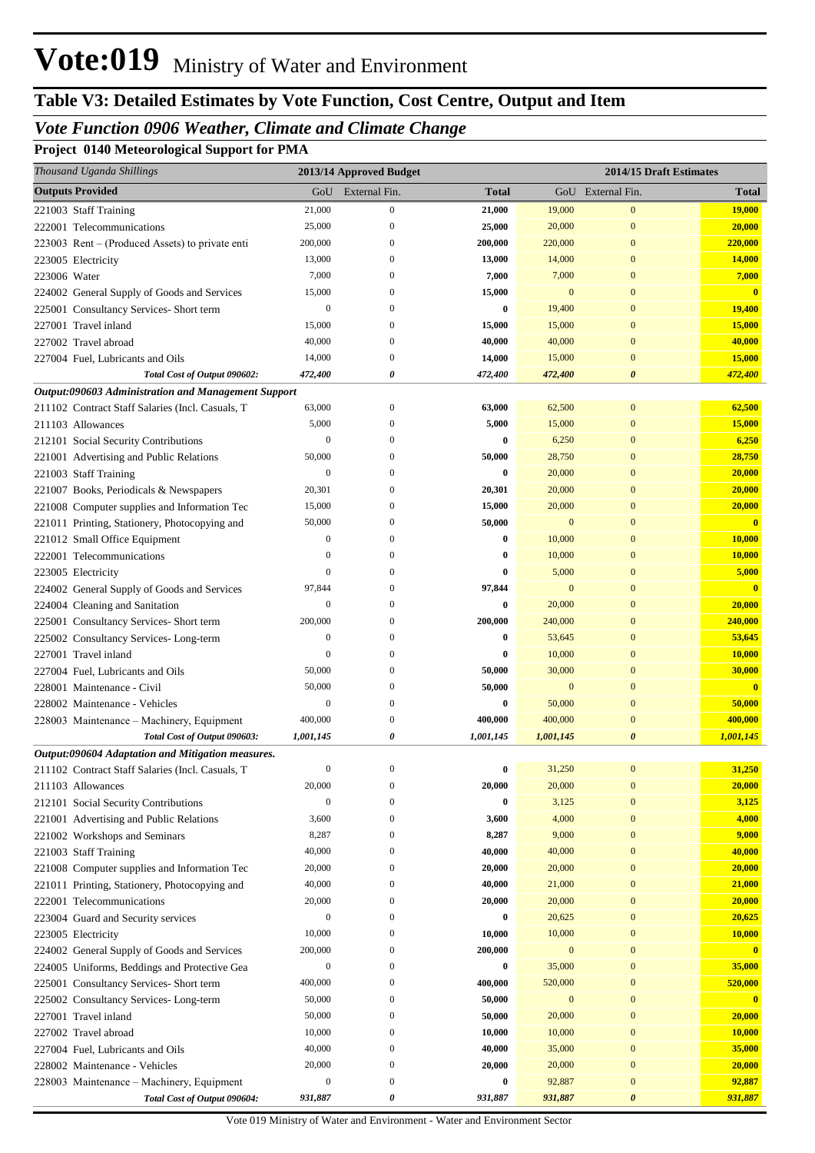# **Table V3: Detailed Estimates by Vote Function, Cost Centre, Output and Item**

## *Vote Function 0906 Weather, Climate and Climate Change*

**Project 0140 Meteorological Support for PMA**

| Thousand Uganda Shillings                           |                  | 2013/14 Approved Budget |           |              | 2014/15 Draft Estimates |                         |
|-----------------------------------------------------|------------------|-------------------------|-----------|--------------|-------------------------|-------------------------|
| <b>Outputs Provided</b>                             | GoU              | External Fin.           | Total     |              | GoU External Fin.       | <b>Total</b>            |
| 221003 Staff Training                               | 21,000           | $\boldsymbol{0}$        | 21,000    | 19,000       | $\boldsymbol{0}$        | <b>19,000</b>           |
| 222001 Telecommunications                           | 25,000           | $\boldsymbol{0}$        | 25,000    | 20,000       | $\bf{0}$                | 20,000                  |
| 223003 Rent – (Produced Assets) to private enti     | 200,000          | 0                       | 200,000   | 220,000      | $\bf{0}$                | 220,000                 |
| 223005 Electricity                                  | 13,000           | 0                       | 13,000    | 14,000       | $\bf{0}$                | 14,000                  |
| 223006 Water                                        | 7,000            | 0                       | 7,000     | 7,000        | $\mathbf{0}$            | 7,000                   |
| 224002 General Supply of Goods and Services         | 15,000           | 0                       | 15,000    | $\mathbf{0}$ | $\mathbf{0}$            | $\mathbf{0}$            |
| 225001 Consultancy Services- Short term             | $\boldsymbol{0}$ | $\left($                | 0         | 19,400       | $\mathbf{0}$            | <b>19,400</b>           |
| 227001 Travel inland                                | 15,000           | $\left($                | 15,000    | 15,000       | $\mathbf{0}$            | <b>15,000</b>           |
| 227002 Travel abroad                                | 40,000           | 0                       | 40,000    | 40,000       | $\mathbf{0}$            | 40,000                  |
| 227004 Fuel, Lubricants and Oils                    | 14,000           | 0                       | 14,000    | 15,000       | $\mathbf{0}$            | <b>15,000</b>           |
| Total Cost of Output 090602:                        | 472,400          | 0                       | 472,400   | 472,400      | 0                       | 472,400                 |
| Output:090603 Administration and Management Support |                  |                         |           |              |                         |                         |
| 211102 Contract Staff Salaries (Incl. Casuals, T    | 63,000           | $\boldsymbol{0}$        | 63,000    | 62,500       | $\boldsymbol{0}$        | 62,500                  |
| 211103 Allowances                                   | 5,000            | 0                       | 5,000     | 15,000       | $\mathbf{0}$            | <b>15,000</b>           |
| 212101 Social Security Contributions                | $\boldsymbol{0}$ | 0                       | 0         | 6,250        | $\mathbf{0}$            | 6,250                   |
| 221001 Advertising and Public Relations             | 50,000           | 0                       | 50,000    | 28,750       | $\mathbf{0}$            | 28,750                  |
| 221003 Staff Training                               | $\boldsymbol{0}$ | $\left($                | 0         | 20,000       | $\mathbf{0}$            | 20,000                  |
| 221007 Books, Periodicals & Newspapers              | 20,301           | $^{0}$                  | 20,301    | 20,000       | $\mathbf{0}$            | 20,000                  |
| 221008 Computer supplies and Information Tec        | 15,000           | 0                       | 15,000    | 20,000       | $\mathbf{0}$            | 20,000                  |
| 221011 Printing, Stationery, Photocopying and       | 50,000           | 0                       | 50,000    | $\mathbf{0}$ | $\mathbf{0}$            | $\mathbf{0}$            |
| 221012 Small Office Equipment                       | $\boldsymbol{0}$ | 0                       | 0         | 10,000       | $\mathbf{0}$            | <b>10,000</b>           |
| 222001 Telecommunications                           | 0                | $^{0}$                  | 0         | 10,000       | $\mathbf{0}$            | <b>10,000</b>           |
| 223005 Electricity                                  | $\mathbf{0}$     | $\left($                | 0         | 5,000        | $\mathbf{0}$            | 5,000                   |
| 224002 General Supply of Goods and Services         | 97,844           | $\left($                | 97,844    | $\mathbf{0}$ | $\mathbf{0}$            | $\overline{\mathbf{0}}$ |
| 224004 Cleaning and Sanitation                      | $\mathbf{0}$     | 0                       | 0         | 20,000       | $\mathbf{0}$            | 20,000                  |
| 225001 Consultancy Services- Short term             | 200,000          | 0                       | 200,000   | 240,000      | $\mathbf{0}$            | 240,000                 |
| 225002 Consultancy Services-Long-term               | $\boldsymbol{0}$ | 0                       | 0         | 53,645       | $\mathbf{0}$            | 53,645                  |
| 227001 Travel inland                                | $\mathbf{0}$     | $\left($                | 0         | 10,000       | $\mathbf{0}$            | <b>10,000</b>           |
| 227004 Fuel, Lubricants and Oils                    | 50,000           | 0                       | 50,000    | 30,000       | $\mathbf{0}$            | 30,000                  |
| 228001 Maintenance - Civil                          | 50,000           | $\left($                | 50,000    | $\mathbf{0}$ | $\mathbf{0}$            | $\mathbf{0}$            |
| 228002 Maintenance - Vehicles                       | $\boldsymbol{0}$ | $\mathbf{0}$            | 0         | 50,000       | $\mathbf{0}$            | 50,000                  |
| 228003 Maintenance – Machinery, Equipment           | 400,000          | 0                       | 400,000   | 400,000      | $\mathbf{0}$            | 400,000                 |
| Total Cost of Output 090603:                        | 1,001,145        | 0                       | 1,001,145 | 1,001,145    | 0                       | 1,001,145               |
| Output:090604 Adaptation and Mitigation measures.   |                  |                         |           |              |                         |                         |
| 211102 Contract Staff Salaries (Incl. Casuals, T    | $\boldsymbol{0}$ | $\overline{0}$          | 0         | 31,250       | $\boldsymbol{0}$        | 31,250                  |
| 211103 Allowances                                   | 20,000           | $\mathbf{0}$            | 20,000    | 20,000       | $\boldsymbol{0}$        | 20,000                  |
| 212101 Social Security Contributions                | $\boldsymbol{0}$ | $\mathbf{0}$            | 0         | 3,125        | $\mathbf{0}$            | 3,125                   |
| 221001 Advertising and Public Relations             | 3,600            | $\mathbf{0}$            | 3,600     | 4,000        | $\boldsymbol{0}$        | 4,000                   |
| 221002 Workshops and Seminars                       | 8,287            | $\mathbf{0}$            | 8,287     | 9,000        | $\boldsymbol{0}$        | 9,000                   |
| 221003 Staff Training                               | 40,000           | $\mathbf{0}$            | 40,000    | 40,000       | $\boldsymbol{0}$        | 40,000                  |
| 221008 Computer supplies and Information Tec        | 20,000           | $\boldsymbol{0}$        | 20,000    | 20,000       | $\boldsymbol{0}$        | 20,000                  |
| 221011 Printing, Stationery, Photocopying and       | 40,000           | $\mathbf{0}$            | 40,000    | 21,000       | $\boldsymbol{0}$        | 21,000                  |
| 222001 Telecommunications                           | 20,000           | $\boldsymbol{0}$        | 20,000    | 20,000       | $\boldsymbol{0}$        | 20,000                  |
| 223004 Guard and Security services                  | $\boldsymbol{0}$ | $\mathbf{0}$            | 0         | 20,625       | $\boldsymbol{0}$        | 20,625                  |
| 223005 Electricity                                  | 10,000           | $\mathbf{0}$            | 10,000    | 10,000       | $\boldsymbol{0}$        | 10,000                  |
| 224002 General Supply of Goods and Services         | 200,000          | $\boldsymbol{0}$        | 200,000   | $\mathbf{0}$ | $\boldsymbol{0}$        | $\mathbf{0}$            |
| 224005 Uniforms, Beddings and Protective Gea        | $\boldsymbol{0}$ | $\boldsymbol{0}$        | 0         | 35,000       | $\boldsymbol{0}$        | 35,000                  |
| 225001 Consultancy Services- Short term             | 400,000          | $\boldsymbol{0}$        | 400,000   | 520,000      | $\bf{0}$                | 520,000                 |
| 225002 Consultancy Services-Long-term               | 50,000           | $\boldsymbol{0}$        | 50,000    | $\mathbf{0}$ | $\boldsymbol{0}$        | $\mathbf{0}$            |
| 227001 Travel inland                                | 50,000           | $\boldsymbol{0}$        | 50,000    | 20,000       | $\boldsymbol{0}$        | 20,000                  |
| 227002 Travel abroad                                | 10,000           | $\boldsymbol{0}$        | 10,000    | 10,000       | $\boldsymbol{0}$        | 10,000                  |
| 227004 Fuel, Lubricants and Oils                    | 40,000           | $\mathbf{0}$            | 40,000    | 35,000       | $\boldsymbol{0}$        | 35,000                  |
| 228002 Maintenance - Vehicles                       | 20,000           | $\boldsymbol{0}$        | 20,000    | 20,000       | $\bf{0}$                | 20,000                  |
| 228003 Maintenance – Machinery, Equipment           | $\boldsymbol{0}$ | $\boldsymbol{0}$        | 0         | 92,887       | $\boldsymbol{0}$        | 92,887                  |
| Total Cost of Output 090604:                        | 931,887          | 0                       | 931,887   | 931,887      | 0                       | 931,887                 |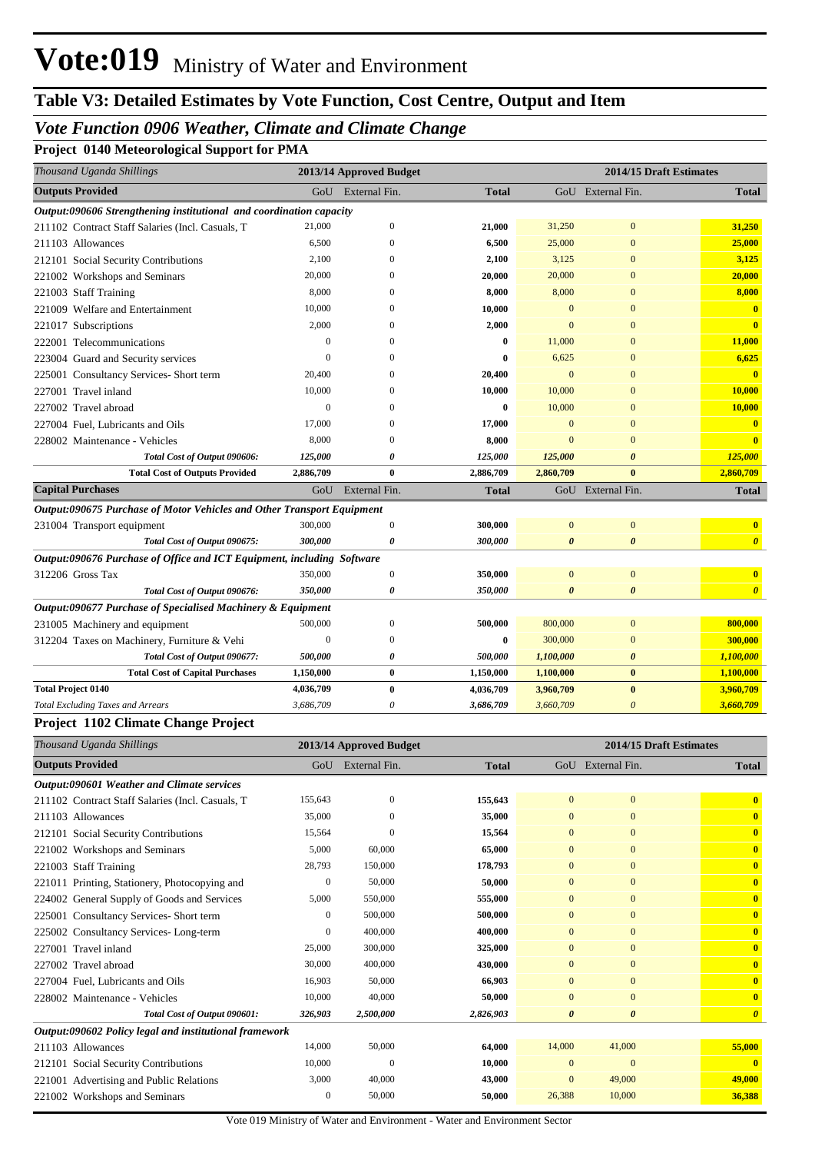# **Table V3: Detailed Estimates by Vote Function, Cost Centre, Output and Item**

## *Vote Function 0906 Weather, Climate and Climate Change*

**Project 0140 Meteorological Support for PMA**

| Thousand Uganda Shillings                                              |              | 2013/14 Approved Budget |              |                       | 2014/15 Draft Estimates |                         |
|------------------------------------------------------------------------|--------------|-------------------------|--------------|-----------------------|-------------------------|-------------------------|
| <b>Outputs Provided</b>                                                |              | GoU External Fin.       | <b>Total</b> |                       | GoU External Fin.       | <b>Total</b>            |
| Output:090606 Strengthening institutional and coordination capacity    |              |                         |              |                       |                         |                         |
| 211102 Contract Staff Salaries (Incl. Casuals, T                       | 21.000       | $\overline{0}$          | 21,000       | 31,250                | $\mathbf{0}$            | 31,250                  |
| 211103 Allowances                                                      | 6,500        | $\theta$                | 6,500        | 25,000                | $\mathbf{0}$            | 25,000                  |
| 212101 Social Security Contributions                                   | 2,100        | $\mathbf{0}$            | 2,100        | 3,125                 | $\mathbf{0}$            | 3,125                   |
| 221002 Workshops and Seminars                                          | 20,000       | $\Omega$                | 20,000       | 20,000                | $\mathbf{0}$            | 20,000                  |
| 221003 Staff Training                                                  | 8,000        | $\Omega$                | 8,000        | 8,000                 | $\mathbf{0}$            | 8,000                   |
| 221009 Welfare and Entertainment                                       | 10,000       | $\Omega$                | 10,000       | $\mathbf{0}$          | $\mathbf{0}$            | $\bf{0}$                |
| 221017 Subscriptions                                                   | 2,000        | $\theta$                | 2,000        | $\Omega$              | $\mathbf{0}$            | $\mathbf{0}$            |
| 222001 Telecommunications                                              | $\mathbf{0}$ | $\Omega$                | $\bf{0}$     | 11,000                | $\mathbf{0}$            | 11,000                  |
| 223004 Guard and Security services                                     | $\mathbf{0}$ | $\theta$                | $\bf{0}$     | 6,625                 | $\mathbf{0}$            | 6,625                   |
| 225001 Consultancy Services- Short term                                | 20,400       | $\Omega$                | 20,400       | $\mathbf{0}$          | $\mathbf{0}$            | $\mathbf{0}$            |
| 227001 Travel inland                                                   | 10,000       | $\Omega$                | 10,000       | 10,000                | $\mathbf{0}$            | 10,000                  |
| 227002 Travel abroad                                                   | $\mathbf{0}$ | $\Omega$                | $\bf{0}$     | 10,000                | $\mathbf{0}$            | 10,000                  |
| 227004 Fuel, Lubricants and Oils                                       | 17,000       | $\theta$                | 17,000       | $\Omega$              | $\Omega$                | $\mathbf{0}$            |
| 228002 Maintenance - Vehicles                                          | 8,000        | $\Omega$                | 8,000        | $\overline{0}$        | $\Omega$                | $\mathbf{0}$            |
| Total Cost of Output 090606:                                           | 125,000      | 0                       | 125,000      | 125,000               | $\boldsymbol{\theta}$   | 125,000                 |
| <b>Total Cost of Outputs Provided</b>                                  | 2,886,709    | $\bf{0}$                | 2,886,709    | 2,860,709             | $\bf{0}$                | 2,860,709               |
| <b>Capital Purchases</b>                                               |              | GoU External Fin.       | <b>Total</b> |                       | GoU External Fin.       | <b>Total</b>            |
| Output:090675 Purchase of Motor Vehicles and Other Transport Equipment |              |                         |              |                       |                         |                         |
| 231004 Transport equipment                                             | 300,000      | $\boldsymbol{0}$        | 300,000      | $\overline{0}$        | $\mathbf{0}$            | $\overline{\mathbf{0}}$ |
| Total Cost of Output 090675:                                           | 300,000      | $\boldsymbol{\theta}$   | 300,000      | $\boldsymbol{\theta}$ | $\boldsymbol{\theta}$   | $\boldsymbol{\theta}$   |
| Output:090676 Purchase of Office and ICT Equipment, including Software |              |                         |              |                       |                         |                         |
| 312206 Gross Tax                                                       | 350,000      | $\overline{0}$          | 350,000      | $\mathbf{0}$          | $\mathbf{0}$            | $\mathbf{0}$            |
| Total Cost of Output 090676:                                           | 350,000      | 0                       | 350,000      | $\boldsymbol{\theta}$ | $\boldsymbol{\theta}$   | $\boldsymbol{\theta}$   |
| Output:090677 Purchase of Specialised Machinery & Equipment            |              |                         |              |                       |                         |                         |
| 231005 Machinery and equipment                                         | 500,000      | $\overline{0}$          | 500,000      | 800,000               | $\mathbf{0}$            | 800,000                 |
| 312204 Taxes on Machinery, Furniture & Vehi                            | $\mathbf{0}$ | $\overline{0}$          | $\bf{0}$     | 300,000               | $\mathbf{0}$            | 300,000                 |
| Total Cost of Output 090677:                                           | 500,000      | 0                       | 500,000      | 1,100,000             | $\boldsymbol{\theta}$   | 1,100,000               |
| <b>Total Cost of Capital Purchases</b>                                 | 1,150,000    | $\bf{0}$                | 1,150,000    | 1,100,000             | $\bf{0}$                | 1,100,000               |
| <b>Total Project 0140</b>                                              | 4,036,709    | $\bf{0}$                | 4,036,709    | 3,960,709             | $\bf{0}$                | 3,960,709               |
| <b>Total Excluding Taxes and Arrears</b>                               | 3,686,709    | $\theta$                | 3,686,709    | 3,660,709             | $\boldsymbol{\theta}$   | 3,660,709               |
| Project 1102 Climate Change Project                                    |              |                         |              |                       |                         |                         |

| Thousand Uganda Shillings                              |              | 2013/14 Approved Budget |              | 2014/15 Draft Estimates |                       |                         |  |
|--------------------------------------------------------|--------------|-------------------------|--------------|-------------------------|-----------------------|-------------------------|--|
| <b>Outputs Provided</b>                                |              | GoU External Fin.       | <b>Total</b> |                         | GoU External Fin.     | <b>Total</b>            |  |
| Output:090601 Weather and Climate services             |              |                         |              |                         |                       |                         |  |
| 211102 Contract Staff Salaries (Incl. Casuals, T       | 155,643      | $\mathbf{0}$            | 155,643      | $\overline{0}$          | $\mathbf{0}$          | $\overline{\mathbf{0}}$ |  |
| 211103 Allowances                                      | 35,000       | $\Omega$                | 35,000       | $\overline{0}$          | $\mathbf{0}$          | $\mathbf{0}$            |  |
| 212101 Social Security Contributions                   | 15,564       | $\Omega$                | 15,564       | $\mathbf{0}$            | $\mathbf{0}$          | $\overline{\mathbf{0}}$ |  |
| 221002 Workshops and Seminars                          | 5,000        | 60,000                  | 65,000       | $\mathbf{0}$            | $\mathbf{0}$          | $\overline{\mathbf{0}}$ |  |
| 221003 Staff Training                                  | 28,793       | 150,000                 | 178,793      | $\overline{0}$          | $\mathbf{0}$          | $\overline{\mathbf{0}}$ |  |
| 221011 Printing, Stationery, Photocopying and          | $\mathbf{0}$ | 50,000                  | 50,000       | $\mathbf{0}$            | $\mathbf{0}$          | $\mathbf{0}$            |  |
| 224002 General Supply of Goods and Services            | 5,000        | 550,000                 | 555,000      | $\mathbf{0}$            | $\mathbf{0}$          | $\overline{\mathbf{0}}$ |  |
| 225001 Consultancy Services-Short term                 | $\mathbf{0}$ | 500,000                 | 500,000      | $\mathbf{0}$            | $\mathbf{0}$          | $\overline{\mathbf{0}}$ |  |
| Consultancy Services-Long-term<br>225002               | $\mathbf{0}$ | 400,000                 | 400,000      | $\mathbf{0}$            | $\mathbf{0}$          | $\overline{\mathbf{0}}$ |  |
| 227001 Travel inland                                   | 25,000       | 300,000                 | 325,000      | $\mathbf{0}$            | $\mathbf{0}$          | $\overline{\mathbf{0}}$ |  |
| 227002 Travel abroad                                   | 30,000       | 400,000                 | 430,000      | $\overline{0}$          | $\mathbf{0}$          | $\overline{\mathbf{0}}$ |  |
| 227004 Fuel, Lubricants and Oils                       | 16,903       | 50,000                  | 66,903       | $\overline{0}$          | $\mathbf{0}$          | $\overline{\mathbf{0}}$ |  |
| 228002 Maintenance - Vehicles                          | 10,000       | 40,000                  | 50,000       | $\mathbf{0}$            | $\mathbf{0}$          | $\mathbf{0}$            |  |
| Total Cost of Output 090601:                           | 326,903      | 2,500,000               | 2,826,903    | $\boldsymbol{\theta}$   | $\boldsymbol{\theta}$ | $\boldsymbol{\theta}$   |  |
| Output:090602 Policy legal and institutional framework |              |                         |              |                         |                       |                         |  |
| 211103 Allowances                                      | 14,000       | 50,000                  | 64,000       | 14,000                  | 41,000                | 55,000                  |  |
| 212101 Social Security Contributions                   | 10,000       | $\Omega$                | 10,000       | $\Omega$                | $\mathbf{0}$          | $\mathbf{0}$            |  |
| 221001 Advertising and Public Relations                | 3,000        | 40,000                  | 43,000       | $\mathbf{0}$            | 49,000                | 49,000                  |  |
| 221002 Workshops and Seminars                          | $\mathbf{0}$ | 50,000                  | 50,000       | 26,388                  | 10,000                | 36,388                  |  |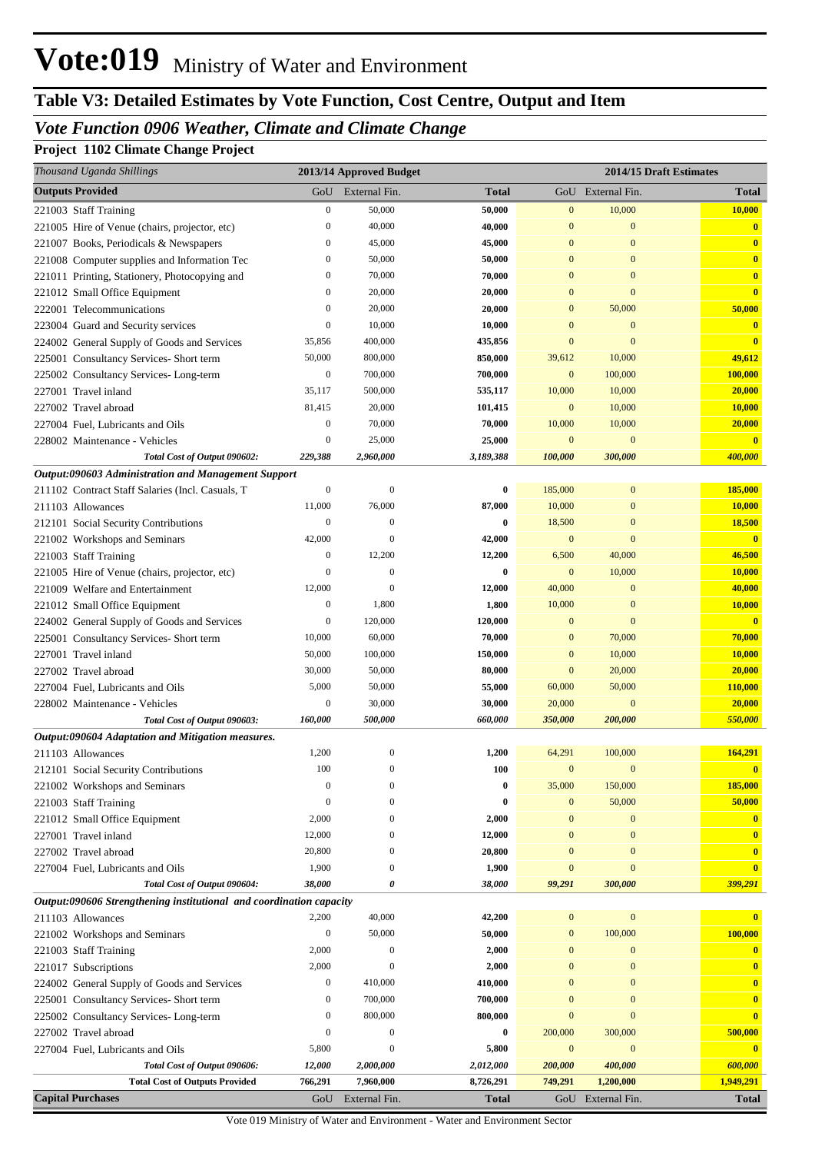# **Table V3: Detailed Estimates by Vote Function, Cost Centre, Output and Item**

## *Vote Function 0906 Weather, Climate and Climate Change*

## **Project 1102 Climate Change Project**

| Thousand Uganda Shillings                                                           |                   | 2013/14 Approved Budget     |                  |                              |                              | 2014/15 Draft Estimates             |
|-------------------------------------------------------------------------------------|-------------------|-----------------------------|------------------|------------------------------|------------------------------|-------------------------------------|
| <b>Outputs Provided</b>                                                             | GoU               | External Fin.               | <b>Total</b>     |                              | GoU External Fin.            | <b>Total</b>                        |
| 221003 Staff Training                                                               | $\boldsymbol{0}$  | 50,000                      | 50,000           | $\mathbf{0}$                 | 10,000                       | 10,000                              |
| 221005 Hire of Venue (chairs, projector, etc)                                       | $\boldsymbol{0}$  | 40,000                      | 40,000           | $\mathbf{0}$                 | $\mathbf{0}$                 | $\bf{0}$                            |
| 221007 Books, Periodicals & Newspapers                                              | $\bf{0}$          | 45,000                      | 45,000           | $\mathbf{0}$                 | $\mathbf{0}$                 | $\overline{\mathbf{0}}$             |
| 221008 Computer supplies and Information Tec                                        | $\bf{0}$          | 50,000                      | 50,000           | $\mathbf{0}$                 | $\mathbf{0}$                 | $\mathbf{0}$                        |
| 221011 Printing, Stationery, Photocopying and                                       | $\bf{0}$          | 70,000                      | 70,000           | $\mathbf{0}$                 | $\mathbf{0}$                 | $\overline{\mathbf{0}}$             |
| 221012 Small Office Equipment                                                       | $\bf{0}$          | 20,000                      | 20,000           | $\bf{0}$                     | $\boldsymbol{0}$             | $\overline{\mathbf{0}}$             |
| 222001 Telecommunications                                                           | $\boldsymbol{0}$  | 20,000                      | 20,000           | $\mathbf{0}$                 | 50,000                       | 50,000                              |
| 223004 Guard and Security services                                                  | $\bf{0}$          | 10,000                      | 10,000           | $\mathbf{0}$                 | $\mathbf{0}$                 | $\mathbf{0}$                        |
| 224002 General Supply of Goods and Services                                         | 35,856            | 400,000                     | 435,856          | $\mathbf{0}$                 | $\mathbf{0}$                 | $\bf{0}$                            |
| 225001 Consultancy Services- Short term                                             | 50,000            | 800,000                     | 850,000          | 39,612                       | 10,000                       | 49,612                              |
| 225002 Consultancy Services-Long-term                                               | $\bf{0}$          | 700,000                     | 700,000          | $\mathbf{0}$                 | 100,000                      | 100,000                             |
| 227001 Travel inland                                                                | 35,117            | 500,000                     | 535,117          | 10,000                       | 10,000                       | 20,000                              |
| 227002 Travel abroad                                                                | 81,415            | 20,000                      | 101,415          | $\mathbf{0}$                 | 10,000                       | 10,000                              |
| 227004 Fuel, Lubricants and Oils                                                    | $\boldsymbol{0}$  | 70,000                      | 70,000           | 10,000                       | 10,000                       | 20,000                              |
| 228002 Maintenance - Vehicles                                                       | $\boldsymbol{0}$  | 25,000                      | 25,000           | $\mathbf{0}$                 | $\mathbf{0}$                 | $\bf{0}$                            |
| Total Cost of Output 090602:<br>Output:090603 Administration and Management Support | 229,388           | 2,960,000                   | 3,189,388        | 100,000                      | 300,000                      | 400,000                             |
| 211102 Contract Staff Salaries (Incl. Casuals, T                                    | $\boldsymbol{0}$  | $\boldsymbol{0}$            | $\bf{0}$         | 185,000                      | $\mathbf{0}$                 | 185,000                             |
| 211103 Allowances                                                                   | 11,000            | 76,000                      | 87,000           | 10,000                       | $\mathbf{0}$                 | 10,000                              |
| 212101 Social Security Contributions                                                | $\bf{0}$          | $\boldsymbol{0}$            | $\bf{0}$         | 18,500                       | $\mathbf{0}$                 | 18,500                              |
| 221002 Workshops and Seminars                                                       | 42,000            | $\theta$                    | 42,000           | $\mathbf{0}$                 | $\mathbf{0}$                 | $\bf{0}$                            |
| 221003 Staff Training                                                               | $\bf{0}$          | 12,200                      | 12,200           | 6,500                        | 40,000                       | 46,500                              |
| 221005 Hire of Venue (chairs, projector, etc)                                       | $\boldsymbol{0}$  | $\boldsymbol{0}$            | $\bf{0}$         | $\mathbf{0}$                 | 10,000                       | 10,000                              |
| 221009 Welfare and Entertainment                                                    | 12,000            | $\theta$                    | 12,000           | 40,000                       | $\mathbf{0}$                 | 40,000                              |
| 221012 Small Office Equipment                                                       | $\bf{0}$          | 1,800                       | 1,800            | 10,000                       | $\mathbf{0}$                 | 10,000                              |
| 224002 General Supply of Goods and Services                                         | $\bf{0}$          | 120,000                     | 120,000          | $\mathbf{0}$                 | $\mathbf{0}$                 | $\overline{\mathbf{0}}$             |
| 225001 Consultancy Services- Short term                                             | 10,000            | 60,000                      | 70,000           | $\mathbf{0}$                 | 70,000                       | 70,000                              |
| 227001 Travel inland                                                                | 50,000            | 100,000                     | 150,000          | $\mathbf{0}$                 | 10,000                       | 10,000                              |
| 227002 Travel abroad                                                                | 30,000            | 50,000                      | 80,000           | $\mathbf{0}$                 | 20,000                       | 20,000                              |
| 227004 Fuel, Lubricants and Oils                                                    | 5,000             | 50,000                      | 55,000           | 60,000                       | 50,000                       | 110,000                             |
| 228002 Maintenance - Vehicles                                                       | $\boldsymbol{0}$  | 30,000                      | 30,000           | 20,000                       | $\mathbf{0}$                 | 20,000                              |
| Total Cost of Output 090603:                                                        | 160,000           | 500,000                     | 660,000          | 350,000                      | 200,000                      | 550,000                             |
| Output:090604 Adaptation and Mitigation measures.                                   |                   |                             |                  |                              |                              |                                     |
| 211103 Allowances                                                                   | 1,200             | $\boldsymbol{0}$            | 1,200            | 64,291                       | 100,000                      | 164,291                             |
| 212101 Social Security Contributions                                                | 100               | $\boldsymbol{0}$            | 100              | $\mathbf{0}$                 | $\mathbf{0}$                 | $\mathbf{0}$                        |
| 221002 Workshops and Seminars                                                       | $\mathbf{0}$      | $\mathbf{0}$                | $\bf{0}$         | 35,000                       | 150,000                      | 185,000                             |
| 221003 Staff Training                                                               | $\boldsymbol{0}$  | $\mathbf{0}$                | $\bf{0}$         | $\mathbf{0}$                 | 50,000                       | 50,000                              |
| 221012 Small Office Equipment                                                       | 2,000             | $\mathbf{0}$                | 2,000            | $\mathbf{0}$                 | $\boldsymbol{0}$             | $\mathbf{0}$                        |
| 227001 Travel inland                                                                | 12,000            | $\mathbf{0}$                | 12,000           | $\mathbf{0}$                 | $\mathbf{0}$                 | $\mathbf{0}$                        |
| 227002 Travel abroad                                                                | 20,800            | $\mathbf{0}$                | 20,800           | $\mathbf{0}$                 | $\mathbf{0}$                 | $\bf{0}$                            |
| 227004 Fuel, Lubricants and Oils                                                    | 1,900             | $\mathbf{0}$                | 1,900            | $\mathbf{0}$                 | $\mathbf{0}$                 | $\mathbf{0}$                        |
| Total Cost of Output 090604:                                                        | 38,000            | 0                           | 38,000           | 99,291                       | 300,000                      | 399,291                             |
| Output:090606 Strengthening institutional and coordination capacity                 |                   |                             |                  |                              |                              |                                     |
| 211103 Allowances                                                                   | 2,200             | 40,000                      | 42,200           | $\mathbf{0}$                 | $\mathbf{0}$                 | $\mathbf{0}$                        |
| 221002 Workshops and Seminars                                                       | $\boldsymbol{0}$  | 50,000                      | 50,000           | $\mathbf{0}$                 | 100,000                      | 100,000                             |
| 221003 Staff Training                                                               | 2,000             | $\boldsymbol{0}$            | 2,000            | $\mathbf{0}$                 | $\mathbf{0}$                 | $\mathbf{0}$                        |
| 221017 Subscriptions                                                                | 2,000<br>$\bf{0}$ | $\boldsymbol{0}$<br>410,000 | 2,000<br>410,000 | $\mathbf{0}$<br>$\mathbf{0}$ | $\mathbf{0}$<br>$\mathbf{0}$ | $\bf{0}$<br>$\overline{\mathbf{0}}$ |
| 224002 General Supply of Goods and Services                                         | $\bf{0}$          | 700,000                     | 700,000          | $\mathbf{0}$                 | $\mathbf{0}$                 | $\mathbf{0}$                        |
| 225001 Consultancy Services- Short term                                             | $\bf{0}$          | 800,000                     | 800,000          | $\mathbf{0}$                 | $\mathbf{0}$                 | $\overline{\mathbf{0}}$             |
| 225002 Consultancy Services-Long-term<br>227002 Travel abroad                       | $\bf{0}$          | $\boldsymbol{0}$            | $\bf{0}$         | 200,000                      | 300,000                      | 500,000                             |
| 227004 Fuel, Lubricants and Oils                                                    | 5,800             | $\boldsymbol{0}$            | 5,800            | $\mathbf{0}$                 | $\mathbf{0}$                 | $\overline{\mathbf{0}}$             |
| Total Cost of Output 090606:                                                        | 12,000            | 2,000,000                   | 2,012,000        | 200,000                      | 400,000                      | 600,000                             |
| <b>Total Cost of Outputs Provided</b>                                               | 766,291           | 7,960,000                   | 8,726,291        | 749,291                      | 1,200,000                    | 1,949,291                           |
| <b>Capital Purchases</b>                                                            | GoU               | External Fin.               | <b>Total</b>     |                              | GoU External Fin.            | <b>Total</b>                        |
|                                                                                     |                   |                             |                  |                              |                              |                                     |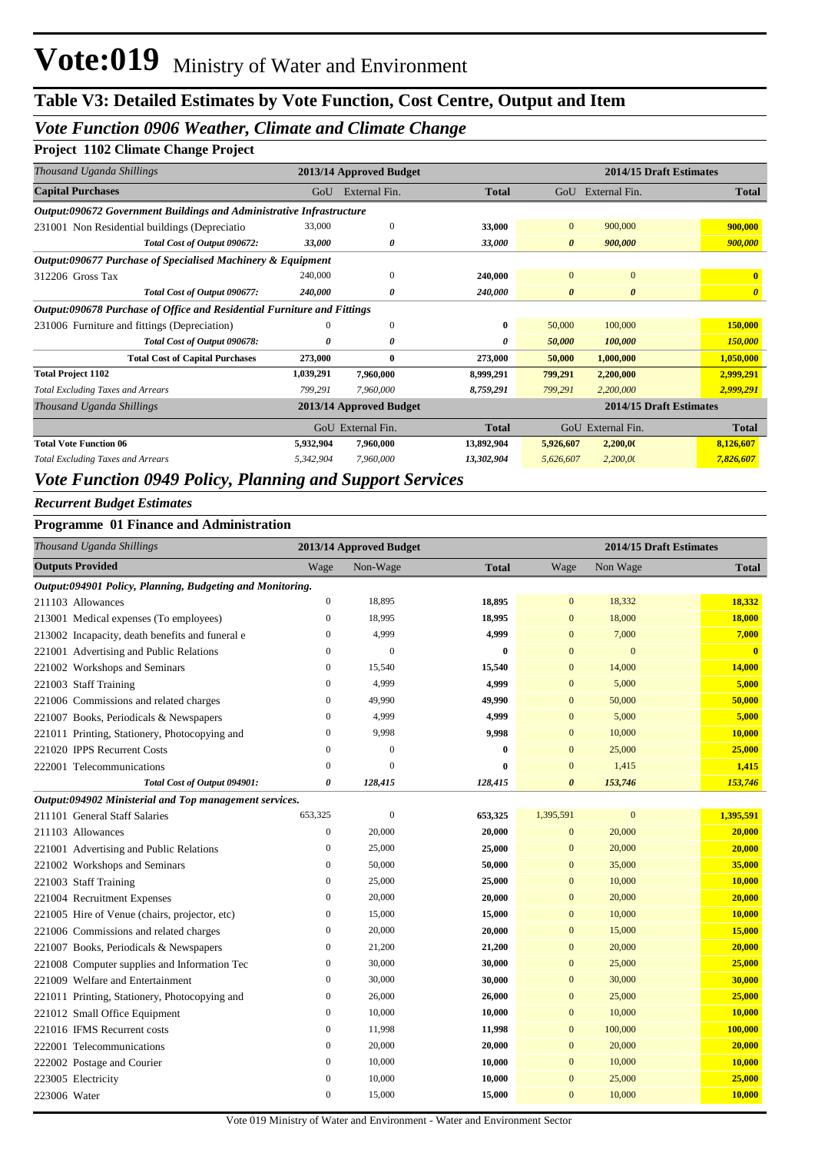## *Vote Function 0906 Weather, Climate and Climate Change*

### **Project 1102 Climate Change Project**

| Thousand Uganda Shillings                                               |           | 2013/14 Approved Budget |              |                       | 2014/15 Draft Estimates |                       |
|-------------------------------------------------------------------------|-----------|-------------------------|--------------|-----------------------|-------------------------|-----------------------|
| <b>Capital Purchases</b>                                                | GoU       | External Fin.           | <b>Total</b> |                       | GoU External Fin.       | <b>Total</b>          |
| Output:090672 Government Buildings and Administrative Infrastructure    |           |                         |              |                       |                         |                       |
| 231001 Non Residential buildings (Depreciatio                           | 33,000    | $\mathbf{0}$            | 33,000       | $\mathbf{0}$          | 900,000                 | 900,000               |
| Total Cost of Output 090672:                                            | 33,000    | 0                       | 33,000       | $\boldsymbol{\theta}$ | 900,000                 | 900,000               |
| Output:090677 Purchase of Specialised Machinery & Equipment             |           |                         |              |                       |                         |                       |
| 312206 Gross Tax                                                        | 240,000   | $\mathbf{0}$            | 240,000      | $\mathbf{0}$          | $\overline{0}$          | $\mathbf{0}$          |
| Total Cost of Output 090677:                                            | 240,000   | 0                       | 240,000      | $\boldsymbol{\theta}$ | $\boldsymbol{\theta}$   | $\boldsymbol{\theta}$ |
| Output:090678 Purchase of Office and Residential Furniture and Fittings |           |                         |              |                       |                         |                       |
| 231006 Furniture and fittings (Depreciation)                            | $\Omega$  | $\mathbf{0}$            | 0            | 50,000                | 100,000                 | 150,000               |
| Total Cost of Output 090678:                                            | 0         | 0                       | 0            | 50,000                | 100,000                 | 150,000               |
| <b>Total Cost of Capital Purchases</b>                                  | 273,000   | $\bf{0}$                | 273,000      | 50,000                | 1,000,000               | 1,050,000             |
| <b>Total Project 1102</b>                                               | 1,039,291 | 7,960,000               | 8,999,291    | 799,291               | 2,200,000               | 2,999,291             |
| <b>Total Excluding Taxes and Arrears</b>                                | 799,291   | 7,960,000               | 8,759,291    | 799,291               | 2,200,000               | 2,999,291             |
| Thousand Uganda Shillings                                               |           | 2013/14 Approved Budget |              |                       | 2014/15 Draft Estimates |                       |
|                                                                         |           | GoU External Fin.       | <b>Total</b> |                       | GoU External Fin.       | <b>Total</b>          |
| <b>Total Vote Function 06</b>                                           | 5,932,904 | 7,960,000               | 13,892,904   | 5,926,607             | 2,200,00                | 8,126,607             |
| <b>Total Excluding Taxes and Arrears</b>                                | 5,342,904 | 7,960,000               | 13,302,904   | 5,626,607             | 2,200,00                | 7,826,607             |
|                                                                         |           |                         |              |                       |                         |                       |

### *Vote Function 0949 Policy, Planning and Support Services*

### *Recurrent Budget Estimates*

### **Programme 01 Finance and Administration**

|                         | Thousand Uganda Shillings                                 |                  | 2013/14 Approved Budget |              |                | 2014/15 Draft Estimates |              |
|-------------------------|-----------------------------------------------------------|------------------|-------------------------|--------------|----------------|-------------------------|--------------|
| <b>Outputs Provided</b> |                                                           | Wage             | Non-Wage                | <b>Total</b> | Wage           | Non Wage                | <b>Total</b> |
|                         | Output:094901 Policy, Planning, Budgeting and Monitoring. |                  |                         |              |                |                         |              |
| 211103 Allowances       |                                                           | $\boldsymbol{0}$ | 18,895                  | 18,895       | $\overline{0}$ | 18,332                  | 18,332       |
|                         | 213001 Medical expenses (To employees)                    | $\boldsymbol{0}$ | 18,995                  | 18,995       | $\overline{0}$ | 18,000                  | 18,000       |
|                         | 213002 Incapacity, death benefits and funeral e           | $\mathbf{0}$     | 4,999                   | 4,999        | $\overline{0}$ | 7,000                   | 7,000        |
|                         | 221001 Advertising and Public Relations                   | $\mathbf{0}$     | $\overline{0}$          | $\bf{0}$     | $\overline{0}$ | $\overline{0}$          | $\mathbf{0}$ |
|                         | 221002 Workshops and Seminars                             | $\boldsymbol{0}$ | 15,540                  | 15,540       | $\mathbf{0}$   | 14,000                  | 14,000       |
| 221003 Staff Training   |                                                           | $\mathbf{0}$     | 4,999                   | 4,999        | $\overline{0}$ | 5,000                   | 5,000        |
|                         | 221006 Commissions and related charges                    | $\mathbf{0}$     | 49,990                  | 49,990       | $\overline{0}$ | 50,000                  | 50,000       |
|                         | 221007 Books, Periodicals & Newspapers                    | $\boldsymbol{0}$ | 4,999                   | 4,999        | $\overline{0}$ | 5,000                   | 5,000        |
|                         | 221011 Printing, Stationery, Photocopying and             | $\boldsymbol{0}$ | 9,998                   | 9,998        | $\mathbf{0}$   | 10,000                  | 10,000       |
|                         | 221020 IPPS Recurrent Costs                               | $\boldsymbol{0}$ | $\mathbf{0}$            | $\bf{0}$     | $\mathbf{0}$   | 25,000                  | 25,000       |
|                         | 222001 Telecommunications                                 | $\boldsymbol{0}$ | $\overline{0}$          | $\bf{0}$     | $\mathbf{0}$   | 1,415                   | 1,415        |
|                         | Total Cost of Output 094901:                              | 0                | 128,415                 | 128,415      | 0              | 153,746                 | 153,746      |
|                         | Output:094902 Ministerial and Top management services.    |                  |                         |              |                |                         |              |
|                         | 211101 General Staff Salaries                             | 653,325          | $\boldsymbol{0}$        | 653,325      | 1,395,591      | $\mathbf{0}$            | 1,395,591    |
| 211103 Allowances       |                                                           | $\mathbf{0}$     | 20,000                  | 20,000       | $\overline{0}$ | 20,000                  | 20,000       |
|                         | 221001 Advertising and Public Relations                   | $\mathbf{0}$     | 25,000                  | 25,000       | $\overline{0}$ | 20,000                  | 20,000       |
|                         | 221002 Workshops and Seminars                             | $\mathbf{0}$     | 50,000                  | 50,000       | $\mathbf{0}$   | 35,000                  | 35,000       |
| 221003 Staff Training   |                                                           | $\mathbf{0}$     | 25,000                  | 25,000       | $\mathbf{0}$   | 10,000                  | 10,000       |
|                         | 221004 Recruitment Expenses                               | $\boldsymbol{0}$ | 20,000                  | 20,000       | $\mathbf{0}$   | 20,000                  | 20,000       |
|                         | 221005 Hire of Venue (chairs, projector, etc)             | $\boldsymbol{0}$ | 15,000                  | 15,000       | $\overline{0}$ | 10,000                  | 10,000       |
|                         | 221006 Commissions and related charges                    | $\boldsymbol{0}$ | 20,000                  | 20,000       | $\mathbf{0}$   | 15,000                  | 15,000       |
|                         | 221007 Books, Periodicals & Newspapers                    | $\boldsymbol{0}$ | 21,200                  | 21,200       | $\mathbf{0}$   | 20,000                  | 20,000       |
|                         | 221008 Computer supplies and Information Tec              | $\boldsymbol{0}$ | 30,000                  | 30,000       | $\overline{0}$ | 25,000                  | 25,000       |
|                         | 221009 Welfare and Entertainment                          | $\boldsymbol{0}$ | 30,000                  | 30,000       | $\bf{0}$       | 30,000                  | 30,000       |
|                         | 221011 Printing, Stationery, Photocopying and             | $\boldsymbol{0}$ | 26,000                  | 26,000       | $\mathbf{0}$   | 25,000                  | 25,000       |
|                         | 221012 Small Office Equipment                             | $\boldsymbol{0}$ | 10,000                  | 10,000       | $\mathbf{0}$   | 10,000                  | 10,000       |
|                         | 221016 IFMS Recurrent costs                               | $\boldsymbol{0}$ | 11,998                  | 11,998       | $\mathbf{0}$   | 100,000                 | 100,000      |
|                         | 222001 Telecommunications                                 | $\boldsymbol{0}$ | 20,000                  | 20,000       | $\overline{0}$ | 20,000                  | 20,000       |
|                         | 222002 Postage and Courier                                | $\mathbf{0}$     | 10,000                  | 10,000       | $\mathbf{0}$   | 10,000                  | 10,000       |
| 223005 Electricity      |                                                           | $\mathbf{0}$     | 10,000                  | 10,000       | $\overline{0}$ | 25,000                  | 25,000       |
| 223006 Water            |                                                           | $\mathbf{0}$     | 15,000                  | 15,000       | $\mathbf{0}$   | 10,000                  | 10,000       |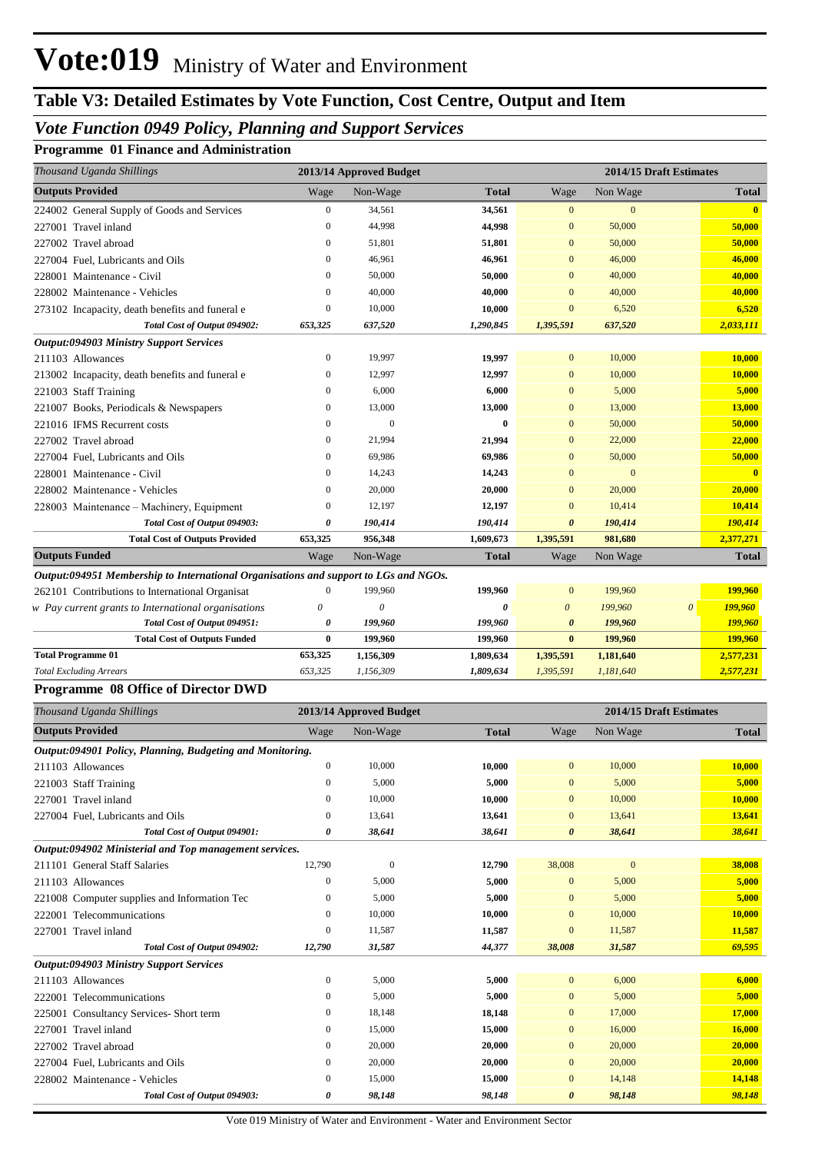# **Table V3: Detailed Estimates by Vote Function, Cost Centre, Output and Item**

## *Vote Function 0949 Policy, Planning and Support Services*

#### **Programme 01 Finance and Administration**

| Thousand Uganda Shillings                                                            |                  | 2013/14 Approved Budget   |              |                       |              | 2014/15 Draft Estimates          |                         |
|--------------------------------------------------------------------------------------|------------------|---------------------------|--------------|-----------------------|--------------|----------------------------------|-------------------------|
| <b>Outputs Provided</b>                                                              | Wage             | Non-Wage                  | Total        | Wage                  | Non Wage     |                                  | <b>Total</b>            |
| 224002 General Supply of Goods and Services                                          | $\boldsymbol{0}$ | 34,561                    | 34,561       | $\mathbf{0}$          | $\mathbf{0}$ |                                  | $\mathbf{0}$            |
| 227001 Travel inland                                                                 | $\boldsymbol{0}$ | 44,998                    | 44,998       | $\boldsymbol{0}$      | 50,000       |                                  | 50,000                  |
| 227002 Travel abroad                                                                 | $\boldsymbol{0}$ | 51,801                    | 51,801       | $\bf{0}$              | 50,000       |                                  | 50,000                  |
| 227004 Fuel, Lubricants and Oils                                                     | $\boldsymbol{0}$ | 46,961                    | 46,961       | $\bf{0}$              | 46,000       |                                  | 46,000                  |
| 228001 Maintenance - Civil                                                           | $\boldsymbol{0}$ | 50,000                    | 50,000       | $\bf{0}$              | 40,000       |                                  | 40,000                  |
| 228002 Maintenance - Vehicles                                                        | $\mathbf{0}$     | 40,000                    | 40,000       | $\mathbf{0}$          | 40,000       |                                  | 40,000                  |
| 273102 Incapacity, death benefits and funeral e                                      | $\boldsymbol{0}$ | 10,000                    | 10,000       | $\mathbf{0}$          | 6,520        |                                  | 6,520                   |
| Total Cost of Output 094902:                                                         | 653,325          | 637,520                   | 1,290,845    | 1,395,591             | 637,520      | 2,033,111                        |                         |
| <b>Output:094903 Ministry Support Services</b>                                       |                  |                           |              |                       |              |                                  |                         |
| 211103 Allowances                                                                    | $\boldsymbol{0}$ | 19,997                    | 19,997       | $\mathbf{0}$          | 10,000       |                                  | 10,000                  |
| 213002 Incapacity, death benefits and funeral e                                      | $\boldsymbol{0}$ | 12,997                    | 12,997       | $\mathbf{0}$          | 10,000       |                                  | 10,000                  |
| 221003 Staff Training                                                                | $\boldsymbol{0}$ | 6,000                     | 6,000        | $\mathbf{0}$          | 5,000        |                                  | 5,000                   |
| 221007 Books, Periodicals & Newspapers                                               | $\boldsymbol{0}$ | 13,000                    | 13,000       | $\mathbf{0}$          | 13,000       |                                  | 13,000                  |
| 221016 IFMS Recurrent costs                                                          | $\mathbf{0}$     | $\bf{0}$                  | $\bf{0}$     | $\mathbf{0}$          | 50,000       |                                  | 50,000                  |
| 227002 Travel abroad                                                                 | $\mathbf{0}$     | 21,994                    | 21,994       | $\mathbf{0}$          | 22,000       |                                  | 22,000                  |
| 227004 Fuel, Lubricants and Oils                                                     | $\boldsymbol{0}$ | 69,986                    | 69,986       | $\mathbf{0}$          | 50,000       |                                  | 50,000                  |
| 228001 Maintenance - Civil                                                           | $\mathbf{0}$     | 14,243                    | 14,243       | $\mathbf{0}$          | $\mathbf{0}$ |                                  | $\overline{\mathbf{0}}$ |
| 228002 Maintenance - Vehicles                                                        | $\mathbf{0}$     | 20,000                    | 20,000       | $\mathbf{0}$          | 20,000       |                                  | 20,000                  |
| 228003 Maintenance – Machinery, Equipment                                            | $\boldsymbol{0}$ | 12,197                    | 12,197       | $\mathbf{0}$          | 10,414       |                                  | 10,414                  |
| Total Cost of Output 094903:                                                         | 0                | 190,414                   | 190,414      | $\boldsymbol{\theta}$ | 190,414      | 190,414                          |                         |
| <b>Total Cost of Outputs Provided</b>                                                | 653,325          | 956,348                   | 1,609,673    | 1,395,591             | 981,680      | 2,377,271                        |                         |
| <b>Outputs Funded</b>                                                                | Wage             | Non-Wage                  | <b>Total</b> | Wage                  | Non Wage     |                                  | <b>Total</b>            |
| Output:094951 Membership to International Organisations and support to LGs and NGOs. |                  |                           |              |                       |              |                                  |                         |
| 262101 Contributions to International Organisat                                      | 0                | 199,960                   | 199,960      | $\mathbf{0}$          | 199,960      | 199,960                          |                         |
| w Pay current grants to International organisations                                  | 0                | $\boldsymbol{\mathit{0}}$ | 0            | $\boldsymbol{\theta}$ | 199,960      | 199,960<br>$\boldsymbol{\theta}$ |                         |
| Total Cost of Output 094951:                                                         | 0                | 199,960                   | 199,960      | $\boldsymbol{\theta}$ | 199,960      | 199,960                          |                         |
| <b>Total Cost of Outputs Funded</b>                                                  | $\bf{0}$         | 199,960                   | 199,960      | $\bf{0}$              | 199,960      | 199,960                          |                         |
| <b>Total Programme 01</b>                                                            | 653,325          | 1,156,309                 | 1,809,634    | 1,395,591             | 1,181,640    | 2,577,231                        |                         |
| <b>Total Excluding Arrears</b>                                                       | 653,325          | 1,156,309                 | 1,809,634    | 1,395,591             | 1,181,640    | 2,577,231                        |                         |
| Programme 08 Office of Director DWD                                                  |                  |                           |              |                       |              |                                  |                         |
| Thousand Uganda Shillings                                                            |                  | 2013/14 Approved Budget   |              |                       |              | 2014/15 Draft Estimates          |                         |
| <b>Outputs Provided</b>                                                              | Wage             | Non-Wage                  | <b>Total</b> | Wage                  | Non Wage     |                                  | <b>Total</b>            |
| Output:094901 Policy, Planning, Budgeting and Monitoring.                            |                  |                           |              |                       |              |                                  |                         |
| 211103 Allowances                                                                    | $\boldsymbol{0}$ | 10,000                    | 10,000       | $\mathbf{0}$          | 10,000       |                                  | 10,000                  |
| 221003 Staff Training                                                                | $\boldsymbol{0}$ | 5,000                     | 5,000        | $\boldsymbol{0}$      | 5,000        |                                  | 5,000                   |
| 227001 Travel inland                                                                 | $\boldsymbol{0}$ | 10,000                    | 10,000       | $\mathbf{0}$          | 10,000       |                                  | 10,000                  |
| 227004 Fuel, Lubricants and Oils                                                     | $\boldsymbol{0}$ | 13,641                    | 13,641       | $\boldsymbol{0}$      | 13,641       |                                  | 13,641                  |
| Total Cost of Output 094901:                                                         | 0                | 38,641                    | 38,641       | 0                     | 38,641       |                                  | 38,641                  |
| Output:094902 Ministerial and Top management services.                               |                  |                           |              |                       |              |                                  |                         |
| 211101 General Staff Salaries                                                        | 12,790           | $\boldsymbol{0}$          | 12,790       | 38,008                | $\mathbf{0}$ |                                  | 38,008                  |
| 211103 Allowances                                                                    | $\boldsymbol{0}$ | 5,000                     | 5,000        | $\boldsymbol{0}$      | 5,000        |                                  | 5,000                   |
| 221008 Computer supplies and Information Tec                                         | $\boldsymbol{0}$ | 5,000                     | 5,000        | $\boldsymbol{0}$      | 5,000        |                                  | 5,000                   |
| 222001 Telecommunications                                                            | $\boldsymbol{0}$ | 10,000                    | 10,000       | $\boldsymbol{0}$      | 10,000       |                                  | 10,000                  |
| 227001 Travel inland                                                                 | $\boldsymbol{0}$ | 11,587                    | 11,587       | $\boldsymbol{0}$      | 11,587       |                                  | 11,587                  |
| Total Cost of Output 094902:                                                         | 12,790           | 31,587                    | 44,377       | 38,008                | 31,587       |                                  | 69,595                  |
| <b>Output:094903 Ministry Support Services</b>                                       |                  |                           |              |                       |              |                                  |                         |
| 211103 Allowances                                                                    | $\boldsymbol{0}$ | 5,000                     | 5,000        | $\mathbf{0}$          | 6,000        |                                  | 6,000                   |
| 222001 Telecommunications                                                            | $\boldsymbol{0}$ | 5,000                     | 5,000        | $\boldsymbol{0}$      | 5,000        |                                  | 5,000                   |
| 225001 Consultancy Services- Short term                                              | $\boldsymbol{0}$ | 18,148                    | 18,148       | $\mathbf{0}$          | 17,000       |                                  | 17,000                  |

227001 Travel inland 0 15,000 **15,000** 0 16,000 **16,000** 227002 Travel abroad 0 20,000 **20,000** 0 20,000 **20,000** 227004 Fuel, Lubricants and Oils 0 20,000 **20,000** 0 20,000 **20,000** 228002 Maintenance - Vehicles 0 15,000 **15,000** 0 14,148 **14,148**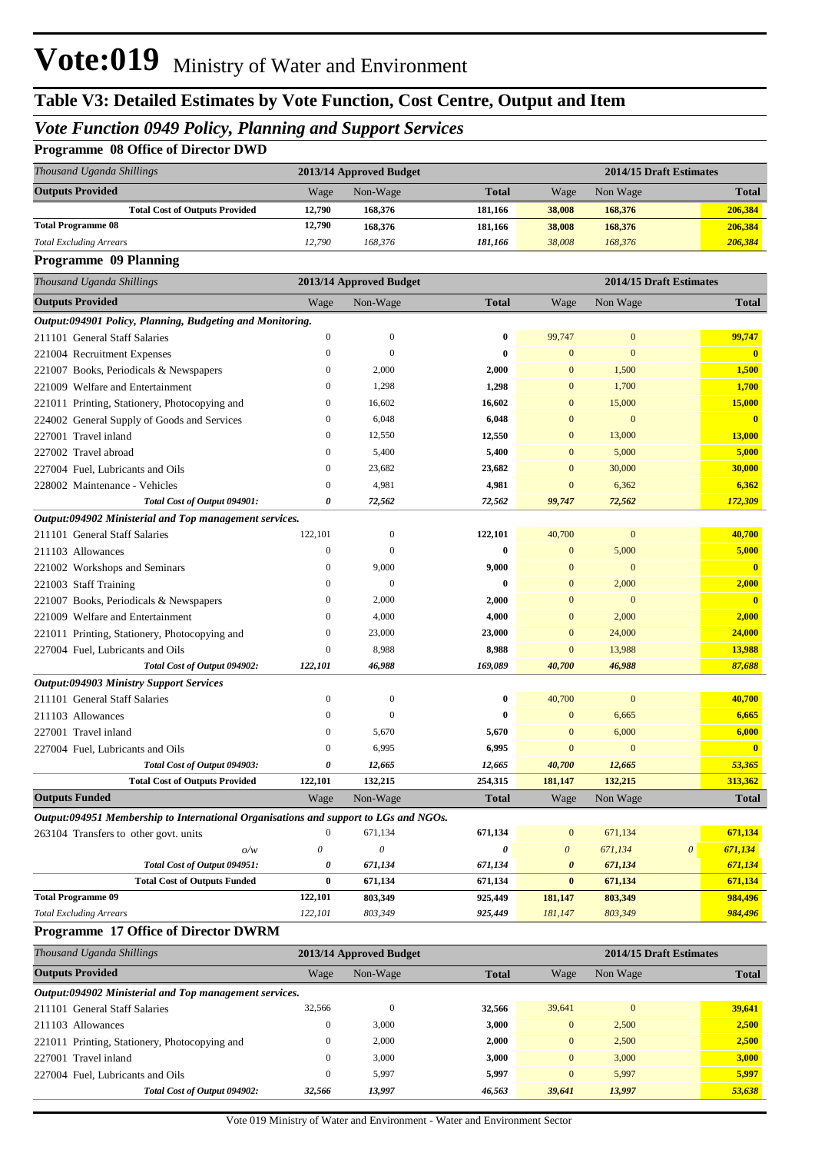# **Table V3: Detailed Estimates by Vote Function, Cost Centre, Output and Item**

## *Vote Function 0949 Policy, Planning and Support Services*

## **Programme 08 Office of Director DWD**

| Thousand Uganda Shillings             | 2013/14 Approved Budget |          |              |        | 2014/15 Draft Estimates |              |  |  |
|---------------------------------------|-------------------------|----------|--------------|--------|-------------------------|--------------|--|--|
| <b>Outputs Provided</b>               | Wage                    | Non-Wage | <b>Total</b> | Wage   | Non Wage                | <b>Total</b> |  |  |
| <b>Total Cost of Outputs Provided</b> | 12,790                  | 168,376  | 181.166      | 38,008 | 168,376                 | 206,384      |  |  |
| <b>Total Programme 08</b>             | 12,790                  | 168,376  | 181.166      | 38,008 | 168,376                 | 206,384      |  |  |
| <b>Total Excluding Arrears</b>        | 12.790                  | 168.376  | 181.166      | 38,008 | 168,376                 | 206,384      |  |  |

**Programme 09 Planning**

| Thousand Uganda Shillings                                                            |                       | 2013/14 Approved Budget |                       | 2014/15 Draft Estimates |                |                       |                         |
|--------------------------------------------------------------------------------------|-----------------------|-------------------------|-----------------------|-------------------------|----------------|-----------------------|-------------------------|
| <b>Outputs Provided</b>                                                              | Wage                  | Non-Wage                | <b>Total</b>          | Wage                    | Non Wage       |                       | <b>Total</b>            |
| Output:094901 Policy, Planning, Budgeting and Monitoring.                            |                       |                         |                       |                         |                |                       |                         |
| 211101 General Staff Salaries                                                        | $\boldsymbol{0}$      | $\boldsymbol{0}$        | $\bf{0}$              | 99,747                  | $\mathbf{0}$   |                       | 99,747                  |
| 221004 Recruitment Expenses                                                          | $\boldsymbol{0}$      | $\mathbf{0}$            | $\bf{0}$              | $\mathbf{0}$            | $\mathbf{0}$   |                       | $\overline{0}$          |
| 221007 Books, Periodicals & Newspapers                                               | $\mathbf{0}$          | 2,000                   | 2,000                 | $\mathbf{0}$            | 1,500          |                       | 1,500                   |
| 221009 Welfare and Entertainment                                                     | $\boldsymbol{0}$      | 1,298                   | 1,298                 | $\bf{0}$                | 1,700          |                       | 1,700                   |
| 221011 Printing, Stationery, Photocopying and                                        | $\overline{0}$        | 16,602                  | 16,602                | $\overline{0}$          | 15,000         |                       | 15,000                  |
| 224002 General Supply of Goods and Services                                          | $\boldsymbol{0}$      | 6,048                   | 6,048                 | $\overline{0}$          | $\mathbf{0}$   |                       | $\overline{\mathbf{0}}$ |
| 227001 Travel inland                                                                 | $\boldsymbol{0}$      | 12,550                  | 12,550                | $\mathbf{0}$            | 13,000         |                       | 13,000                  |
| 227002 Travel abroad                                                                 | $\mathbf{0}$          | 5,400                   | 5,400                 | $\overline{0}$          | 5,000          |                       | 5,000                   |
| 227004 Fuel, Lubricants and Oils                                                     | $\boldsymbol{0}$      | 23,682                  | 23,682                | $\bf{0}$                | 30,000         |                       | 30,000                  |
| 228002 Maintenance - Vehicles                                                        | $\overline{0}$        | 4,981                   | 4,981                 | $\overline{0}$          | 6,362          |                       | 6,362                   |
| Total Cost of Output 094901:                                                         | 0                     | 72,562                  | 72,562                | 99,747                  | 72,562         |                       | 172,309                 |
| Output:094902 Ministerial and Top management services.                               |                       |                         |                       |                         |                |                       |                         |
| 211101 General Staff Salaries                                                        | 122,101               | $\boldsymbol{0}$        | 122,101               | 40,700                  | $\overline{0}$ |                       | 40,700                  |
| 211103 Allowances                                                                    | $\boldsymbol{0}$      | $\mathbf{0}$            | $\bf{0}$              | $\mathbf{0}$            | 5,000          |                       | 5,000                   |
| 221002 Workshops and Seminars                                                        | $\mathbf{0}$          | 9,000                   | 9,000                 | $\overline{0}$          | $\mathbf{0}$   |                       | $\mathbf{0}$            |
| 221003 Staff Training                                                                | $\boldsymbol{0}$      | $\mathbf{0}$            | $\bf{0}$              | $\bf{0}$                | 2,000          |                       | 2,000                   |
| 221007 Books, Periodicals & Newspapers                                               | $\boldsymbol{0}$      | 2,000                   | 2,000                 | $\mathbf{0}$            | $\mathbf{0}$   |                       | $\mathbf{0}$            |
| 221009 Welfare and Entertainment                                                     | $\overline{0}$        | 4,000                   | 4,000                 | $\overline{0}$          | 2,000          |                       | 2,000                   |
| 221011 Printing, Stationery, Photocopying and                                        | $\boldsymbol{0}$      | 23,000                  | 23,000                | $\bf{0}$                | 24,000         |                       | 24,000                  |
| 227004 Fuel, Lubricants and Oils                                                     | $\overline{0}$        | 8,988                   | 8,988                 | $\overline{0}$          | 13,988         |                       | 13,988                  |
| Total Cost of Output 094902:                                                         | 122,101               | 46,988                  | 169,089               | 40,700                  | 46,988         |                       | 87,688                  |
| Output:094903 Ministry Support Services                                              |                       |                         |                       |                         |                |                       |                         |
| 211101 General Staff Salaries                                                        | $\boldsymbol{0}$      | $\mathbf{0}$            | $\bf{0}$              | 40,700                  | $\mathbf{0}$   |                       | 40,700                  |
| 211103 Allowances                                                                    | $\overline{0}$        | $\overline{0}$          | $\bf{0}$              | $\mathbf{0}$            | 6,665          |                       | 6,665                   |
| 227001 Travel inland                                                                 | $\mathbf{0}$          | 5,670                   | 5,670                 | $\overline{0}$          | 6,000          |                       | 6,000                   |
| 227004 Fuel, Lubricants and Oils                                                     | $\mathbf{0}$          | 6,995                   | 6,995                 | $\mathbf{0}$            | $\mathbf{0}$   |                       | $\mathbf{0}$            |
| Total Cost of Output 094903:                                                         | $\pmb{\theta}$        | 12,665                  | 12,665                | 40,700                  | 12,665         |                       | 53,365                  |
| <b>Total Cost of Outputs Provided</b>                                                | 122,101               | 132,215                 | 254,315               | 181,147                 | 132,215        |                       | 313,362                 |
| <b>Outputs Funded</b>                                                                | Wage                  | Non-Wage                | <b>Total</b>          | Wage                    | Non Wage       |                       | <b>Total</b>            |
| Output:094951 Membership to International Organisations and support to LGs and NGOs. |                       |                         |                       |                         |                |                       |                         |
| 263104 Transfers to other govt. units                                                | $\boldsymbol{0}$      | 671,134                 | 671,134               | $\mathbf{0}$            | 671,134        |                       | 671,134                 |
| o/w                                                                                  | $\theta$              | $\boldsymbol{\theta}$   | $\boldsymbol{\theta}$ | $\boldsymbol{\theta}$   | 671,134        | $\boldsymbol{\theta}$ | 671,134                 |
| Total Cost of Output 094951:                                                         | $\boldsymbol{\theta}$ | 671,134                 | 671,134               | $\boldsymbol{\theta}$   | 671,134        |                       | 671,134                 |
| <b>Total Cost of Outputs Funded</b>                                                  | $\bf{0}$              | 671,134                 | 671,134               | $\bf{0}$                | 671,134        |                       | 671,134                 |
| <b>Total Programme 09</b>                                                            | 122,101               | 803,349                 | 925,449               | 181,147                 | 803,349        |                       | 984,496                 |
| <b>Total Excluding Arrears</b>                                                       | 122,101               | 803,349                 | 925,449               | 181,147                 | 803,349        |                       | 984,496                 |
| Programme 17 Office of Director DWRM                                                 |                       |                         |                       |                         |                |                       |                         |

| Thousand Uganda Shillings                              |          | 2013/14 Approved Budget |              |                | 2014/15 Draft Estimates |              |  |  |  |  |
|--------------------------------------------------------|----------|-------------------------|--------------|----------------|-------------------------|--------------|--|--|--|--|
| <b>Outputs Provided</b>                                | Wage     | Non-Wage                | <b>Total</b> | Wage           | Non Wage                | <b>Total</b> |  |  |  |  |
| Output:094902 Ministerial and Top management services. |          |                         |              |                |                         |              |  |  |  |  |
| 211101 General Staff Salaries                          | 32,566   | $\mathbf{0}$            | 32,566       | 39,641         | $\Omega$                | 39,641       |  |  |  |  |
| 211103 Allowances                                      | 0        | 3,000                   | 3,000        | $\overline{0}$ | 2,500                   | 2,500        |  |  |  |  |
| 221011 Printing, Stationery, Photocopying and          | $\theta$ | 2,000                   | 2,000        | $\overline{0}$ | 2,500                   | 2,500        |  |  |  |  |
| 227001 Travel inland                                   | $\Omega$ | 3,000                   | 3.000        | $\overline{0}$ | 3,000                   | 3,000        |  |  |  |  |
| 227004 Fuel, Lubricants and Oils                       | $\theta$ | 5.997                   | 5,997        | $\Omega$       | 5,997                   | 5,997        |  |  |  |  |
| Total Cost of Output 094902:                           | 32,566   | 13,997                  | 46,563       | 39,641         | 13,997                  | 53,638       |  |  |  |  |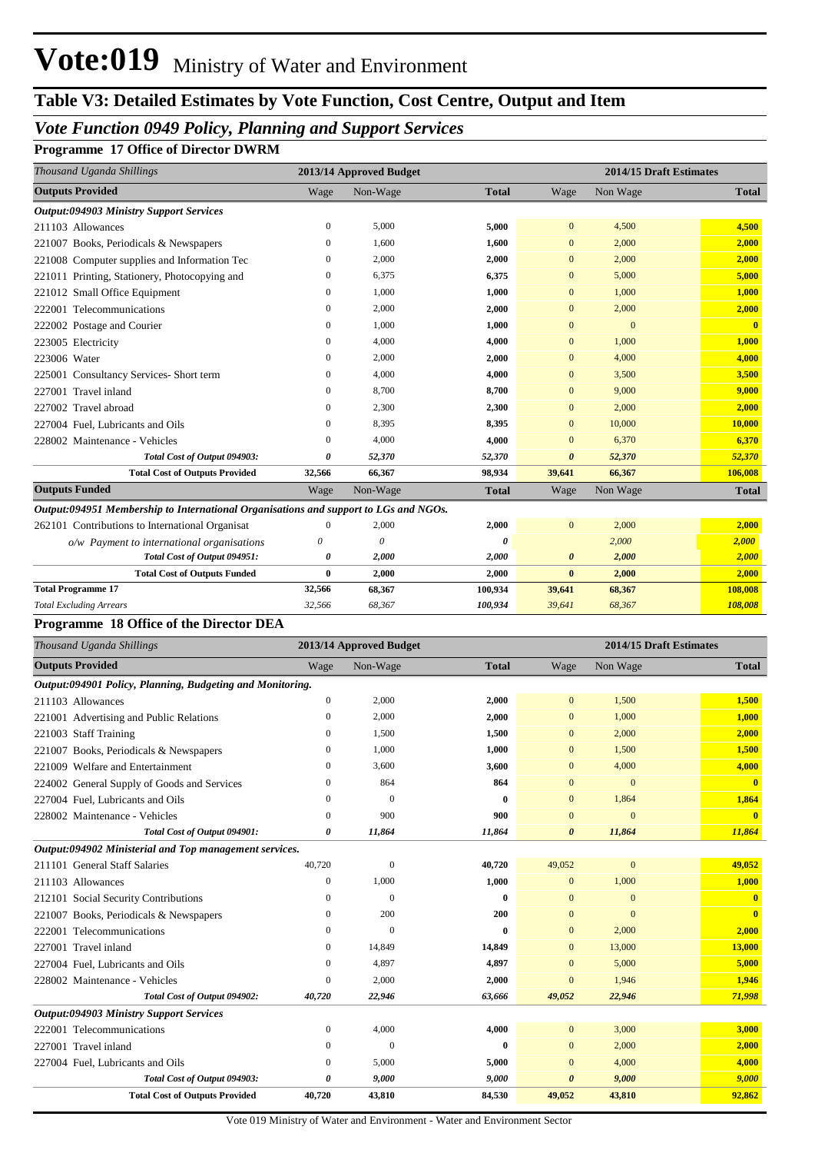# **Table V3: Detailed Estimates by Vote Function, Cost Centre, Output and Item**

## *Vote Function 0949 Policy, Planning and Support Services*

**Programme 17 Office of Director DWRM**

|              |                                                |              |                                                                                                                 |                | 2014/15 Draft Estimates |
|--------------|------------------------------------------------|--------------|-----------------------------------------------------------------------------------------------------------------|----------------|-------------------------|
| Wage         | Non-Wage                                       | <b>Total</b> | Wage                                                                                                            | Non Wage       | <b>Total</b>            |
|              |                                                |              |                                                                                                                 |                |                         |
| $\mathbf{0}$ | 5,000                                          | 5,000        | $\overline{0}$                                                                                                  | 4,500          | 4,500                   |
| $\mathbf{0}$ | 1.600                                          | 1,600        | $\mathbf{0}$                                                                                                    | 2,000          | 2,000                   |
| $\mathbf{0}$ | 2,000                                          | 2,000        | $\mathbf{0}$                                                                                                    | 2,000          | 2,000                   |
| $\mathbf{0}$ | 6,375                                          | 6,375        | $\mathbf{0}$                                                                                                    | 5,000          | 5,000                   |
| $\Omega$     | 1,000                                          | 1,000        | $\mathbf{0}$                                                                                                    | 1,000          | 1,000                   |
| $\Omega$     | 2,000                                          | 2,000        | $\Omega$                                                                                                        | 2,000          | 2,000                   |
| $\mathbf{0}$ | 1.000                                          | 1,000        | $\mathbf{0}$                                                                                                    | $\overline{0}$ | $\overline{\mathbf{0}}$ |
| $\mathbf{0}$ | 4,000                                          | 4,000        | $\mathbf{0}$                                                                                                    | 1,000          | 1,000                   |
| $\Omega$     | 2,000                                          | 2,000        | $\Omega$                                                                                                        | 4,000          | 4,000                   |
| $\mathbf{0}$ | 4.000                                          | 4,000        | $\mathbf{0}$                                                                                                    | 3.500          | 3,500                   |
| $\mathbf{0}$ | 8,700                                          | 8,700        | $\mathbf{0}$                                                                                                    | 9,000          | 9,000                   |
| $\Omega$     | 2,300                                          | 2,300        | $\Omega$                                                                                                        | 2,000          | 2,000                   |
| $\mathbf{0}$ | 8,395                                          | 8,395        | $\Omega$                                                                                                        | 10,000         | 10,000                  |
| $\mathbf{0}$ | 4.000                                          | 4,000        | $\overline{0}$                                                                                                  | 6.370          | 6,370                   |
| 0            | 52,370                                         | 52,370       | $\theta$                                                                                                        | 52,370         | 52,370                  |
| 32,566       | 66,367                                         | 98,934       | 39,641                                                                                                          | 66,367         | 106,008                 |
| Wage         | Non-Wage                                       | <b>Total</b> | Wage                                                                                                            | Non Wage       | <b>Total</b>            |
|              |                                                |              |                                                                                                                 |                |                         |
| $\theta$     | 2.000                                          | 2,000        | $\overline{0}$                                                                                                  | 2,000          | 2,000                   |
| 0            | $\theta$                                       | $\theta$     |                                                                                                                 | 2,000          | 2,000                   |
| 0            | 2,000                                          | 2,000        | $\boldsymbol{\theta}$                                                                                           | 2,000          | 2,000                   |
| $\bf{0}$     | 2,000                                          | 2,000        | $\bf{0}$                                                                                                        | 2,000          | 2,000                   |
| 32,566       | 68,367                                         | 100,934      | 39,641                                                                                                          | 68,367         | 108,008                 |
| 32,566       | 68,367                                         | 100,934      | 39,641                                                                                                          | 68,367         | 108,008                 |
|              |                                                |              |                                                                                                                 |                |                         |
|              | <b>Programme 18 Office of the Director DEA</b> |              | 2013/14 Approved Budget<br>Output:094951 Membership to International Organisations and support to LGs and NGOs. |                |                         |

| Thousand Uganda Shillings                                 |                  | 2013/14 Approved Budget |              | 2014/15 Draft Estimates |                |                         |
|-----------------------------------------------------------|------------------|-------------------------|--------------|-------------------------|----------------|-------------------------|
| <b>Outputs Provided</b>                                   | Wage             | Non-Wage                | <b>Total</b> | Wage                    | Non Wage       | <b>Total</b>            |
| Output:094901 Policy, Planning, Budgeting and Monitoring. |                  |                         |              |                         |                |                         |
| 211103 Allowances                                         | $\boldsymbol{0}$ | 2,000                   | 2,000        | $\mathbf{0}$            | 1,500          | 1,500                   |
| 221001 Advertising and Public Relations                   | $\mathbf{0}$     | 2,000                   | 2,000        | $\mathbf{0}$            | 1,000          | 1,000                   |
| 221003 Staff Training                                     | $\mathbf{0}$     | 1,500                   | 1,500        | $\mathbf{0}$            | 2,000          | 2,000                   |
| 221007 Books, Periodicals & Newspapers                    | $\mathbf{0}$     | 1,000                   | 1,000        | $\mathbf{0}$            | 1,500          | 1,500                   |
| 221009 Welfare and Entertainment                          | $\Omega$         | 3,600                   | 3,600        | $\Omega$                | 4,000          | 4,000                   |
| 224002 General Supply of Goods and Services               | $\mathbf{0}$     | 864                     | 864          | $\mathbf{0}$            | $\overline{0}$ | $\overline{\mathbf{0}}$ |
| 227004 Fuel, Lubricants and Oils                          | $\mathbf{0}$     | $\Omega$                | $\bf{0}$     | $\mathbf{0}$            | 1,864          | 1,864                   |
| 228002 Maintenance - Vehicles                             | $\mathbf{0}$     | 900                     | 900          | $\mathbf{0}$            | $\overline{0}$ | $\bf{0}$                |
| Total Cost of Output 094901:                              | 0                | 11,864                  | 11,864       | $\boldsymbol{\theta}$   | 11,864         | 11,864                  |
| Output:094902 Ministerial and Top management services.    |                  |                         |              |                         |                |                         |
| 211101 General Staff Salaries                             | 40,720           | $\mathbf{0}$            | 40,720       | 49,052                  | $\mathbf{0}$   | 49,052                  |
| 211103 Allowances                                         | $\mathbf{0}$     | 1,000                   | 1,000        | $\mathbf{0}$            | 1,000          | 1,000                   |
| 212101 Social Security Contributions                      | $\mathbf{0}$     | $\Omega$                | $\mathbf{0}$ | $\mathbf{0}$            | $\mathbf{0}$   | $\mathbf{0}$            |
| 221007 Books, Periodicals & Newspapers                    | $\mathbf{0}$     | 200                     | 200          | $\mathbf{0}$            | $\Omega$       | $\overline{\mathbf{0}}$ |
| 222001 Telecommunications                                 | $\Omega$         | $\theta$                | $\mathbf{0}$ | $\mathbf{0}$            | 2,000          | 2,000                   |
| 227001 Travel inland                                      | $\Omega$         | 14,849                  | 14,849       | $\mathbf{0}$            | 13,000         | 13,000                  |
| 227004 Fuel, Lubricants and Oils                          | $\mathbf{0}$     | 4,897                   | 4,897        | $\Omega$                | 5,000          | 5,000                   |
| 228002 Maintenance - Vehicles                             | $\Omega$         | 2,000                   | 2,000        | $\Omega$                | 1,946          | 1,946                   |
| Total Cost of Output 094902:                              | 40,720           | 22,946                  | 63,666       | 49,052                  | 22,946         | 71,998                  |
| <b>Output:094903 Ministry Support Services</b>            |                  |                         |              |                         |                |                         |
| 222001 Telecommunications                                 | $\mathbf{0}$     | 4,000                   | 4,000        | $\mathbf{0}$            | 3,000          | 3,000                   |
| 227001 Travel inland                                      | $\mathbf{0}$     | $\Omega$                | $\mathbf{0}$ | $\mathbf{0}$            | 2,000          | 2,000                   |
| 227004 Fuel, Lubricants and Oils                          | $\mathbf{0}$     | 5,000                   | 5,000        | $\mathbf{0}$            | 4,000          | 4,000                   |
| Total Cost of Output 094903:                              | 0                | 9,000                   | 9,000        | $\boldsymbol{\theta}$   | 9,000          | 9,000                   |
| <b>Total Cost of Outputs Provided</b>                     | 40,720           | 43,810                  | 84,530       | 49,052                  | 43,810         | 92,862                  |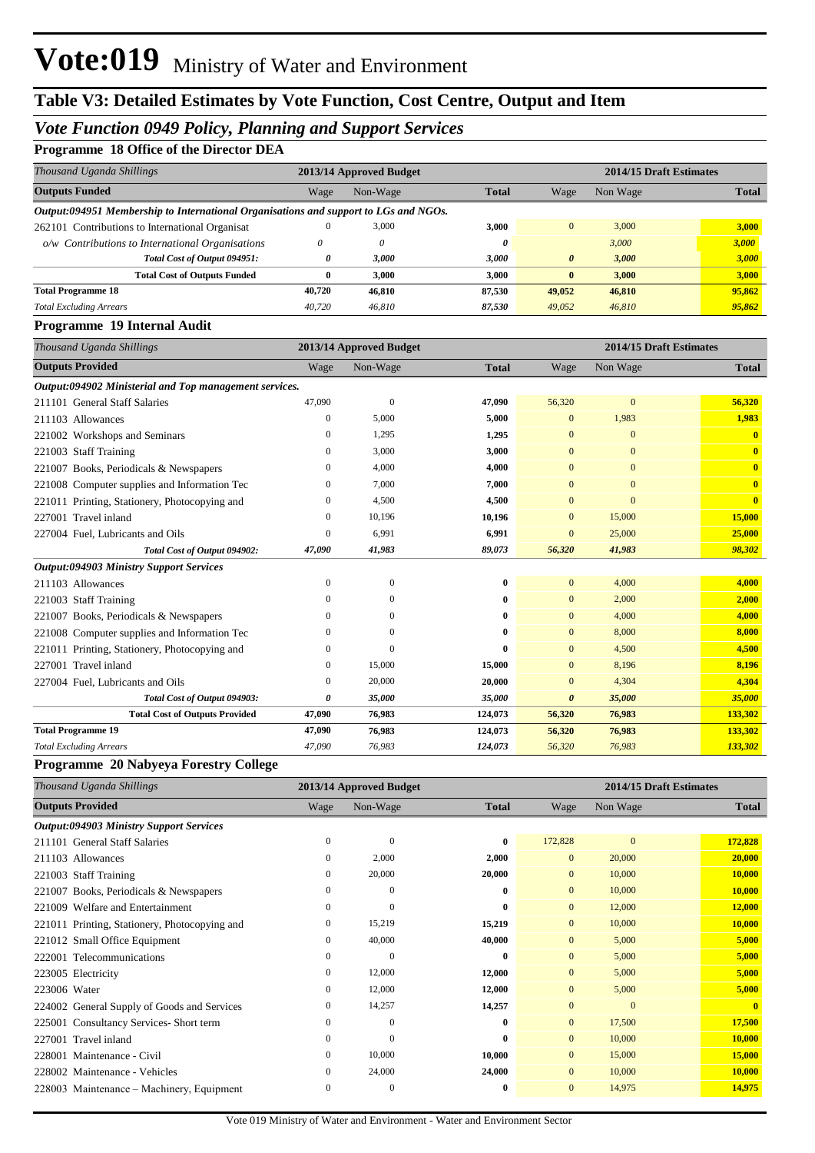## *Vote Function 0949 Policy, Planning and Support Services*

### **Programme 18 Office of the Director DEA**

| Thousand Uganda Shillings                                                            |                | 2013/14 Approved Budget |              |                       | 2014/15 Draft Estimates |              |
|--------------------------------------------------------------------------------------|----------------|-------------------------|--------------|-----------------------|-------------------------|--------------|
| <b>Outputs Funded</b>                                                                | Wage           | Non-Wage                | <b>Total</b> | Wage                  | Non Wage                | <b>Total</b> |
| Output:094951 Membership to International Organisations and support to LGs and NGOs. |                |                         |              |                       |                         |              |
| 262101 Contributions to International Organisat                                      |                | 3,000                   | 3,000        | $\mathbf{0}$          | 3,000                   | 3,000        |
| o/w Contributions to International Organisations                                     | 0              | 0                       | 0            |                       | 3,000                   | 3,000        |
| Total Cost of Output 094951:                                                         | 0              | 3,000                   | 3,000        | $\boldsymbol{\theta}$ | 3,000                   | 3,000        |
| <b>Total Cost of Outputs Funded</b>                                                  | $\bf{0}$       | 3,000                   | 3,000        | $\bf{0}$              | 3,000                   | 3,000        |
| <b>Total Programme 18</b>                                                            | 40,720         | 46,810                  | 87,530       | 49,052                | 46,810                  | 95,862       |
| <b>Total Excluding Arrears</b>                                                       | 40,720         | 46,810                  | 87,530       | 49,052                | 46,810                  | 95,862       |
| Programme 19 Internal Audit                                                          |                |                         |              |                       |                         |              |
| Thousand Uganda Shillings                                                            |                | 2013/14 Approved Budget |              |                       | 2014/15 Draft Estimates |              |
| <b>Outputs Provided</b>                                                              | Wage           | Non-Wage                | <b>Total</b> | Wage                  | Non Wage                | <b>Total</b> |
| Output:094902 Ministerial and Top management services.                               |                |                         |              |                       |                         |              |
| 211101 General Staff Salaries                                                        | 47,090         | $\mathbf{0}$            | 47,090       | 56,320                | $\boldsymbol{0}$        | 56,320       |
| 211103 Allowances                                                                    | $\overline{0}$ | 5,000                   | 5,000        | $\boldsymbol{0}$      | 1,983                   | 1,983        |
| 221002 Workshops and Seminars                                                        | $\overline{0}$ | 1,295                   | 1,295        | $\overline{0}$        | $\mathbf{0}$            | $\bf{0}$     |
| 221003 Staff Training                                                                | $\mathbf{0}$   | 3,000                   | 3,000        | $\overline{0}$        | $\overline{0}$          | $\mathbf{0}$ |
| 221007 Books, Periodicals & Newspapers                                               | $\overline{0}$ | 4,000                   | 4,000        | $\overline{0}$        | $\overline{0}$          | $\mathbf{0}$ |
| 221008 Computer supplies and Information Tec                                         | $\overline{0}$ | 7,000                   | 7,000        | $\mathbf{0}$          | $\overline{0}$          | $\mathbf{0}$ |
| 221011 Printing, Stationery, Photocopying and                                        | $\overline{0}$ | 4,500                   | 4,500        | $\mathbf{0}$          | $\mathbf{0}$            | $\mathbf{0}$ |
| 227001 Travel inland                                                                 | 0              | 10,196                  | 10,196       | $\mathbf{0}$          | 15,000                  | 15,000       |
| 227004 Fuel, Lubricants and Oils                                                     | $\theta$       | 6,991                   | 6,991        | $\mathbf{0}$          | 25,000                  | 25,000       |
| Total Cost of Output 094902:                                                         | 47,090         | 41,983                  | 89,073       | 56,320                | 41,983                  | 98,302       |
| <b>Output:094903 Ministry Support Services</b>                                       |                |                         |              |                       |                         |              |
| 211103 Allowances                                                                    | $\overline{0}$ | $\overline{0}$          | $\bf{0}$     | $\mathbf{0}$          | 4,000                   | 4,000        |
| 221003 Staff Training                                                                | $\Omega$       | $\mathbf{0}$            | $\bf{0}$     | $\mathbf{0}$          | 2,000                   | 2,000        |
| 221007 Books, Periodicals & Newspapers                                               | 0              | $\mathbf{0}$            | $\bf{0}$     | $\mathbf{0}$          | 4,000                   | 4,000        |
| 221008 Computer supplies and Information Tec                                         | $\overline{0}$ | $\overline{0}$          | $\bf{0}$     | $\mathbf{0}$          | 8,000                   | 8,000        |
| 221011 Printing, Stationery, Photocopying and                                        | $\theta$       | $\theta$                | 0            | $\overline{0}$        | 4,500                   | 4,500        |
| 227001 Travel inland                                                                 | $\overline{0}$ | 15,000                  | 15,000       | $\mathbf{0}$          | 8,196                   | 8,196        |
| 227004 Fuel, Lubricants and Oils                                                     | 0              | 20,000                  | 20,000       | $\overline{0}$        | 4,304                   | 4,304        |
| Total Cost of Output 094903:                                                         | 0              | 35,000                  | 35,000       | $\boldsymbol{\theta}$ | 35,000                  | 35,000       |
| <b>Total Cost of Outputs Provided</b>                                                | 47,090         | 76,983                  | 124,073      | 56,320                | 76,983                  | 133,302      |
| <b>Total Programme 19</b>                                                            | 47,090         | 76,983                  | 124,073      | 56,320                | 76,983                  | 133,302      |
| <b>Total Excluding Arrears</b>                                                       | 47,090         | 76,983                  | 124,073      | 56,320                | 76,983                  | 133,302      |

### **Programme 20 Nabyeya Forestry College**

| Thousand Uganda Shillings                      |              | 2013/14 Approved Budget |              | 2014/15 Draft Estimates |              |              |
|------------------------------------------------|--------------|-------------------------|--------------|-------------------------|--------------|--------------|
| <b>Outputs Provided</b>                        | Wage         | Non-Wage                | <b>Total</b> | Wage                    | Non Wage     | <b>Total</b> |
| <b>Output:094903 Ministry Support Services</b> |              |                         |              |                         |              |              |
| 211101 General Staff Salaries                  | $\Omega$     | $\mathbf{0}$            | 0            | 172,828                 | $\mathbf{0}$ | 172,828      |
| 211103 Allowances                              | $\mathbf{0}$ | 2,000                   | 2,000        | $\overline{0}$          | 20,000       | 20,000       |
| 221003 Staff Training                          | $\mathbf{0}$ | 20,000                  | 20,000       | $\overline{0}$          | 10,000       | 10,000       |
| 221007 Books, Periodicals & Newspapers         | $\Omega$     | $\mathbf{0}$            | $\bf{0}$     | $\overline{0}$          | 10,000       | 10,000       |
| 221009 Welfare and Entertainment               | $\mathbf{0}$ | $\mathbf{0}$            | 0            | $\mathbf{0}$            | 12,000       | 12,000       |
| 221011 Printing, Stationery, Photocopying and  | 0            | 15,219                  | 15,219       | $\mathbf{0}$            | 10,000       | 10,000       |
| 221012 Small Office Equipment                  | 0            | 40,000                  | 40,000       | $\overline{0}$          | 5,000        | 5,000        |
| 222001 Telecommunications                      | $\mathbf{0}$ | $\Omega$                | 0            | $\overline{0}$          | 5,000        | 5,000        |
| 223005 Electricity                             | $\mathbf{0}$ | 12,000                  | 12,000       | $\overline{0}$          | 5,000        | 5,000        |
| 223006 Water                                   | $\mathbf{0}$ | 12,000                  | 12,000       | $\overline{0}$          | 5,000        | 5,000        |
| 224002 General Supply of Goods and Services    | $\mathbf{0}$ | 14,257                  | 14,257       | $\overline{0}$          | $\Omega$     | $\mathbf{0}$ |
| 225001 Consultancy Services-Short term         | $\mathbf{0}$ | $\Omega$                | 0            | $\overline{0}$          | 17,500       | 17,500       |
| 227001 Travel inland                           | $\Omega$     | $\Omega$                | 0            | $\overline{0}$          | 10,000       | 10,000       |
| 228001 Maintenance - Civil                     | $\mathbf{0}$ | 10,000                  | 10,000       | $\overline{0}$          | 15,000       | 15,000       |
| 228002 Maintenance - Vehicles                  | 0            | 24,000                  | 24,000       | $\overline{0}$          | 10,000       | 10,000       |
| 228003 Maintenance – Machinery, Equipment      | $\Omega$     | $\mathbf{0}$            | 0            | $\overline{0}$          | 14,975       | 14,975       |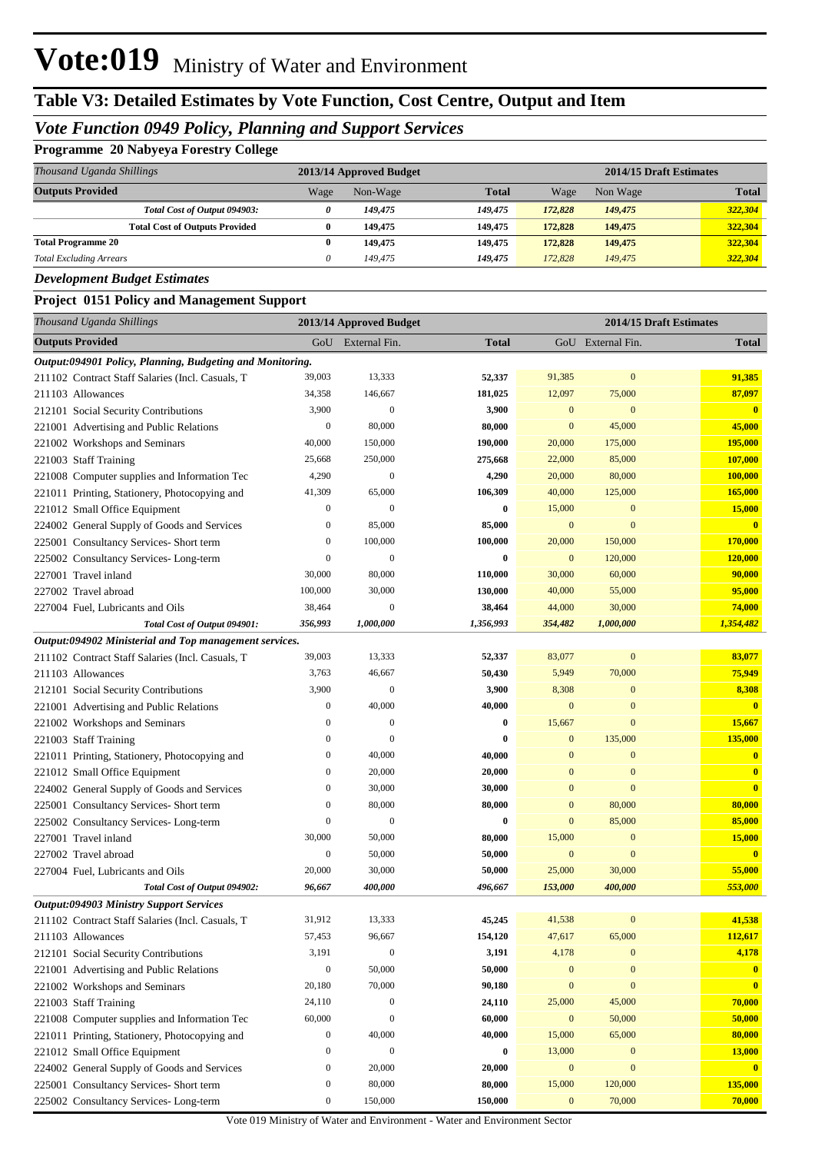# **Table V3: Detailed Estimates by Vote Function, Cost Centre, Output and Item**

## *Vote Function 0949 Policy, Planning and Support Services*

### **Programme 20 Nabyeya Forestry College**

| Thousand Uganda Shillings             |      | 2013/14 Approved Budget |              |         | 2014/15 Draft Estimates |              |  |  |
|---------------------------------------|------|-------------------------|--------------|---------|-------------------------|--------------|--|--|
| <b>Outputs Provided</b>               | Wage | Non-Wage                | <b>Total</b> | Wage    | Non Wage                | <b>Total</b> |  |  |
| Total Cost of Output 094903:          |      | 149,475                 | 149.475      | 172,828 | 149,475                 | 322,304      |  |  |
| <b>Total Cost of Outputs Provided</b> | 0    | 149.475                 | 149,475      | 172,828 | 149,475                 | 322,304      |  |  |
| <b>Total Programme 20</b>             | 0    | 149,475                 | 149,475      | 172,828 | 149.475                 | 322,304      |  |  |
| <b>Total Excluding Arrears</b>        |      | 149.475                 | 149.475      | 172,828 | 149,475                 | 322,304      |  |  |

*Development Budget Estimates*

#### **Project 0151 Policy and Management Support**

| Thousand Uganda Shillings                                 |                  | 2013/14 Approved Budget |              |                  | 2014/15 Draft Estimates |                         |
|-----------------------------------------------------------|------------------|-------------------------|--------------|------------------|-------------------------|-------------------------|
| <b>Outputs Provided</b>                                   |                  | GoU External Fin.       | <b>Total</b> |                  | GoU External Fin.       | <b>Total</b>            |
| Output:094901 Policy, Planning, Budgeting and Monitoring. |                  |                         |              |                  |                         |                         |
| 211102 Contract Staff Salaries (Incl. Casuals, T          | 39,003           | 13,333                  | 52,337       | 91,385           | $\mathbf{0}$            | 91,385                  |
| 211103 Allowances                                         | 34,358           | 146,667                 | 181,025      | 12,097           | 75,000                  | 87,097                  |
| 212101 Social Security Contributions                      | 3,900            | $\mathbf{0}$            | 3,900        | $\mathbf{0}$     | $\bf{0}$                | $\overline{\mathbf{0}}$ |
| 221001 Advertising and Public Relations                   | $\boldsymbol{0}$ | 80,000                  | 80,000       | $\mathbf{0}$     | 45,000                  | 45,000                  |
| 221002 Workshops and Seminars                             | 40,000           | 150,000                 | 190,000      | 20,000           | 175,000                 | 195,000                 |
| 221003 Staff Training                                     | 25,668           | 250,000                 | 275,668      | 22,000           | 85,000                  | 107,000                 |
| 221008 Computer supplies and Information Tec              | 4,290            | $\mathbf{0}$            | 4,290        | 20,000           | 80,000                  | 100,000                 |
| 221011 Printing, Stationery, Photocopying and             | 41,309           | 65,000                  | 106,309      | 40,000           | 125,000                 | 165,000                 |
| 221012 Small Office Equipment                             | $\boldsymbol{0}$ | $\mathbf{0}$            | $\bf{0}$     | 15,000           | $\mathbf{0}$            | <b>15,000</b>           |
| 224002 General Supply of Goods and Services               | $\boldsymbol{0}$ | 85,000                  | 85,000       | $\mathbf{0}$     | $\mathbf{0}$            | $\overline{\mathbf{0}}$ |
| 225001 Consultancy Services- Short term                   | $\boldsymbol{0}$ | 100,000                 | 100,000      | 20,000           | 150,000                 | 170,000                 |
| 225002 Consultancy Services-Long-term                     | $\boldsymbol{0}$ | $\mathbf{0}$            | $\bf{0}$     | $\mathbf{0}$     | 120,000                 | 120,000                 |
| 227001 Travel inland                                      | 30,000           | 80,000                  | 110,000      | 30,000           | 60,000                  | 90,000                  |
| 227002 Travel abroad                                      | 100,000          | 30,000                  | 130,000      | 40,000           | 55,000                  | 95,000                  |
| 227004 Fuel, Lubricants and Oils                          | 38,464           | $\mathbf{0}$            | 38,464       | 44,000           | 30,000                  | 74,000                  |
| Total Cost of Output 094901:                              | 356,993          | 1,000,000               | 1,356,993    | 354,482          | 1,000,000               | 1,354,482               |
| Output:094902 Ministerial and Top management services.    |                  |                         |              |                  |                         |                         |
| 211102 Contract Staff Salaries (Incl. Casuals, T          | 39,003           | 13,333                  | 52,337       | 83,077           | $\mathbf{0}$            | 83,077                  |
| 211103 Allowances                                         | 3,763            | 46,667                  | 50,430       | 5,949            | 70,000                  | 75,949                  |
| 212101 Social Security Contributions                      | 3,900            | $\mathbf{0}$            | 3,900        | 8,308            | $\mathbf{0}$            | 8,308                   |
| 221001 Advertising and Public Relations                   | $\boldsymbol{0}$ | 40,000                  | 40,000       | $\mathbf{0}$     | $\bf{0}$                | $\overline{\mathbf{0}}$ |
| 221002 Workshops and Seminars                             | $\boldsymbol{0}$ | $\boldsymbol{0}$        | $\bf{0}$     | 15,667           | $\mathbf{0}$            | 15,667                  |
| 221003 Staff Training                                     | $\boldsymbol{0}$ | $\boldsymbol{0}$        | $\bf{0}$     | $\mathbf{0}$     | 135,000                 | 135,000                 |
| 221011 Printing, Stationery, Photocopying and             | $\boldsymbol{0}$ | 40,000                  | 40,000       | $\bf{0}$         | $\mathbf{0}$            | $\bf{0}$                |
| 221012 Small Office Equipment                             | $\boldsymbol{0}$ | 20,000                  | 20,000       | $\bf{0}$         | $\mathbf{0}$            | $\mathbf{0}$            |
| 224002 General Supply of Goods and Services               | $\boldsymbol{0}$ | 30,000                  | 30,000       | $\bf{0}$         | $\mathbf{0}$            | $\overline{\mathbf{0}}$ |
| 225001 Consultancy Services- Short term                   | $\boldsymbol{0}$ | 80,000                  | 80,000       | $\mathbf{0}$     | 80,000                  | 80,000                  |
| 225002 Consultancy Services-Long-term                     | $\boldsymbol{0}$ | $\mathbf{0}$            | $\bf{0}$     | $\mathbf{0}$     | 85,000                  | 85,000                  |
| 227001 Travel inland                                      | 30,000           | 50,000                  | 80,000       | 15,000           | $\mathbf{0}$            | <b>15,000</b>           |
| 227002 Travel abroad                                      | $\boldsymbol{0}$ | 50,000                  | 50,000       | $\mathbf{0}$     | $\mathbf{0}$            | $\overline{\mathbf{0}}$ |
| 227004 Fuel, Lubricants and Oils                          | 20,000           | 30,000                  | 50,000       | 25,000           | 30,000                  | 55,000                  |
| Total Cost of Output 094902:                              | 96,667           | 400,000                 | 496,667      | 153,000          | 400,000                 | 553,000                 |
| <b>Output:094903 Ministry Support Services</b>            |                  |                         |              |                  |                         |                         |
| 211102 Contract Staff Salaries (Incl. Casuals, T          | 31,912           | 13,333                  | 45,245       | 41,538           | $\mathbf{0}$            | 41,538                  |
| 211103 Allowances                                         | 57,453           | 96,667                  | 154,120      | 47,617           | 65,000                  | 112,617                 |
| 212101 Social Security Contributions                      | 3,191            | $\boldsymbol{0}$        | 3,191        | 4,178            | $\mathbf{0}$            | 4,178                   |
| 221001 Advertising and Public Relations                   | $\boldsymbol{0}$ | 50,000                  | 50,000       | $\boldsymbol{0}$ | $\bf{0}$                | $\mathbf{0}$            |
| 221002 Workshops and Seminars                             | 20,180           | 70,000                  | 90,180       | $\boldsymbol{0}$ | $\bf{0}$                | $\overline{\mathbf{0}}$ |
| 221003 Staff Training                                     | 24,110           | $\boldsymbol{0}$        | 24,110       | 25,000           | 45,000                  | 70,000                  |
| 221008 Computer supplies and Information Tec              | 60,000           | $\boldsymbol{0}$        | 60,000       | $\mathbf{0}$     | 50,000                  | 50,000                  |
| 221011 Printing, Stationery, Photocopying and             | $\boldsymbol{0}$ | 40,000                  | 40,000       | 15,000           | 65,000                  | 80,000                  |
| 221012 Small Office Equipment                             | $\boldsymbol{0}$ | $\boldsymbol{0}$        | $\bf{0}$     | 13,000           | $\mathbf{0}$            | 13,000                  |
| 224002 General Supply of Goods and Services               | $\boldsymbol{0}$ | 20,000                  | 20,000       | $\boldsymbol{0}$ | $\boldsymbol{0}$        | $\mathbf{0}$            |
| 225001 Consultancy Services- Short term                   | 0                | 80,000                  | 80,000       | 15,000           | 120,000                 | 135,000                 |
| 225002 Consultancy Services-Long-term                     | $\boldsymbol{0}$ | 150,000                 | 150,000      | $\bf{0}$         | 70,000                  | 70,000                  |

Vote 019 Ministry of Water and Environment - Water and Environment Sector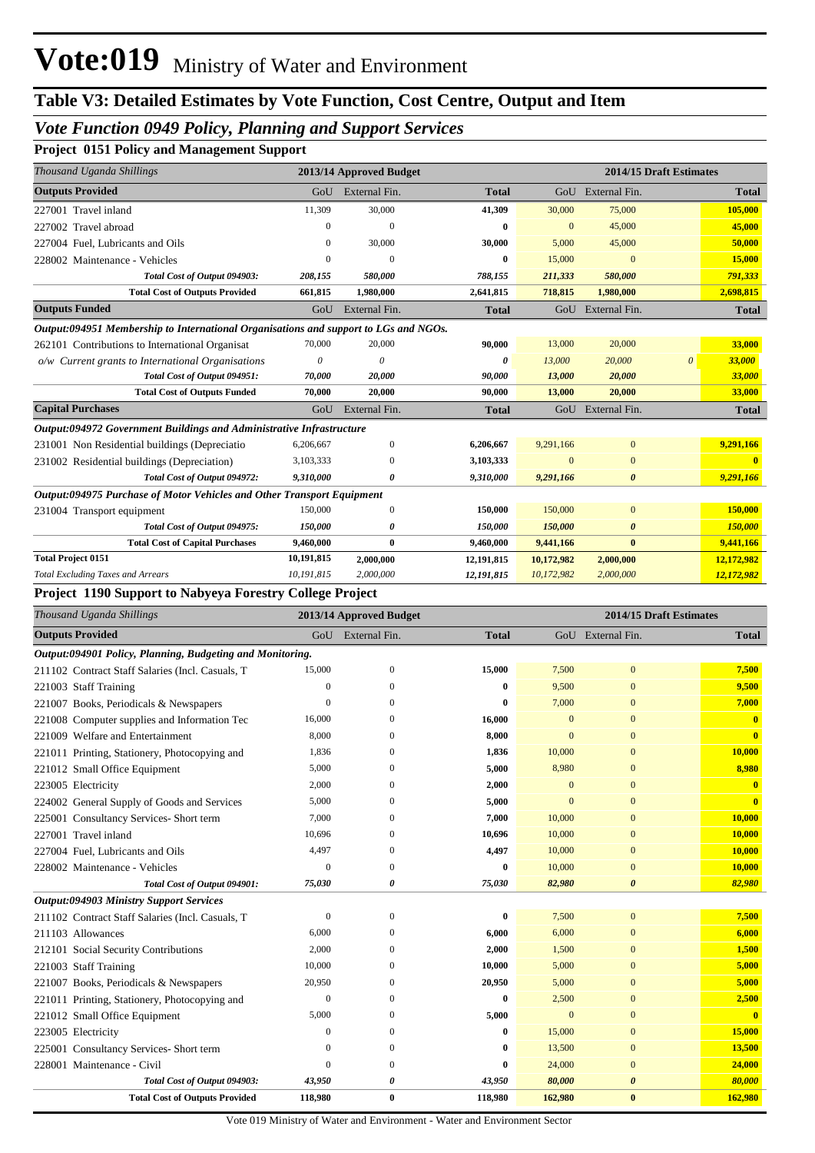# **Table V3: Detailed Estimates by Vote Function, Cost Centre, Output and Item**

### *Vote Function 0949 Policy, Planning and Support Services*

### **Project 0151 Policy and Management Support**

| Thousand Uganda Shillings                                                                                     |                       | 2013/14 Approved Budget |              |                  |                       | 2014/15 Draft Estimates |              |
|---------------------------------------------------------------------------------------------------------------|-----------------------|-------------------------|--------------|------------------|-----------------------|-------------------------|--------------|
| <b>Outputs Provided</b>                                                                                       | GoU                   | External Fin.           | <b>Total</b> |                  | GoU External Fin.     |                         | Total        |
| 227001 Travel inland                                                                                          | 11,309                | 30,000                  | 41,309       | 30,000           | 75,000                |                         | 105,000      |
| 227002 Travel abroad                                                                                          | $\boldsymbol{0}$      | $\theta$                | 0            | $\mathbf{0}$     | 45,000                |                         | 45,000       |
| 227004 Fuel, Lubricants and Oils                                                                              | $\boldsymbol{0}$      | 30,000                  | 30,000       | 5,000            | 45,000                |                         | 50,000       |
| 228002 Maintenance - Vehicles                                                                                 | $\theta$              | $\theta$                | 0            | 15,000           | $\mathbf{0}$          |                         | 15,000       |
| Total Cost of Output 094903:                                                                                  | 208,155               | 580,000                 | 788,155      | 211,333          | 580,000               |                         | 791,333      |
| <b>Total Cost of Outputs Provided</b>                                                                         | 661,815               | 1,980,000               | 2,641,815    | 718,815          | 1,980,000             |                         | 2,698,815    |
| <b>Outputs Funded</b>                                                                                         | GoU                   | External Fin.           | <b>Total</b> |                  | GoU External Fin.     |                         | <b>Total</b> |
| Output:094951 Membership to International Organisations and support to LGs and NGOs.                          |                       |                         |              |                  |                       |                         |              |
| 262101 Contributions to International Organisat                                                               | 70,000                | 20,000                  | 90,000       | 13,000           | 20,000                |                         | 33,000       |
| o/w Current grants to International Organisations                                                             | $\boldsymbol{\theta}$ | $\boldsymbol{\theta}$   | 0            | 13,000           | 20,000                | $\boldsymbol{\theta}$   | 33,000       |
| Total Cost of Output 094951:                                                                                  | 70,000                | 20,000                  | 90,000       | 13,000           | 20,000                |                         | 33,000       |
| <b>Total Cost of Outputs Funded</b>                                                                           | 70,000                | 20,000                  | 90,000       | 13,000           | 20,000                |                         | 33,000       |
| <b>Capital Purchases</b>                                                                                      | GoU                   | External Fin.           | <b>Total</b> |                  | GoU External Fin.     |                         | <b>Total</b> |
| Output:094972 Government Buildings and Administrative Infrastructure                                          |                       |                         |              |                  |                       |                         |              |
| 231001 Non Residential buildings (Depreciatio                                                                 | 6,206,667             | $\boldsymbol{0}$        | 6,206,667    | 9,291,166        | $\boldsymbol{0}$      |                         | 9,291,166    |
| 231002 Residential buildings (Depreciation)                                                                   | 3,103,333             | $\boldsymbol{0}$        | 3,103,333    | $\mathbf{0}$     | $\mathbf{0}$          |                         | $\bf{0}$     |
| Total Cost of Output 094972:                                                                                  | 9,310,000             | 0                       | 9,310,000    | 9,291,166        | $\boldsymbol{\theta}$ |                         | 9,291,166    |
| Output:094975 Purchase of Motor Vehicles and Other Transport Equipment                                        |                       |                         |              |                  |                       |                         |              |
| 231004 Transport equipment                                                                                    | 150,000               | $\boldsymbol{0}$        | 150,000      | 150,000          | $\bf{0}$              |                         | 150,000      |
| Total Cost of Output 094975:                                                                                  | 150,000               | 0                       | 150,000      | 150,000          | $\boldsymbol{\theta}$ |                         | 150,000      |
| <b>Total Cost of Capital Purchases</b>                                                                        | 9,460,000             | $\bf{0}$                | 9,460,000    | 9,441,166        | $\bf{0}$              |                         | 9,441,166    |
| <b>Total Project 0151</b>                                                                                     | 10,191,815            | 2,000,000               | 12,191,815   | 10,172,982       | 2,000,000             |                         | 12,172,982   |
| <b>Total Excluding Taxes and Arrears</b>                                                                      | 10,191,815            | 2,000,000               | 12,191,815   | 10,172,982       | 2,000,000             |                         | 12,172,982   |
| Project 1190 Support to Nabyeya Forestry College Project                                                      |                       |                         |              |                  |                       |                         |              |
| Thousand Uganda Shillings                                                                                     |                       | 2013/14 Approved Budget |              |                  |                       | 2014/15 Draft Estimates |              |
| <b>Outputs Provided</b>                                                                                       |                       | GoU External Fin.       | <b>Total</b> |                  | GoU External Fin.     |                         | <b>Total</b> |
|                                                                                                               |                       |                         |              |                  |                       |                         |              |
| Output:094901 Policy, Planning, Budgeting and Monitoring.<br>211102 Contract Staff Salaries (Incl. Casuals, T | 15,000                | $\mathbf{0}$            | 15,000       | 7,500            | $\bf{0}$              |                         | 7,500        |
| 221003 Staff Training                                                                                         | $\boldsymbol{0}$      | $\Omega$                | $\bf{0}$     | 9,500            | $\mathbf{0}$          |                         | 9,500        |
| 221007 Books, Periodicals & Newspapers                                                                        | $\overline{0}$        | $\Omega$                | 0            | 7,000            | $\mathbf{0}$          |                         | 7,000        |
| 221008 Computer supplies and Information Tec                                                                  | 16,000                | $\Omega$                | 16,000       | $\mathbf{0}$     | $\mathbf{0}$          |                         | $\mathbf{0}$ |
| 221009 Welfare and Entertainment                                                                              | 8,000                 | $\Omega$                | 8,000        | $\mathbf{0}$     | $\mathbf{0}$          |                         | $\mathbf{0}$ |
| 221011 Printing, Stationery, Photocopying and                                                                 | 1,836                 | $\Omega$                | 1,836        | 10,000           | $\mathbf{0}$          |                         | 10,000       |
| 221012 Small Office Equipment                                                                                 | 5,000                 | $\mathbf{0}$            | 5,000        | 8,980            | $\mathbf{0}$          |                         | 8,980        |
| 223005 Electricity                                                                                            | 2,000                 | $\boldsymbol{0}$        | 2,000        | $\boldsymbol{0}$ | $\boldsymbol{0}$      |                         | $\mathbf{0}$ |
| 224002 General Supply of Goods and Services                                                                   | 5,000                 | $\Omega$                | 5,000        | $\Omega$         | $\mathbf{0}$          |                         | $\mathbf{0}$ |
| 225001 Consultancy Services- Short term                                                                       | 7,000                 | 0                       | 7,000        | 10,000           | $\bf{0}$              |                         | 10,000       |
| 227001 Travel inland                                                                                          | 10,696                | 0                       | 10,696       | 10,000           | $\bf{0}$              |                         | 10,000       |
| 227004 Fuel, Lubricants and Oils                                                                              | 4,497                 | $\boldsymbol{0}$        | 4,497        | 10,000           | $\bf{0}$              |                         | 10,000       |
| 228002 Maintenance - Vehicles                                                                                 | $\boldsymbol{0}$      | $\mathbf{0}$            | $\bf{0}$     | 10,000           | $\boldsymbol{0}$      |                         | 10,000       |
| Total Cost of Output 094901:                                                                                  | 75,030                | 0                       | 75,030       | 82,980           | $\boldsymbol{\theta}$ |                         | 82,980       |
| <b>Output:094903 Ministry Support Services</b>                                                                |                       |                         |              |                  |                       |                         |              |
| 211102 Contract Staff Salaries (Incl. Casuals, T                                                              | $\boldsymbol{0}$      | $\mathbf{0}$            | $\bf{0}$     | 7,500            | $\boldsymbol{0}$      |                         | 7,500        |
| 211103 Allowances                                                                                             | 6,000                 | 0                       | 6,000        | 6,000            | $\mathbf{0}$          |                         | 6,000        |
| 212101 Social Security Contributions                                                                          | 2,000                 | 0                       | 2,000        | 1,500            | $\mathbf{0}$          |                         | 1,500        |
| 221003 Staff Training                                                                                         | 10,000                | 0                       | 10,000       | 5,000            | $\bf{0}$              |                         | 5,000        |
| 221007 Books, Periodicals & Newspapers                                                                        | 20,950                | 0                       | 20,950       | 5,000            | $\bf{0}$              |                         | 5,000        |
| 221011 Printing, Stationery, Photocopying and                                                                 | $\mathbf{0}$          | 0                       | $\bf{0}$     | 2,500            | $\mathbf{0}$          |                         | 2,500        |
| 221012 Small Office Equipment                                                                                 | 5,000                 | $\mathbf{0}$            | 5,000        | $\mathbf{0}$     | $\bf{0}$              |                         | $\mathbf{0}$ |
| 223005 Electricity                                                                                            | $\boldsymbol{0}$      | 0                       | 0            | 15,000           | $\bf{0}$              |                         | 15,000       |
| 225001 Consultancy Services- Short term                                                                       | $\overline{0}$        | $\mathbf{0}$            | 0            | 13,500           | $\boldsymbol{0}$      |                         | 13,500       |
| 228001 Maintenance - Civil                                                                                    | $\boldsymbol{0}$      | $\mathbf{0}$            | 0            | 24,000           | $\mathbf{0}$          |                         | 24,000       |
| Total Cost of Output 094903:                                                                                  |                       |                         |              |                  |                       |                         |              |
|                                                                                                               | 43,950                | 0                       | 43,950       | 80,000           | 0                     |                         | 80,000       |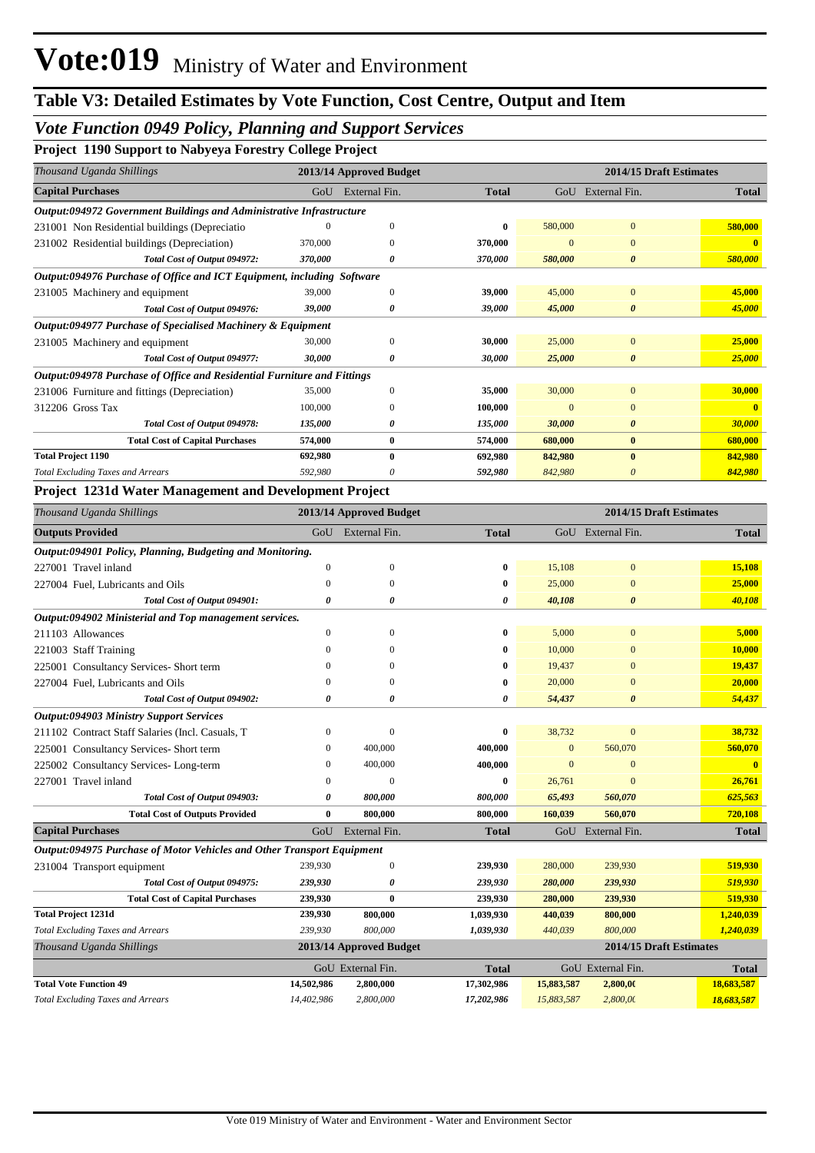## *Vote Function 0949 Policy, Planning and Support Services*

**Project 1190 Support to Nabyeya Forestry College Project** 

| Thousand Uganda Shillings                                               |         | 2013/14 Approved Budget | 2014/15 Draft Estimates |          |                       |              |
|-------------------------------------------------------------------------|---------|-------------------------|-------------------------|----------|-----------------------|--------------|
| <b>Capital Purchases</b>                                                | GoU     | External Fin.           | <b>Total</b>            | GoU      | External Fin.         | <b>Total</b> |
| Output:094972 Government Buildings and Administrative Infrastructure    |         |                         |                         |          |                       |              |
| 231001 Non Residential buildings (Depreciatio                           |         | $\Omega$                | $\bf{0}$                | 580,000  | $\mathbf{0}$          | 580,000      |
| 231002 Residential buildings (Depreciation)                             | 370,000 |                         | 370,000                 |          | $\Omega$              |              |
| Total Cost of Output 094972:                                            | 370,000 | 0                       | 370,000                 | 580,000  | 0                     | 580,000      |
| Output:094976 Purchase of Office and ICT Equipment, including Software  |         |                         |                         |          |                       |              |
| 231005 Machinery and equipment                                          | 39,000  | $\mathbf{0}$            | 39,000                  | 45,000   | $\mathbf{0}$          | 45,000       |
| Total Cost of Output 094976:                                            | 39,000  | 0                       | 39,000                  | 45,000   | $\boldsymbol{\theta}$ | 45,000       |
| Output:094977 Purchase of Specialised Machinery & Equipment             |         |                         |                         |          |                       |              |
| 231005 Machinery and equipment                                          | 30,000  | $\Omega$                | 30,000                  | 25,000   | $\overline{0}$        | 25,000       |
| Total Cost of Output 094977:                                            | 30,000  | 0                       | 30,000                  | 25,000   | 0                     | 25,000       |
| Output:094978 Purchase of Office and Residential Furniture and Fittings |         |                         |                         |          |                       |              |
| 231006 Furniture and fittings (Depreciation)                            | 35,000  | $\Omega$                | 35,000                  | 30,000   | $\overline{0}$        | 30,000       |
| 312206 Gross Tax                                                        | 100,000 | $\Omega$                | 100.000                 | $\Omega$ | $\Omega$              | $\mathbf{0}$ |
| Total Cost of Output 094978:                                            | 135,000 | 0                       | 135,000                 | 30,000   | $\boldsymbol{\theta}$ | 30,000       |
| <b>Total Cost of Capital Purchases</b>                                  | 574,000 | $\bf{0}$                | 574,000                 | 680,000  | $\bf{0}$              | 680,000      |
| <b>Total Project 1190</b>                                               | 692,980 | $\bf{0}$                | 692,980                 | 842,980  | $\mathbf{0}$          | 842,980      |
| <b>Total Excluding Taxes and Arrears</b>                                | 592,980 |                         | 592,980                 | 842,980  | 0                     | 842,980      |

### **Project 1231d Water Management and Development Project**

| Thousand Uganda Shillings                                                     |              | 2013/14 Approved Budget |              |              | 2014/15 Draft Estimates |              |
|-------------------------------------------------------------------------------|--------------|-------------------------|--------------|--------------|-------------------------|--------------|
| <b>Outputs Provided</b>                                                       |              | GoU External Fin.       | <b>Total</b> |              | GoU External Fin.       | <b>Total</b> |
| Output:094901 Policy, Planning, Budgeting and Monitoring.                     |              |                         |              |              |                         |              |
| 227001 Travel inland                                                          | $\mathbf{0}$ | $\mathbf{0}$            | 0            | 15,108       | $\overline{0}$          | 15,108       |
| 227004 Fuel, Lubricants and Oils                                              | $\mathbf{0}$ | 0                       | 0            | 25,000       | 0                       | 25,000       |
| Total Cost of Output 094901:                                                  | 0            | 0                       | 0            | 40,108       | 0                       | 40,108       |
| Output:094902 Ministerial and Top management services.                        |              |                         |              |              |                         |              |
| 211103 Allowances                                                             | $\mathbf{0}$ | $\Omega$                | 0            | 5,000        | $\Omega$                | 5,000        |
| 221003 Staff Training                                                         | $\Omega$     | 0                       | 0            | 10,000       | $\Omega$                | 10,000       |
| 225001 Consultancy Services- Short term                                       | 0            | 0                       | 0            | 19,437       | $\Omega$                | 19,437       |
| 227004 Fuel, Lubricants and Oils                                              | 0            | $\Omega$                | 0            | 20,000       | $\Omega$                | 20,000       |
| Total Cost of Output 094902:                                                  | 0            | 0                       | 0            | 54,437       | 0                       | 54,437       |
| <b>Output:094903 Ministry Support Services</b>                                |              |                         |              |              |                         |              |
| 211102 Contract Staff Salaries (Incl. Casuals, T                              | 0            | $\mathbf{0}$            | 0            | 38,732       | $\overline{0}$          | 38,732       |
| 225001 Consultancy Services- Short term                                       | 0            | 400,000                 | 400,000      | $\mathbf{0}$ | 560,070                 | 560,070      |
| 225002 Consultancy Services-Long-term                                         | $\Omega$     | 400,000                 | 400,000      | $\Omega$     | 0                       |              |
| 227001 Travel inland                                                          | 0            | $\Omega$                | 0            | 26,761       | $\Omega$                | 26,761       |
| Total Cost of Output 094903:                                                  | 0            | 800,000                 | 800,000      | 65,493       | 560,070                 | 625,563      |
| <b>Total Cost of Outputs Provided</b>                                         | $\bf{0}$     | 800,000                 | 800,000      | 160,039      | 560,070                 | 720,108      |
| <b>Capital Purchases</b>                                                      | GoU          | External Fin.           | <b>Total</b> |              | GoU External Fin.       | <b>Total</b> |
| <b>Output:094975 Purchase of Motor Vehicles and Other Transport Equipment</b> |              |                         |              |              |                         |              |
| 231004 Transport equipment                                                    | 239,930      | $\mathbf{0}$            | 239,930      | 280,000      | 239,930                 | 519,930      |
| Total Cost of Output 094975:                                                  | 239,930      | 0                       | 239,930      | 280,000      | 239,930                 | 519,930      |
| <b>Total Cost of Capital Purchases</b>                                        | 239,930      | $\bf{0}$                | 239,930      | 280,000      | 239,930                 | 519,930      |
| <b>Total Project 1231d</b>                                                    | 239,930      | 800,000                 | 1,039,930    | 440,039      | 800,000                 | 1,240,039    |
| <b>Total Excluding Taxes and Arrears</b>                                      | 239,930      | 800,000                 | 1.039.930    | 440.039      | 800,000                 | 1.240.039    |

| Thousand Uganda Shillings                | 2013/14 Approved Budget |                   |            |                   |          | 2014/15 Draft Estimates |              |
|------------------------------------------|-------------------------|-------------------|------------|-------------------|----------|-------------------------|--------------|
|                                          |                         | GoU External Fin. |            | GoU External Fin. |          |                         | <b>Total</b> |
| <b>Total Vote Function 49</b>            | 14.502.986              | 2,800,000         | 17.302.986 | 15,883,587        | 2,800.00 | 18,683,587              |              |
| <b>Total Excluding Taxes and Arrears</b> | 14.402.986              | 2,800,000         | 17.202.986 | 15.883.587        | 2,800,00 | 18,683,587              |              |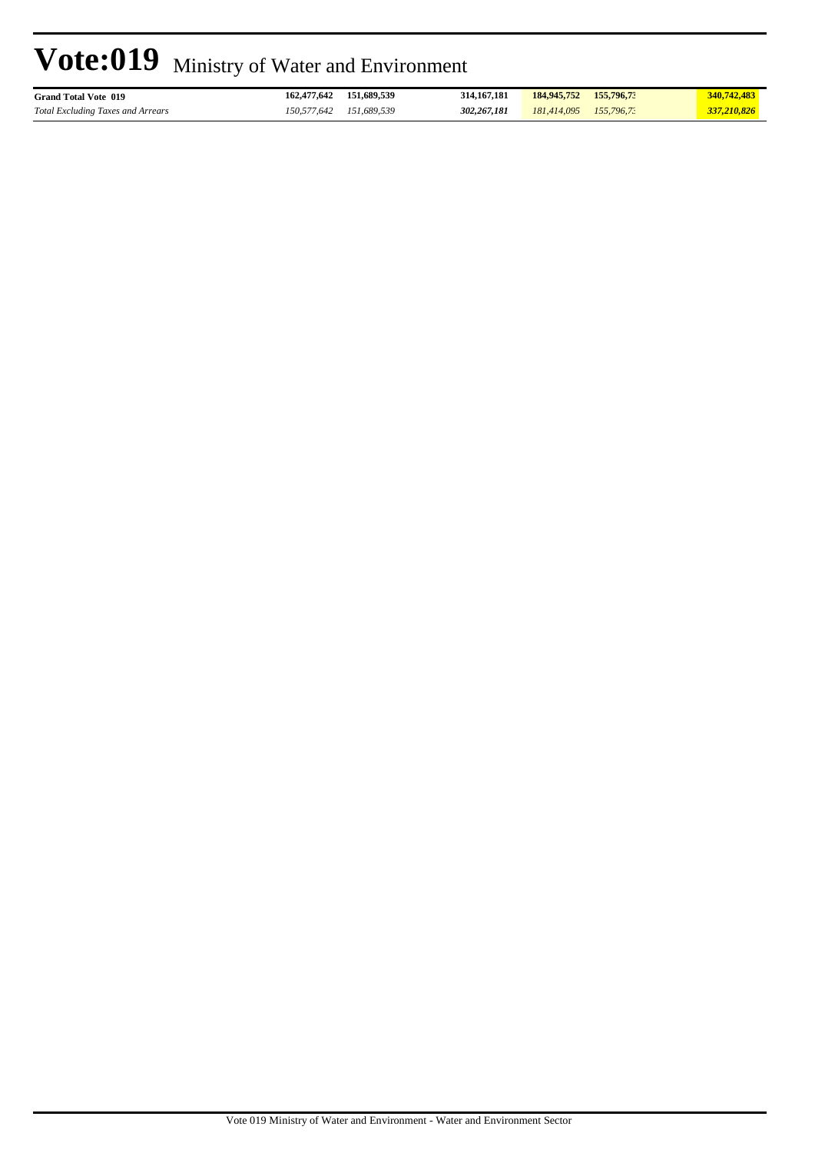| <b>Grand Total Vote 019</b>              | 162,477,642 | 151,689,539 | 314, 167, 181 | 184,945,752 | 155,796,73    | 340,742,483 |
|------------------------------------------|-------------|-------------|---------------|-------------|---------------|-------------|
| <b>Total Excluding Taxes and Arrears</b> | 150,577,642 | 151.689.539 | 302.267.181   | 181,414,095 | $155,796.7$ : | 337,210,826 |